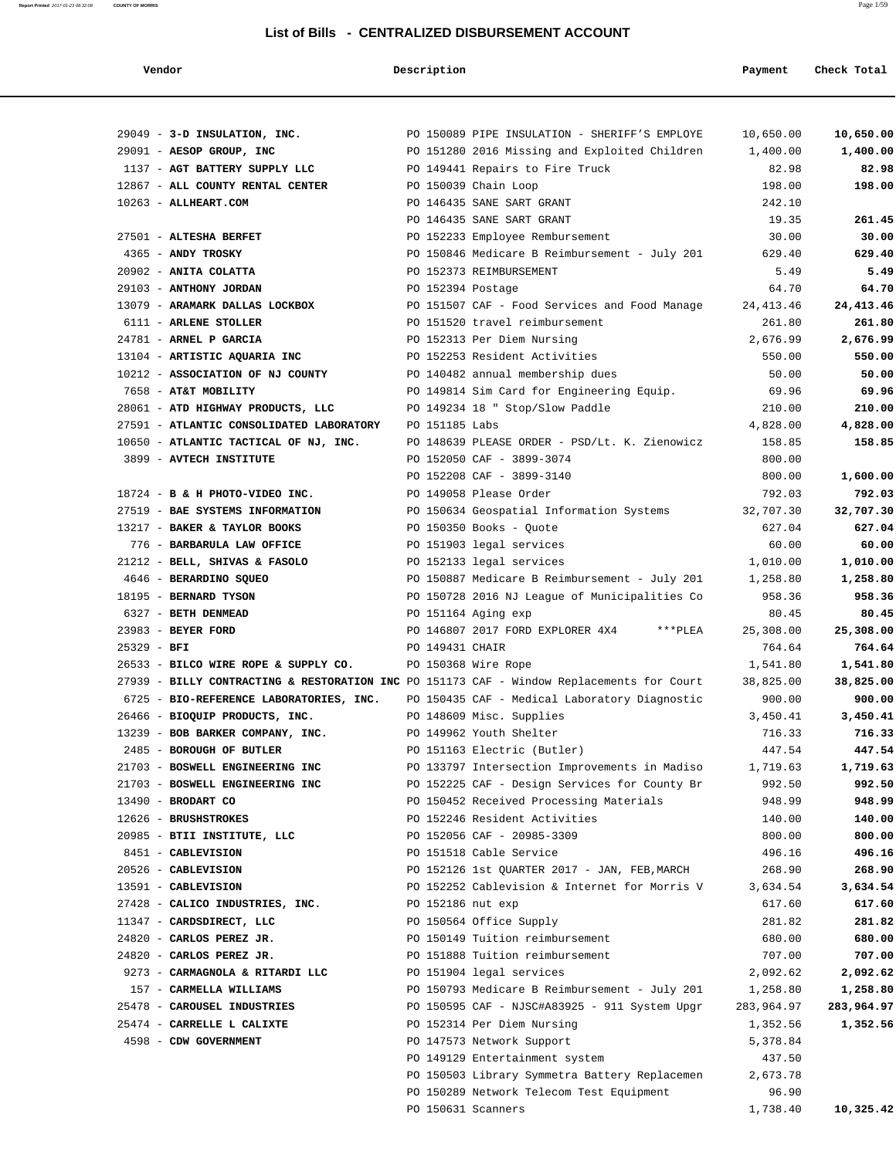**Report Printed** 2017-01-23 08:32:08 **COUNTY OF MORRIS** Page 1/59

### **List of Bills - CENTRALIZED DISBURSEMENT ACCOUNT**

 **Vendor Description Description Payment Check Total** 

| 29049 - 3-D INSULATION, INC.             |                                         |                | PO 150089 PIPE INSULATION - SHERIFF'S EMPLOYE                                             | 10,650.00  | 10,650.00  |
|------------------------------------------|-----------------------------------------|----------------|-------------------------------------------------------------------------------------------|------------|------------|
| 29091 - AESOP GROUP, INC                 |                                         |                | PO 151280 2016 Missing and Exploited Children                                             | 1,400.00   | 1,400.00   |
| 1137 - AGT BATTERY SUPPLY LLC            |                                         |                | PO 149441 Repairs to Fire Truck                                                           | 82.98      | 82.98      |
| 12867 - ALL COUNTY RENTAL CENTER         |                                         |                | PO 150039 Chain Loop                                                                      | 198.00     | 198.00     |
| 10263 - ALLHEART.COM                     |                                         |                | PO 146435 SANE SART GRANT                                                                 | 242.10     |            |
|                                          |                                         |                | PO 146435 SANE SART GRANT                                                                 | 19.35      | 261.45     |
| 27501 - ALTESHA BERFET                   |                                         |                | PO 152233 Employee Rembursement                                                           | 30.00      | 30.00      |
| 4365 - ANDY TROSKY                       |                                         |                | PO 150846 Medicare B Reimbursement - July 201                                             | 629.40     | 629.40     |
| 20902 - ANITA COLATTA                    |                                         |                | PO 152373 REIMBURSEMENT                                                                   | 5.49       | 5.49       |
| 29103 - ANTHONY JORDAN                   |                                         |                | PO 152394 Postage                                                                         | 64.70      | 64.70      |
| 13079 - ARAMARK DALLAS LOCKBOX           |                                         |                | PO 151507 CAF - Food Services and Food Manage                                             | 24, 413.46 | 24,413.46  |
| 6111 - ARLENE STOLLER                    |                                         |                | PO 151520 travel reimbursement                                                            | 261.80     | 261.80     |
| 24781 - ARNEL P GARCIA                   |                                         |                | PO 152313 Per Diem Nursing                                                                | 2,676.99   | 2,676.99   |
| 13104 - ARTISTIC AQUARIA INC             |                                         |                | PO 152253 Resident Activities                                                             | 550.00     | 550.00     |
| 10212 - ASSOCIATION OF NJ COUNTY         |                                         |                | PO 140482 annual membership dues                                                          | 50.00      | 50.00      |
| 7658 - AT&T MOBILITY                     |                                         |                | PO 149814 Sim Card for Engineering Equip.                                                 | 69.96      | 69.96      |
| 28061 - ATD HIGHWAY PRODUCTS, LLC        |                                         |                | PO 149234 18 " Stop/Slow Paddle                                                           | 210.00     | 210.00     |
| 27591 - ATLANTIC CONSOLIDATED LABORATORY |                                         | PO 151185 Labs |                                                                                           | 4,828.00   | 4,828.00   |
| 10650 - ATLANTIC TACTICAL OF NJ, INC.    |                                         |                | PO 148639 PLEASE ORDER - PSD/Lt. K. Zienowicz                                             | 158.85     | 158.85     |
| 3899 - AVTECH INSTITUTE                  |                                         |                | PO 152050 CAF - 3899-3074                                                                 | 800.00     |            |
|                                          |                                         |                | PO 152208 CAF - 3899-3140                                                                 | 800.00     | 1,600.00   |
| 18724 - B & H PHOTO-VIDEO INC.           |                                         |                | PO 149058 Please Order                                                                    | 792.03     | 792.03     |
| 27519 - BAE SYSTEMS INFORMATION          |                                         |                | PO 150634 Geospatial Information Systems                                                  | 32,707.30  | 32,707.30  |
| 13217 - BAKER & TAYLOR BOOKS             |                                         |                | PO 150350 Books - Quote                                                                   | 627.04     | 627.04     |
| 776 - BARBARULA LAW OFFICE               |                                         |                | PO 151903 legal services                                                                  | 60.00      | 60.00      |
| 21212 - BELL, SHIVAS & FASOLO            |                                         |                | PO 152133 legal services                                                                  | 1,010.00   | 1,010.00   |
| 4646 - BERARDINO SQUEO                   |                                         |                | PO 150887 Medicare B Reimbursement - July 201                                             | 1,258.80   | 1,258.80   |
| 18195 - BERNARD TYSON                    |                                         |                | PO 150728 2016 NJ League of Municipalities Co                                             | 958.36     | 958.36     |
| 6327 - BETH DENMEAD                      |                                         |                | PO 151164 Aging exp                                                                       | 80.45      | 80.45      |
| 23983 - BEYER FORD                       |                                         |                | PO 146807 2017 FORD EXPLORER 4X4<br>***PLEA                                               | 25,308.00  | 25,308.00  |
| $25329 - BFI$                            |                                         |                | PO 149431 CHAIR                                                                           | 764.64     | 764.64     |
| 26533 - BILCO WIRE ROPE & SUPPLY CO.     |                                         |                | PO 150368 Wire Rope                                                                       | 1,541.80   | 1,541.80   |
|                                          |                                         |                | 27939 - BILLY CONTRACTING & RESTORATION INC PO 151173 CAF - Window Replacements for Court | 38,825.00  | 38,825.00  |
|                                          | 6725 - BIO-REFERENCE LABORATORIES, INC. |                | PO 150435 CAF - Medical Laboratory Diagnostic                                             | 900.00     | 900.00     |
| 26466 - BIOQUIP PRODUCTS, INC.           |                                         |                | PO 148609 Misc. Supplies                                                                  | 3,450.41   | 3,450.41   |
| 13239 - BOB BARKER COMPANY, INC.         |                                         |                | PO 149962 Youth Shelter                                                                   | 716.33     | 716.33     |
| 2485 - BOROUGH OF BUTLER                 |                                         |                | PO 151163 Electric (Butler)                                                               | 447.54     | 447.54     |
| 21703 - BOSWELL ENGINEERING INC          |                                         |                | PO 133797 Intersection Improvements in Madiso                                             | 1,719.63   | 1,719.63   |
| 21703 - BOSWELL ENGINEERING INC          |                                         |                | PO 152225 CAF - Design Services for County Br                                             | 992.50     | 992.50     |
| 13490 - BRODART CO                       |                                         |                | PO 150452 Received Processing Materials                                                   | 948.99     | 948.99     |
| 12626 - BRUSHSTROKES                     |                                         |                | PO 152246 Resident Activities                                                             | 140.00     | 140.00     |
| 20985 - BTII INSTITUTE, LLC              |                                         |                | PO 152056 CAF - 20985-3309                                                                | 800.00     | 800.00     |
| 8451 - CABLEVISION                       |                                         |                | PO 151518 Cable Service                                                                   | 496.16     | 496.16     |
| 20526 - CABLEVISION                      |                                         |                | PO 152126 1st QUARTER 2017 - JAN, FEB, MARCH                                              | 268.90     | 268.90     |
| 13591 - CABLEVISION                      |                                         |                | PO 152252 Cablevision & Internet for Morris V                                             | 3,634.54   | 3,634.54   |
| 27428 - CALICO INDUSTRIES, INC.          |                                         |                | PO 152186 nut exp                                                                         | 617.60     | 617.60     |
| 11347 - CARDSDIRECT, LLC                 |                                         |                | PO 150564 Office Supply                                                                   | 281.82     | 281.82     |
| 24820 - CARLOS PEREZ JR.                 |                                         |                | PO 150149 Tuition reimbursement                                                           | 680.00     | 680.00     |
| 24820 - CARLOS PEREZ JR.                 |                                         |                | PO 151888 Tuition reimbursement                                                           | 707.00     | 707.00     |
| 9273 - CARMAGNOLA & RITARDI LLC          |                                         |                | PO 151904 legal services                                                                  | 2,092.62   | 2,092.62   |
| 157 - CARMELLA WILLIAMS                  |                                         |                | PO 150793 Medicare B Reimbursement - July 201                                             | 1,258.80   | 1,258.80   |
| 25478 - CAROUSEL INDUSTRIES              |                                         |                | PO 150595 CAF - NJSC#A83925 - 911 System Upgr                                             | 283,964.97 | 283,964.97 |
| 25474 - CARRELLE L CALIXTE               |                                         |                | PO 152314 Per Diem Nursing                                                                | 1,352.56   | 1,352.56   |
| 4598 - CDW GOVERNMENT                    |                                         |                | PO 147573 Network Support                                                                 | 5,378.84   |            |
|                                          |                                         |                | PO 149129 Entertainment system                                                            | 437.50     |            |
|                                          |                                         |                | PO 150503 Library Symmetra Battery Replacemen                                             | 2,673.78   |            |
|                                          |                                         |                | PO 150289 Network Telecom Test Equipment                                                  | 96.90      |            |

PO 150631 Scanners 1,738.40 **10,325.42**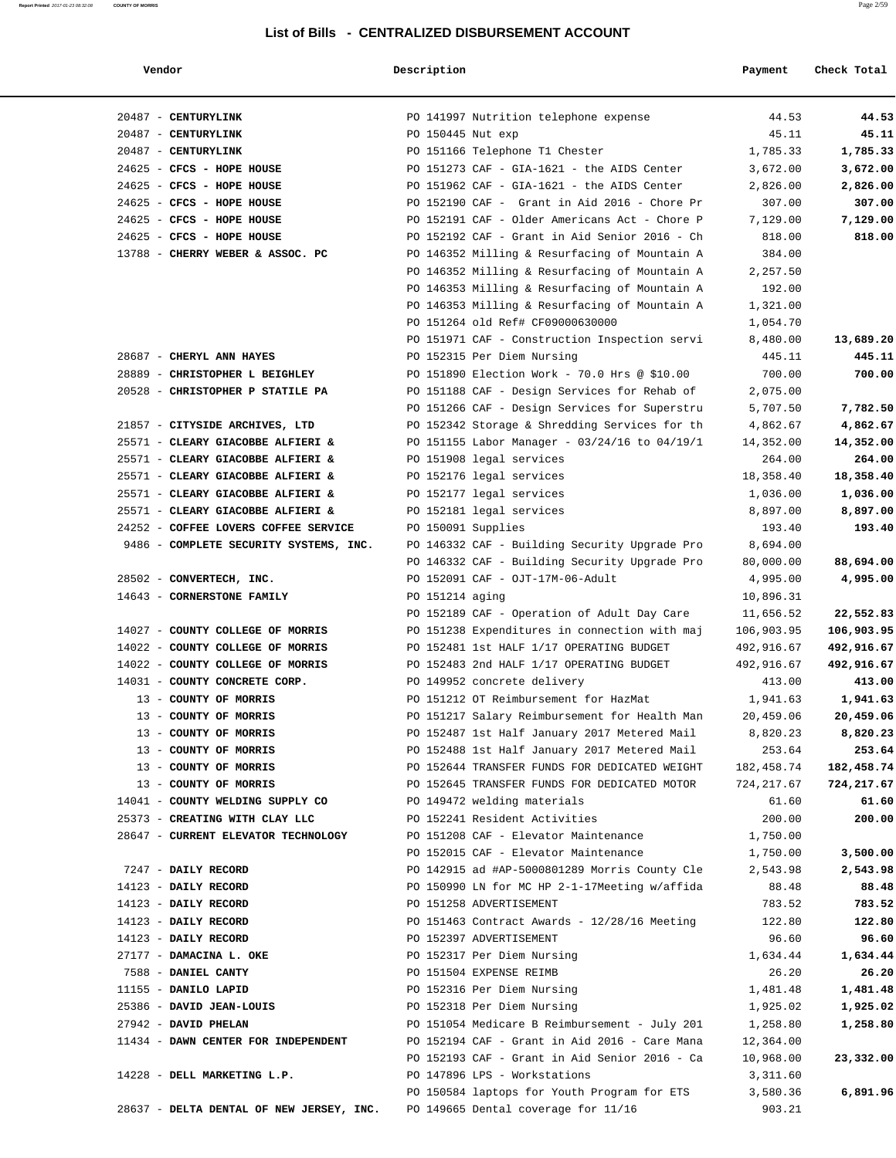# **Vendor Description Payment Check Total**

**Report Printed** 2017-01-23 08:32:08 **COUNTY OF MORRIS** Page 2/59

| 20487 - CENTURYLINK                      |                 | PO 141997 Nutrition telephone expense         | 44.53      | 44.53      |
|------------------------------------------|-----------------|-----------------------------------------------|------------|------------|
| 20487 - CENTURYLINK                      |                 | PO 150445 Nut exp                             | 45.11      | 45.11      |
| 20487 - CENTURYLINK                      |                 | PO 151166 Telephone T1 Chester                | 1,785.33   | 1,785.33   |
| 24625 - CFCS - HOPE HOUSE                |                 | PO 151273 CAF - GIA-1621 - the AIDS Center    | 3,672.00   | 3,672.00   |
| 24625 - CFCS - HOPE HOUSE                |                 | PO 151962 CAF - GIA-1621 - the AIDS Center    | 2,826.00   | 2,826.00   |
| 24625 - CFCS - HOPE HOUSE                |                 | PO 152190 CAF - Grant in Aid 2016 - Chore Pr  | 307.00     | 307.00     |
| 24625 - CFCS - HOPE HOUSE                |                 | PO 152191 CAF - Older Americans Act - Chore P | 7,129.00   | 7,129.00   |
| 24625 - CFCS - HOPE HOUSE                |                 | PO 152192 CAF - Grant in Aid Senior 2016 - Ch | 818.00     | 818.00     |
| 13788 - CHERRY WEBER & ASSOC. PC         |                 | PO 146352 Milling & Resurfacing of Mountain A | 384.00     |            |
|                                          |                 | PO 146352 Milling & Resurfacing of Mountain A | 2,257.50   |            |
|                                          |                 | PO 146353 Milling & Resurfacing of Mountain A | 192.00     |            |
|                                          |                 | PO 146353 Milling & Resurfacing of Mountain A | 1,321.00   |            |
|                                          |                 | PO 151264 old Ref# CF09000630000              | 1,054.70   |            |
|                                          |                 | PO 151971 CAF - Construction Inspection servi | 8,480.00   | 13,689.20  |
| 28687 - CHERYL ANN HAYES                 |                 | PO 152315 Per Diem Nursing                    | 445.11     | 445.11     |
| 28889 - CHRISTOPHER L BEIGHLEY           |                 | PO 151890 Election Work - 70.0 Hrs @ \$10.00  | 700.00     | 700.00     |
| 20528 - CHRISTOPHER P STATILE PA         |                 | PO 151188 CAF - Design Services for Rehab of  | 2,075.00   |            |
|                                          |                 | PO 151266 CAF - Design Services for Superstru | 5,707.50   | 7,782.50   |
| 21857 - CITYSIDE ARCHIVES, LTD           |                 | PO 152342 Storage & Shredding Services for th | 4,862.67   | 4,862.67   |
| 25571 - CLEARY GIACOBBE ALFIERI &        |                 | PO 151155 Labor Manager - 03/24/16 to 04/19/1 | 14,352.00  | 14,352.00  |
| 25571 - CLEARY GIACOBBE ALFIERI &        |                 | PO 151908 legal services                      | 264.00     | 264.00     |
| 25571 - CLEARY GIACOBBE ALFIERI &        |                 | PO 152176 legal services                      | 18,358.40  | 18,358.40  |
| 25571 - CLEARY GIACOBBE ALFIERI &        |                 | PO 152177 legal services                      | 1,036.00   | 1,036.00   |
| 25571 - CLEARY GIACOBBE ALFIERI &        |                 | PO 152181 legal services                      | 8,897.00   | 8,897.00   |
| 24252 - COFFEE LOVERS COFFEE SERVICE     |                 | PO 150091 Supplies                            | 193.40     | 193.40     |
| 9486 - COMPLETE SECURITY SYSTEMS, INC.   |                 | PO 146332 CAF - Building Security Upgrade Pro | 8,694.00   |            |
|                                          |                 | PO 146332 CAF - Building Security Upgrade Pro | 80,000.00  | 88,694.00  |
| 28502 - CONVERTECH, INC.                 |                 | PO 152091 CAF - OJT-17M-06-Adult              | 4,995.00   | 4,995.00   |
| 14643 - CORNERSTONE FAMILY               | PO 151214 aging |                                               | 10,896.31  |            |
|                                          |                 | PO 152189 CAF - Operation of Adult Day Care   | 11,656.52  | 22,552.83  |
| 14027 - COUNTY COLLEGE OF MORRIS         |                 | PO 151238 Expenditures in connection with maj | 106,903.95 | 106,903.95 |
| 14022 - COUNTY COLLEGE OF MORRIS         |                 | PO 152481 1st HALF 1/17 OPERATING BUDGET      | 492,916.67 | 492,916.67 |
| 14022 - COUNTY COLLEGE OF MORRIS         |                 | PO 152483 2nd HALF 1/17 OPERATING BUDGET      | 492,916.67 | 492,916.67 |
| 14031 - COUNTY CONCRETE CORP.            |                 | PO 149952 concrete delivery                   | 413.00     | 413.00     |
| 13 - COUNTY OF MORRIS                    |                 | PO 151212 OT Reimbursement for HazMat         | 1,941.63   | 1,941.63   |
| 13 - COUNTY OF MORRIS                    |                 | PO 151217 Salary Reimbursement for Health Man | 20,459.06  | 20,459.06  |
| 13 - COUNTY OF MORRIS                    |                 | PO 152487 1st Half January 2017 Metered Mail  | 8,820.23   | 8,820.23   |
| 13 - COUNTY OF MORRIS                    |                 | PO 152488 1st Half January 2017 Metered Mail  | 253.64     | 253.64     |
| 13 - COUNTY OF MORRIS                    |                 | PO 152644 TRANSFER FUNDS FOR DEDICATED WEIGHT | 182,458.74 | 182,458.74 |
| 13 - COUNTY OF MORRIS                    |                 | PO 152645 TRANSFER FUNDS FOR DEDICATED MOTOR  | 724,217.67 | 724,217.67 |
| 14041 - COUNTY WELDING SUPPLY CO         |                 | PO 149472 welding materials                   | 61.60      | 61.60      |
| 25373 - CREATING WITH CLAY LLC           |                 | PO 152241 Resident Activities                 | 200.00     | 200.00     |
| 28647 - CURRENT ELEVATOR TECHNOLOGY      |                 | PO 151208 CAF - Elevator Maintenance          | 1,750.00   |            |
|                                          |                 | PO 152015 CAF - Elevator Maintenance          | 1,750.00   | 3,500.00   |
| 7247 - DAILY RECORD                      |                 | PO 142915 ad #AP-5000801289 Morris County Cle | 2,543.98   | 2,543.98   |
| 14123 - DAILY RECORD                     |                 | PO 150990 LN for MC HP 2-1-17Meeting w/affida | 88.48      | 88.48      |
| 14123 - DAILY RECORD                     |                 | PO 151258 ADVERTISEMENT                       | 783.52     | 783.52     |
| 14123 - DAILY RECORD                     |                 | PO 151463 Contract Awards - 12/28/16 Meeting  | 122.80     | 122.80     |
| 14123 - DAILY RECORD                     |                 | PO 152397 ADVERTISEMENT                       | 96.60      | 96.60      |
| 27177 - DAMACINA L. OKE                  |                 | PO 152317 Per Diem Nursing                    | 1,634.44   | 1,634.44   |
| 7588 - DANIEL CANTY                      |                 | PO 151504 EXPENSE REIMB                       | 26.20      | 26.20      |
| 11155 - DANILO LAPID                     |                 | PO 152316 Per Diem Nursing                    | 1,481.48   | 1,481.48   |
| 25386 - DAVID JEAN-LOUIS                 |                 | PO 152318 Per Diem Nursing                    | 1,925.02   | 1,925.02   |
| 27942 - DAVID PHELAN                     |                 | PO 151054 Medicare B Reimbursement - July 201 | 1,258.80   | 1,258.80   |
| 11434 - DAWN CENTER FOR INDEPENDENT      |                 | PO 152194 CAF - Grant in Aid 2016 - Care Mana | 12,364.00  |            |
|                                          |                 | PO 152193 CAF - Grant in Aid Senior 2016 - Ca | 10,968.00  | 23,332.00  |
| 14228 - DELL MARKETING L.P.              |                 | PO 147896 LPS - Workstations                  | 3,311.60   |            |
|                                          |                 | PO 150584 laptops for Youth Program for ETS   | 3,580.36   | 6,891.96   |
| 28637 - DELTA DENTAL OF NEW JERSEY, INC. |                 | PO 149665 Dental coverage for 11/16           | 903.21     |            |
|                                          |                 |                                               |            |            |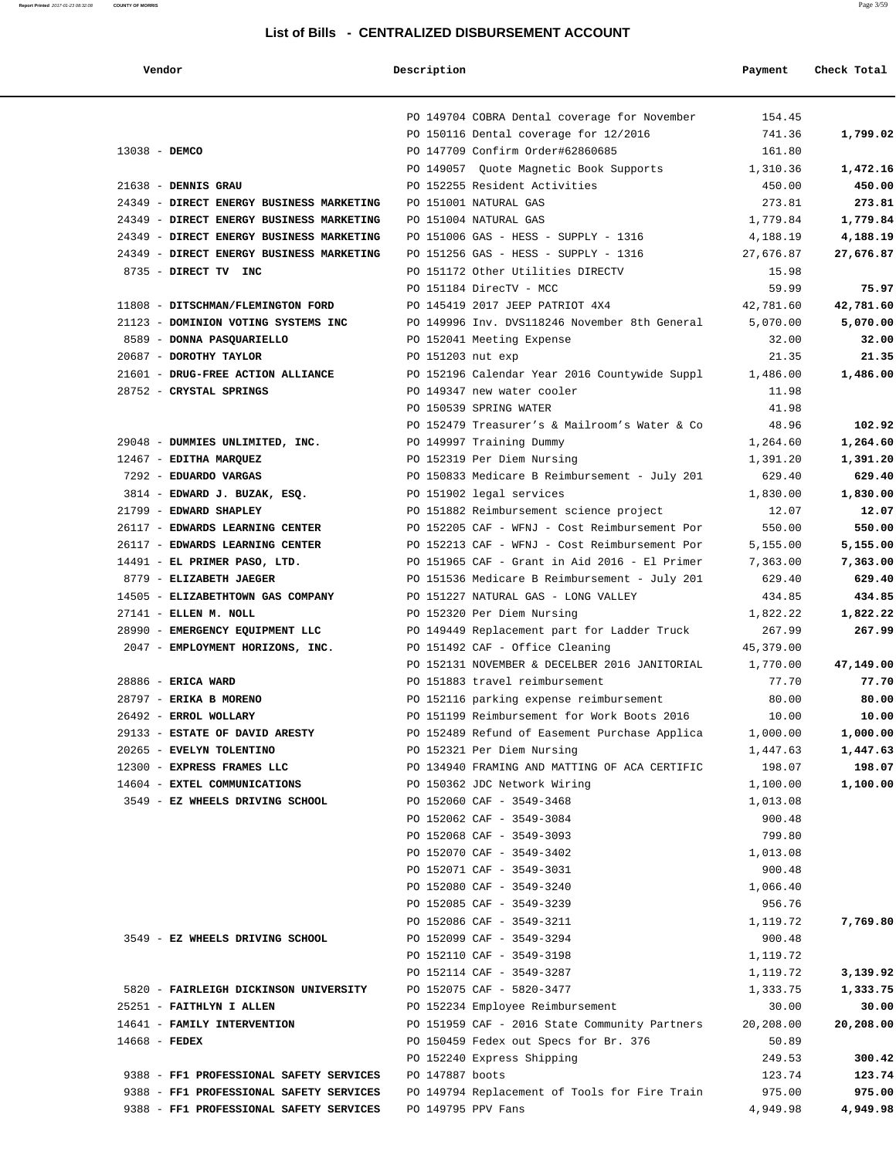**Report Printed** 2017-01-23 08:32:08 **COUNTY OF MORRIS** Page 3/59

| Vendor                                   | Description                                   | Payment   | Check Total |
|------------------------------------------|-----------------------------------------------|-----------|-------------|
|                                          | PO 149704 COBRA Dental coverage for November  | 154.45    |             |
|                                          | PO 150116 Dental coverage for 12/2016         | 741.36    | 1,799.02    |
| 13038 - DEMCO                            | PO 147709 Confirm Order#62860685              | 161.80    |             |
|                                          | PO 149057 Quote Magnetic Book Supports        | 1,310.36  | 1,472.16    |
| $21638$ - DENNIS GRAU                    | PO 152255 Resident Activities                 | 450.00    | 450.00      |
| 24349 - DIRECT ENERGY BUSINESS MARKETING | PO 151001 NATURAL GAS                         | 273.81    | 273.81      |
| 24349 - DIRECT ENERGY BUSINESS MARKETING | PO 151004 NATURAL GAS                         | 1,779.84  | 1,779.84    |
| 24349 - DIRECT ENERGY BUSINESS MARKETING | PO 151006 GAS - HESS - SUPPLY - 1316          | 4,188.19  | 4,188.19    |
| 24349 - DIRECT ENERGY BUSINESS MARKETING | PO 151256 GAS - HESS - SUPPLY - 1316          | 27,676.87 | 27,676.87   |
| 8735 - DIRECT TV INC                     | PO 151172 Other Utilities DIRECTV             | 15.98     |             |
|                                          | PO 151184 DirecTV - MCC                       | 59.99     | 75.97       |
| 11808 - DITSCHMAN/FLEMINGTON FORD        | PO 145419 2017 JEEP PATRIOT 4X4               | 42,781.60 | 42,781.60   |
| 21123 - DOMINION VOTING SYSTEMS INC      | PO 149996 Inv. DVS118246 November 8th General | 5,070.00  | 5,070.00    |
| 8589 - DONNA PASQUARIELLO                | PO 152041 Meeting Expense                     | 32.00     | 32.00       |
| 20687 - DOROTHY TAYLOR                   | PO 151203 nut exp                             | 21.35     | 21.35       |
|                                          |                                               |           |             |
| 21601 - DRUG-FREE ACTION ALLIANCE        | PO 152196 Calendar Year 2016 Countywide Suppl | 1,486.00  | 1,486.00    |
| 28752 - CRYSTAL SPRINGS                  | PO 149347 new water cooler                    | 11.98     |             |
|                                          | PO 150539 SPRING WATER                        | 41.98     |             |
|                                          | PO 152479 Treasurer's & Mailroom's Water & Co | 48.96     | 102.92      |
| 29048 - DUMMIES UNLIMITED, INC.          | PO 149997 Training Dummy                      | 1,264.60  | 1,264.60    |
| 12467 - EDITHA MARQUEZ                   | PO 152319 Per Diem Nursing                    | 1,391.20  | 1,391.20    |
| 7292 - EDUARDO VARGAS                    | PO 150833 Medicare B Reimbursement - July 201 | 629.40    | 629.40      |
| 3814 - EDWARD J. BUZAK, ESQ.             | PO 151902 legal services                      | 1,830.00  | 1,830.00    |
| 21799 - EDWARD SHAPLEY                   | PO 151882 Reimbursement science project       | 12.07     | 12.07       |
| 26117 - EDWARDS LEARNING CENTER          | PO 152205 CAF - WFNJ - Cost Reimbursement Por | 550.00    | 550.00      |
| 26117 - EDWARDS LEARNING CENTER          | PO 152213 CAF - WFNJ - Cost Reimbursement Por | 5,155.00  | 5,155.00    |
| 14491 - EL PRIMER PASO, LTD.             | PO 151965 CAF - Grant in Aid 2016 - El Primer | 7,363.00  | 7,363.00    |
| 8779 - ELIZABETH JAEGER                  | PO 151536 Medicare B Reimbursement - July 201 | 629.40    | 629.40      |
| 14505 - ELIZABETHTOWN GAS COMPANY        | PO 151227 NATURAL GAS - LONG VALLEY           | 434.85    | 434.85      |
| 27141 - ELLEN M. NOLL                    | PO 152320 Per Diem Nursing                    | 1,822.22  | 1,822.22    |
| 28990 - EMERGENCY EQUIPMENT LLC          | PO 149449 Replacement part for Ladder Truck   | 267.99    | 267.99      |
| 2047 - EMPLOYMENT HORIZONS, INC.         | PO 151492 CAF - Office Cleaning               | 45,379.00 |             |
|                                          | PO 152131 NOVEMBER & DECELBER 2016 JANITORIAL | 1,770.00  | 47,149.00   |
| 28886 - ERICA WARD                       | PO 151883 travel reimbursement                | 77.70     | 77.70       |
| 28797 - ERIKA B MORENO                   | PO 152116 parking expense reimbursement       | 80.00     | 80.00       |
| 26492 - ERROL WOLLARY                    | PO 151199 Reimbursement for Work Boots 2016   | 10.00     | 10.00       |
| 29133 - ESTATE OF DAVID ARESTY           | PO 152489 Refund of Easement Purchase Applica | 1,000.00  | 1,000.00    |
| 20265 - EVELYN TOLENTINO                 | PO 152321 Per Diem Nursing                    | 1,447.63  | 1,447.63    |
| 12300 - EXPRESS FRAMES LLC               | PO 134940 FRAMING AND MATTING OF ACA CERTIFIC | 198.07    | 198.07      |
| 14604 - EXTEL COMMUNICATIONS             | PO 150362 JDC Network Wiring                  | 1,100.00  | 1,100.00    |
| 3549 - EZ WHEELS DRIVING SCHOOL          | PO 152060 CAF - 3549-3468                     | 1,013.08  |             |
|                                          | PO 152062 CAF - 3549-3084                     | 900.48    |             |
|                                          |                                               |           |             |
|                                          | PO 152068 CAF - 3549-3093                     | 799.80    |             |
|                                          | PO 152070 CAF - 3549-3402                     | 1,013.08  |             |
|                                          | PO 152071 CAF - 3549-3031                     | 900.48    |             |
|                                          | PO 152080 CAF - 3549-3240                     | 1,066.40  |             |
|                                          | PO 152085 CAF - 3549-3239                     | 956.76    |             |
|                                          | PO 152086 CAF - 3549-3211                     | 1,119.72  | 7,769.80    |
| 3549 - EZ WHEELS DRIVING SCHOOL          | PO 152099 CAF - 3549-3294                     | 900.48    |             |
|                                          | PO 152110 CAF - 3549-3198                     | 1,119.72  |             |
|                                          | PO 152114 CAF - 3549-3287                     | 1,119.72  | 3,139.92    |
| 5820 - FAIRLEIGH DICKINSON UNIVERSITY    | PO 152075 CAF - 5820-3477                     | 1,333.75  | 1,333.75    |
| 25251 - FAITHLYN I ALLEN                 | PO 152234 Employee Reimbursement              | 30.00     | 30.00       |
| 14641 - FAMILY INTERVENTION              | PO 151959 CAF - 2016 State Community Partners | 20,208.00 | 20,208.00   |
| $14668$ - FEDEX                          | PO 150459 Fedex out Specs for Br. 376         | 50.89     |             |
|                                          | PO 152240 Express Shipping                    | 249.53    | 300.42      |
| 9388 - FF1 PROFESSIONAL SAFETY SERVICES  | PO 147887 boots                               | 123.74    | 123.74      |
| 9388 - FF1 PROFESSIONAL SAFETY SERVICES  | PO 149794 Replacement of Tools for Fire Train | 975.00    | 975.00      |
| 9388 - FF1 PROFESSIONAL SAFETY SERVICES  | PO 149795 PPV Fans                            | 4,949.98  | 4,949.98    |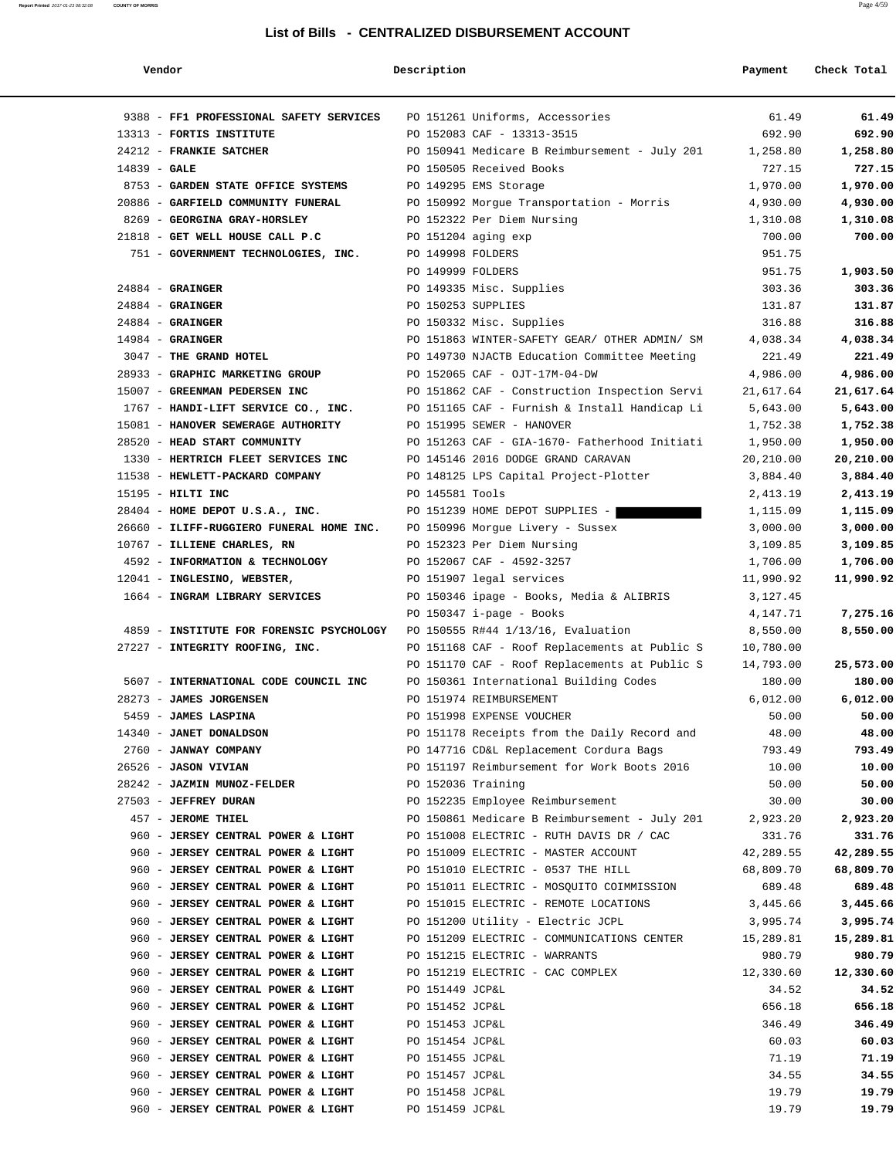| Vendor                                   | Description        |                                               | Payment   | Check Total |
|------------------------------------------|--------------------|-----------------------------------------------|-----------|-------------|
| 9388 - FF1 PROFESSIONAL SAFETY SERVICES  |                    | PO 151261 Uniforms, Accessories               | 61.49     | 61.49       |
| 13313 - FORTIS INSTITUTE                 |                    | PO 152083 CAF - 13313-3515                    | 692.90    | 692.90      |
| 24212 - FRANKIE SATCHER                  |                    | PO 150941 Medicare B Reimbursement - July 201 | 1,258.80  | 1,258.80    |
| $14839 - GALE$                           |                    | PO 150505 Received Books                      | 727.15    | 727.15      |
| 8753 - GARDEN STATE OFFICE SYSTEMS       |                    | PO 149295 EMS Storage                         | 1,970.00  | 1,970.00    |
| 20886 - GARFIELD COMMUNITY FUNERAL       |                    | PO 150992 Morgue Transportation - Morris      | 4,930.00  | 4,930.00    |
| 8269 - GEORGINA GRAY-HORSLEY             |                    | PO 152322 Per Diem Nursing                    | 1,310.08  | 1,310.08    |
| 21818 - GET WELL HOUSE CALL P.C          |                    | PO 151204 aging exp                           | 700.00    | 700.00      |
| 751 - GOVERNMENT TECHNOLOGIES, INC.      | PO 149998 FOLDERS  |                                               | 951.75    |             |
|                                          | PO 149999 FOLDERS  |                                               | 951.75    | 1,903.50    |
| $24884$ - GRAINGER                       |                    | PO 149335 Misc. Supplies                      | 303.36    | 303.36      |
| $24884$ - GRAINGER                       | PO 150253 SUPPLIES |                                               | 131.87    | 131.87      |
| $24884$ - GRAINGER                       |                    | PO 150332 Misc. Supplies                      | 316.88    | 316.88      |
| $14984$ - GRAINGER                       |                    | PO 151863 WINTER-SAFETY GEAR/ OTHER ADMIN/ SM | 4,038.34  | 4,038.34    |
| 3047 - THE GRAND HOTEL                   |                    | PO 149730 NJACTB Education Committee Meeting  | 221.49    | 221.49      |
| 28933 - GRAPHIC MARKETING GROUP          |                    | PO 152065 CAF - OJT-17M-04-DW                 | 4,986.00  | 4,986.00    |
| 15007 - GREENMAN PEDERSEN INC            |                    | PO 151862 CAF - Construction Inspection Servi | 21,617.64 | 21,617.64   |
| 1767 - HANDI-LIFT SERVICE CO., INC.      |                    | PO 151165 CAF - Furnish & Install Handicap Li | 5,643.00  | 5,643.00    |
| 15081 - HANOVER SEWERAGE AUTHORITY       |                    | PO 151995 SEWER - HANOVER                     | 1,752.38  | 1,752.38    |
| 28520 - HEAD START COMMUNITY             |                    | PO 151263 CAF - GIA-1670- Fatherhood Initiati | 1,950.00  | 1,950.00    |
| 1330 - HERTRICH FLEET SERVICES INC       |                    | PO 145146 2016 DODGE GRAND CARAVAN            | 20,210.00 | 20,210.00   |
| 11538 - HEWLETT-PACKARD COMPANY          |                    | PO 148125 LPS Capital Project-Plotter         | 3,884.40  | 3,884.40    |
| 15195 - HILTI INC                        | PO 145581 Tools    |                                               | 2,413.19  | 2,413.19    |
| 28404 - HOME DEPOT U.S.A., INC.          |                    | PO 151239 HOME DEPOT SUPPLIES -               | 1,115.09  | 1,115.09    |
| 26660 - ILIFF-RUGGIERO FUNERAL HOME INC. |                    | PO 150996 Morgue Livery - Sussex              | 3,000.00  | 3,000.00    |
| 10767 - ILLIENE CHARLES, RN              |                    | PO 152323 Per Diem Nursing                    | 3,109.85  | 3,109.85    |
| 4592 - INFORMATION & TECHNOLOGY          |                    | PO 152067 CAF - 4592-3257                     | 1,706.00  | 1,706.00    |
| 12041 - INGLESINO, WEBSTER,              |                    | PO 151907 legal services                      | 11,990.92 | 11,990.92   |
| 1664 - INGRAM LIBRARY SERVICES           |                    | PO 150346 ipage - Books, Media & ALIBRIS      | 3,127.45  |             |
|                                          |                    | PO 150347 i-page - Books                      | 4,147.71  | 7,275.16    |
| 4859 - INSTITUTE FOR FORENSIC PSYCHOLOGY |                    | PO 150555 R#44 1/13/16, Evaluation            | 8,550.00  | 8,550.00    |
| 27227 - INTEGRITY ROOFING, INC.          |                    | PO 151168 CAF - Roof Replacements at Public S | 10,780.00 |             |
|                                          |                    | PO 151170 CAF - Roof Replacements at Public S | 14,793.00 | 25,573.00   |
| 5607 - INTERNATIONAL CODE COUNCIL INC    |                    | PO 150361 International Building Codes        | 180.00    | 180.00      |
| 28273 - JAMES JORGENSEN                  |                    | PO 151974 REIMBURSEMENT                       | 6,012.00  | 6,012.00    |
| 5459 - JAMES LASPINA                     |                    | PO 151998 EXPENSE VOUCHER                     | 50.00     | 50.00       |
| 14340 - JANET DONALDSON                  |                    | PO 151178 Receipts from the Daily Record and  | 48.00     | 48.00       |
| 2760 - JANWAY COMPANY                    |                    | PO 147716 CD&L Replacement Cordura Bags       | 793.49    | 793.49      |
| 26526 - JASON VIVIAN                     |                    | PO 151197 Reimbursement for Work Boots 2016   | 10.00     | 10.00       |
| 28242 - JAZMIN MUNOZ-FELDER              | PO 152036 Training |                                               | 50.00     | 50.00       |
| 27503 - JEFFREY DURAN                    |                    | PO 152235 Employee Reimbursement              | 30.00     | 30.00       |
| 457 - JEROME THIEL                       |                    | PO 150861 Medicare B Reimbursement - July 201 | 2,923.20  | 2,923.20    |
| 960 - JERSEY CENTRAL POWER & LIGHT       |                    | PO 151008 ELECTRIC - RUTH DAVIS DR / CAC      | 331.76    | 331.76      |
| 960 - JERSEY CENTRAL POWER & LIGHT       |                    | PO 151009 ELECTRIC - MASTER ACCOUNT           | 42,289.55 | 42,289.55   |
| 960 - JERSEY CENTRAL POWER & LIGHT       |                    | PO 151010 ELECTRIC - 0537 THE HILL            | 68,809.70 | 68,809.70   |
| 960 - JERSEY CENTRAL POWER & LIGHT       |                    | PO 151011 ELECTRIC - MOSQUITO COIMMISSION     | 689.48    | 689.48      |
| 960 - JERSEY CENTRAL POWER & LIGHT       |                    | PO 151015 ELECTRIC - REMOTE LOCATIONS         | 3,445.66  | 3,445.66    |
| 960 - JERSEY CENTRAL POWER & LIGHT       |                    | PO 151200 Utility - Electric JCPL             | 3,995.74  | 3,995.74    |
| 960 - JERSEY CENTRAL POWER & LIGHT       |                    | PO 151209 ELECTRIC - COMMUNICATIONS CENTER    | 15,289.81 | 15,289.81   |
| 960 - JERSEY CENTRAL POWER & LIGHT       |                    | PO 151215 ELECTRIC - WARRANTS                 | 980.79    | 980.79      |
| 960 - JERSEY CENTRAL POWER & LIGHT       |                    | PO 151219 ELECTRIC - CAC COMPLEX              | 12,330.60 | 12,330.60   |
| 960 - JERSEY CENTRAL POWER & LIGHT       | PO 151449 JCP&L    |                                               | 34.52     | 34.52       |
| 960 - JERSEY CENTRAL POWER & LIGHT       | PO 151452 JCP&L    |                                               | 656.18    | 656.18      |
| 960 - JERSEY CENTRAL POWER & LIGHT       | PO 151453 JCP&L    |                                               | 346.49    | 346.49      |
| 960 - JERSEY CENTRAL POWER & LIGHT       | PO 151454 JCP&L    |                                               | 60.03     | 60.03       |
| 960 - JERSEY CENTRAL POWER & LIGHT       | PO 151455 JCP&L    |                                               | 71.19     | 71.19       |
| 960 - JERSEY CENTRAL POWER & LIGHT       | PO 151457 JCP&L    |                                               | 34.55     | 34.55       |
| 960 - JERSEY CENTRAL POWER & LIGHT       | PO 151458 JCP&L    |                                               | 19.79     | 19.79       |
| 960 - JERSEY CENTRAL POWER & LIGHT       | PO 151459 JCP&L    |                                               | 19.79     | 19.79       |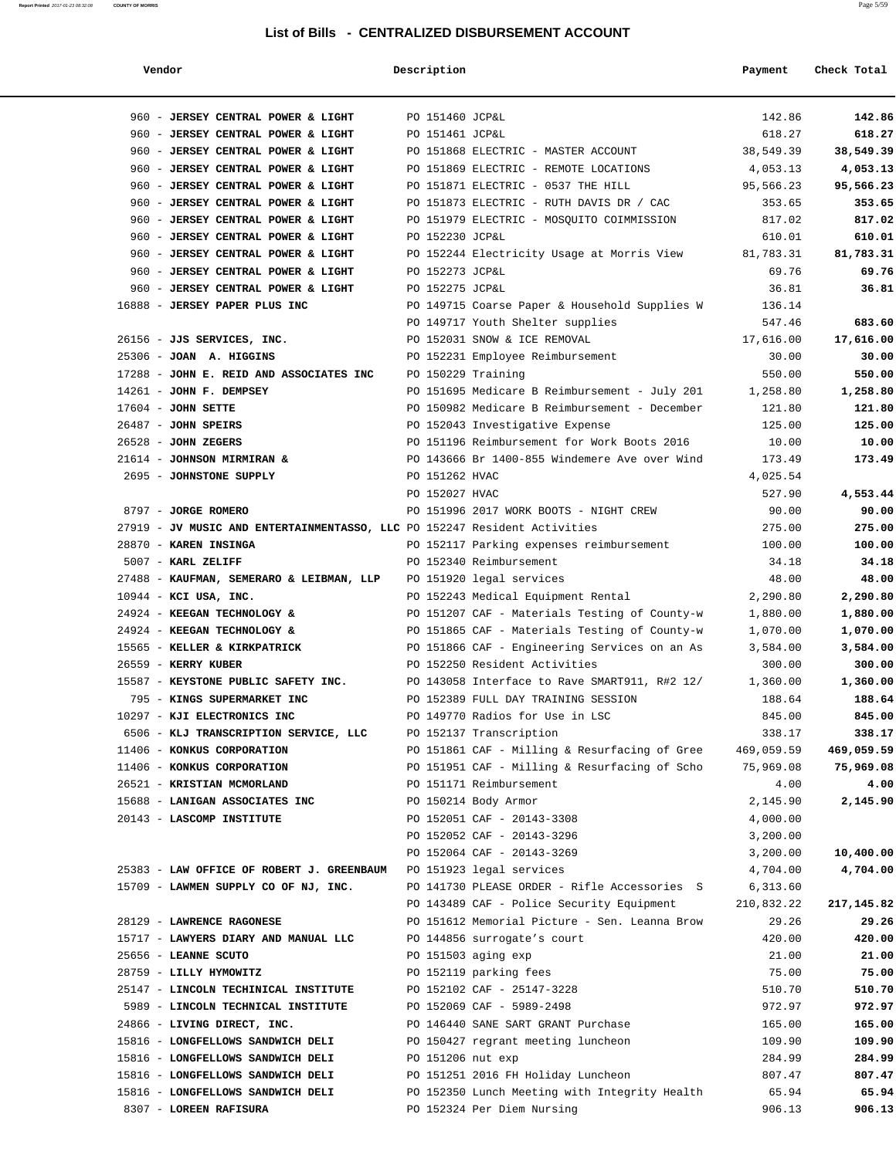#### **Report Printed** 2017-01-23 08:32:08 **COUNTY OF MORRIS** Page 5/59

### **List of Bills - CENTRALIZED DISBURSEMENT ACCOUNT**

| Vendor                                                                    | Description        |                                                                                           | Payment                | Check Total    |
|---------------------------------------------------------------------------|--------------------|-------------------------------------------------------------------------------------------|------------------------|----------------|
| 960 - JERSEY CENTRAL POWER & LIGHT                                        | PO 151460 JCP&L    |                                                                                           | 142.86                 | 142.86         |
| 960 - JERSEY CENTRAL POWER & LIGHT                                        | PO 151461 JCP&L    |                                                                                           | 618.27                 | 618.27         |
| 960 - JERSEY CENTRAL POWER & LIGHT                                        |                    | PO 151868 ELECTRIC - MASTER ACCOUNT                                                       | 38,549.39              | 38,549.39      |
| 960 - JERSEY CENTRAL POWER & LIGHT                                        |                    | PO 151869 ELECTRIC - REMOTE LOCATIONS                                                     | 4,053.13               | 4,053.13       |
| 960 - JERSEY CENTRAL POWER & LIGHT                                        |                    | PO 151871 ELECTRIC - 0537 THE HILL                                                        | 95,566.23              | 95,566.23      |
| 960 - JERSEY CENTRAL POWER & LIGHT                                        |                    | PO 151873 ELECTRIC - RUTH DAVIS DR / CAC                                                  | 353.65                 | 353.65         |
| 960 - JERSEY CENTRAL POWER & LIGHT                                        |                    | PO 151979 ELECTRIC - MOSOUITO COIMMISSION                                                 | 817.02                 | 817.02         |
| 960 - JERSEY CENTRAL POWER & LIGHT                                        | PO 152230 JCP&L    |                                                                                           | 610.01                 | 610.01         |
| 960 - JERSEY CENTRAL POWER & LIGHT                                        |                    | PO 152244 Electricity Usage at Morris View                                                | 81,783.31              | 81,783.31      |
| 960 - JERSEY CENTRAL POWER & LIGHT                                        | PO 152273 JCP&L    |                                                                                           | 69.76                  | 69.76          |
| 960 - JERSEY CENTRAL POWER & LIGHT                                        | PO 152275 JCP&L    |                                                                                           | 36.81                  | 36.81          |
| 16888 - JERSEY PAPER PLUS INC                                             |                    | PO 149715 Coarse Paper & Household Supplies W                                             | 136.14                 |                |
|                                                                           |                    | PO 149717 Youth Shelter supplies                                                          | 547.46                 | 683.60         |
| 26156 - JJS SERVICES, INC.                                                |                    | PO 152031 SNOW & ICE REMOVAL                                                              | 17,616.00              | 17,616.00      |
| 25306 - JOAN A. HIGGINS                                                   |                    | PO 152231 Employee Reimbursement                                                          | 30.00                  | 30.00          |
| 17288 - JOHN E. REID AND ASSOCIATES INC                                   | PO 150229 Training |                                                                                           | 550.00                 | 550.00         |
| $14261$ - JOHN F. DEMPSEY                                                 |                    | PO 151695 Medicare B Reimbursement - July 201                                             | 1,258.80               | 1,258.80       |
| $17604$ - JOHN SETTE                                                      |                    | PO 150982 Medicare B Reimbursement - December                                             | 121.80                 | 121.80         |
| $26487$ - JOHN SPEIRS                                                     |                    | PO 152043 Investigative Expense                                                           | 125.00                 | 125.00         |
| $26528$ - JOHN ZEGERS                                                     |                    | PO 151196 Reimbursement for Work Boots 2016                                               | 10.00                  | 10.00          |
| 21614 - JOHNSON MIRMIRAN &                                                |                    | PO 143666 Br 1400-855 Windemere Ave over Wind                                             | 173.49                 | 173.49         |
| 2695 - JOHNSTONE SUPPLY                                                   | PO 151262 HVAC     |                                                                                           | 4,025.54               |                |
|                                                                           | PO 152027 HVAC     |                                                                                           | 527.90                 | 4,553.44       |
| 8797 - JORGE ROMERO                                                       |                    | PO 151996 2017 WORK BOOTS - NIGHT CREW                                                    | 90.00                  | 90.00          |
| 27919 - JV MUSIC AND ENTERTAINMENTASSO, LLC PO 152247 Resident Activities |                    |                                                                                           | 275.00                 | 275.00         |
| 28870 - KAREN INSINGA                                                     |                    | PO 152117 Parking expenses reimbursement                                                  | 100.00                 | 100.00         |
| 5007 - KARL ZELIFF<br>27488 - KAUFMAN, SEMERARO & LEIBMAN, LLP            |                    | PO 152340 Reimbursement<br>PO 151920 legal services                                       | 34.18<br>48.00         | 34.18<br>48.00 |
| 10944 - KCI USA, INC.                                                     |                    | PO 152243 Medical Equipment Rental                                                        | 2,290.80               | 2,290.80       |
| 24924 - KEEGAN TECHNOLOGY &                                               |                    | PO 151207 CAF - Materials Testing of County-w                                             | 1,880.00               | 1,880.00       |
| 24924 - KEEGAN TECHNOLOGY &                                               |                    | PO 151865 CAF - Materials Testing of County-w                                             | 1,070.00               | 1,070.00       |
| 15565 - KELLER & KIRKPATRICK                                              |                    | PO 151866 CAF - Engineering Services on an As                                             | 3,584.00               | 3,584.00       |
| 26559 - KERRY KUBER                                                       |                    | PO 152250 Resident Activities                                                             | 300.00                 | 300.00         |
| 15587 - KEYSTONE PUBLIC SAFETY INC.                                       |                    | PO 143058 Interface to Rave SMART911, R#2 12/                                             | 1,360.00               | 1,360.00       |
| 795 - KINGS SUPERMARKET INC                                               |                    | PO 152389 FULL DAY TRAINING SESSION                                                       | 188.64                 | 188.64         |
| 10297 - KJI ELECTRONICS INC                                               |                    | PO 149770 Radios for Use in LSC                                                           | 845.00                 | 845.00         |
| 6506 - KLJ TRANSCRIPTION SERVICE, LLC                                     |                    | PO 152137 Transcription                                                                   | 338.17                 | 338.17         |
| 11406 - KONKUS CORPORATION                                                |                    | PO 151861 CAF - Milling & Resurfacing of Gree                                             | 469,059.59             | 469,059.59     |
| 11406 - KONKUS CORPORATION                                                |                    | PO 151951 CAF - Milling & Resurfacing of Scho                                             | 75,969.08              | 75,969.08      |
| 26521 - KRISTIAN MCMORLAND                                                |                    | PO 151171 Reimbursement                                                                   | 4.00                   | 4.00           |
| 15688 - LANIGAN ASSOCIATES INC                                            |                    | PO 150214 Body Armor                                                                      | 2,145.90               | 2,145.90       |
| 20143 - LASCOMP INSTITUTE                                                 |                    | PO 152051 CAF - 20143-3308                                                                | 4,000.00               |                |
|                                                                           |                    | PO 152052 CAF - 20143-3296                                                                | 3,200.00               |                |
|                                                                           |                    | PO 152064 CAF - 20143-3269                                                                | 3,200.00               | 10,400.00      |
| 25383 - LAW OFFICE OF ROBERT J. GREENBAUM                                 |                    | PO 151923 legal services                                                                  | 4,704.00               | 4,704.00       |
| 15709 - LAWMEN SUPPLY CO OF NJ, INC.                                      |                    | PO 141730 PLEASE ORDER - Rifle Accessories S<br>PO 143489 CAF - Police Security Equipment | 6,313.60<br>210,832.22 | 217,145.82     |
| 28129 - LAWRENCE RAGONESE                                                 |                    | PO 151612 Memorial Picture - Sen. Leanna Brow                                             | 29.26                  | 29.26          |
| 15717 - LAWYERS DIARY AND MANUAL LLC                                      |                    | PO 144856 surrogate's court                                                               | 420.00                 | 420.00         |
| 25656 - LEANNE SCUTO                                                      |                    | PO 151503 aging exp                                                                       | 21.00                  | 21.00          |
| 28759 - LILLY HYMOWITZ                                                    |                    | PO 152119 parking fees                                                                    | 75.00                  | 75.00          |
| 25147 - LINCOLN TECHINICAL INSTITUTE                                      |                    | PO 152102 CAF - 25147-3228                                                                | 510.70                 | 510.70         |
| 5989 - LINCOLN TECHNICAL INSTITUTE                                        |                    | PO 152069 CAF - 5989-2498                                                                 | 972.97                 | 972.97         |
| 24866 - LIVING DIRECT, INC.                                               |                    | PO 146440 SANE SART GRANT Purchase                                                        | 165.00                 | 165.00         |
| 15816 - LONGFELLOWS SANDWICH DELI                                         |                    | PO 150427 regrant meeting luncheon                                                        | 109.90                 | 109.90         |
| 15816 - LONGFELLOWS SANDWICH DELI                                         | PO 151206 nut exp  |                                                                                           | 284.99                 | 284.99         |
| 15816 - LONGFELLOWS SANDWICH DELI                                         |                    | PO 151251 2016 FH Holiday Luncheon                                                        | 807.47                 | 807.47         |
| 15816 - LONGFELLOWS SANDWICH DELI                                         |                    | PO 152350 Lunch Meeting with Integrity Health                                             | 65.94                  | 65.94          |
| 8307 - LOREEN RAFISURA                                                    |                    | PO 152324 Per Diem Nursing                                                                | 906.13                 | 906.13         |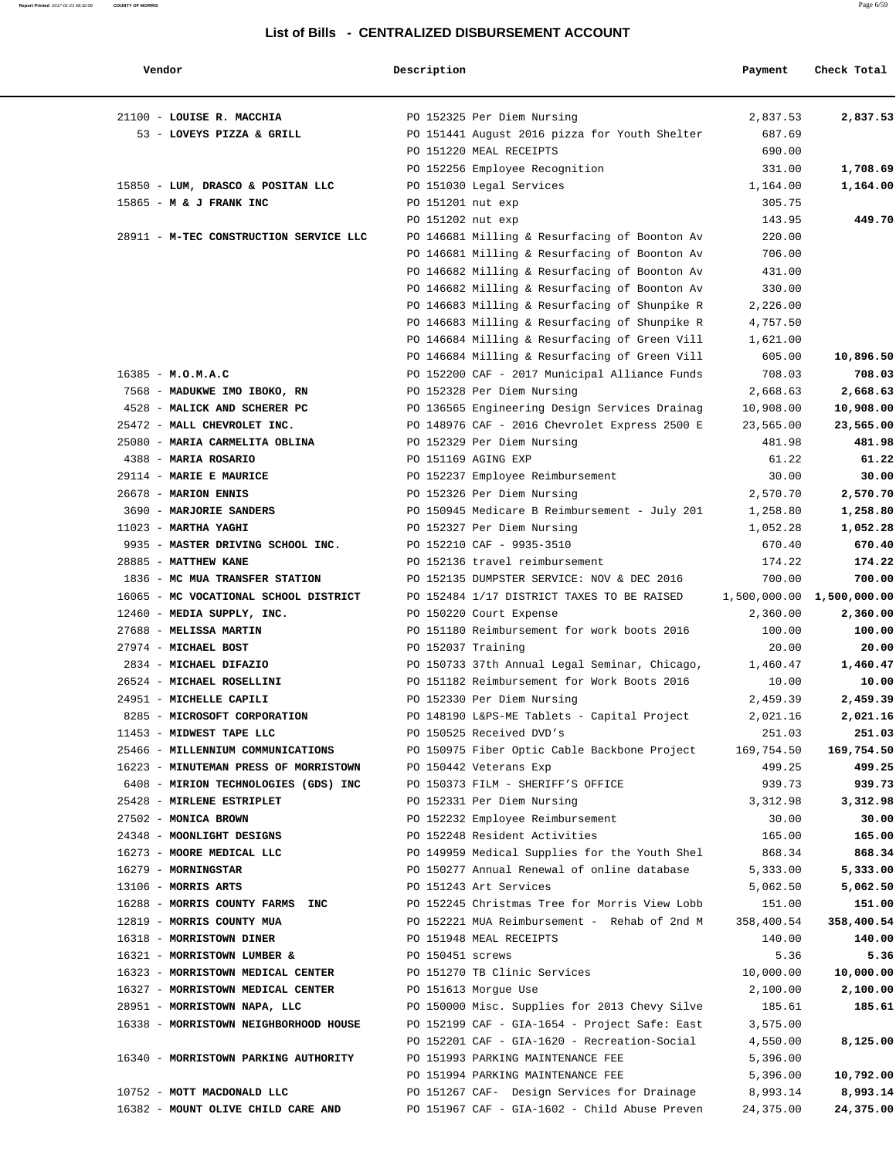| Vendor                                                   | Description        |                                                                          | Payment              | Check Total               |
|----------------------------------------------------------|--------------------|--------------------------------------------------------------------------|----------------------|---------------------------|
| 21100 - LOUISE R. MACCHIA                                |                    | PO 152325 Per Diem Nursing                                               | 2,837.53             | 2,837.53                  |
| 53 - LOVEYS PIZZA & GRILL                                |                    | PO 151441 August 2016 pizza for Youth Shelter                            | 687.69               |                           |
|                                                          |                    | PO 151220 MEAL RECEIPTS                                                  | 690.00               |                           |
|                                                          |                    | PO 152256 Employee Recognition                                           | 331.00               | 1,708.69                  |
| 15850 - LUM, DRASCO & POSITAN LLC                        |                    | PO 151030 Legal Services                                                 | 1,164.00             | 1,164.00                  |
| 15865 - M & J FRANK INC                                  | PO 151201 nut exp  |                                                                          | 305.75               |                           |
|                                                          | PO 151202 nut exp  |                                                                          | 143.95               | 449.70                    |
| 28911 - M-TEC CONSTRUCTION SERVICE LLC                   |                    | PO 146681 Milling & Resurfacing of Boonton Av                            | 220.00               |                           |
|                                                          |                    | PO 146681 Milling & Resurfacing of Boonton Av                            | 706.00               |                           |
|                                                          |                    | PO 146682 Milling & Resurfacing of Boonton Av                            | 431.00               |                           |
|                                                          |                    | PO 146682 Milling & Resurfacing of Boonton Av                            | 330.00               |                           |
|                                                          |                    | PO 146683 Milling & Resurfacing of Shunpike R                            | 2,226.00             |                           |
|                                                          |                    | PO 146683 Milling & Resurfacing of Shunpike R                            | 4,757.50             |                           |
|                                                          |                    | PO 146684 Milling & Resurfacing of Green Vill                            | 1,621.00             |                           |
|                                                          |                    | PO 146684 Milling & Resurfacing of Green Vill                            | 605.00               | 10,896.50                 |
| $16385 - M.0.M.A.C$                                      |                    | PO 152200 CAF - 2017 Municipal Alliance Funds                            | 708.03               | 708.03                    |
| 7568 - MADUKWE IMO IBOKO, RN                             |                    | PO 152328 Per Diem Nursing                                               | 2,668.63             | 2,668.63                  |
| 4528 - MALICK AND SCHERER PC                             |                    | PO 136565 Engineering Design Services Drainag                            | 10,908.00            | 10,908.00                 |
| 25472 - MALL CHEVROLET INC.                              |                    | PO 148976 CAF - 2016 Chevrolet Express 2500 E                            | 23,565.00            | 23,565.00                 |
| 25080 - MARIA CARMELITA OBLINA                           |                    | PO 152329 Per Diem Nursing                                               | 481.98               | 481.98                    |
| 4388 - MARIA ROSARIO                                     |                    | PO 151169 AGING EXP                                                      | 61.22                | 61.22                     |
| 29114 - MARIE E MAURICE                                  |                    | PO 152237 Employee Reimbursement                                         | 30.00                | 30.00                     |
| 26678 - MARION ENNIS                                     |                    | PO 152326 Per Diem Nursing                                               | 2,570.70             | 2,570.70                  |
| 3690 - MARJORIE SANDERS                                  |                    | PO 150945 Medicare B Reimbursement - July 201                            | 1,258.80             | 1,258.80                  |
| $11023$ - MARTHA YAGHI                                   |                    | PO 152327 Per Diem Nursing                                               | 1,052.28             | 1,052.28                  |
| 9935 - MASTER DRIVING SCHOOL INC.                        |                    | PO 152210 CAF - 9935-3510                                                | 670.40               | 670.40                    |
| 28885 - MATTHEW KANE                                     |                    | PO 152136 travel reimbursement                                           | 174.22               | 174.22                    |
| 1836 - MC MUA TRANSFER STATION                           |                    | PO 152135 DUMPSTER SERVICE: NOV & DEC 2016                               | 700.00               | 700.00                    |
| 16065 - MC VOCATIONAL SCHOOL DISTRICT                    |                    | PO 152484 1/17 DISTRICT TAXES TO BE RAISED                               |                      | 1,500,000.00 1,500,000.00 |
| 12460 - MEDIA SUPPLY, INC.                               |                    | PO 150220 Court Expense                                                  | 2,360.00             | 2,360.00                  |
| 27688 - MELISSA MARTIN                                   |                    | PO 151180 Reimbursement for work boots 2016                              | 100.00               | 100.00                    |
| 27974 - MICHAEL BOST                                     | PO 152037 Training |                                                                          | 20.00                | 20.00                     |
| 2834 - MICHAEL DIFAZIO                                   |                    | PO 150733 37th Annual Legal Seminar, Chicago,                            | 1,460.47             | 1,460.47                  |
| 26524 - MICHAEL ROSELLINI                                |                    | PO 151182 Reimbursement for Work Boots 2016                              | 10.00                | 10.00                     |
| 24951 - MICHELLE CAPILI                                  |                    | PO 152330 Per Diem Nursing                                               | 2,459.39             | 2,459.39                  |
| 8285 - MICROSOFT CORPORATION<br>11453 - MIDWEST TAPE LLC |                    | PO 148190 L&PS-ME Tablets - Capital Project                              | 2,021.16             | 2,021.16                  |
| 25466 - MILLENNIUM COMMUNICATIONS                        |                    | PO 150525 Received DVD's<br>PO 150975 Fiber Optic Cable Backbone Project | 251.03<br>169,754.50 | 251.03<br>169,754.50      |
| 16223 - MINUTEMAN PRESS OF MORRISTOWN                    |                    | PO 150442 Veterans Exp                                                   | 499.25               | 499.25                    |
| 6408 - MIRION TECHNOLOGIES (GDS) INC                     |                    | PO 150373 FILM - SHERIFF'S OFFICE                                        | 939.73               | 939.73                    |
| 25428 - MIRLENE ESTRIPLET                                |                    | PO 152331 Per Diem Nursing                                               | 3,312.98             | 3,312.98                  |
| 27502 - MONICA BROWN                                     |                    | PO 152232 Employee Reimbursement                                         | 30.00                | 30.00                     |
| 24348 - MOONLIGHT DESIGNS                                |                    | PO 152248 Resident Activities                                            | 165.00               | 165.00                    |
| 16273 - MOORE MEDICAL LLC                                |                    | PO 149959 Medical Supplies for the Youth Shel                            | 868.34               | 868.34                    |
| 16279 - MORNINGSTAR                                      |                    | PO 150277 Annual Renewal of online database                              | 5,333.00             | 5,333.00                  |
| $13106$ - MORRIS ARTS                                    |                    | PO 151243 Art Services                                                   | 5,062.50             | 5,062.50                  |
| 16288 - MORRIS COUNTY FARMS INC                          |                    | PO 152245 Christmas Tree for Morris View Lobb                            | 151.00               | 151.00                    |
| 12819 - MORRIS COUNTY MUA                                |                    | PO 152221 MUA Reimbursement - Rehab of 2nd M                             | 358,400.54           | 358,400.54                |
| 16318 - MORRISTOWN DINER                                 |                    | PO 151948 MEAL RECEIPTS                                                  | 140.00               | 140.00                    |
| 16321 - MORRISTOWN LUMBER &                              | PO 150451 screws   |                                                                          | 5.36                 | 5.36                      |
| 16323 - MORRISTOWN MEDICAL CENTER                        |                    | PO 151270 TB Clinic Services                                             | 10,000.00            | 10,000.00                 |
| 16327 - MORRISTOWN MEDICAL CENTER                        |                    | PO 151613 Morgue Use                                                     | 2,100.00             | 2,100.00                  |
| 28951 - MORRISTOWN NAPA, LLC                             |                    | PO 150000 Misc. Supplies for 2013 Chevy Silve                            | 185.61               | 185.61                    |
| 16338 - MORRISTOWN NEIGHBORHOOD HOUSE                    |                    | PO 152199 CAF - GIA-1654 - Project Safe: East                            | 3,575.00             |                           |
|                                                          |                    | PO 152201 CAF - GIA-1620 - Recreation-Social                             | 4,550.00             | 8,125.00                  |
| 16340 - MORRISTOWN PARKING AUTHORITY                     |                    | PO 151993 PARKING MAINTENANCE FEE                                        | 5,396.00             |                           |
|                                                          |                    | PO 151994 PARKING MAINTENANCE FEE                                        | 5,396.00             | 10,792.00                 |
| 10752 - MOTT MACDONALD LLC                               |                    | PO 151267 CAF- Design Services for Drainage                              | 8,993.14             | 8,993.14                  |
| 16382 - MOUNT OLIVE CHILD CARE AND                       |                    | PO 151967 CAF - GIA-1602 - Child Abuse Preven                            | 24,375.00            | 24,375.00                 |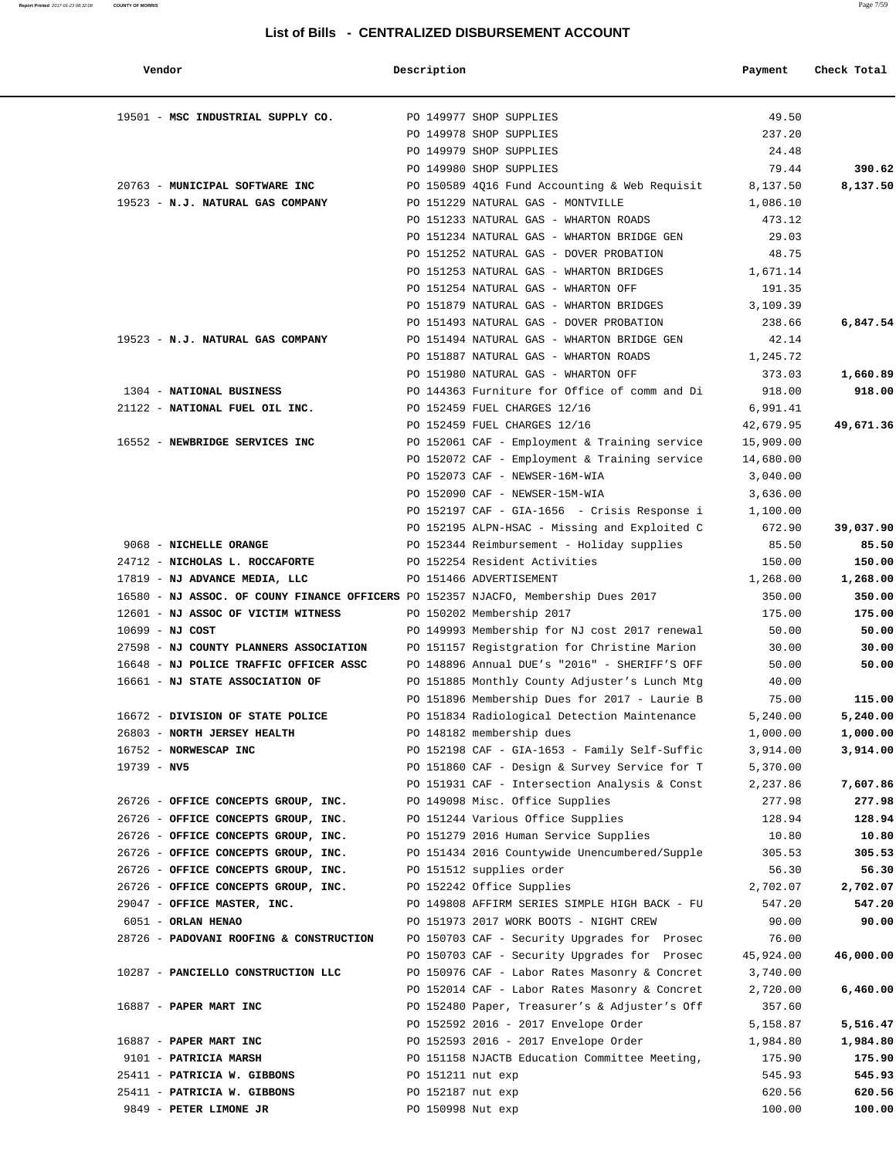| Vendor                                  | Description                                                                        | Payment   | Check Total |
|-----------------------------------------|------------------------------------------------------------------------------------|-----------|-------------|
| 19501 - MSC INDUSTRIAL SUPPLY CO.       | PO 149977 SHOP SUPPLIES                                                            | 49.50     |             |
|                                         | PO 149978 SHOP SUPPLIES                                                            | 237.20    |             |
|                                         | PO 149979 SHOP SUPPLIES                                                            | 24.48     |             |
|                                         | PO 149980 SHOP SUPPLIES                                                            | 79.44     | 390.62      |
| 20763 - MUNICIPAL SOFTWARE INC          | PO 150589 4Q16 Fund Accounting & Web Requisit 8,137.50                             |           | 8,137.50    |
| 19523 - N.J. NATURAL GAS COMPANY        | PO 151229 NATURAL GAS - MONTVILLE                                                  | 1,086.10  |             |
|                                         | PO 151233 NATURAL GAS - WHARTON ROADS                                              | 473.12    |             |
|                                         | PO 151234 NATURAL GAS - WHARTON BRIDGE GEN                                         | 29.03     |             |
|                                         | PO 151252 NATURAL GAS - DOVER PROBATION                                            | 48.75     |             |
|                                         | PO 151253 NATURAL GAS - WHARTON BRIDGES                                            | 1,671.14  |             |
|                                         | PO 151254 NATURAL GAS - WHARTON OFF                                                | 191.35    |             |
|                                         | PO 151879 NATURAL GAS - WHARTON BRIDGES                                            | 3,109.39  |             |
|                                         | PO 151493 NATURAL GAS - DOVER PROBATION                                            | 238.66    | 6,847.54    |
| 19523 - N.J. NATURAL GAS COMPANY        | PO 151494 NATURAL GAS - WHARTON BRIDGE GEN                                         | 42.14     |             |
|                                         | PO 151887 NATURAL GAS - WHARTON ROADS                                              | 1,245.72  |             |
|                                         | PO 151980 NATURAL GAS - WHARTON OFF                                                | 373.03    | 1,660.89    |
| 1304 - NATIONAL BUSINESS                | PO 144363 Furniture for Office of comm and Di                                      | 918.00    | 918.00      |
| 21122 - NATIONAL FUEL OIL INC.          | PO 152459 FUEL CHARGES 12/16                                                       | 6,991.41  |             |
|                                         | PO 152459 FUEL CHARGES 12/16                                                       | 42,679.95 | 49,671.36   |
| 16552 - NEWBRIDGE SERVICES INC          | PO 152061 CAF - Employment & Training service                                      | 15,909.00 |             |
|                                         | PO 152072 CAF - Employment & Training service                                      | 14,680.00 |             |
|                                         | PO 152073 CAF - NEWSER-16M-WIA                                                     | 3,040.00  |             |
|                                         | PO 152090 CAF - NEWSER-15M-WIA                                                     | 3,636.00  |             |
|                                         | PO 152197 CAF - GIA-1656  – Crisis Response i                                      | 1,100.00  |             |
|                                         | PO 152195 ALPN-HSAC - Missing and Exploited C                                      | 672.90    | 39,037.90   |
| 9068 - NICHELLE ORANGE                  | PO 152344 Reimbursement - Holiday supplies                                         | 85.50     | 85.50       |
| 24712 - NICHOLAS L. ROCCAFORTE          | PO 152254 Resident Activities                                                      | 150.00    | 150.00      |
| 17819 - NJ ADVANCE MEDIA, LLC           | PO 151466 ADVERTISEMENT                                                            | 1,268.00  | 1,268.00    |
|                                         | 16580 - NJ ASSOC. OF COUNY FINANCE OFFICERS PO 152357 NJACFO, Membership Dues 2017 | 350.00    | 350.00      |
| 12601 - NJ ASSOC OF VICTIM WITNESS      | PO 150202 Membership 2017                                                          | 175.00    | 175.00      |
| $10699 - NJ COST$                       | PO 149993 Membership for NJ cost 2017 renewal                                      | 50.00     | 50.00       |
| 27598 - NJ COUNTY PLANNERS ASSOCIATION  | PO 151157 Registgration for Christine Marion                                       | 30.00     | 30.00       |
| 16648 - NJ POLICE TRAFFIC OFFICER ASSC  | PO 148896 Annual DUE's "2016" - SHERIFF'S OFF                                      | 50.00     | 50.00       |
| 16661 - NJ STATE ASSOCIATION OF         | PO 151885 Monthly County Adjuster's Lunch Mtg                                      | 40.00     |             |
|                                         | PO 151896 Membership Dues for 2017 - Laurie B                                      | 75.00     | 115.00      |
| 16672 - DIVISION OF STATE POLICE        | PO 151834 Radiological Detection Maintenance                                       | 5,240.00  | 5,240.00    |
| 26803 - NORTH JERSEY HEALTH             | PO 148182 membership dues                                                          | 1,000.00  | 1,000.00    |
| 16752 - NORWESCAP INC                   | PO 152198 CAF - GIA-1653 - Family Self-Suffic                                      | 3,914.00  | 3,914.00    |
| $19739 - NV5$                           | PO 151860 CAF - Design & Survey Service for T                                      | 5,370.00  |             |
|                                         | PO 151931 CAF - Intersection Analysis & Const                                      | 2,237.86  | 7,607.86    |
| 26726 - OFFICE CONCEPTS GROUP, INC.     | PO 149098 Misc. Office Supplies                                                    | 277.98    | 277.98      |
| 26726 - OFFICE CONCEPTS GROUP, INC.     | PO 151244 Various Office Supplies                                                  | 128.94    | 128.94      |
| 26726 - OFFICE CONCEPTS GROUP, INC.     | PO 151279 2016 Human Service Supplies                                              | 10.80     | 10.80       |
| 26726 - OFFICE CONCEPTS GROUP, INC.     | PO 151434 2016 Countywide Unencumbered/Supple                                      | 305.53    | 305.53      |
| 26726 - OFFICE CONCEPTS GROUP, INC.     | PO 151512 supplies order                                                           | 56.30     | 56.30       |
| 26726 - OFFICE CONCEPTS GROUP, INC.     | PO 152242 Office Supplies                                                          | 2,702.07  | 2,702.07    |
| 29047 - OFFICE MASTER, INC.             | PO 149808 AFFIRM SERIES SIMPLE HIGH BACK - FU                                      | 547.20    | 547.20      |
| 6051 - ORLAN HENAO                      | PO 151973 2017 WORK BOOTS - NIGHT CREW                                             | 90.00     | 90.00       |
| 28726 - PADOVANI ROOFING & CONSTRUCTION | PO 150703 CAF - Security Upgrades for Prosec                                       | 76.00     |             |
|                                         | PO 150703 CAF - Security Upgrades for Prosec                                       | 45,924.00 | 46,000.00   |
| 10287 - PANCIELLO CONSTRUCTION LLC      | PO 150976 CAF - Labor Rates Masonry & Concret                                      | 3,740.00  |             |
|                                         | PO 152014 CAF - Labor Rates Masonry & Concret                                      | 2,720.00  | 6,460.00    |
| 16887 - PAPER MART INC                  | PO 152480 Paper, Treasurer's & Adjuster's Off                                      | 357.60    |             |
|                                         | PO 152592 2016 - 2017 Envelope Order                                               | 5,158.87  | 5,516.47    |
| 16887 - PAPER MART INC                  | PO 152593 2016 - 2017 Envelope Order                                               | 1,984.80  | 1,984.80    |
| 9101 - PATRICIA MARSH                   | PO 151158 NJACTB Education Committee Meeting,                                      | 175.90    | 175.90      |
| 25411 - PATRICIA W. GIBBONS             | PO 151211 nut exp                                                                  | 545.93    | 545.93      |
| 25411 - PATRICIA W. GIBBONS             | PO 152187 nut exp                                                                  | 620.56    | 620.56      |
| 9849 - PETER LIMONE JR                  | PO 150998 Nut exp                                                                  | 100.00    | 100.00      |
|                                         |                                                                                    |           |             |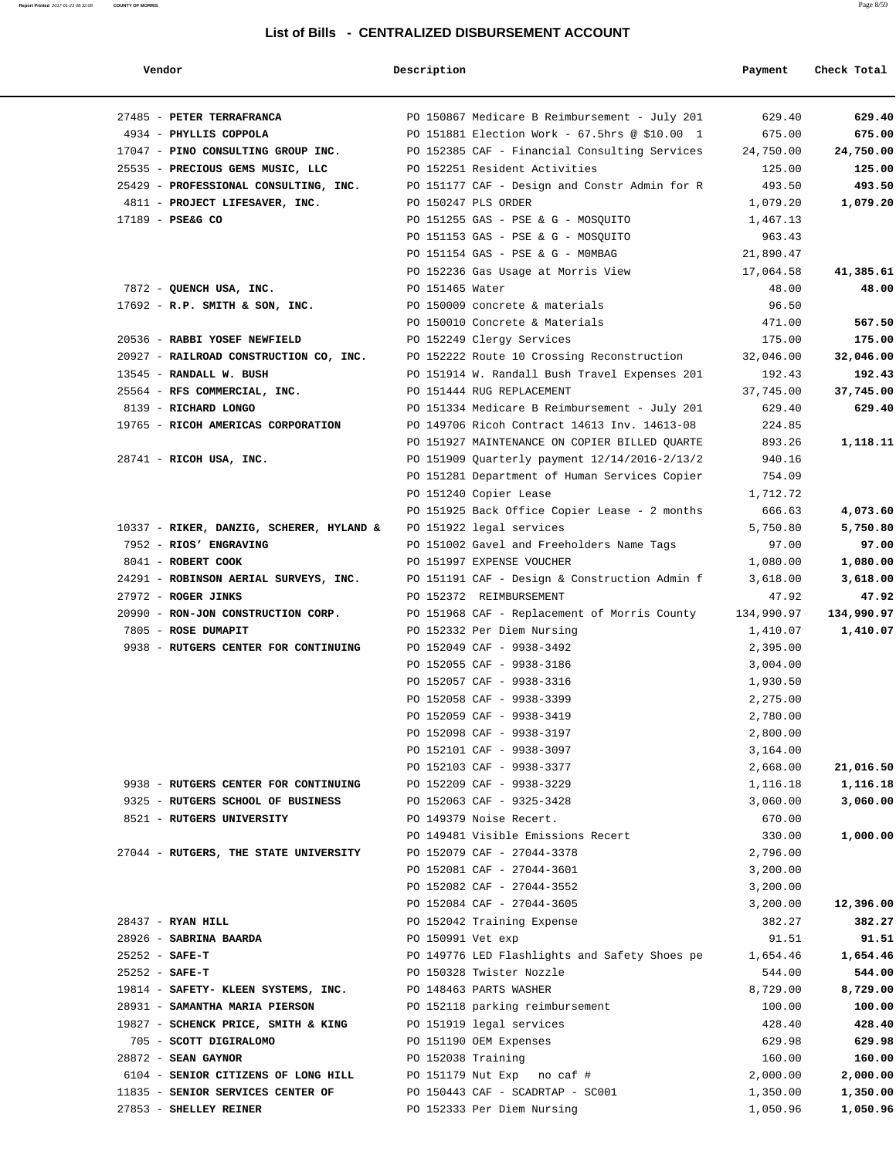| Vendor                                   | Description                                   | Payment    | Check Total |
|------------------------------------------|-----------------------------------------------|------------|-------------|
| 27485 - PETER TERRAFRANCA                | PO 150867 Medicare B Reimbursement - July 201 | 629.40     | 629.40      |
| 4934 - PHYLLIS COPPOLA                   | PO 151881 Election Work - 67.5hrs @ \$10.00 1 | 675.00     | 675.00      |
| 17047 - PINO CONSULTING GROUP INC.       | PO 152385 CAF - Financial Consulting Services | 24,750.00  | 24,750.00   |
| 25535 - PRECIOUS GEMS MUSIC, LLC         | PO 152251 Resident Activities                 | 125.00     | 125.00      |
| 25429 - PROFESSIONAL CONSULTING, INC.    | PO 151177 CAF - Design and Constr Admin for R | 493.50     | 493.50      |
| 4811 - PROJECT LIFESAVER, INC.           | PO 150247 PLS ORDER                           | 1,079.20   | 1,079.20    |
| 17189 - PSE&G CO                         | PO 151255 GAS - PSE & G - MOSQUITO            | 1,467.13   |             |
|                                          | PO 151153 GAS - PSE & G - MOSQUITO            | 963.43     |             |
|                                          | PO 151154 GAS - PSE & G - MOMBAG              | 21,890.47  |             |
|                                          | PO 152236 Gas Usage at Morris View            | 17,064.58  | 41,385.61   |
| 7872 - QUENCH USA, INC.                  | PO 151465 Water                               | 48.00      | 48.00       |
| $17692$ - R.P. SMITH & SON, INC.         | PO 150009 concrete & materials                | 96.50      |             |
|                                          | PO 150010 Concrete & Materials                | 471.00     | 567.50      |
| 20536 - RABBI YOSEF NEWFIELD             | PO 152249 Clergy Services                     | 175.00     | 175.00      |
| 20927 - RAILROAD CONSTRUCTION CO, INC.   | PO 152222 Route 10 Crossing Reconstruction    | 32,046.00  | 32,046.00   |
| 13545 - RANDALL W. BUSH                  | PO 151914 W. Randall Bush Travel Expenses 201 | 192.43     | 192.43      |
| 25564 - RFS COMMERCIAL, INC.             | PO 151444 RUG REPLACEMENT                     | 37,745.00  | 37,745.00   |
| 8139 - RICHARD LONGO                     | PO 151334 Medicare B Reimbursement - July 201 | 629.40     | 629.40      |
| 19765 - RICOH AMERICAS CORPORATION       | PO 149706 Ricoh Contract 14613 Inv. 14613-08  | 224.85     |             |
|                                          | PO 151927 MAINTENANCE ON COPIER BILLED QUARTE | 893.26     | 1,118.11    |
| 28741 - RICOH USA, INC.                  | PO 151909 Ouarterly payment 12/14/2016-2/13/2 | 940.16     |             |
|                                          | PO 151281 Department of Human Services Copier | 754.09     |             |
|                                          | PO 151240 Copier Lease                        | 1,712.72   |             |
|                                          | PO 151925 Back Office Copier Lease - 2 months | 666.63     | 4,073.60    |
| 10337 - RIKER, DANZIG, SCHERER, HYLAND & | PO 151922 legal services                      | 5,750.80   | 5,750.80    |
| 7952 - RIOS' ENGRAVING                   |                                               |            |             |
|                                          | PO 151002 Gavel and Freeholders Name Tags     | 97.00      | 97.00       |
| 8041 - ROBERT COOK                       | PO 151997 EXPENSE VOUCHER                     | 1,080.00   | 1,080.00    |
| 24291 - ROBINSON AERIAL SURVEYS, INC.    | PO 151191 CAF - Design & Construction Admin f | 3,618.00   | 3,618.00    |
| 27972 - ROGER JINKS                      | PO 152372 REIMBURSEMENT                       | 47.92      | 47.92       |
| 20990 - RON-JON CONSTRUCTION CORP.       | PO 151968 CAF - Replacement of Morris County  | 134,990.97 | 134,990.97  |
| 7805 - ROSE DUMAPIT                      | PO 152332 Per Diem Nursing                    | 1,410.07   | 1,410.07    |
| 9938 - RUTGERS CENTER FOR CONTINUING     | PO 152049 CAF - 9938-3492                     | 2,395.00   |             |
|                                          | PO 152055 CAF - 9938-3186                     | 3,004.00   |             |
|                                          | PO 152057 CAF - 9938-3316                     | 1,930.50   |             |
|                                          | PO 152058 CAF - 9938-3399                     | 2,275.00   |             |
|                                          | PO 152059 CAF - 9938-3419                     | 2,780.00   |             |
|                                          | PO 152098 CAF - 9938-3197                     | 2,800.00   |             |
|                                          | PO 152101 CAF - 9938-3097                     | 3,164.00   |             |
|                                          | PO 152103 CAF - 9938-3377                     | 2,668.00   | 21,016.50   |
| 9938 - RUTGERS CENTER FOR CONTINUING     | PO 152209 CAF - 9938-3229                     | 1,116.18   | 1,116.18    |
| 9325 - RUTGERS SCHOOL OF BUSINESS        | PO 152063 CAF - 9325-3428                     | 3,060.00   | 3,060.00    |
| 8521 - RUTGERS UNIVERSITY                | PO 149379 Noise Recert.                       | 670.00     |             |
|                                          | PO 149481 Visible Emissions Recert            | 330.00     | 1,000.00    |
| 27044 - RUTGERS, THE STATE UNIVERSITY    | PO 152079 CAF - 27044-3378                    | 2,796.00   |             |
|                                          | PO 152081 CAF - 27044-3601                    | 3,200.00   |             |
|                                          | PO 152082 CAF - 27044-3552                    | 3,200.00   |             |
|                                          | PO 152084 CAF - 27044-3605                    | 3,200.00   | 12,396.00   |
| 28437 - RYAN HILL                        | PO 152042 Training Expense                    | 382.27     | 382.27      |
| 28926 - SABRINA BAARDA                   | PO 150991 Vet exp                             | 91.51      | 91.51       |
| $25252 - SAFE-T$                         | PO 149776 LED Flashlights and Safety Shoes pe | 1,654.46   | 1,654.46    |
| $25252 - SAFE-T$                         | PO 150328 Twister Nozzle                      | 544.00     | 544.00      |
| 19814 - SAFETY- KLEEN SYSTEMS, INC.      | PO 148463 PARTS WASHER                        | 8,729.00   | 8,729.00    |
| 28931 - SAMANTHA MARIA PIERSON           | PO 152118 parking reimbursement               | 100.00     | 100.00      |

 19827 - **SCHENCK PRICE, SMITH & KING** PO 151919 legal services 428.40 **428.40** 705 - **SCOTT DIGIRALOMO** PO 151190 OEM Expenses 629.98 **629.98** 28872 - **SEAN GAYNOR** PO 152038 Training 160.00 **160.00** 6104 - **SENIOR CITIZENS OF LONG HILL** PO 151179 Nut Exp no caf # 2,000.00 **2,000.00** 11835 - **SENIOR SERVICES CENTER OF** PO 150443 CAF - SCADRTAP - SC001 1,350.00 **1,350.00** 27853 - **SHELLEY REINER** PO 152333 Per Diem Nursing 1,050.96 **1,050.96**

**Report Printed** 2017-01-23 08:32:08 **COUNTY OF MORRIS** Page 8/59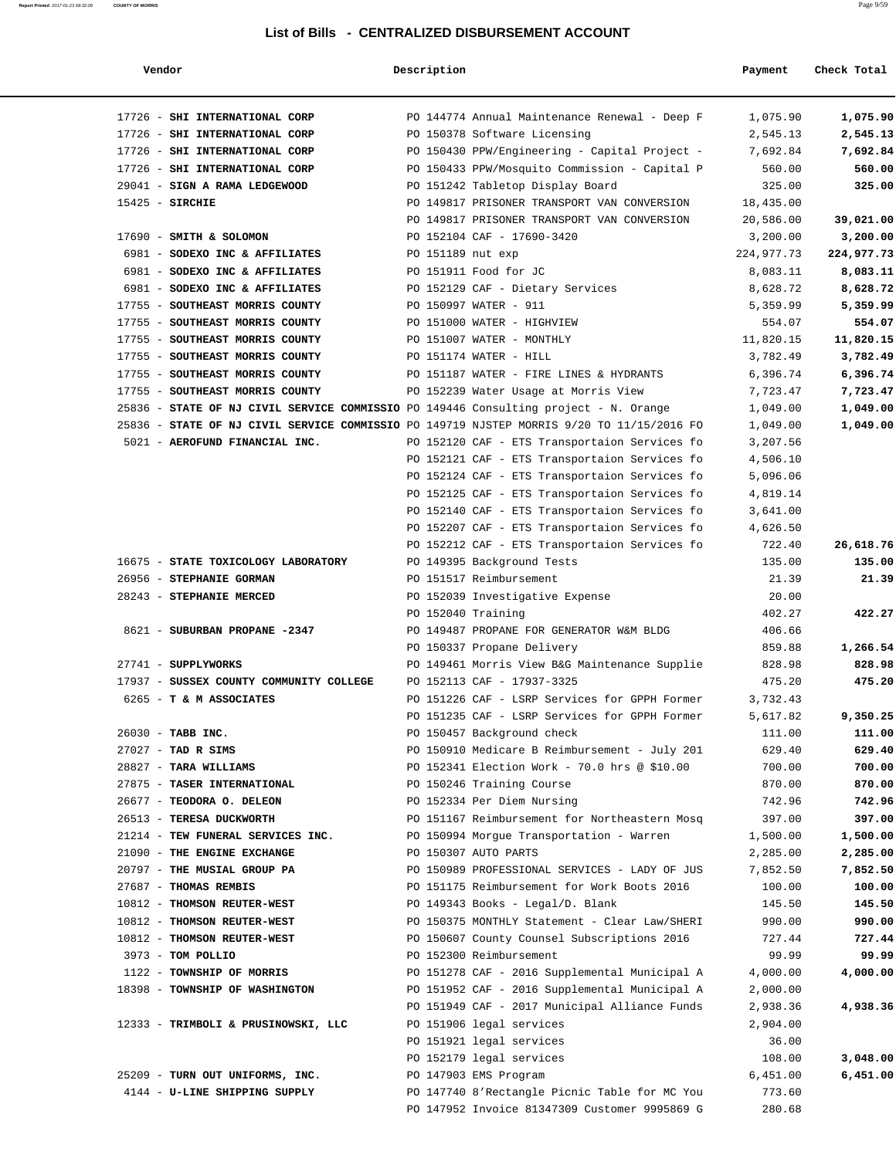#### **Report Printed** 2017-01-23 08:32:08 **COUNTY OF MORRIS** Page 9/59

### **List of Bills - CENTRALIZED DISBURSEMENT ACCOUNT**

| Vendor                                                                                    | Description        |                                               | Payment              | Check Total |
|-------------------------------------------------------------------------------------------|--------------------|-----------------------------------------------|----------------------|-------------|
| 17726 - SHI INTERNATIONAL CORP                                                            |                    | PO 144774 Annual Maintenance Renewal - Deep F | 1,075.90             | 1,075.90    |
| 17726 - SHI INTERNATIONAL CORP                                                            |                    | PO 150378 Software Licensing                  | 2,545.13             | 2,545.13    |
| 17726 - SHI INTERNATIONAL CORP                                                            |                    | PO 150430 PPW/Engineering - Capital Project - | 7,692.84             | 7,692.84    |
| 17726 - SHI INTERNATIONAL CORP                                                            |                    | PO 150433 PPW/Mosquito Commission - Capital P | 560.00               | 560.00      |
| 29041 - SIGN A RAMA LEDGEWOOD                                                             |                    | PO 151242 Tabletop Display Board              | 325.00               | 325.00      |
| $15425$ - SIRCHIE                                                                         |                    | PO 149817 PRISONER TRANSPORT VAN CONVERSION   | 18,435.00            |             |
|                                                                                           |                    | PO 149817 PRISONER TRANSPORT VAN CONVERSION   | 20,586.00            | 39,021.00   |
| 17690 - SMITH & SOLOMON                                                                   |                    | PO 152104 CAF - 17690-3420                    | 3,200.00             | 3,200.00    |
| 6981 - SODEXO INC & AFFILIATES                                                            | PO 151189 nut exp  |                                               | 224,977.73           | 224,977.73  |
| 6981 - SODEXO INC & AFFILIATES                                                            |                    | PO 151911 Food for JC                         | 8,083.11             | 8,083.11    |
| 6981 - SODEXO INC & AFFILIATES                                                            |                    | PO 152129 CAF - Dietary Services              | 8,628.72             | 8,628.72    |
| 17755 - SOUTHEAST MORRIS COUNTY                                                           |                    | PO 150997 WATER - 911                         | 5,359.99             | 5,359.99    |
| 17755 - SOUTHEAST MORRIS COUNTY                                                           |                    | PO 151000 WATER - HIGHVIEW                    | 554.07               | 554.07      |
| 17755 - SOUTHEAST MORRIS COUNTY                                                           |                    | PO 151007 WATER - MONTHLY                     | 11,820.15            | 11,820.15   |
| 17755 - SOUTHEAST MORRIS COUNTY                                                           |                    | PO 151174 WATER - HILL                        | 3,782.49             | 3,782.49    |
| 17755 - SOUTHEAST MORRIS COUNTY                                                           |                    | PO 151187 WATER - FIRE LINES & HYDRANTS       | 6,396.74             | 6,396.74    |
| 17755 - SOUTHEAST MORRIS COUNTY                                                           |                    | PO 152239 Water Usage at Morris View          | 7,723.47             | 7,723.47    |
| 25836 - STATE OF NJ CIVIL SERVICE COMMISSIO PO 149446 Consulting project - N. Orange      |                    |                                               | 1,049.00             | 1,049.00    |
| 25836 - STATE OF NJ CIVIL SERVICE COMMISSIO PO 149719 NJSTEP MORRIS 9/20 TO 11/15/2016 FO |                    |                                               | 1,049.00             | 1,049.00    |
| 5021 - AEROFUND FINANCIAL INC.                                                            |                    | PO 152120 CAF - ETS Transportaion Services fo | 3,207.56             |             |
|                                                                                           |                    |                                               |                      |             |
|                                                                                           |                    | PO 152121 CAF - ETS Transportaion Services fo | 4,506.10<br>5,096.06 |             |
|                                                                                           |                    | PO 152124 CAF - ETS Transportaion Services fo |                      |             |
|                                                                                           |                    | PO 152125 CAF - ETS Transportaion Services fo | 4,819.14             |             |
|                                                                                           |                    | PO 152140 CAF - ETS Transportaion Services fo | 3,641.00             |             |
|                                                                                           |                    | PO 152207 CAF - ETS Transportaion Services fo | 4,626.50             |             |
|                                                                                           |                    | PO 152212 CAF - ETS Transportaion Services fo | 722.40               | 26,618.76   |
| 16675 - STATE TOXICOLOGY LABORATORY                                                       |                    | PO 149395 Background Tests                    | 135.00               | 135.00      |
| 26956 - STEPHANIE GORMAN                                                                  |                    | PO 151517 Reimbursement                       | 21.39                | 21.39       |
| 28243 - STEPHANIE MERCED                                                                  |                    | PO 152039 Investigative Expense               | 20.00                |             |
|                                                                                           | PO 152040 Training |                                               | 402.27               | 422.27      |
| 8621 - SUBURBAN PROPANE -2347                                                             |                    | PO 149487 PROPANE FOR GENERATOR W&M BLDG      | 406.66               |             |
|                                                                                           |                    | PO 150337 Propane Delivery                    | 859.88               | 1,266.54    |
| 27741 - SUPPLYWORKS                                                                       |                    | PO 149461 Morris View B&G Maintenance Supplie | 828.98               | 828.98      |
| 17937 - SUSSEX COUNTY COMMUNITY COLLEGE                                                   |                    | PO 152113 CAF - 17937-3325                    | 475.20               | 475.20      |
| 6265 - T & M ASSOCIATES                                                                   |                    | PO 151226 CAF - LSRP Services for GPPH Former | 3,732.43             |             |
|                                                                                           |                    | PO 151235 CAF - LSRP Services for GPPH Former | 5,617.82             | 9,350.25    |
| 26030 - TABB INC.                                                                         |                    | PO 150457 Background check                    | 111.00               | 111.00      |
| $27027$ - TAD R SIMS                                                                      |                    | PO 150910 Medicare B Reimbursement - July 201 | 629.40               | 629.40      |
| 28827 - TARA WILLIAMS                                                                     |                    | PO 152341 Election Work - 70.0 hrs @ \$10.00  | 700.00               | 700.00      |
| 27875 - TASER INTERNATIONAL                                                               |                    | PO 150246 Training Course                     | 870.00               | 870.00      |
| 26677 - TEODORA O. DELEON                                                                 |                    | PO 152334 Per Diem Nursing                    | 742.96               | 742.96      |
| 26513 - TERESA DUCKWORTH                                                                  |                    | PO 151167 Reimbursement for Northeastern Mosq | 397.00               | 397.00      |
| 21214 - TEW FUNERAL SERVICES INC.                                                         |                    | PO 150994 Morgue Transportation - Warren      | 1,500.00             | 1,500.00    |
| 21090 - THE ENGINE EXCHANGE                                                               |                    | PO 150307 AUTO PARTS                          | 2,285.00             | 2,285.00    |
| 20797 - THE MUSIAL GROUP PA                                                               |                    | PO 150989 PROFESSIONAL SERVICES - LADY OF JUS | 7,852.50             | 7,852.50    |
| 27687 - THOMAS REMBIS                                                                     |                    | PO 151175 Reimbursement for Work Boots 2016   | 100.00               | 100.00      |
| 10812 - THOMSON REUTER-WEST                                                               |                    | PO 149343 Books - Legal/D. Blank              | 145.50               | 145.50      |
| 10812 - THOMSON REUTER-WEST                                                               |                    | PO 150375 MONTHLY Statement - Clear Law/SHERI | 990.00               | 990.00      |
| 10812 - THOMSON REUTER-WEST                                                               |                    | PO 150607 County Counsel Subscriptions 2016   | 727.44               | 727.44      |
| 3973 - TOM POLLIO                                                                         |                    | PO 152300 Reimbursement                       | 99.99                | 99.99       |
| 1122 - TOWNSHIP OF MORRIS                                                                 |                    | PO 151278 CAF - 2016 Supplemental Municipal A | 4,000.00             | 4,000.00    |
| 18398 - TOWNSHIP OF WASHINGTON                                                            |                    | PO 151952 CAF - 2016 Supplemental Municipal A | 2,000.00             |             |
|                                                                                           |                    | PO 151949 CAF - 2017 Municipal Alliance Funds | 2,938.36             | 4,938.36    |
| 12333 - TRIMBOLI & PRUSINOWSKI, LLC                                                       |                    | PO 151906 legal services                      | 2,904.00             |             |
|                                                                                           |                    | PO 151921 legal services                      | 36.00                |             |
|                                                                                           |                    | PO 152179 legal services                      | 108.00               | 3,048.00    |
| 25209 - TURN OUT UNIFORMS, INC.                                                           |                    | PO 147903 EMS Program                         | 6,451.00             | 6,451.00    |
| 4144 - U-LINE SHIPPING SUPPLY                                                             |                    | PO 147740 8'Rectangle Picnic Table for MC You | 773.60               |             |
|                                                                                           |                    | PO 147952 Invoice 81347309 Customer 9995869 G | 280.68               |             |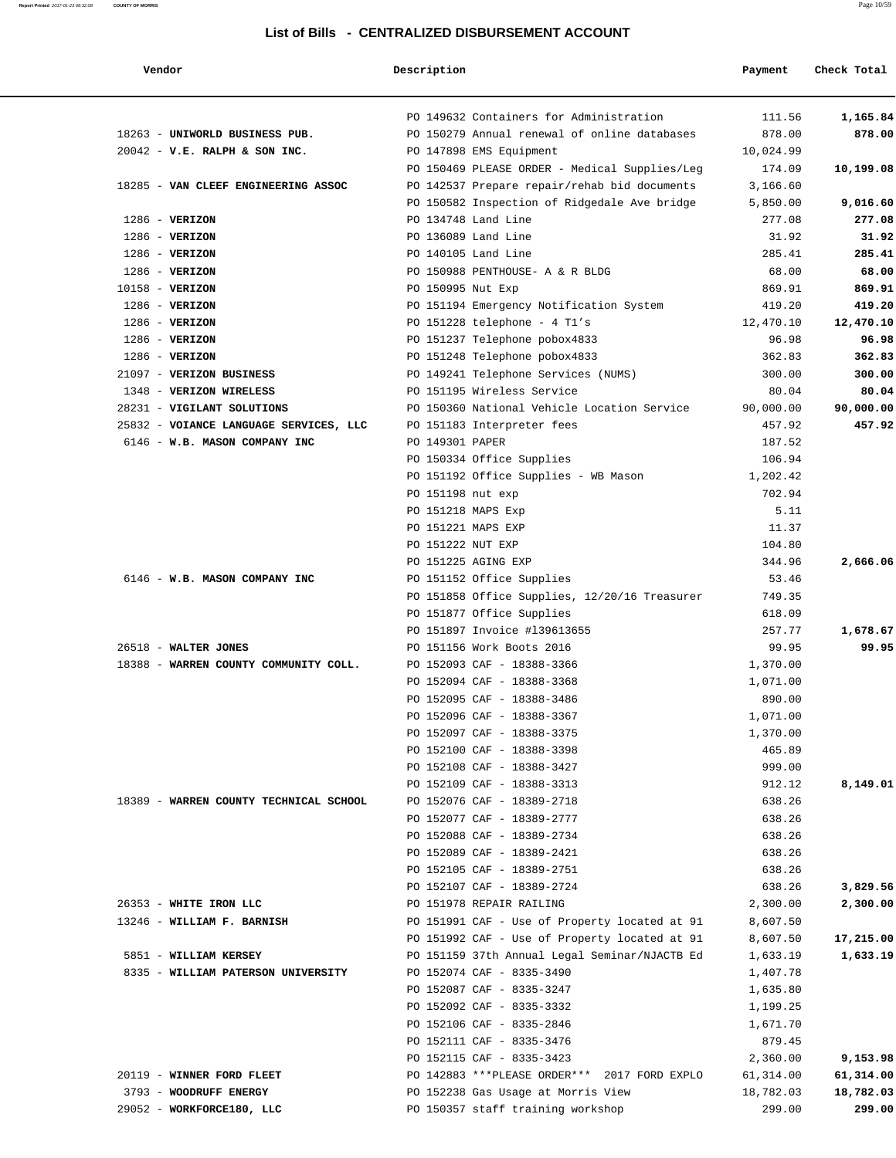#### **Report Printed** 2017-01-23 08:32:08 **COUNTY OF MORRIS** Page 10/59

### **List of Bills - CENTRALIZED DISBURSEMENT ACCOUNT**

| Vendor                                 | Description        |                                               | Payment   | Check Total |
|----------------------------------------|--------------------|-----------------------------------------------|-----------|-------------|
|                                        |                    | PO 149632 Containers for Administration       | 111.56    | 1,165.84    |
| 18263 - UNIWORLD BUSINESS PUB.         |                    | PO 150279 Annual renewal of online databases  | 878.00    | 878.00      |
| $20042$ - V.E. RALPH & SON INC.        |                    | PO 147898 EMS Equipment                       | 10,024.99 |             |
|                                        |                    | PO 150469 PLEASE ORDER - Medical Supplies/Leg | 174.09    | 10,199.08   |
| 18285 - VAN CLEEF ENGINEERING ASSOC    |                    | PO 142537 Prepare repair/rehab bid documents  | 3,166.60  |             |
|                                        |                    | PO 150582 Inspection of Ridgedale Ave bridge  | 5,850.00  | 9,016.60    |
| $1286$ - VERIZON                       |                    | PO 134748 Land Line                           | 277.08    | 277.08      |
| $1286$ - VERIZON                       |                    | PO 136089 Land Line                           | 31.92     | 31.92       |
| $1286$ - VERIZON                       |                    | PO 140105 Land Line                           | 285.41    | 285.41      |
| $1286$ - VERIZON                       |                    | PO 150988 PENTHOUSE- A & R BLDG               | 68.00     | 68.00       |
| $10158 - VERTZON$                      | PO 150995 Nut Exp  |                                               | 869.91    | 869.91      |
| $1286$ - VERIZON                       |                    | PO 151194 Emergency Notification System       | 419.20    | 419.20      |
| $1286$ - VERIZON                       |                    | PO $151228$ telephone - 4 Tl's                | 12,470.10 | 12,470.10   |
| $1286$ - VERIZON                       |                    | PO 151237 Telephone pobox4833                 | 96.98     | 96.98       |
| $1286$ - VERIZON                       |                    | PO 151248 Telephone pobox4833                 | 362.83    | 362.83      |
| 21097 - VERIZON BUSINESS               |                    | PO 149241 Telephone Services (NUMS)           | 300.00    | 300.00      |
| 1348 - VERIZON WIRELESS                |                    | PO 151195 Wireless Service                    | 80.04     | 80.04       |
| 28231 - VIGILANT SOLUTIONS             |                    | PO 150360 National Vehicle Location Service   | 90,000.00 | 90,000.00   |
| 25832 - VOIANCE LANGUAGE SERVICES, LLC |                    | PO 151183 Interpreter fees                    | 457.92    | 457.92      |
| 6146 - W.B. MASON COMPANY INC          | PO 149301 PAPER    |                                               | 187.52    |             |
|                                        |                    | PO 150334 Office Supplies                     | 106.94    |             |
|                                        |                    | PO 151192 Office Supplies - WB Mason          | 1,202.42  |             |
|                                        | PO 151198 nut exp  |                                               | 702.94    |             |
|                                        |                    | PO 151218 MAPS Exp                            | 5.11      |             |
|                                        | PO 151221 MAPS EXP |                                               | 11.37     |             |
|                                        | PO 151222 NUT EXP  |                                               | 104.80    |             |
|                                        |                    | PO 151225 AGING EXP                           | 344.96    | 2,666.06    |
| 6146 - W.B. MASON COMPANY INC          |                    | PO 151152 Office Supplies                     | 53.46     |             |
|                                        |                    | PO 151858 Office Supplies, 12/20/16 Treasurer | 749.35    |             |
|                                        |                    | PO 151877 Office Supplies                     | 618.09    |             |
|                                        |                    | PO 151897 Invoice #139613655                  | 257.77    | 1,678.67    |
| 26518 - WALTER JONES                   |                    | PO 151156 Work Boots 2016                     | 99.95     | 99.95       |
| 18388 - WARREN COUNTY COMMUNITY COLL.  |                    | PO 152093 CAF - 18388-3366                    | 1,370.00  |             |
|                                        |                    | PO 152094 CAF - 18388-3368                    | 1,071.00  |             |
|                                        |                    | PO 152095 CAF - 18388-3486                    | 890.00    |             |
|                                        |                    | PO 152096 CAF - 18388-3367                    | 1,071.00  |             |
|                                        |                    | PO 152097 CAF - 18388-3375                    | 1,370.00  |             |
|                                        |                    | PO 152100 CAF - 18388-3398                    | 465.89    |             |
|                                        |                    | PO 152108 CAF - 18388-3427                    | 999.00    |             |
|                                        |                    | PO 152109 CAF - 18388-3313                    | 912.12    | 8,149.01    |
| 18389 - WARREN COUNTY TECHNICAL SCHOOL |                    | PO 152076 CAF - 18389-2718                    | 638.26    |             |
|                                        |                    | PO 152077 CAF - 18389-2777                    | 638.26    |             |
|                                        |                    | PO 152088 CAF - 18389-2734                    | 638.26    |             |
|                                        |                    | PO 152089 CAF - 18389-2421                    | 638.26    |             |
|                                        |                    | PO 152105 CAF - 18389-2751                    | 638.26    |             |
|                                        |                    | PO 152107 CAF - 18389-2724                    | 638.26    | 3,829.56    |
| 26353 - WHITE IRON LLC                 |                    | PO 151978 REPAIR RAILING                      | 2,300.00  | 2,300.00    |
| 13246 - WILLIAM F. BARNISH             |                    | PO 151991 CAF - Use of Property located at 91 | 8,607.50  |             |
|                                        |                    | PO 151992 CAF - Use of Property located at 91 | 8,607.50  | 17,215.00   |
| 5851 - WILLIAM KERSEY                  |                    | PO 151159 37th Annual Legal Seminar/NJACTB Ed | 1,633.19  | 1,633.19    |
| 8335 - WILLIAM PATERSON UNIVERSITY     |                    | PO 152074 CAF - 8335-3490                     | 1,407.78  |             |
|                                        |                    | PO 152087 CAF - 8335-3247                     | 1,635.80  |             |
|                                        |                    | PO 152092 CAF - 8335-3332                     | 1,199.25  |             |
|                                        |                    | PO 152106 CAF - 8335-2846                     | 1,671.70  |             |
|                                        |                    | PO 152111 CAF - 8335-3476                     | 879.45    |             |
|                                        |                    | PO 152115 CAF - 8335-3423                     | 2,360.00  | 9,153.98    |
| 20119 - WINNER FORD FLEET              |                    | PO 142883 *** PLEASE ORDER*** 2017 FORD EXPLO | 61,314.00 | 61,314.00   |
| 3793 - WOODRUFF ENERGY                 |                    | PO 152238 Gas Usage at Morris View            | 18,782.03 | 18,782.03   |
| 29052 - WORKFORCE180, LLC              |                    | PO 150357 staff training workshop             | 299.00    | 299.00      |
|                                        |                    |                                               |           |             |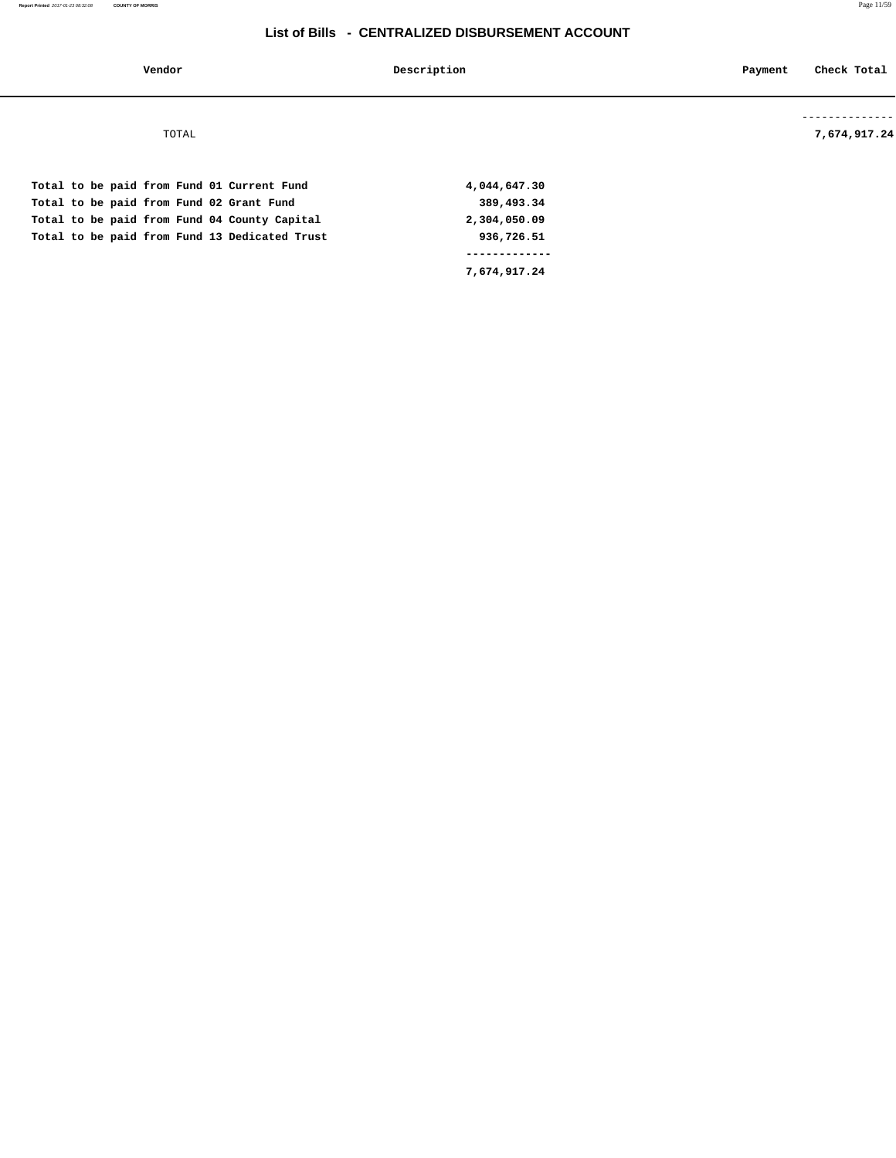| Vendor                                                                                                                                                                                  | Description                                              | Check Total<br>Payment |
|-----------------------------------------------------------------------------------------------------------------------------------------------------------------------------------------|----------------------------------------------------------|------------------------|
| TOTAL                                                                                                                                                                                   |                                                          | 7,674,917.24           |
| Total to be paid from Fund 01 Current Fund<br>Total to be paid from Fund 02 Grant Fund<br>Total to be paid from Fund 04 County Capital<br>Total to be paid from Fund 13 Dedicated Trust | 4,044,647.30<br>389,493.34<br>2,304,050.09<br>936,726.51 |                        |
|                                                                                                                                                                                         |                                                          |                        |

 **7,674,917.24**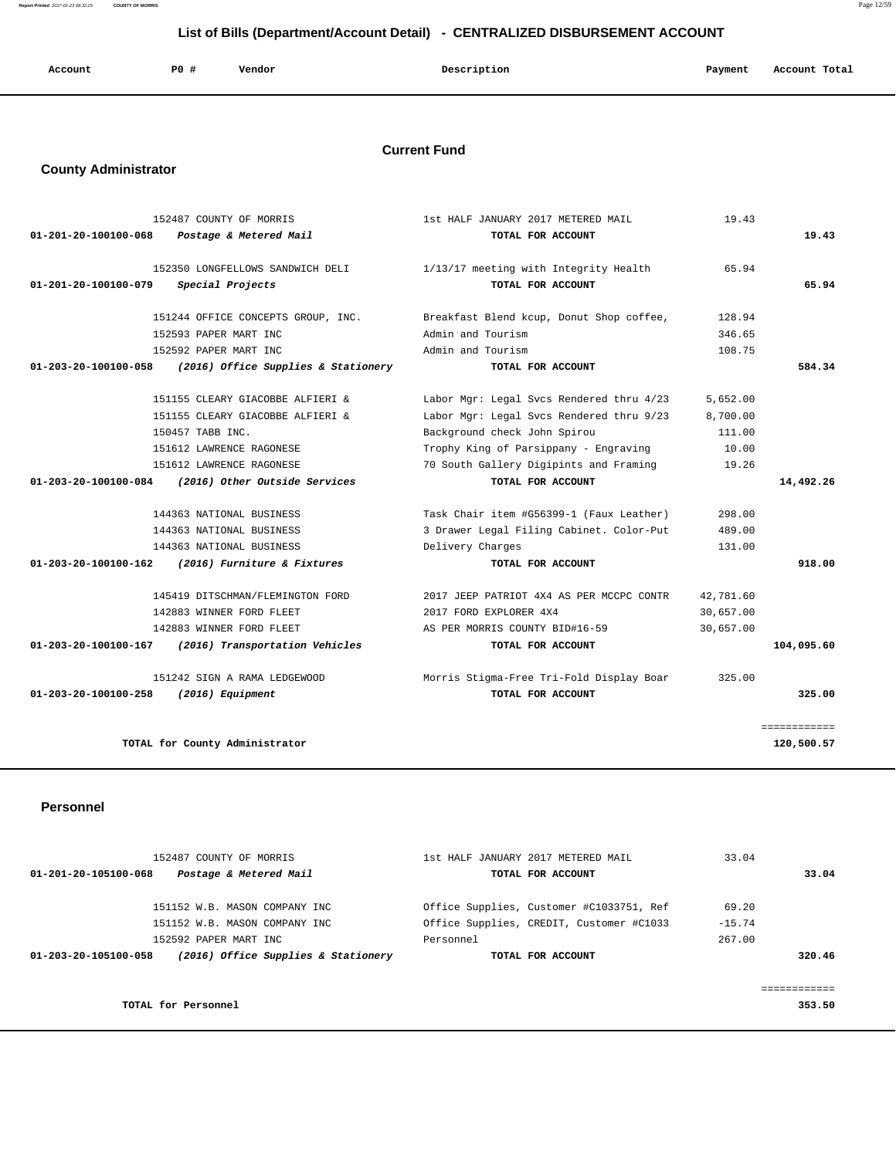**Report Printed** 2017-01-23 08:32:25 **COUNTY OF MORRIS** Page 12/59

# **List of Bills (Department/Account Detail) - CENTRALIZED DISBURSEMENT ACCOUNT**

| Account | P0 # | Vendor | Description | Payment | Account Total |
|---------|------|--------|-------------|---------|---------------|
|         |      |        |             |         |               |

# **Current Fund**

# **County Administrator**

|                      | 152487 COUNTY OF MORRIS             | 1st HALF JANUARY 2017 METERED MAIL       | 19.43     |              |
|----------------------|-------------------------------------|------------------------------------------|-----------|--------------|
| 01-201-20-100100-068 | Postage & Metered Mail              | TOTAL FOR ACCOUNT                        |           | 19.43        |
|                      | 152350 LONGFELLOWS SANDWICH DELI    | 1/13/17 meeting with Integrity Health    | 65.94     |              |
| 01-201-20-100100-079 | Special Projects                    | TOTAL FOR ACCOUNT                        |           | 65.94        |
|                      | 151244 OFFICE CONCEPTS GROUP, INC.  | Breakfast Blend kcup, Donut Shop coffee, | 128.94    |              |
|                      | 152593 PAPER MART INC               | Admin and Tourism                        | 346.65    |              |
|                      | 152592 PAPER MART INC               | Admin and Tourism                        | 108.75    |              |
| 01-203-20-100100-058 | (2016) Office Supplies & Stationery | TOTAL FOR ACCOUNT                        |           | 584.34       |
|                      | 151155 CLEARY GIACOBBE ALFIERI &    | Labor Mgr: Legal Svcs Rendered thru 4/23 | 5,652.00  |              |
|                      | 151155 CLEARY GIACOBBE ALFIERI &    | Labor Mgr: Legal Svcs Rendered thru 9/23 | 8,700.00  |              |
|                      | 150457 TABB INC.                    | Background check John Spirou             | 111.00    |              |
|                      | 151612 LAWRENCE RAGONESE            | Trophy King of Parsippany - Engraving    | 10.00     |              |
|                      | 151612 LAWRENCE RAGONESE            | 70 South Gallery Digipints and Framing   | 19.26     |              |
| 01-203-20-100100-084 | (2016) Other Outside Services       | TOTAL FOR ACCOUNT                        |           | 14,492.26    |
|                      | 144363 NATIONAL BUSINESS            | Task Chair item #G56399-1 (Faux Leather) | 298.00    |              |
|                      | 144363 NATIONAL BUSINESS            | 3 Drawer Legal Filing Cabinet. Color-Put | 489.00    |              |
|                      | 144363 NATIONAL BUSINESS            | Delivery Charges                         | 131.00    |              |
| 01-203-20-100100-162 | (2016) Furniture & Fixtures         | TOTAL FOR ACCOUNT                        |           | 918.00       |
|                      | 145419 DITSCHMAN/FLEMINGTON FORD    | 2017 JEEP PATRIOT 4X4 AS PER MCCPC CONTR | 42,781.60 |              |
|                      | 142883 WINNER FORD FLEET            | 2017 FORD EXPLORER 4X4                   | 30,657.00 |              |
|                      | 142883 WINNER FORD FLEET            | AS PER MORRIS COUNTY BID#16-59           | 30,657.00 |              |
| 01-203-20-100100-167 | (2016) Transportation Vehicles      | TOTAL FOR ACCOUNT                        |           | 104,095.60   |
|                      | 151242 SIGN A RAMA LEDGEWOOD        | Morris Stigma-Free Tri-Fold Display Boar | 325.00    |              |
| 01-203-20-100100-258 | (2016) Equipment                    | TOTAL FOR ACCOUNT                        |           | 325.00       |
|                      |                                     |                                          |           | ============ |
|                      | TOTAL for County Administrator      |                                          |           | 120,500.57   |

### **Personnel**

| 152487 COUNTY OF MORRIS<br>Postage & Metered Mail<br>01-201-20-105100-068 | 1st HALF JANUARY 2017 METERED MAIL<br>TOTAL FOR ACCOUNT | 33.04<br>33.04 |
|---------------------------------------------------------------------------|---------------------------------------------------------|----------------|
| 151152 W.B. MASON COMPANY INC                                             | Office Supplies, Customer #C1033751, Ref                | 69.20          |
| 151152 W.B. MASON COMPANY INC                                             | Office Supplies, CREDIT, Customer #C1033                | $-15.74$       |
| 152592 PAPER MART INC                                                     | Personnel                                               | 267.00         |
| (2016) Office Supplies & Stationery<br>01-203-20-105100-058               | TOTAL FOR ACCOUNT                                       | 320.46         |
|                                                                           |                                                         |                |
|                                                                           |                                                         |                |
| TOTAL for Personnel                                                       |                                                         | 353.50         |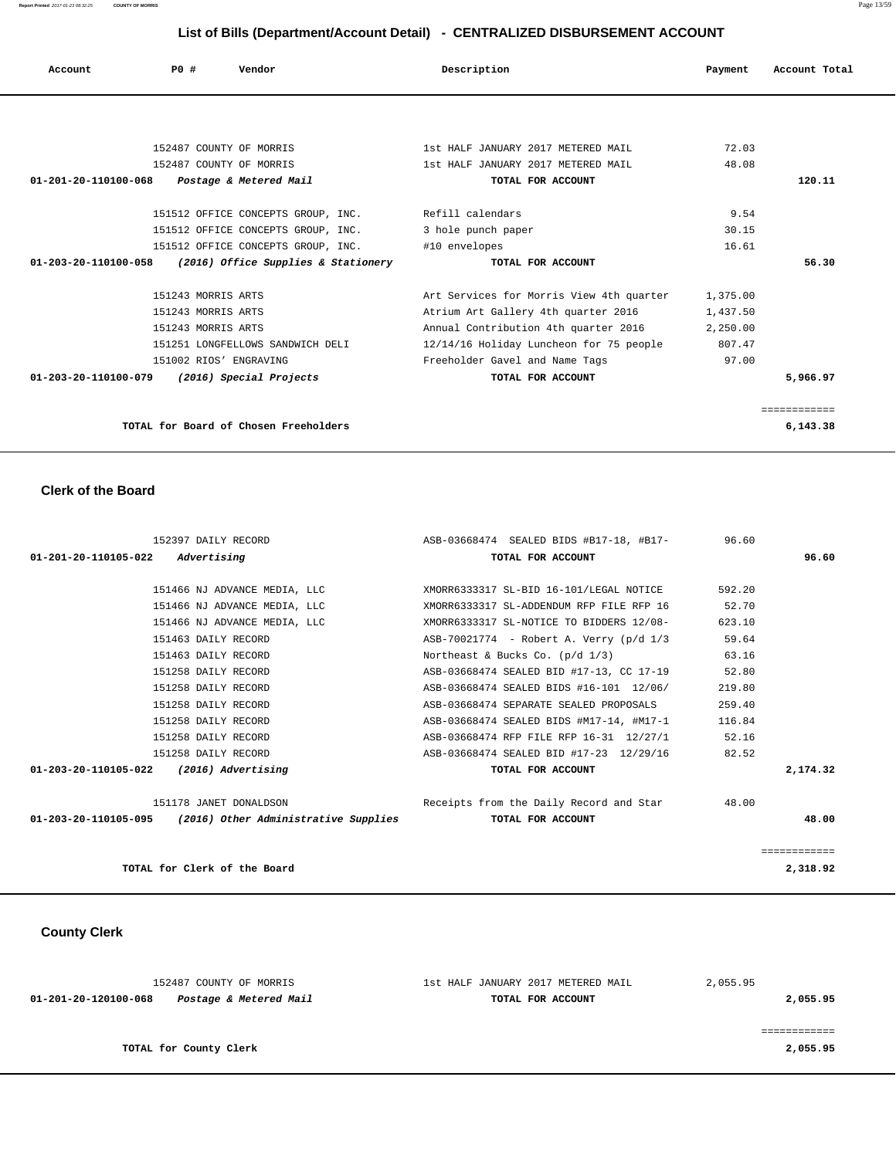**Report Printed** 2017-01-23 08:32:25 **COUNTY OF MORRIS** Page 13/59

# **List of Bills (Department/Account Detail) - CENTRALIZED DISBURSEMENT ACCOUNT**

| Account              | PO#                     | Vendor                                              | Description                              | Payment  | Account Total |
|----------------------|-------------------------|-----------------------------------------------------|------------------------------------------|----------|---------------|
|                      |                         |                                                     |                                          |          |               |
|                      | 152487 COUNTY OF MORRIS |                                                     | 1st HALF JANUARY 2017 METERED MAIL       | 72.03    |               |
|                      | 152487 COUNTY OF MORRIS |                                                     | 1st HALF JANUARY 2017 METERED MAIL       | 48.08    |               |
| 01-201-20-110100-068 |                         | Postage & Metered Mail                              | TOTAL FOR ACCOUNT                        |          | 120.11        |
|                      |                         |                                                     |                                          |          |               |
|                      |                         | 151512 OFFICE CONCEPTS GROUP, INC. Refill calendars |                                          | 9.54     |               |
|                      |                         | 151512 OFFICE CONCEPTS GROUP, INC.                  | 3 hole punch paper                       | 30.15    |               |
|                      |                         | 151512 OFFICE CONCEPTS GROUP, INC.                  | #10 envelopes                            | 16.61    |               |
| 01-203-20-110100-058 |                         | (2016) Office Supplies & Stationery                 | TOTAL FOR ACCOUNT                        |          | 56.30         |
|                      | 151243 MORRIS ARTS      |                                                     | Art Services for Morris View 4th quarter | 1,375.00 |               |
|                      | 151243 MORRIS ARTS      |                                                     | Atrium Art Gallery 4th quarter 2016      | 1,437.50 |               |
|                      | 151243 MORRIS ARTS      |                                                     | Annual Contribution 4th quarter 2016     | 2,250.00 |               |
|                      |                         | 151251 LONGFELLOWS SANDWICH DELI                    | 12/14/16 Holiday Luncheon for 75 people  | 807.47   |               |
|                      | 151002 RIOS' ENGRAVING  |                                                     | Freeholder Gavel and Name Tags           | 97.00    |               |
| 01-203-20-110100-079 |                         | (2016) Special Projects                             | TOTAL FOR ACCOUNT                        |          | 5,966.97      |
|                      |                         |                                                     |                                          |          | ============  |
|                      |                         | TOTAL for Board of Chosen Freeholders               |                                          |          | 6,143.38      |

### **Clerk of the Board**

| 152397 DAILY RECORD                                         | ASB-03668474 SEALED BIDS #B17-18, #B17-<br>96.60 |        |          |
|-------------------------------------------------------------|--------------------------------------------------|--------|----------|
| $01 - 201 - 20 - 110105 - 022$ Advertising                  | TOTAL FOR ACCOUNT                                |        | 96.60    |
|                                                             |                                                  |        |          |
| 151466 NJ ADVANCE MEDIA, LLC                                | XMORR6333317 SL-BID 16-101/LEGAL NOTICE          | 592.20 |          |
| 151466 NJ ADVANCE MEDIA, LLC                                | XMORR6333317 SL-ADDENDUM RFP FILE RFP 16         | 52.70  |          |
| 151466 NJ ADVANCE MEDIA, LLC                                | XMORR6333317 SL-NOTICE TO BIDDERS 12/08-         | 623.10 |          |
| 151463 DAILY RECORD                                         | ASB-70021774 - Robert A. Verry (p/d 1/3          | 59.64  |          |
| 151463 DAILY RECORD                                         | Northeast & Bucks Co. $(p/d \ 1/3)$              | 63.16  |          |
| 151258 DAILY RECORD                                         | ASB-03668474 SEALED BID #17-13, CC 17-19         | 52.80  |          |
| 151258 DAILY RECORD                                         | ASB-03668474 SEALED BIDS #16-101 12/06/          | 219.80 |          |
| 151258 DAILY RECORD                                         | ASB-03668474 SEPARATE SEALED PROPOSALS           | 259.40 |          |
| 151258 DAILY RECORD                                         | ASB-03668474 SEALED BIDS #M17-14, #M17-1         | 116.84 |          |
| 151258 DAILY RECORD                                         | ASB-03668474 RFP FILE RFP 16-31 12/27/1          | 52.16  |          |
| 151258 DAILY RECORD                                         | ASB-03668474 SEALED BID #17-23 12/29/16          | 82.52  |          |
| 01-203-20-110105-022 (2016) Advertising                     | TOTAL FOR ACCOUNT                                |        | 2,174.32 |
|                                                             |                                                  |        |          |
| 151178 JANET DONALDSON                                      | Receipts from the Daily Record and Star 48.00    |        |          |
| $01-203-20-110105-095$ (2016) Other Administrative Supplies | TOTAL FOR ACCOUNT                                |        | 48.00    |
|                                                             |                                                  |        |          |
|                                                             |                                                  |        |          |
| TOTAL for Clerk of the Board                                |                                                  |        | 2,318.92 |

# **County Clerk**

| 152487 COUNTY OF MORRIS                        | 1st HALF JANUARY 2017 METERED MAIL | 2,055.95 |
|------------------------------------------------|------------------------------------|----------|
| Postage & Metered Mail<br>01-201-20-120100-068 | TOTAL FOR ACCOUNT                  | 2,055.95 |
|                                                |                                    |          |
|                                                |                                    |          |
| TOTAL for County Clerk                         |                                    | 2,055.95 |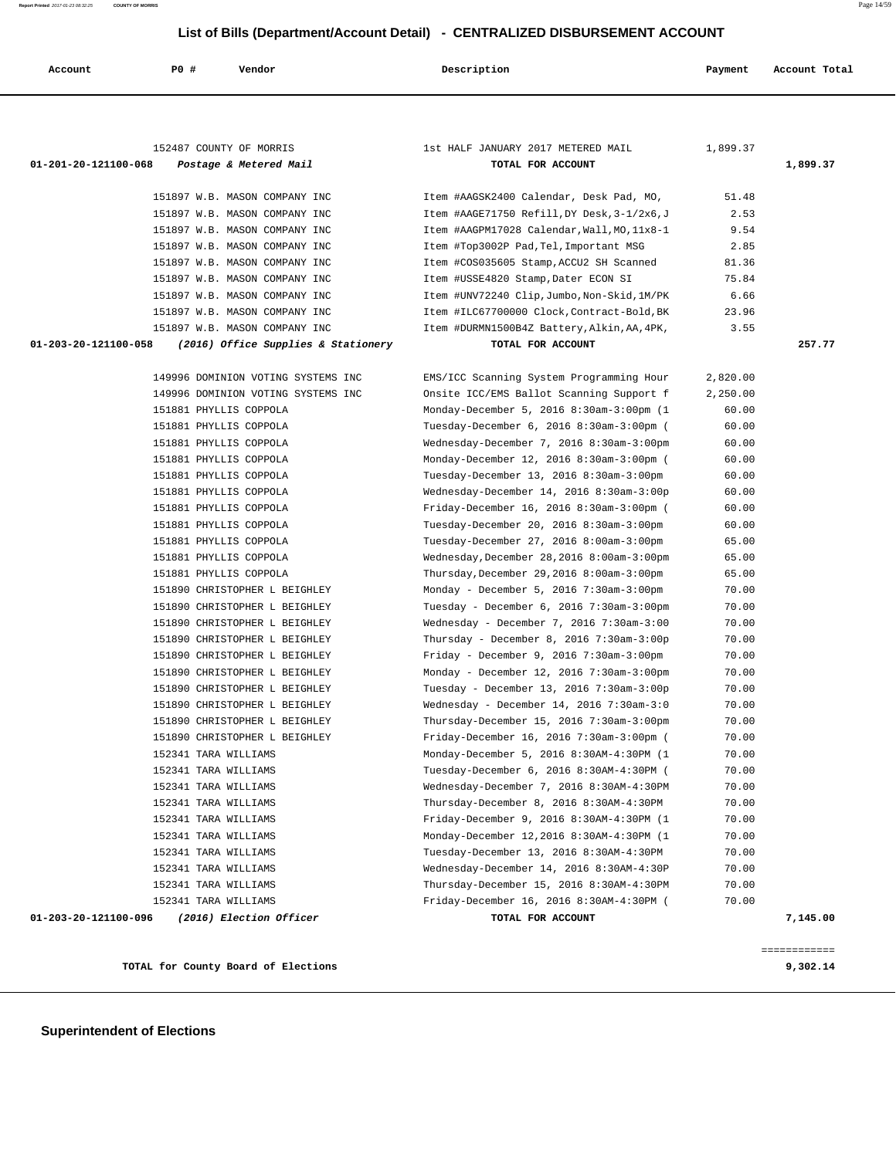**Report Printed** 2017-01-23 08:32:25 **COUNTY OF MORRIS** Page 14/59

 **List of Bills (Department/Account Detail) - CENTRALIZED DISBURSEMENT ACCOUNT**

| List of Bills (Department/Account Detail) - CENTRALIZED DISBURSEMENT ACCOUNT |                      |                                                              |                                                                                      |                   |               |
|------------------------------------------------------------------------------|----------------------|--------------------------------------------------------------|--------------------------------------------------------------------------------------|-------------------|---------------|
| Account                                                                      | P0 #                 | Vendor                                                       | Description                                                                          | Payment           | Account Total |
|                                                                              |                      |                                                              |                                                                                      |                   |               |
|                                                                              |                      |                                                              |                                                                                      |                   |               |
|                                                                              |                      | 152487 COUNTY OF MORRIS                                      | 1st HALF JANUARY 2017 METERED MAIL                                                   | 1,899.37          |               |
| 01-201-20-121100-068                                                         |                      | Postage & Metered Mail                                       | TOTAL FOR ACCOUNT                                                                    |                   | 1,899.37      |
|                                                                              |                      | 151897 W.B. MASON COMPANY INC                                | Item #AAGSK2400 Calendar, Desk Pad, MO,                                              | 51.48             |               |
|                                                                              |                      | 151897 W.B. MASON COMPANY INC                                | Item #AAGE71750 Refill, DY Desk, 3-1/2x6, J                                          | 2.53              |               |
|                                                                              |                      | 151897 W.B. MASON COMPANY INC                                | Item #AAGPM17028 Calendar, Wall, MO, 11x8-1                                          | 9.54              |               |
|                                                                              |                      | 151897 W.B. MASON COMPANY INC                                | Item #Top3002P Pad, Tel, Important MSG                                               | 2.85              |               |
|                                                                              |                      | 151897 W.B. MASON COMPANY INC                                | Item #COS035605 Stamp, ACCU2 SH Scanned                                              | 81.36             |               |
|                                                                              |                      | 151897 W.B. MASON COMPANY INC                                | Item #USSE4820 Stamp, Dater ECON SI                                                  | 75.84             |               |
|                                                                              |                      | 151897 W.B. MASON COMPANY INC                                | Item #UNV72240 Clip, Jumbo, Non-Skid, 1M/PK                                          | 6.66              |               |
|                                                                              |                      | 151897 W.B. MASON COMPANY INC                                | Item #ILC67700000 Clock, Contract-Bold, BK                                           | 23.96             |               |
|                                                                              |                      | 151897 W.B. MASON COMPANY INC                                | Item #DURMN1500B4Z Battery, Alkin, AA, 4PK,                                          | 3.55              |               |
| 01-203-20-121100-058                                                         |                      | (2016) Office Supplies & Stationery                          | TOTAL FOR ACCOUNT                                                                    |                   | 257.77        |
|                                                                              |                      |                                                              |                                                                                      |                   |               |
|                                                                              |                      | 149996 DOMINION VOTING SYSTEMS INC                           | EMS/ICC Scanning System Programming Hour                                             | 2,820.00          |               |
|                                                                              |                      | 149996 DOMINION VOTING SYSTEMS INC<br>151881 PHYLLIS COPPOLA | Onsite ICC/EMS Ballot Scanning Support f                                             | 2,250.00<br>60.00 |               |
|                                                                              |                      | 151881 PHYLLIS COPPOLA                                       | Monday-December 5, 2016 8:30am-3:00pm (1                                             | 60.00             |               |
|                                                                              |                      | 151881 PHYLLIS COPPOLA                                       | Tuesday-December 6, 2016 8:30am-3:00pm (                                             | 60.00             |               |
|                                                                              |                      | 151881 PHYLLIS COPPOLA                                       | Wednesday-December 7, 2016 8:30am-3:00pm<br>Monday-December 12, 2016 8:30am-3:00pm ( | 60.00             |               |
|                                                                              |                      | 151881 PHYLLIS COPPOLA                                       | Tuesday-December 13, 2016 8:30am-3:00pm                                              | 60.00             |               |
|                                                                              |                      | 151881 PHYLLIS COPPOLA                                       | Wednesday-December 14, 2016 8:30am-3:00p                                             | 60.00             |               |
|                                                                              |                      | 151881 PHYLLIS COPPOLA                                       | Friday-December 16, 2016 8:30am-3:00pm (                                             | 60.00             |               |
|                                                                              |                      | 151881 PHYLLIS COPPOLA                                       | Tuesday-December 20, 2016 8:30am-3:00pm                                              | 60.00             |               |
|                                                                              |                      | 151881 PHYLLIS COPPOLA                                       | Tuesday-December 27, 2016 8:00am-3:00pm                                              | 65.00             |               |
|                                                                              |                      | 151881 PHYLLIS COPPOLA                                       | Wednesday, December 28, 2016 8:00am-3:00pm                                           | 65.00             |               |
|                                                                              |                      | 151881 PHYLLIS COPPOLA                                       | Thursday, December 29, 2016 8:00am-3:00pm                                            | 65.00             |               |
|                                                                              |                      | 151890 CHRISTOPHER L BEIGHLEY                                | Monday - December 5, 2016 7:30am-3:00pm                                              | 70.00             |               |
|                                                                              |                      | 151890 CHRISTOPHER L BEIGHLEY                                | Tuesday - December 6, 2016 7:30am-3:00pm                                             | 70.00             |               |
|                                                                              |                      | 151890 CHRISTOPHER L BEIGHLEY                                | Wednesday - December 7, 2016 $7:30$ am-3:00                                          | 70.00             |               |
|                                                                              |                      | 151890 CHRISTOPHER L BEIGHLEY                                | Thursday - December 8, 2016 $7:30$ am-3:00p                                          | 70.00             |               |
|                                                                              |                      | 151890 CHRISTOPHER L BEIGHLEY                                | Friday - December 9, 2016 7:30am-3:00pm                                              | 70.00             |               |
|                                                                              |                      | 151890 CHRISTOPHER L BEIGHLEY                                | Monday - December 12, 2016 7:30am-3:00pm                                             | 70.00             |               |
|                                                                              |                      | 151890 CHRISTOPHER L BEIGHLEY                                | Tuesday - December 13, 2016 7:30am-3:00p                                             | 70.00             |               |
|                                                                              |                      | 151890 CHRISTOPHER L BEIGHLEY                                | Wednesday - December 14, 2016 $7:30$ am-3:0                                          | 70.00             |               |
|                                                                              |                      | 151890 CHRISTOPHER L BEIGHLEY                                | Thursday-December 15, 2016 7:30am-3:00pm                                             | 70.00             |               |
|                                                                              |                      | 151890 CHRISTOPHER L BEIGHLEY                                | Friday-December 16, 2016 7:30am-3:00pm (                                             | 70.00             |               |
|                                                                              | 152341 TARA WILLIAMS |                                                              | Monday-December 5, 2016 8:30AM-4:30PM (1                                             | 70.00             |               |
|                                                                              | 152341 TARA WILLIAMS |                                                              | Tuesday-December 6, 2016 8:30AM-4:30PM (                                             | 70.00             |               |
|                                                                              | 152341 TARA WILLIAMS |                                                              | Wednesday-December 7, 2016 8:30AM-4:30PM                                             | 70.00             |               |
|                                                                              | 152341 TARA WILLIAMS |                                                              | Thursday-December 8, 2016 8:30AM-4:30PM                                              | 70.00             |               |
|                                                                              | 152341 TARA WILLIAMS |                                                              | Friday-December 9, 2016 8:30AM-4:30PM (1                                             | 70.00             |               |
|                                                                              | 152341 TARA WILLIAMS |                                                              | Monday-December 12,2016 8:30AM-4:30PM (1                                             | 70.00             |               |
|                                                                              | 152341 TARA WILLIAMS |                                                              | Tuesday-December 13, 2016 8:30AM-4:30PM                                              | 70.00             |               |
|                                                                              | 152341 TARA WILLIAMS |                                                              | Wednesday-December 14, 2016 8:30AM-4:30P                                             | 70.00             |               |
|                                                                              | 152341 TARA WILLIAMS |                                                              | Thursday-December 15, 2016 8:30AM-4:30PM                                             | 70.00             |               |
|                                                                              | 152341 TARA WILLIAMS |                                                              | Friday-December 16, 2016 8:30AM-4:30PM (                                             | 70.00             |               |
| 01-203-20-121100-096                                                         |                      | (2016) Election Officer                                      | TOTAL FOR ACCOUNT                                                                    |                   | 7,145.00      |

**TOTAL for County Board of Elections 9,302.14**

============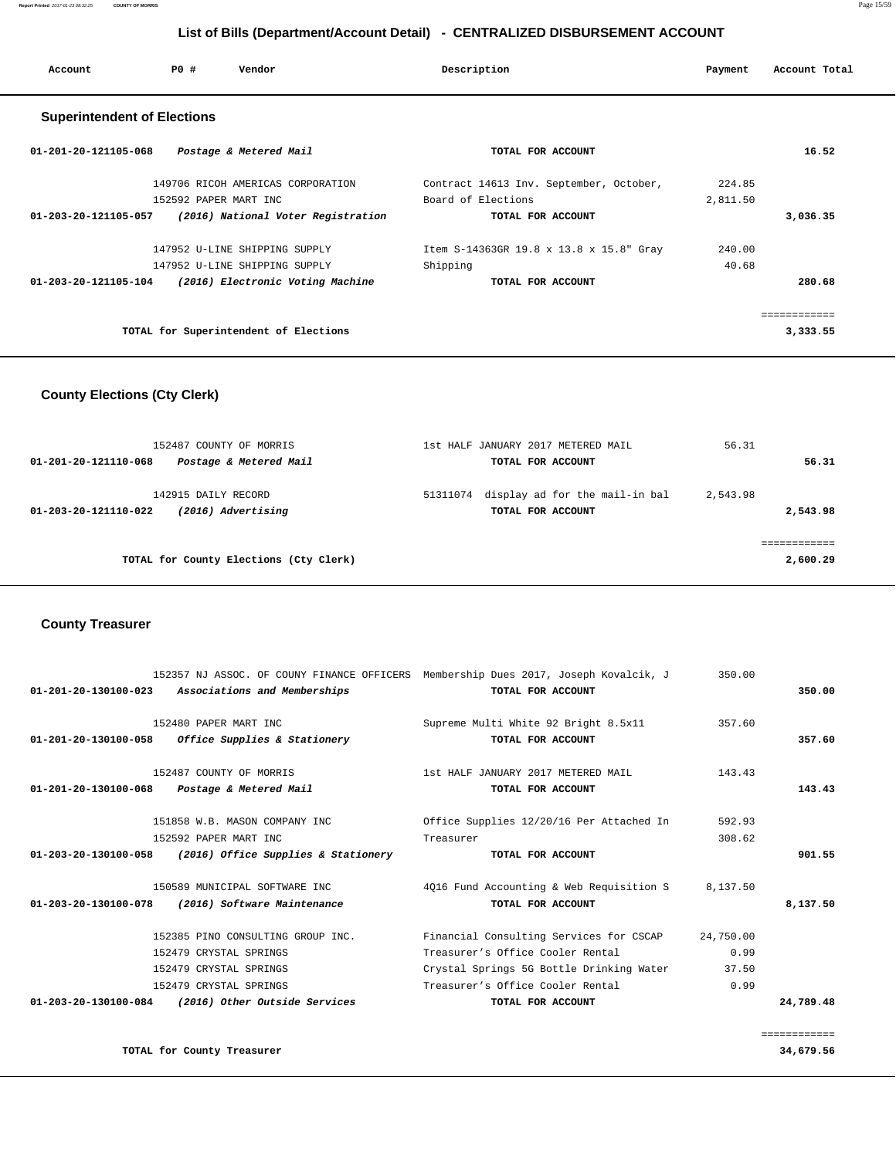| Account                            | PO#                   | Vendor                                | Description                             | Payment  | Account Total |
|------------------------------------|-----------------------|---------------------------------------|-----------------------------------------|----------|---------------|
| <b>Superintendent of Elections</b> |                       |                                       |                                         |          |               |
| 01-201-20-121105-068               |                       | Postage & Metered Mail                | TOTAL FOR ACCOUNT                       |          | 16.52         |
|                                    |                       | 149706 RICOH AMERICAS CORPORATION     | Contract 14613 Inv. September, October, | 224.85   |               |
|                                    | 152592 PAPER MART INC |                                       | Board of Elections                      | 2,811.50 |               |
| 01-203-20-121105-057               |                       | (2016) National Voter Registration    | TOTAL FOR ACCOUNT                       |          | 3,036.35      |
|                                    |                       | 147952 U-LINE SHIPPING SUPPLY         | Item S-14363GR 19.8 x 13.8 x 15.8" Gray | 240.00   |               |
|                                    |                       | 147952 U-LINE SHIPPING SUPPLY         | Shipping                                | 40.68    |               |
| 01-203-20-121105-104               |                       | (2016) Electronic Voting Machine      | TOTAL FOR ACCOUNT                       |          | 280.68        |
|                                    |                       |                                       |                                         |          | ===========   |
|                                    |                       | TOTAL for Superintendent of Elections |                                         |          | 3,333.55      |

### **County Elections (Cty Clerk)**

| 152487 COUNTY OF MORRIS                        | 1st HALF JANUARY 2017 METERED MAIL         | 56.31    |
|------------------------------------------------|--------------------------------------------|----------|
| Postage & Metered Mail<br>01-201-20-121110-068 | TOTAL FOR ACCOUNT                          | 56.31    |
| 142915 DAILY RECORD                            | display ad for the mail-in bal<br>51311074 | 2,543.98 |
| (2016) Advertising<br>01-203-20-121110-022     | TOTAL FOR ACCOUNT                          | 2,543.98 |
|                                                |                                            |          |
| TOTAL for County Elections (Cty Clerk)         |                                            | 2,600.29 |
|                                                |                                            |          |

### **County Treasurer**

|                      |                                                            | 152357 NJ ASSOC. OF COUNY FINANCE OFFICERS Membership Dues 2017, Joseph Kovalcik, J | 350.00    |              |
|----------------------|------------------------------------------------------------|-------------------------------------------------------------------------------------|-----------|--------------|
|                      | 01-201-20-130100-023 Associations and Memberships          | TOTAL FOR ACCOUNT                                                                   |           | 350.00       |
|                      | 152480 PAPER MART INC                                      | Supreme Multi White 92 Bright 8.5x11                                                | 357.60    |              |
| 01-201-20-130100-058 | Office Supplies & Stationery                               | TOTAL FOR ACCOUNT                                                                   |           | 357.60       |
|                      | 152487 COUNTY OF MORRIS                                    | 1st HALF JANUARY 2017 METERED MAIL                                                  | 143.43    |              |
| 01-201-20-130100-068 | Postage & Metered Mail                                     | TOTAL FOR ACCOUNT                                                                   |           | 143.43       |
|                      | 151858 W.B. MASON COMPANY INC                              | Office Supplies 12/20/16 Per Attached In                                            | 592.93    |              |
|                      | 152592 PAPER MART INC                                      | Treasurer                                                                           | 308.62    |              |
|                      | $01-203-20-130100-058$ (2016) Office Supplies & Stationery | TOTAL FOR ACCOUNT                                                                   |           | 901.55       |
|                      | 150589 MUNICIPAL SOFTWARE INC                              | 4016 Fund Accounting & Web Requisition S                                            | 8,137.50  |              |
| 01-203-20-130100-078 | (2016) Software Maintenance                                | TOTAL FOR ACCOUNT                                                                   |           | 8,137.50     |
|                      | 152385 PINO CONSULTING GROUP INC.                          | Financial Consulting Services for CSCAP                                             | 24,750.00 |              |
|                      | 152479 CRYSTAL SPRINGS                                     | Treasurer's Office Cooler Rental                                                    | 0.99      |              |
|                      | 152479 CRYSTAL SPRINGS                                     | Crystal Springs 5G Bottle Drinking Water                                            | 37.50     |              |
|                      | 152479 CRYSTAL SPRINGS                                     | Treasurer's Office Cooler Rental                                                    | 0.99      |              |
|                      | 01-203-20-130100-084 (2016) Other Outside Services         | TOTAL FOR ACCOUNT                                                                   |           | 24,789.48    |
|                      |                                                            |                                                                                     |           | ============ |
|                      | TOTAL for County Treasurer                                 |                                                                                     |           | 34,679.56    |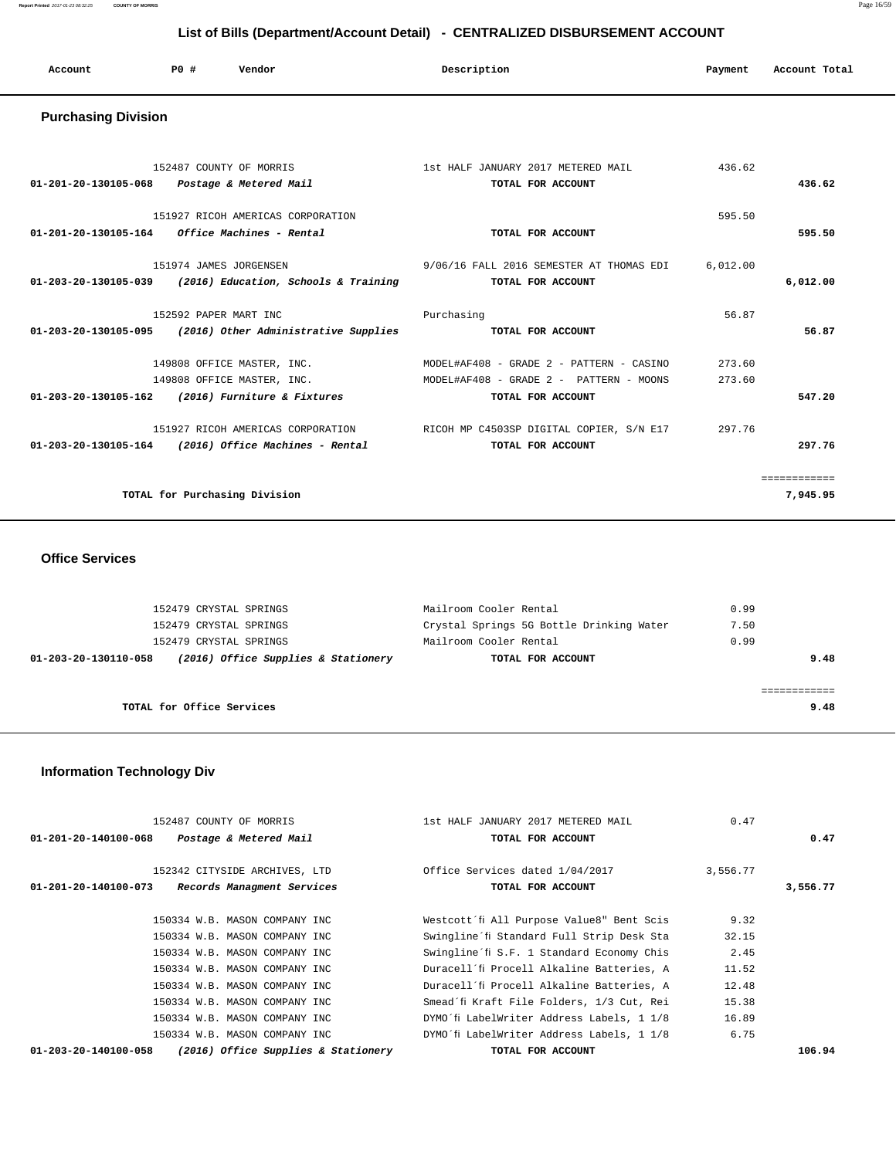| Account | <b>PO #</b> | Vendor | Description | Payment | Account Total |
|---------|-------------|--------|-------------|---------|---------------|
|         |             |        |             |         |               |

### **Purchasing Division**

| 152487 COUNTY OF MORRIS<br>01-201-20-130105-068<br>Postage & Metered Mail                    | 1st HALF JANUARY 2017 METERED MAIL<br>TOTAL FOR ACCOUNT                             | 436.62           | 436.62                   |
|----------------------------------------------------------------------------------------------|-------------------------------------------------------------------------------------|------------------|--------------------------|
| 151927 RICOH AMERICAS CORPORATION<br>01-201-20-130105-164<br><i>Office Machines - Rental</i> | TOTAL FOR ACCOUNT                                                                   | 595.50           | 595.50                   |
| 151974 JAMES JORGENSEN<br>01-203-20-130105-039 (2016) Education, Schools & Training          | 9/06/16 FALL 2016 SEMESTER AT THOMAS EDI<br>TOTAL FOR ACCOUNT                       | 6,012.00         | 6.012.00                 |
| 152592 PAPER MART INC<br>$01-203-20-130105-095$ (2016) Other Administrative Supplies         | Purchasing<br>TOTAL FOR ACCOUNT                                                     | 56.87            | 56.87                    |
| 149808 OFFICE MASTER, INC.<br>149808 OFFICE MASTER, INC.                                     | MODEL#AF408 - GRADE 2 - PATTERN - CASINO<br>MODEL#AF408 - GRADE 2 - PATTERN - MOONS | 273.60<br>273.60 |                          |
| 01-203-20-130105-162<br>(2016) Furniture & Fixtures                                          | TOTAL FOR ACCOUNT                                                                   |                  | 547.20                   |
| 151927 RICOH AMERICAS CORPORATION<br>$01-203-20-130105-164$ (2016) Office Machines - Rental  | RICOH MP C4503SP DIGITAL COPIER, S/N E17<br>TOTAL FOR ACCOUNT                       | 297.76           | 297.76                   |
| TOTAL for Purchasing Division                                                                |                                                                                     |                  | ============<br>7,945.95 |

### **Office Services**

| 152479 CRYSTAL SPRINGS                                      | Mailroom Cooler Rental                   | 0.99 |
|-------------------------------------------------------------|------------------------------------------|------|
| 152479 CRYSTAL SPRINGS                                      | Crystal Springs 5G Bottle Drinking Water | 7.50 |
| 152479 CRYSTAL SPRINGS                                      | Mailroom Cooler Rental                   | 0.99 |
| (2016) Office Supplies & Stationery<br>01-203-20-130110-058 | TOTAL FOR ACCOUNT                        | 9.48 |
|                                                             |                                          |      |
|                                                             |                                          |      |
| TOTAL for Office Services                                   |                                          | 9.48 |
|                                                             |                                          |      |

# **Information Technology Div**

| 152487 COUNTY OF MORRIS                                  |                                     | 1st HALF JANUARY 2017 METERED MAIL        | 0.47     |          |
|----------------------------------------------------------|-------------------------------------|-------------------------------------------|----------|----------|
| Postage & Metered Mail<br>$01 - 201 - 20 - 140100 - 068$ |                                     | TOTAL FOR ACCOUNT                         |          | 0.47     |
|                                                          |                                     |                                           |          |          |
| 152342 CITYSIDE ARCHIVES, LTD                            |                                     | Office Services dated 1/04/2017           | 3,556.77 |          |
| Records Managment Services<br>01-201-20-140100-073       |                                     | TOTAL FOR ACCOUNT                         |          | 3,556.77 |
|                                                          |                                     |                                           |          |          |
| 150334 W.B. MASON COMPANY INC                            |                                     | Westcott'fi All Purpose Value8" Bent Scis | 9.32     |          |
| 150334 W.B. MASON COMPANY INC                            |                                     | Swingline'fi Standard Full Strip Desk Sta | 32.15    |          |
| 150334 W.B. MASON COMPANY INC                            |                                     | Swingline'fi S.F. 1 Standard Economy Chis | 2.45     |          |
| 150334 W.B. MASON COMPANY INC                            |                                     | Duracell'fi Procell Alkaline Batteries, A | 11.52    |          |
| 150334 W.B. MASON COMPANY INC                            |                                     | Duracell'fi Procell Alkaline Batteries, A | 12.48    |          |
| 150334 W.B. MASON COMPANY INC                            |                                     | Smead'fi Kraft File Folders, 1/3 Cut, Rei | 15.38    |          |
| 150334 W.B. MASON COMPANY INC                            |                                     | DYMO'fi LabelWriter Address Labels, 1 1/8 | 16.89    |          |
| 150334 W.B. MASON COMPANY INC                            |                                     | DYMO'fi LabelWriter Address Labels, 1 1/8 | 6.75     |          |
| 01-203-20-140100-058                                     | (2016) Office Supplies & Stationery | TOTAL FOR ACCOUNT                         |          | 106.94   |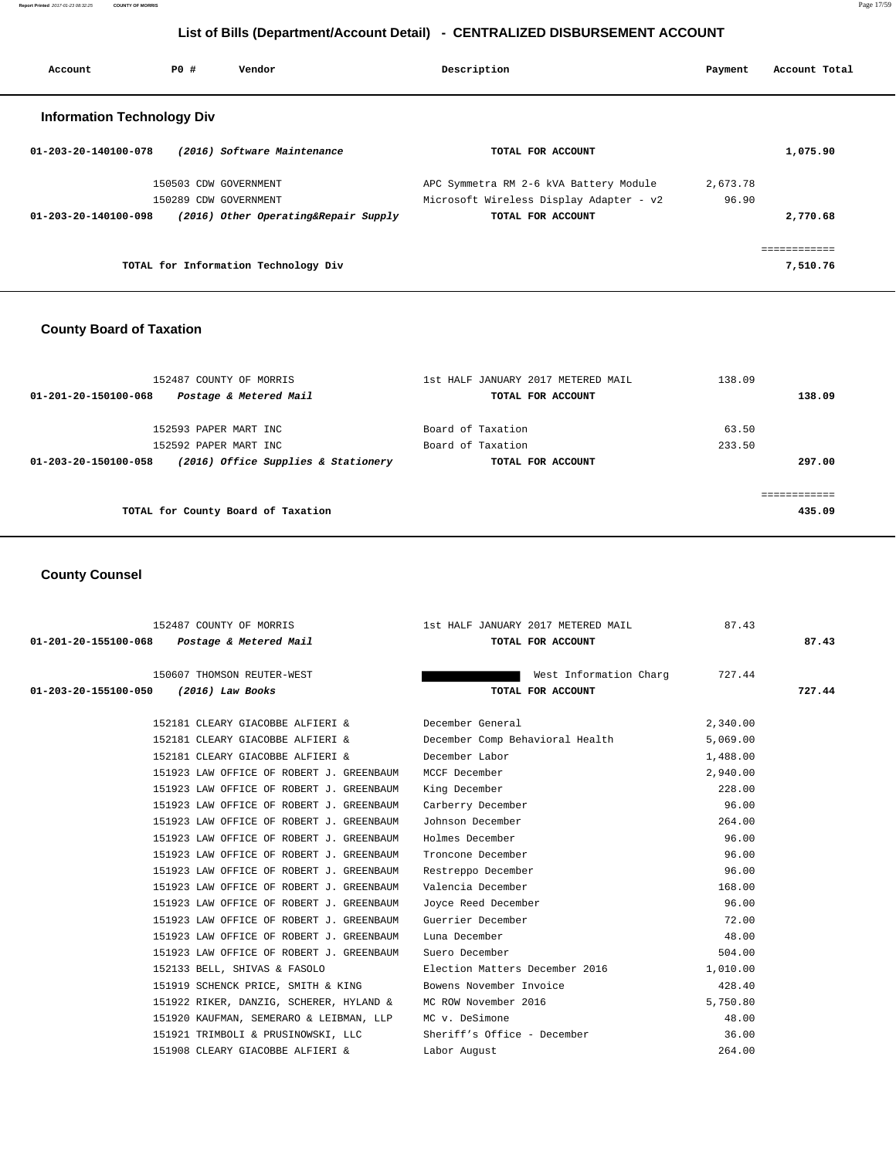| Account                           | PO# | Vendor                               | Description                             | Payment  | Account Total |
|-----------------------------------|-----|--------------------------------------|-----------------------------------------|----------|---------------|
| <b>Information Technology Div</b> |     |                                      |                                         |          |               |
| 01-203-20-140100-078              |     | (2016) Software Maintenance          | TOTAL FOR ACCOUNT                       |          | 1,075.90      |
|                                   |     | 150503 CDW GOVERNMENT                | APC Symmetra RM 2-6 kVA Battery Module  | 2,673.78 |               |
|                                   |     | 150289 CDW GOVERNMENT                | Microsoft Wireless Display Adapter - v2 | 96.90    |               |
| 01-203-20-140100-098              |     | (2016) Other Operating&Repair Supply | TOTAL FOR ACCOUNT                       |          | 2,770.68      |
|                                   |     |                                      |                                         |          | ============  |
|                                   |     | TOTAL for Information Technology Div |                                         |          | 7,510.76      |

# **County Board of Taxation**

| 152487 COUNTY OF MORRIS<br>Postage & Metered Mail<br>01-201-20-150100-068 | 1st HALF JANUARY 2017 METERED MAIL<br>TOTAL FOR ACCOUNT | 138.09<br>138.09 |
|---------------------------------------------------------------------------|---------------------------------------------------------|------------------|
| 152593 PAPER MART INC<br>152592 PAPER MART INC                            | Board of Taxation<br>Board of Taxation                  | 63.50<br>233.50  |
| (2016) Office Supplies & Stationery<br>01-203-20-150100-058               | TOTAL FOR ACCOUNT                                       | 297.00           |
| TOTAL for County Board of Taxation                                        |                                                         | 435.09           |

# **County Counsel**

| 152487 COUNTY OF MORRIS                                      | 1st HALF JANUARY 2017 METERED MAIL | 87.43    |        |
|--------------------------------------------------------------|------------------------------------|----------|--------|
| Postage & Metered Mail<br>01-201-20-155100-068               | TOTAL FOR ACCOUNT                  |          | 87.43  |
| 150607 THOMSON REUTER-WEST                                   | West Information Charg             | 727.44   |        |
| $(2016)$ Law Books<br>01-203-20-155100-050                   | TOTAL FOR ACCOUNT                  |          | 727.44 |
| 152181 CLEARY GIACOBBE ALFIERI &                             | December General                   | 2,340.00 |        |
| 152181 CLEARY GIACOBBE ALFIERI &                             | December Comp Behavioral Health    | 5,069.00 |        |
| 152181 CLEARY GIACOBBE ALFIERI &                             | December Labor                     | 1,488.00 |        |
| 151923 LAW OFFICE OF ROBERT J. GREENBAUM                     | MCCF December                      | 2,940.00 |        |
| 151923 LAW OFFICE OF ROBERT J. GREENBAUM                     | King December                      | 228.00   |        |
| 151923 LAW OFFICE OF ROBERT J. GREENBAUM                     | Carberry December                  | 96.00    |        |
| 151923 LAW OFFICE OF ROBERT J. GREENBAUM                     | Johnson December                   | 264.00   |        |
| 151923 LAW OFFICE OF ROBERT J. GREENBAUM                     | Holmes December                    | 96.00    |        |
| 151923 LAW OFFICE OF ROBERT J. GREENBAUM                     | Troncone December                  | 96.00    |        |
| 151923 LAW OFFICE OF ROBERT J. GREENBAUM                     | Restreppo December                 | 96.00    |        |
| 151923 LAW OFFICE OF ROBERT J. GREENBAUM                     | Valencia December                  | 168.00   |        |
| 151923 LAW OFFICE OF ROBERT J. GREENBAUM                     | Joyce Reed December                | 96.00    |        |
| 151923 LAW OFFICE OF ROBERT J. GREENBAUM                     | Guerrier December                  | 72.00    |        |
| 151923 LAW OFFICE OF ROBERT J. GREENBAUM                     | Luna December                      | 48.00    |        |
| 151923 LAW OFFICE OF ROBERT J. GREENBAUM                     | Suero December                     | 504.00   |        |
| 152133 BELL, SHIVAS & FASOLO                                 | Election Matters December 2016     | 1,010.00 |        |
| 151919 SCHENCK PRICE, SMITH & KING                           | Bowens November Invoice            | 428.40   |        |
| 151922 RIKER, DANZIG, SCHERER, HYLAND & MC ROW November 2016 |                                    | 5,750.80 |        |
| 151920 KAUFMAN, SEMERARO & LEIBMAN, LLP                      | MC v. DeSimone                     | 48.00    |        |
| 151921 TRIMBOLI & PRUSINOWSKI, LLC                           | Sheriff's Office - December        | 36.00    |        |
| 151908 CLEARY GIACOBBE ALFIERI &                             | Labor August                       | 264.00   |        |
|                                                              |                                    |          |        |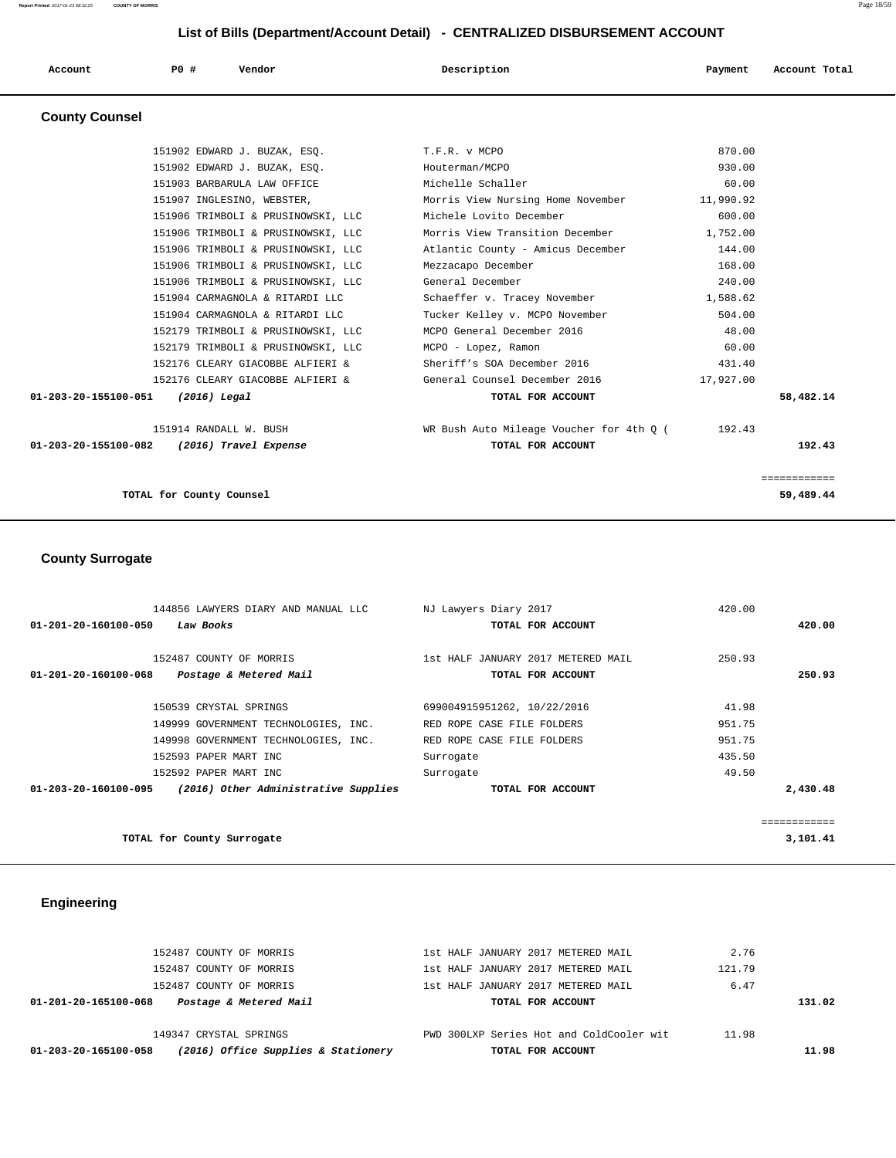| Account | <b>PO#</b> | Vendor | Description | Payment | Account Total |
|---------|------------|--------|-------------|---------|---------------|
|         |            |        |             |         |               |

# **County Counsel**

| 58,482.14<br>192.43<br>============ |
|-------------------------------------|
|                                     |
|                                     |
|                                     |
|                                     |
|                                     |
|                                     |
|                                     |
|                                     |
|                                     |
|                                     |
|                                     |
|                                     |
|                                     |
|                                     |
|                                     |
|                                     |
|                                     |
|                                     |
|                                     |
|                                     |

# **County Surrogate**

| 144856 LAWYERS DIARY AND MANUAL LLC                          | NJ Lawyers Diary 2017              | 420.00   |
|--------------------------------------------------------------|------------------------------------|----------|
| 01-201-20-160100-050<br>Law Books                            | TOTAL FOR ACCOUNT                  | 420.00   |
|                                                              |                                    |          |
| 152487 COUNTY OF MORRIS                                      | 1st HALF JANUARY 2017 METERED MAIL | 250.93   |
| 01-201-20-160100-068<br>Postage & Metered Mail               | TOTAL FOR ACCOUNT                  | 250.93   |
|                                                              |                                    |          |
| 150539 CRYSTAL SPRINGS                                       | 699004915951262, 10/22/2016        | 41.98    |
| 149999 GOVERNMENT TECHNOLOGIES, INC.                         | RED ROPE CASE FILE FOLDERS         | 951.75   |
| 149998 GOVERNMENT TECHNOLOGIES, INC.                         | RED ROPE CASE FILE FOLDERS         | 951.75   |
| 152593 PAPER MART INC                                        | Surrogate                          | 435.50   |
| 152592 PAPER MART INC                                        | Surrogate                          | 49.50    |
| (2016) Other Administrative Supplies<br>01-203-20-160100-095 | TOTAL FOR ACCOUNT                  | 2,430.48 |
|                                                              |                                    |          |
|                                                              |                                    |          |
| TOTAL for County Surrogate                                   |                                    | 3,101.41 |

# **Engineering**

| (2016) Office Supplies & Stationery<br>01-203-20-165100-058 | TOTAL FOR ACCOUNT                        |        | 11.98  |
|-------------------------------------------------------------|------------------------------------------|--------|--------|
| 149347 CRYSTAL SPRINGS                                      | PWD 300LXP Series Hot and ColdCooler wit | 11.98  |        |
| Postage & Metered Mail<br>01-201-20-165100-068              | TOTAL FOR ACCOUNT                        |        | 131.02 |
| 152487 COUNTY OF MORRIS                                     | 1st HALF JANUARY 2017 METERED MAIL       | 6.47   |        |
| 152487 COUNTY OF MORRIS                                     | 1st HALF JANUARY 2017 METERED MAIL       | 121.79 |        |
| 152487 COUNTY OF MORRIS                                     | 1st HALF JANUARY 2017 METERED MAIL       | 2.76   |        |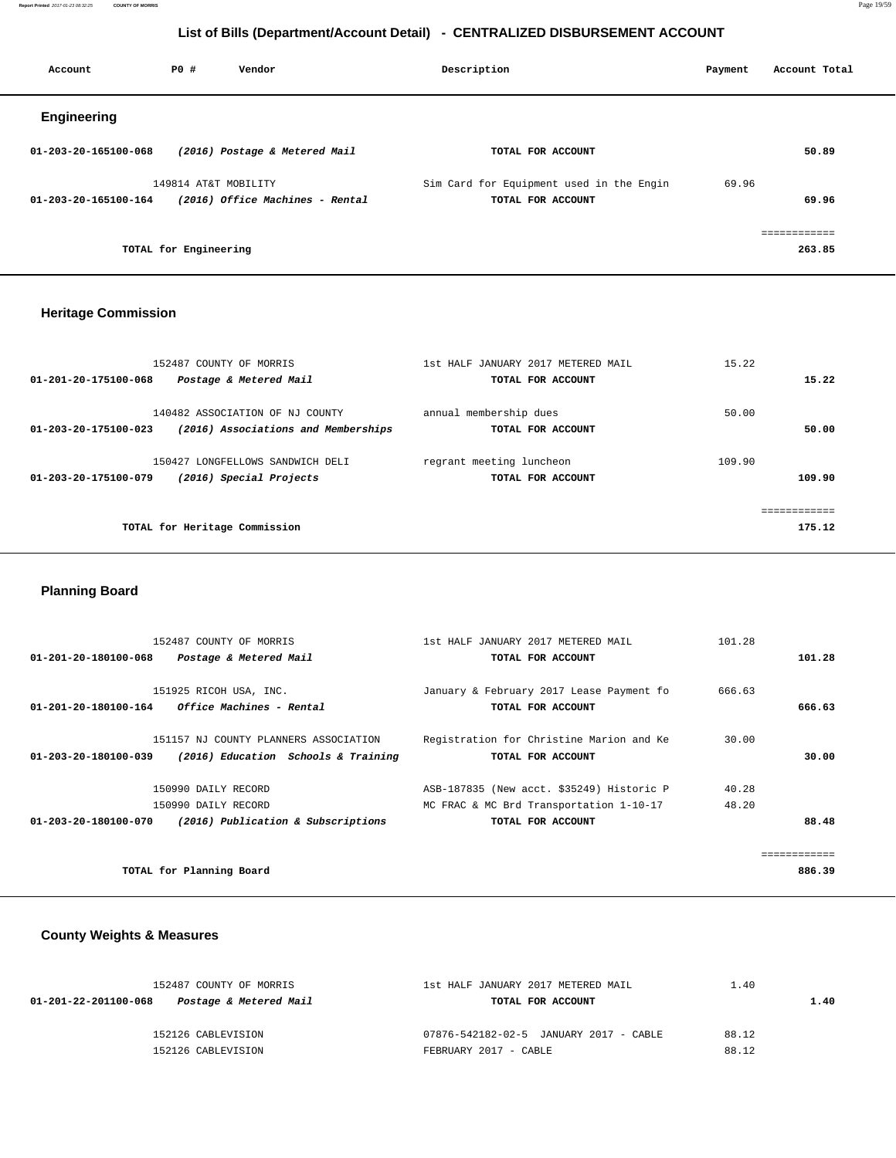**Report Printed** 2017-01-23 08:32:25 **COUNTY OF MORRIS** Page 19/59

# **List of Bills (Department/Account Detail) - CENTRALIZED DISBURSEMENT ACCOUNT**

| Account              | PO#                   | Vendor                          | Description                                                   | Payment | Account Total          |
|----------------------|-----------------------|---------------------------------|---------------------------------------------------------------|---------|------------------------|
| Engineering          |                       |                                 |                                                               |         |                        |
| 01-203-20-165100-068 |                       | (2016) Postage & Metered Mail   | TOTAL FOR ACCOUNT                                             |         | 50.89                  |
| 01-203-20-165100-164 | 149814 AT&T MOBILITY  | (2016) Office Machines - Rental | Sim Card for Equipment used in the Engin<br>TOTAL FOR ACCOUNT | 69.96   | 69.96                  |
|                      | TOTAL for Engineering |                                 |                                                               |         | eessessesses<br>263.85 |

### **Heritage Commission**

| 152487 COUNTY OF MORRIS<br>01-201-20-175100-068<br>Postage & Metered Mail                      | 1st HALF JANUARY 2017 METERED MAIL<br>TOTAL FOR ACCOUNT | 15.22<br>15.22   |
|------------------------------------------------------------------------------------------------|---------------------------------------------------------|------------------|
| 140482 ASSOCIATION OF NJ COUNTY<br>(2016) Associations and Memberships<br>01-203-20-175100-023 | annual membership dues<br>TOTAL FOR ACCOUNT             | 50.00<br>50.00   |
| 150427 LONGFELLOWS SANDWICH DELI<br>01-203-20-175100-079<br>(2016) Special Projects            | regrant meeting luncheon<br>TOTAL FOR ACCOUNT           | 109.90<br>109.90 |
| TOTAL for Heritage Commission                                                                  |                                                         | 175.12           |

# **Planning Board**

| 01-201-20-180100-068 | 152487 COUNTY OF MORRIS<br>Postage & Metered Mail                                | 1st HALF JANUARY 2017 METERED MAIL<br>TOTAL FOR ACCOUNT                                                   | 101.28         | 101.28                 |
|----------------------|----------------------------------------------------------------------------------|-----------------------------------------------------------------------------------------------------------|----------------|------------------------|
| 01-201-20-180100-164 | 151925 RICOH USA, INC.<br><i>Office Machines - Rental</i>                        | January & February 2017 Lease Payment fo<br>TOTAL FOR ACCOUNT                                             | 666.63         | 666.63                 |
| 01-203-20-180100-039 | 151157 NJ COUNTY PLANNERS ASSOCIATION<br>(2016) Education Schools & Training     | Registration for Christine Marion and Ke<br>TOTAL FOR ACCOUNT                                             | 30.00          | 30.00                  |
| 01-203-20-180100-070 | 150990 DAILY RECORD<br>150990 DAILY RECORD<br>(2016) Publication & Subscriptions | ASB-187835 (New acct. \$35249) Historic P<br>MC FRAC & MC Brd Transportation 1-10-17<br>TOTAL FOR ACCOUNT | 40.28<br>48.20 | 88.48                  |
|                      | TOTAL for Planning Board                                                         |                                                                                                           |                | ============<br>886.39 |

# **County Weights & Measures**

| 152487 COUNTY OF MORRIS                        | 1st HALF JANUARY 2017 METERED MAIL     | 1.40  |      |  |
|------------------------------------------------|----------------------------------------|-------|------|--|
| Postage & Metered Mail<br>01-201-22-201100-068 | TOTAL FOR ACCOUNT                      |       | 1.40 |  |
| 152126 CABLEVISION                             | 07876-542182-02-5 JANUARY 2017 - CABLE | 88.12 |      |  |
| 152126 CABLEVISION                             | FEBRUARY 2017 - CABLE                  | 88.12 |      |  |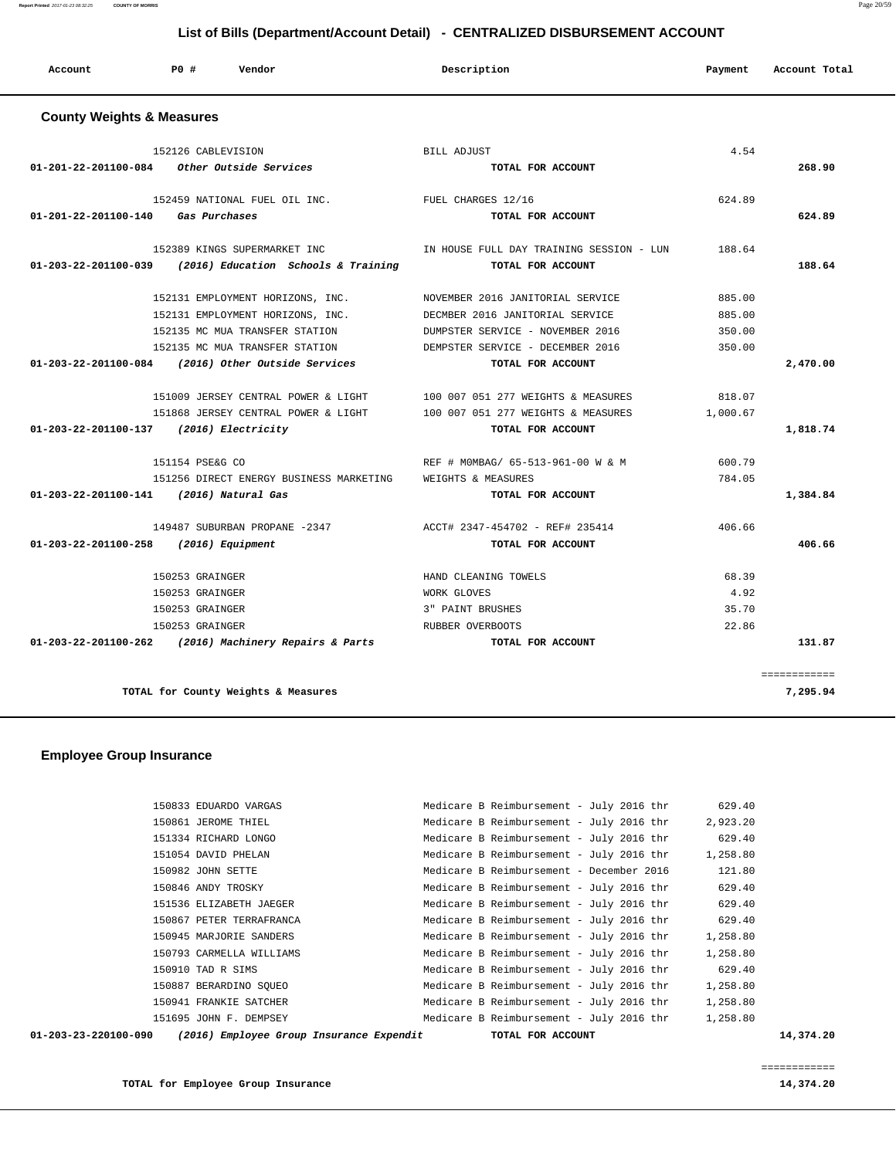**TOTAL for Employee Group Insurance 14,374.20**

============

| 01-203-23-220100-090 | (2016) Employee Group Insurance Expendit | TOTAL FOR ACCOUNT                        |          | 14,374.20 |
|----------------------|------------------------------------------|------------------------------------------|----------|-----------|
|                      | 151695 JOHN F. DEMPSEY                   | Medicare B Reimbursement - July 2016 thr | 1,258.80 |           |
|                      | 150941 FRANKIE SATCHER                   | Medicare B Reimbursement - July 2016 thr | 1,258.80 |           |
|                      | 150887 BERARDINO SOUEO                   | Medicare B Reimbursement - July 2016 thr | 1,258.80 |           |
|                      | 150910 TAD R SIMS                        | Medicare B Reimbursement - July 2016 thr | 629.40   |           |
|                      | 150793 CARMELLA WILLIAMS                 | Medicare B Reimbursement - July 2016 thr | 1,258.80 |           |
|                      | 150945 MARJORIE SANDERS                  | Medicare B Reimbursement - July 2016 thr | 1,258.80 |           |
|                      | 150867 PETER TERRAFRANCA                 | Medicare B Reimbursement - July 2016 thr | 629.40   |           |
|                      | 151536 ELIZABETH JAEGER                  | Medicare B Reimbursement - July 2016 thr | 629.40   |           |
|                      | 150846 ANDY TROSKY                       | Medicare B Reimbursement - July 2016 thr | 629.40   |           |
|                      | 150982 JOHN SETTE                        | Medicare B Reimbursement - December 2016 | 121.80   |           |
|                      | 151054 DAVID PHELAN                      | Medicare B Reimbursement - July 2016 thr | 1,258.80 |           |
|                      | 151334 RICHARD LONGO                     | Medicare B Reimbursement - July 2016 thr | 629.40   |           |
|                      | 150861 JEROME THIEL                      | Medicare B Reimbursement - July 2016 thr | 2,923.20 |           |

150833 EDUARDO VARGAS Medicare B Reimbursement - July 2016 thr 629.40

### **Employee Group Insurance**

 **County Weights & Measures**

| 151868 JERSEY CENTRAL POWER & LIGHT                                | 100 007 051 277 WEIGHTS & MEASURES | 1,000.67 |              |
|--------------------------------------------------------------------|------------------------------------|----------|--------------|
| 01-203-22-201100-137<br>(2016) Electricity                         | TOTAL FOR ACCOUNT                  |          | 1,818.74     |
|                                                                    |                                    |          |              |
| 151154 PSE&G CO                                                    | REF # MOMBAG/ 65-513-961-00 W & M  | 600.79   |              |
| 151256 DIRECT ENERGY BUSINESS MARKETING                            | WEIGHTS & MEASURES                 | 784.05   |              |
| 01-203-22-201100-141<br>(2016) Natural Gas                         | TOTAL FOR ACCOUNT                  |          | 1,384.84     |
| 149487 SUBURBAN PROPANE -2347                                      | ACCT# 2347-454702 - REF# 235414    | 406.66   |              |
| $01 - 203 - 22 - 201100 - 258$<br>(2016) Equipment                 | TOTAL FOR ACCOUNT                  |          | 406.66       |
| 150253 GRAINGER                                                    | HAND CLEANING TOWELS               | 68.39    |              |
| 150253 GRAINGER                                                    | WORK GLOVES                        | 4.92     |              |
| 150253 GRAINGER                                                    | 3" PAINT BRUSHES                   | 35.70    |              |
| 150253 GRAINGER                                                    | RUBBER OVERBOOTS                   | 22.86    |              |
| (2016) Machinery Repairs & Parts<br>$01 - 203 - 22 - 201100 - 262$ | TOTAL FOR ACCOUNT                  |          | 131.87       |
|                                                                    |                                    |          | ============ |
| TOTAL for County Weights & Measures                                |                                    |          | 7,295.94     |

|                                         | 152126 CABLEVISION                                                           | BILL ADJUST                                                                     | 4.54   |          |
|-----------------------------------------|------------------------------------------------------------------------------|---------------------------------------------------------------------------------|--------|----------|
|                                         | $01-201-22-201100-084$ Other Outside Services                                | TOTAL FOR ACCOUNT                                                               |        | 268.90   |
|                                         | 152459 NATIONAL FUEL OIL INC. TUEL CHARGES 12/16                             |                                                                                 | 624.89 |          |
| 01-201-22-201100-140 Gas Purchases      |                                                                              | TOTAL FOR ACCOUNT                                                               |        | 624.89   |
|                                         |                                                                              | 152389 KINGS SUPERMARKET INC THE TIME ON TRAINING SESSION - LUN 188.64          |        |          |
|                                         | $01-203-22-201100-039$ (2016) Education Schools & Training TOTAL FOR ACCOUNT |                                                                                 |        | 188.64   |
|                                         |                                                                              | 152131 EMPLOYMENT HORIZONS, INC. MOVEMBER 2016 JANITORIAL SERVICE               | 885.00 |          |
|                                         | 152131 EMPLOYMENT HORIZONS, INC. DECMBER 2016 JANITORIAL SERVICE             |                                                                                 | 885.00 |          |
|                                         | 152135 MC MUA TRANSFER STATION DUMPSTER SERVICE - NOVEMBER 2016              |                                                                                 | 350.00 |          |
|                                         | 152135 MC MUA TRANSFER STATION DEMPSTER SERVICE - DECEMBER 2016              |                                                                                 | 350.00 |          |
|                                         | 01-203-22-201100-084 (2016) Other Outside Services                           | TOTAL FOR ACCOUNT                                                               |        | 2,470.00 |
|                                         |                                                                              | 151009 JERSEY CENTRAL POWER & LIGHT 100 007 051 277 WEIGHTS & MEASURES          | 818.07 |          |
|                                         |                                                                              | 151868 JERSEY CENTRAL POWER & LIGHT 100 007 051 277 WEIGHTS & MEASURES 1,000.67 |        |          |
| 01-203-22-201100-137 (2016) Electricity |                                                                              | TOTAL FOR ACCOUNT                                                               |        | 1,818.74 |
|                                         | 151154 PSE&G CO                                                              | REF # MOMBAG/ 65-513-961-00 W & M                                               | 600.79 |          |
|                                         | 151256 DIRECT ENERGY BUSINESS MARKETING WEIGHTS & MEASURES                   |                                                                                 | 784.05 |          |
| 01-203-22-201100-141 (2016) Natural Gas |                                                                              | TOTAL FOR ACCOUNT                                                               |        | 1,384.84 |
|                                         |                                                                              | 149487 SUBURBAN PROPANE -2347 ACCT# 2347-454702 - REF# 235414                   | 406.66 |          |
| 01-203-22-201100-258 (2016) Equipment   |                                                                              | TOTAL FOR ACCOUNT                                                               |        | 406.66   |
|                                         | 150253 GRAINGER                                                              | HAND CLEANING TOWELS                                                            | 68.39  |          |
|                                         | 150253 GRAINGER                                                              | WORK GLOVES                                                                     | 4.92   |          |
|                                         | 150253 GRAINGER                                                              | <b>3" PAINT BRUSHES</b>                                                         | 35.70  |          |
|                                         | 150253 GRAINGER                                                              | RUBBER OVERBOOTS                                                                | 22.86  |          |
|                                         |                                                                              |                                                                                 |        |          |

# **List of Bills (Department/Account Detail) - CENTRALIZED DISBURSEMENT ACCOUNT**

 **Account P0 # Vendor Description Payment Account Total**

| Report Printed 2017-01-23 08:32:25 | <b>COUNTY OF MORRIS</b> |  |  |  | Page 20/59 |
|------------------------------------|-------------------------|--|--|--|------------|
|                                    |                         |  |  |  |            |
|                                    |                         |  |  |  |            |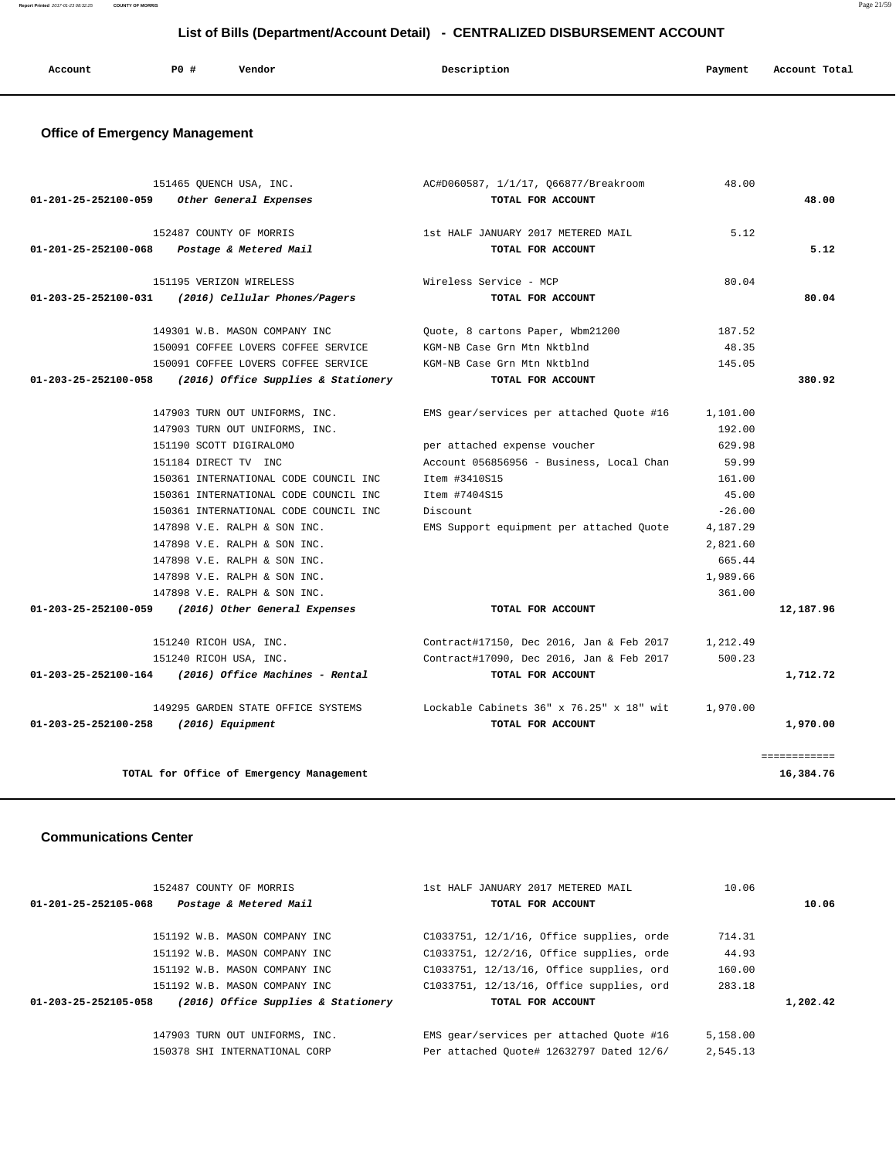**Report Printed** 2017-01-23 08:32:25 **COUNTY OF MORRIS** Page 21/59

# **List of Bills (Department/Account Detail) - CENTRALIZED DISBURSEMENT ACCOUNT**

| Account | P0 # | Vendor | Description | Payment | Account Total |
|---------|------|--------|-------------|---------|---------------|
|         |      |        |             |         |               |

# **Office of Emergency Management**

|                                       | 151465 QUENCH USA, INC.                                    | AC#D060587, 1/1/17, Q66877/Breakroom                                                 | 48.00    |              |
|---------------------------------------|------------------------------------------------------------|--------------------------------------------------------------------------------------|----------|--------------|
| 01-201-25-252100-059                  | Other General Expenses                                     | TOTAL FOR ACCOUNT                                                                    |          | 48.00        |
|                                       | 152487 COUNTY OF MORRIS                                    | 1st HALF JANUARY 2017 METERED MAIL                                                   | 5.12     |              |
| 01-201-25-252100-068                  | Postage & Metered Mail                                     | TOTAL FOR ACCOUNT                                                                    |          | 5.12         |
|                                       |                                                            |                                                                                      |          |              |
|                                       | 151195 VERIZON WIRELESS                                    | Wireless Service - MCP                                                               | 80.04    |              |
| 01-203-25-252100-031                  | (2016) Cellular Phones/Pagers                              | TOTAL FOR ACCOUNT                                                                    |          | 80.04        |
|                                       | 149301 W.B. MASON COMPANY INC                              | Quote, 8 cartons Paper, Wbm21200                                                     | 187.52   |              |
|                                       | 150091 COFFEE LOVERS COFFEE SERVICE                        | KGM-NB Case Grn Mtn Nktblnd                                                          | 48.35    |              |
|                                       | 150091 COFFEE LOVERS COFFEE SERVICE                        | KGM-NB Case Grn Mtn Nktblnd                                                          | 145.05   |              |
|                                       | $01-203-25-252100-058$ (2016) Office Supplies & Stationery | TOTAL FOR ACCOUNT                                                                    |          | 380.92       |
|                                       | 147903 TURN OUT UNIFORMS, INC.                             | EMS gear/services per attached Quote #16                                             | 1,101.00 |              |
|                                       | 147903 TURN OUT UNIFORMS, INC.                             |                                                                                      | 192.00   |              |
|                                       | 151190 SCOTT DIGIRALOMO                                    | per attached expense voucher                                                         | 629.98   |              |
|                                       | 151184 DIRECT TV INC                                       | Account 056856956 - Business, Local Chan                                             | 59.99    |              |
|                                       | 150361 INTERNATIONAL CODE COUNCIL INC                      | Item #3410S15                                                                        | 161.00   |              |
|                                       | 150361 INTERNATIONAL CODE COUNCIL INC                      | Item #7404S15                                                                        | 45.00    |              |
|                                       | 150361 INTERNATIONAL CODE COUNCIL INC                      | Discount                                                                             | $-26.00$ |              |
|                                       | 147898 V.E. RALPH & SON INC.                               | EMS Support equipment per attached Quote                                             | 4,187.29 |              |
|                                       | 147898 V.E. RALPH & SON INC.                               |                                                                                      | 2,821.60 |              |
|                                       | 147898 V.E. RALPH & SON INC.                               |                                                                                      | 665.44   |              |
|                                       | 147898 V.E. RALPH & SON INC.                               |                                                                                      | 1,989.66 |              |
|                                       | 147898 V.E. RALPH & SON INC.                               |                                                                                      | 361.00   |              |
|                                       | 01-203-25-252100-059 (2016) Other General Expenses         | TOTAL FOR ACCOUNT                                                                    |          | 12,187.96    |
|                                       | 151240 RICOH USA, INC.                                     | Contract#17150, Dec 2016, Jan & Feb 2017                                             | 1,212.49 |              |
|                                       | 151240 RICOH USA, INC.                                     | Contract#17090, Dec 2016, Jan & Feb 2017                                             | 500.23   |              |
|                                       | $01-203-25-252100-164$ (2016) Office Machines - Rental     | TOTAL FOR ACCOUNT                                                                    |          | 1,712.72     |
|                                       |                                                            | 149295 GARDEN STATE OFFICE SYSTEMS Lockable Cabinets 36" x 76.25" x 18" wit 1,970.00 |          |              |
| 01-203-25-252100-258 (2016) Equipment |                                                            | TOTAL FOR ACCOUNT                                                                    |          | 1,970.00     |
|                                       |                                                            |                                                                                      |          | ============ |
|                                       | TOTAL for Office of Emergency Management                   |                                                                                      |          | 16,384.76    |
|                                       |                                                            |                                                                                      |          |              |

### **Communications Center**

| 152487 COUNTY OF MORRIS                                     | 1st HALF JANUARY 2017 METERED MAIL       | 10.06    |          |
|-------------------------------------------------------------|------------------------------------------|----------|----------|
| Postage & Metered Mail<br>01-201-25-252105-068              | TOTAL FOR ACCOUNT                        |          | 10.06    |
| 151192 W.B. MASON COMPANY INC                               | C1033751, 12/1/16, Office supplies, orde | 714.31   |          |
| 151192 W.B. MASON COMPANY INC                               | C1033751, 12/2/16, Office supplies, orde | 44.93    |          |
| 151192 W.B. MASON COMPANY INC                               | C1033751, 12/13/16, Office supplies, ord | 160.00   |          |
| 151192 W.B. MASON COMPANY INC                               | C1033751, 12/13/16, Office supplies, ord | 283.18   |          |
| (2016) Office Supplies & Stationery<br>01-203-25-252105-058 | TOTAL FOR ACCOUNT                        |          | 1,202.42 |
|                                                             |                                          |          |          |
| 147903 TURN OUT UNIFORMS, INC.                              | EMS gear/services per attached Ouote #16 | 5,158.00 |          |
| 150378 SHI INTERNATIONAL CORP                               | Per attached Ouote# 12632797 Dated 12/6/ | 2,545.13 |          |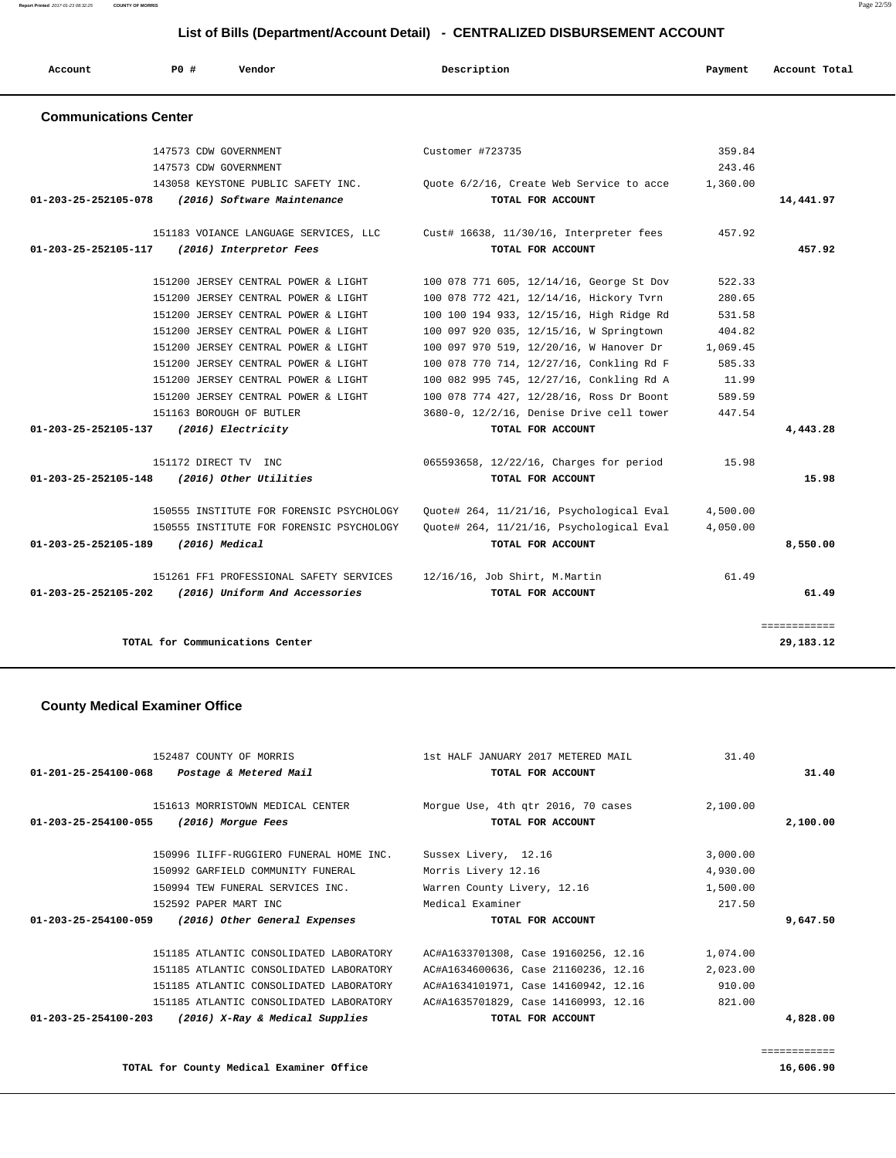**Report Printed** 2017-01-23 08:32:25 **COUNTY OF MORRIS** Page 22/59

| List of Bills (Department/Account Detail) - CENTRALIZED DISBURSEMENT ACCOUNT |     |                                                                                                                                                                                                                                                                                                                                                                        |                                                                                                                                                                                                                                                                                                                                                                                                                            |                                                                                         |               |
|------------------------------------------------------------------------------|-----|------------------------------------------------------------------------------------------------------------------------------------------------------------------------------------------------------------------------------------------------------------------------------------------------------------------------------------------------------------------------|----------------------------------------------------------------------------------------------------------------------------------------------------------------------------------------------------------------------------------------------------------------------------------------------------------------------------------------------------------------------------------------------------------------------------|-----------------------------------------------------------------------------------------|---------------|
| Account                                                                      | PO# | Vendor                                                                                                                                                                                                                                                                                                                                                                 | Description                                                                                                                                                                                                                                                                                                                                                                                                                | Payment                                                                                 | Account Total |
| <b>Communications Center</b>                                                 |     |                                                                                                                                                                                                                                                                                                                                                                        |                                                                                                                                                                                                                                                                                                                                                                                                                            |                                                                                         |               |
|                                                                              |     | 147573 CDW GOVERNMENT<br>147573 CDW GOVERNMENT<br>143058 KEYSTONE PUBLIC SAFETY INC.                                                                                                                                                                                                                                                                                   | Customer #723735<br>Quote 6/2/16, Create Web Service to acce                                                                                                                                                                                                                                                                                                                                                               | 359.84<br>243.46<br>1,360.00                                                            |               |
| 01-203-25-252105-078                                                         |     | (2016) Software Maintenance                                                                                                                                                                                                                                                                                                                                            | TOTAL FOR ACCOUNT                                                                                                                                                                                                                                                                                                                                                                                                          |                                                                                         | 14,441.97     |
| 01-203-25-252105-117                                                         |     | (2016) Interpretor Fees                                                                                                                                                                                                                                                                                                                                                | 151183 VOIANCE LANGUAGE SERVICES, LLC Cust# 16638, 11/30/16, Interpreter fees<br>TOTAL FOR ACCOUNT                                                                                                                                                                                                                                                                                                                         | 457.92                                                                                  | 457.92        |
| 01-203-25-252105-137                                                         |     | 151200 JERSEY CENTRAL POWER & LIGHT<br>151200 JERSEY CENTRAL POWER & LIGHT<br>151200 JERSEY CENTRAL POWER & LIGHT<br>151200 JERSEY CENTRAL POWER & LIGHT<br>151200 JERSEY CENTRAL POWER & LIGHT<br>151200 JERSEY CENTRAL POWER & LIGHT<br>151200 JERSEY CENTRAL POWER & LIGHT<br>151200 JERSEY CENTRAL POWER & LIGHT<br>151163 BOROUGH OF BUTLER<br>(2016) Electricity | 100 078 771 605, 12/14/16, George St Dov<br>100 078 772 421, 12/14/16, Hickory Tvrn<br>100 100 194 933, 12/15/16, High Ridge Rd<br>100 097 920 035, 12/15/16, W Springtown<br>100 097 970 519, 12/20/16, W Hanover Dr<br>100 078 770 714, 12/27/16, Conkling Rd F<br>100 082 995 745, 12/27/16, Conkling Rd A<br>100 078 774 427, 12/28/16, Ross Dr Boont<br>3680-0, 12/2/16, Denise Drive cell tower<br>TOTAL FOR ACCOUNT | 522.33<br>280.65<br>531.58<br>404.82<br>1,069.45<br>585.33<br>11.99<br>589.59<br>447.54 | 4,443.28      |
|                                                                              |     |                                                                                                                                                                                                                                                                                                                                                                        |                                                                                                                                                                                                                                                                                                                                                                                                                            |                                                                                         |               |
| 01-203-25-252105-148                                                         |     | 151172 DIRECT TV INC<br>(2016) Other Utilities                                                                                                                                                                                                                                                                                                                         | 065593658, 12/22/16, Charges for period<br>TOTAL FOR ACCOUNT                                                                                                                                                                                                                                                                                                                                                               | 15.98                                                                                   | 15.98         |

 150555 INSTITUTE FOR FORENSIC PSYCHOLOGY Quote# 264, 11/21/16, Psychological Eval 4,500.00 150555 INSTITUTE FOR FORENSIC PSYCHOLOGY Quote# 264, 11/21/16, Psychological Eval 4,050.00  **01-203-25-252105-189 (2016) Medical TOTAL FOR ACCOUNT 8,550.00**

 151261 FF1 PROFESSIONAL SAFETY SERVICES 12/16/16, Job Shirt, M.Martin 61.49  **01-203-25-252105-202 (2016) Uniform And Accessories TOTAL FOR ACCOUNT 61.49**

**TOTAL for Communications Center 29,183.12**

### **County Medical Examiner Office**

|                                | 152487 COUNTY OF MORRIS                 | 1st HALF JANUARY 2017 METERED MAIL   | 31.40    |          |
|--------------------------------|-----------------------------------------|--------------------------------------|----------|----------|
| $01 - 201 - 25 - 254100 - 068$ | Postage & Metered Mail                  | TOTAL FOR ACCOUNT                    |          | 31.40    |
|                                | 151613 MORRISTOWN MEDICAL CENTER        | Morgue Use, 4th qtr 2016, 70 cases   | 2,100.00 |          |
| 01-203-25-254100-055           | (2016) Morgue Fees                      | TOTAL FOR ACCOUNT                    |          | 2,100.00 |
|                                | 150996 ILIFF-RUGGIERO FUNERAL HOME INC. | Sussex Livery, 12.16                 | 3,000.00 |          |
|                                | 150992 GARFIELD COMMUNITY FUNERAL       | Morris Livery 12.16                  | 4,930.00 |          |
|                                | 150994 TEW FUNERAL SERVICES INC.        | Warren County Livery, 12.16          | 1,500.00 |          |
|                                | 152592 PAPER MART INC                   | Medical Examiner                     | 217.50   |          |
| 01-203-25-254100-059           | (2016) Other General Expenses           | TOTAL FOR ACCOUNT                    |          | 9,647.50 |
|                                | 151185 ATLANTIC CONSOLIDATED LABORATORY | AC#A1633701308, Case 19160256, 12.16 | 1,074.00 |          |
|                                | 151185 ATLANTIC CONSOLIDATED LABORATORY | AC#A1634600636, Case 21160236, 12.16 | 2,023.00 |          |
|                                | 151185 ATLANTIC CONSOLIDATED LABORATORY | AC#A1634101971, Case 14160942, 12.16 | 910.00   |          |
|                                | 151185 ATLANTIC CONSOLIDATED LABORATORY | AC#A1635701829, Case 14160993, 12.16 | 821.00   |          |
| 01-203-25-254100-203           | (2016) X-Ray & Medical Supplies         | TOTAL FOR ACCOUNT                    |          | 4,828.00 |
|                                |                                         |                                      |          |          |

============

============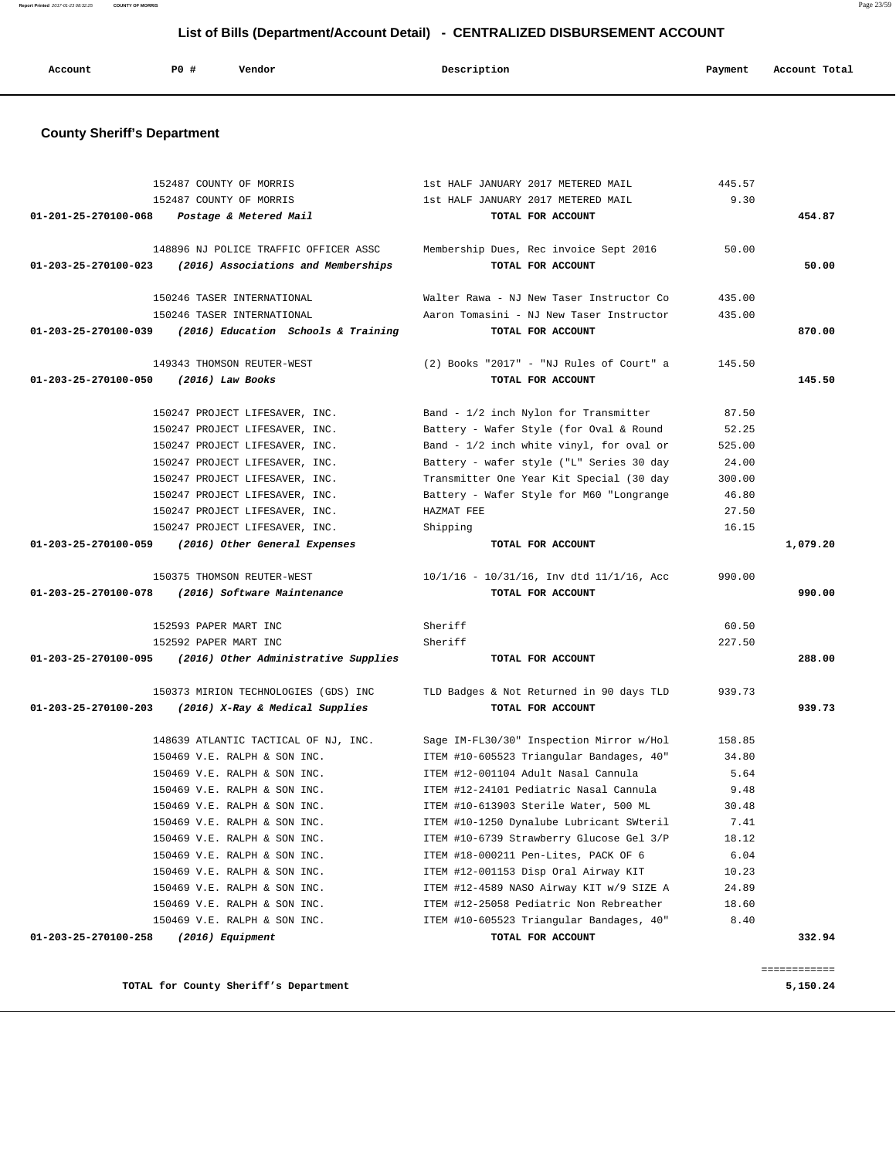| Account | PO# | Vendor | Description | Payment | Account Total |
|---------|-----|--------|-------------|---------|---------------|
|         |     |        |             |         |               |

# **County Sheriff's Department**

|                      | 152487 COUNTY OF MORRIS                                     | 1st HALF JANUARY 2017 METERED MAIL                            | 445.57 |              |
|----------------------|-------------------------------------------------------------|---------------------------------------------------------------|--------|--------------|
|                      | 152487 COUNTY OF MORRIS                                     | 1st HALF JANUARY 2017 METERED MAIL                            | 9.30   |              |
|                      | 01-201-25-270100-068 Postage & Metered Mail                 | TOTAL FOR ACCOUNT                                             |        | 454.87       |
|                      | 148896 NJ POLICE TRAFFIC OFFICER ASSC                       | Membership Dues, Rec invoice Sept 2016                        | 50.00  |              |
|                      | $01-203-25-270100-023$ (2016) Associations and Memberships  | TOTAL FOR ACCOUNT                                             |        | 50.00        |
|                      | 150246 TASER INTERNATIONAL                                  | Walter Rawa - NJ New Taser Instructor Co                      | 435.00 |              |
|                      | 150246 TASER INTERNATIONAL                                  | Aaron Tomasini - NJ New Taser Instructor                      | 435.00 |              |
|                      | 01-203-25-270100-039 (2016) Education Schools & Training    | TOTAL FOR ACCOUNT                                             |        | 870.00       |
|                      | 149343 THOMSON REUTER-WEST                                  | (2) Books "2017" - "NJ Rules of Court" a                      | 145.50 |              |
| 01-203-25-270100-050 | (2016) Law Books                                            | TOTAL FOR ACCOUNT                                             |        | 145.50       |
|                      | 150247 PROJECT LIFESAVER, INC.                              | Band - 1/2 inch Nylon for Transmitter                         | 87.50  |              |
|                      | 150247 PROJECT LIFESAVER, INC.                              | Battery - Wafer Style (for Oval & Round                       | 52.25  |              |
|                      | 150247 PROJECT LIFESAVER, INC.                              | Band - 1/2 inch white vinyl, for oval or                      | 525.00 |              |
|                      | 150247 PROJECT LIFESAVER, INC.                              | Battery - wafer style ("L" Series 30 day                      | 24.00  |              |
|                      | 150247 PROJECT LIFESAVER, INC.                              | Transmitter One Year Kit Special (30 day                      | 300.00 |              |
|                      | 150247 PROJECT LIFESAVER, INC.                              | Battery - Wafer Style for M60 "Longrange                      | 46.80  |              |
|                      | 150247 PROJECT LIFESAVER, INC.                              | HAZMAT FEE                                                    | 27.50  |              |
|                      | 150247 PROJECT LIFESAVER, INC.                              | Shipping                                                      | 16.15  |              |
|                      | 01-203-25-270100-059 (2016) Other General Expenses          | TOTAL FOR ACCOUNT                                             |        | 1,079.20     |
|                      | 150375 THOMSON REUTER-WEST                                  | $10/1/16$ - $10/31/16$ , Inv dtd $11/1/16$ , Acc              | 990.00 |              |
|                      | 01-203-25-270100-078 (2016) Software Maintenance            | TOTAL FOR ACCOUNT                                             |        | 990.00       |
|                      | 152593 PAPER MART INC                                       | Sheriff                                                       | 60.50  |              |
|                      | 152592 PAPER MART INC                                       | Sheriff                                                       | 227.50 |              |
|                      | $01-203-25-270100-095$ (2016) Other Administrative Supplies | TOTAL FOR ACCOUNT                                             |        | 288.00       |
|                      | 150373 MIRION TECHNOLOGIES (GDS) INC                        | TLD Badges & Not Returned in 90 days TLD                      | 939.73 |              |
|                      | 01-203-25-270100-203 (2016) X-Ray & Medical Supplies        | TOTAL FOR ACCOUNT                                             |        | 939.73       |
|                      | 148639 ATLANTIC TACTICAL OF NJ, INC.                        | Sage IM-FL30/30" Inspection Mirror w/Hol                      | 158.85 |              |
|                      | 150469 V.E. RALPH & SON INC.                                | ITEM #10-605523 Triangular Bandages, 40"                      | 34.80  |              |
|                      | 150469 V.E. RALPH & SON INC.                                | ITEM #12-001104 Adult Nasal Cannula                           | 5.64   |              |
|                      | 150469 V.E. RALPH & SON INC.                                | ITEM #12-24101 Pediatric Nasal Cannula                        | 9.48   |              |
|                      | 150469 V.E. RALPH & SON INC.                                | ITEM #10-613903 Sterile Water, 500 ML                         | 30.48  |              |
|                      | 150469 V.E. RALPH & SON INC.                                | ITEM #10-1250 Dynalube Lubricant SWteril                      | 7.41   |              |
|                      | 150469 V.E. RALPH & SON INC.                                | ITEM #10-6739 Strawberry Glucose Gel 3/P                      | 18.12  |              |
|                      | 150469 V.E. RALPH & SON INC.                                | ITEM #18-000211 Pen-Lites, PACK OF 6                          | 6.04   |              |
|                      | 150469 V.E. RALPH & SON INC.                                | ITEM #12-001153 Disp Oral Airway KIT                          | 10.23  |              |
|                      | 150469 V.E. RALPH & SON INC.                                | ITEM #12-4589 NASO Airway KIT w/9 SIZE A                      | 24.89  |              |
|                      | 150469 V.E. RALPH & SON INC.                                | ITEM #12-25058 Pediatric Non Rebreather                       | 18.60  |              |
| 01-203-25-270100-258 | 150469 V.E. RALPH & SON INC.<br>(2016) Equipment            | ITEM #10-605523 Triangular Bandages, 40"<br>TOTAL FOR ACCOUNT | 8.40   | 332.94       |
|                      |                                                             |                                                               |        |              |
|                      |                                                             |                                                               |        | ============ |
|                      | TOTAL for County Sheriff's Department                       |                                                               |        | 5,150.24     |

**Report Printed** 2017-01-23 08:32:25 **COUNTY OF MORRIS** Page 23/59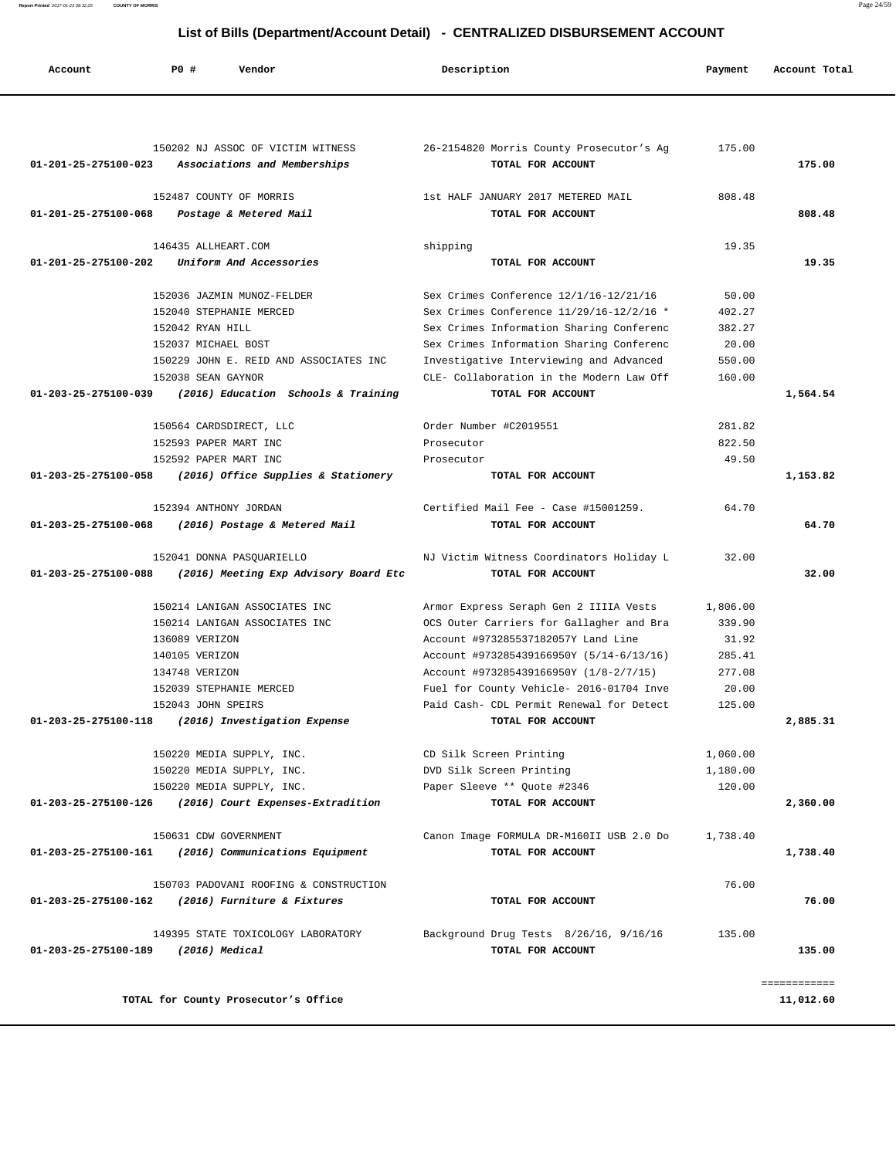**Report Printed** 2017-01-23 08:32:25 **COUNTY OF MORRIS** Page 24/59

# **List of Bills (Department/Account Detail) - CENTRALIZED DISBURSEMENT ACCOUNT**

| Account              | <b>PO #</b><br>Vendor                                                                  | Description                                                   | Payment  | Account Total |
|----------------------|----------------------------------------------------------------------------------------|---------------------------------------------------------------|----------|---------------|
|                      |                                                                                        |                                                               |          |               |
|                      | 150202 NJ ASSOC OF VICTIM WITNESS<br>01-201-25-275100-023 Associations and Memberships | 26-2154820 Morris County Prosecutor's Ag<br>TOTAL FOR ACCOUNT | 175.00   | 175.00        |
|                      | 152487 COUNTY OF MORRIS                                                                | 1st HALF JANUARY 2017 METERED MAIL                            | 808.48   |               |
|                      | 01-201-25-275100-068 Postage & Metered Mail                                            | TOTAL FOR ACCOUNT                                             |          | 808.48        |
|                      | 146435 ALLHEART.COM                                                                    | shipping                                                      | 19.35    |               |
| 01-201-25-275100-202 | Uniform And Accessories                                                                | TOTAL FOR ACCOUNT                                             |          | 19.35         |
|                      | 152036 JAZMIN MUNOZ-FELDER                                                             | Sex Crimes Conference 12/1/16-12/21/16                        | 50.00    |               |
|                      | 152040 STEPHANIE MERCED                                                                | Sex Crimes Conference 11/29/16-12/2/16 *                      | 402.27   |               |
|                      | 152042 RYAN HILL                                                                       | Sex Crimes Information Sharing Conferenc                      | 382.27   |               |
|                      | 152037 MICHAEL BOST                                                                    | Sex Crimes Information Sharing Conferenc                      | 20.00    |               |
|                      | 150229 JOHN E. REID AND ASSOCIATES INC                                                 | Investigative Interviewing and Advanced                       | 550.00   |               |
|                      | 152038 SEAN GAYNOR                                                                     | CLE- Collaboration in the Modern Law Off                      | 160.00   |               |
| 01-203-25-275100-039 | (2016) Education Schools & Training                                                    | TOTAL FOR ACCOUNT                                             |          | 1,564.54      |
|                      | 150564 CARDSDIRECT, LLC                                                                | Order Number #C2019551                                        | 281.82   |               |
|                      | 152593 PAPER MART INC                                                                  | Prosecutor                                                    | 822.50   |               |
|                      | 152592 PAPER MART INC                                                                  | Prosecutor                                                    | 49.50    |               |
|                      | 01-203-25-275100-058 (2016) Office Supplies & Stationery                               | TOTAL FOR ACCOUNT                                             |          | 1,153.82      |
|                      | 152394 ANTHONY JORDAN                                                                  | Certified Mail Fee - Case #15001259.                          | 64.70    |               |
| 01-203-25-275100-068 | (2016) Postage & Metered Mail                                                          | TOTAL FOR ACCOUNT                                             |          | 64.70         |
|                      | 152041 DONNA PASQUARIELLO                                                              | NJ Victim Witness Coordinators Holiday L                      | 32.00    |               |
| 01-203-25-275100-088 | (2016) Meeting Exp Advisory Board Etc                                                  | TOTAL FOR ACCOUNT                                             |          | 32.00         |
|                      | 150214 LANIGAN ASSOCIATES INC                                                          | Armor Express Seraph Gen 2 IIIIA Vests                        | 1,806.00 |               |
|                      | 150214 LANIGAN ASSOCIATES INC                                                          | OCS Outer Carriers for Gallagher and Bra                      | 339.90   |               |
|                      | 136089 VERIZON                                                                         | Account #973285537182057Y Land Line                           |          |               |
|                      |                                                                                        |                                                               | 31.92    |               |
|                      | 140105 VERIZON                                                                         | Account #973285439166950Y (5/14-6/13/16)                      | 285.41   |               |
|                      | 134748 VERIZON                                                                         | Account #973285439166950Y (1/8-2/7/15)                        | 277.08   |               |
|                      | 152039 STEPHANIE MERCED                                                                | Fuel for County Vehicle- 2016-01704 Inve                      | 20.00    |               |
|                      | 152043 JOHN SPEIRS                                                                     | Paid Cash- CDL Permit Renewal for Detect                      | 125.00   |               |
|                      | 01-203-25-275100-118 (2016) Investigation Expense                                      | TOTAL FOR ACCOUNT                                             |          | 2,885.31      |
|                      | 150220 MEDIA SUPPLY, INC.                                                              | CD Silk Screen Printing                                       | 1,060.00 |               |
|                      | 150220 MEDIA SUPPLY, INC.                                                              | DVD Silk Screen Printing                                      | 1,180.00 |               |
|                      | 150220 MEDIA SUPPLY, INC.                                                              | Paper Sleeve ** Quote #2346                                   | 120.00   |               |
|                      | 01-203-25-275100-126 (2016) Court Expenses-Extradition                                 | TOTAL FOR ACCOUNT                                             |          | 2,360.00      |
|                      | 150631 CDW GOVERNMENT                                                                  | Canon Image FORMULA DR-M160II USB 2.0 Do                      | 1,738.40 |               |
|                      | 01-203-25-275100-161 (2016) Communications Equipment                                   | TOTAL FOR ACCOUNT                                             |          | 1,738.40      |
|                      | 150703 PADOVANI ROOFING & CONSTRUCTION                                                 |                                                               | 76.00    |               |
|                      | 01-203-25-275100-162 (2016) Furniture & Fixtures                                       | TOTAL FOR ACCOUNT                                             |          | 76.00         |
|                      | 149395 STATE TOXICOLOGY LABORATORY                                                     | Background Drug Tests 8/26/16, 9/16/16                        | 135.00   |               |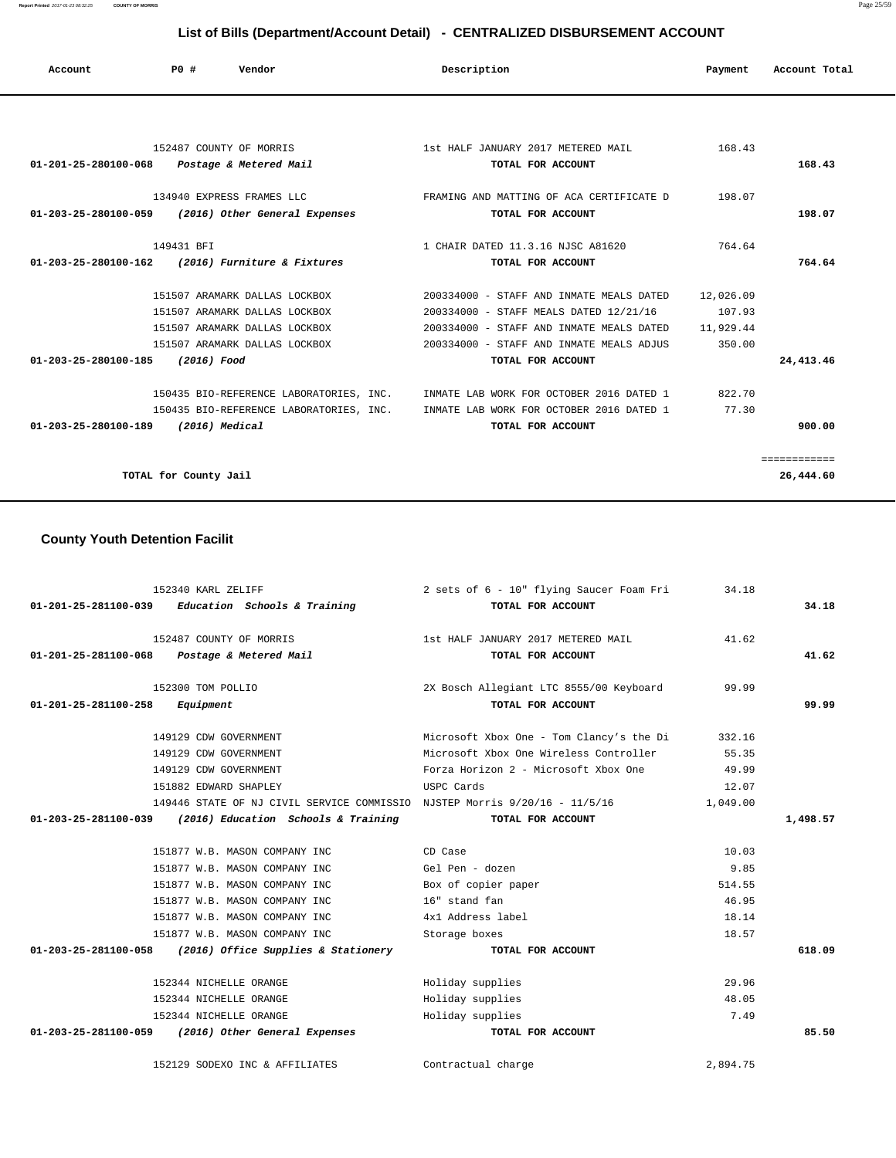**Report Printed** 2017-01-23 08:32:25 **COUNTY OF MORRIS** Page 25/59

# **List of Bills (Department/Account Detail) - CENTRALIZED DISBURSEMENT ACCOUNT**

| Account                                          | PO#                     | Vendor                                             | Description                                                                      | Payment   | Account Total |
|--------------------------------------------------|-------------------------|----------------------------------------------------|----------------------------------------------------------------------------------|-----------|---------------|
|                                                  |                         |                                                    |                                                                                  |           |               |
|                                                  | 152487 COUNTY OF MORRIS |                                                    | 1st HALF JANUARY 2017 METERED MAIL                                               | 168.43    |               |
| 01-201-25-280100-068 Postage & Metered Mail      |                         |                                                    | TOTAL FOR ACCOUNT                                                                |           | 168.43        |
|                                                  |                         |                                                    | 134940 EXPRESS FRAMES LLC TAN THE RAMING AND MATTING OF ACA CERTIFICATE D        | 198.07    |               |
|                                                  |                         | 01-203-25-280100-059 (2016) Other General Expenses | TOTAL FOR ACCOUNT                                                                |           | 198.07        |
|                                                  | 149431 BFT              |                                                    | 1 CHAIR DATED 11.3.16 NJSC A81620                                                | 764.64    |               |
| 01-203-25-280100-162 (2016) Furniture & Fixtures |                         |                                                    | TOTAL FOR ACCOUNT                                                                |           | 764.64        |
|                                                  |                         | 151507 ARAMARK DALLAS LOCKBOX                      | 200334000 - STAFF AND INMATE MEALS DATED                                         | 12,026.09 |               |
|                                                  |                         | 151507 ARAMARK DALLAS LOCKBOX                      | 200334000 - STAFF MEALS DATED 12/21/16                                           | 107.93    |               |
|                                                  |                         | 151507 ARAMARK DALLAS LOCKBOX                      | 200334000 - STAFF AND INMATE MEALS DATED 11,929.44                               |           |               |
|                                                  |                         | 151507 ARAMARK DALLAS LOCKBOX                      | 200334000 - STAFF AND INMATE MEALS ADJUS                                         | 350.00    |               |
| 01-203-25-280100-185 (2016) Food                 |                         |                                                    | TOTAL FOR ACCOUNT                                                                |           | 24, 413. 46   |
|                                                  |                         |                                                    | 150435 BIO-REFERENCE LABORATORIES, INC. INMATE LAB WORK FOR OCTOBER 2016 DATED 1 | 822.70    |               |
|                                                  |                         |                                                    | 150435 BIO-REFERENCE LABORATORIES, INC. INMATE LAB WORK FOR OCTOBER 2016 DATED 1 | 77.30     |               |
| 01-203-25-280100-189 (2016) Medical              |                         |                                                    | TOTAL FOR ACCOUNT                                                                |           | 900.00        |
|                                                  |                         |                                                    |                                                                                  |           | ============  |
|                                                  | TOTAL for County Jail   |                                                    |                                                                                  |           | 26,444.60     |

# **County Youth Detention Facilit**

|                                          | 152340 KARL ZELIFF                                                         | 2 sets of 6 - 10" flying Saucer Foam Fri | 34.18    |          |
|------------------------------------------|----------------------------------------------------------------------------|------------------------------------------|----------|----------|
|                                          | $01-201-25-281100-039$ Education Schools & Training                        | TOTAL FOR ACCOUNT                        |          | 34.18    |
|                                          | 152487 COUNTY OF MORRIS                                                    | 1st HALF JANUARY 2017 METERED MAIL       | 41.62    |          |
|                                          | 01-201-25-281100-068 Postage & Metered Mail                                | TOTAL FOR ACCOUNT                        |          | 41.62    |
|                                          | 152300 TOM POLLIO                                                          | 2X Bosch Allegiant LTC 8555/00 Keyboard  | 99.99    |          |
| $01 - 201 - 25 - 281100 - 258$ Equipment |                                                                            | TOTAL FOR ACCOUNT                        |          | 99.99    |
|                                          | 149129 CDW GOVERNMENT                                                      | Microsoft Xbox One - Tom Clancy's the Di | 332.16   |          |
|                                          | 149129 CDW GOVERNMENT                                                      | Microsoft Xbox One Wireless Controller   | 55.35    |          |
|                                          | 149129 CDW GOVERNMENT                                                      | Forza Horizon 2 - Microsoft Xbox One     | 49.99    |          |
|                                          | 151882 EDWARD SHAPLEY                                                      | USPC Cards                               | 12.07    |          |
|                                          | 149446 STATE OF NJ CIVIL SERVICE COMMISSIO NJSTEP Morris 9/20/16 - 11/5/16 |                                          | 1,049.00 |          |
|                                          | 01-203-25-281100-039 (2016) Education Schools & Training TOTAL FOR ACCOUNT |                                          |          | 1,498.57 |
|                                          |                                                                            |                                          |          |          |
|                                          | 151877 W.B. MASON COMPANY INC                                              | CD Case                                  | 10.03    |          |
|                                          | 151877 W.B. MASON COMPANY INC                                              | Gel Pen - dozen                          | 9.85     |          |
|                                          | 151877 W.B. MASON COMPANY INC                                              | Box of copier paper                      | 514.55   |          |
|                                          | 151877 W.B. MASON COMPANY INC                                              | 16" stand fan                            | 46.95    |          |
|                                          | 151877 W.B. MASON COMPANY INC                                              | 4x1 Address label                        | 18.14    |          |
|                                          | 151877 W.B. MASON COMPANY INC                                              | Storage boxes                            | 18.57    |          |
|                                          | $01-203-25-281100-058$ (2016) Office Supplies & Stationery                 | TOTAL FOR ACCOUNT                        |          | 618.09   |
|                                          | 152344 NICHELLE ORANGE                                                     | Holiday supplies                         | 29.96    |          |
|                                          | 152344 NICHELLE ORANGE                                                     | Holiday supplies                         | 48.05    |          |
|                                          | 152344 NICHELLE ORANGE                                                     | Holiday supplies                         | 7.49     |          |
|                                          | 01-203-25-281100-059 (2016) Other General Expenses                         | TOTAL FOR ACCOUNT                        |          | 85.50    |
|                                          | 152129 SODEXO INC & AFFILIATES                                             | Contractual charge                       | 2,894.75 |          |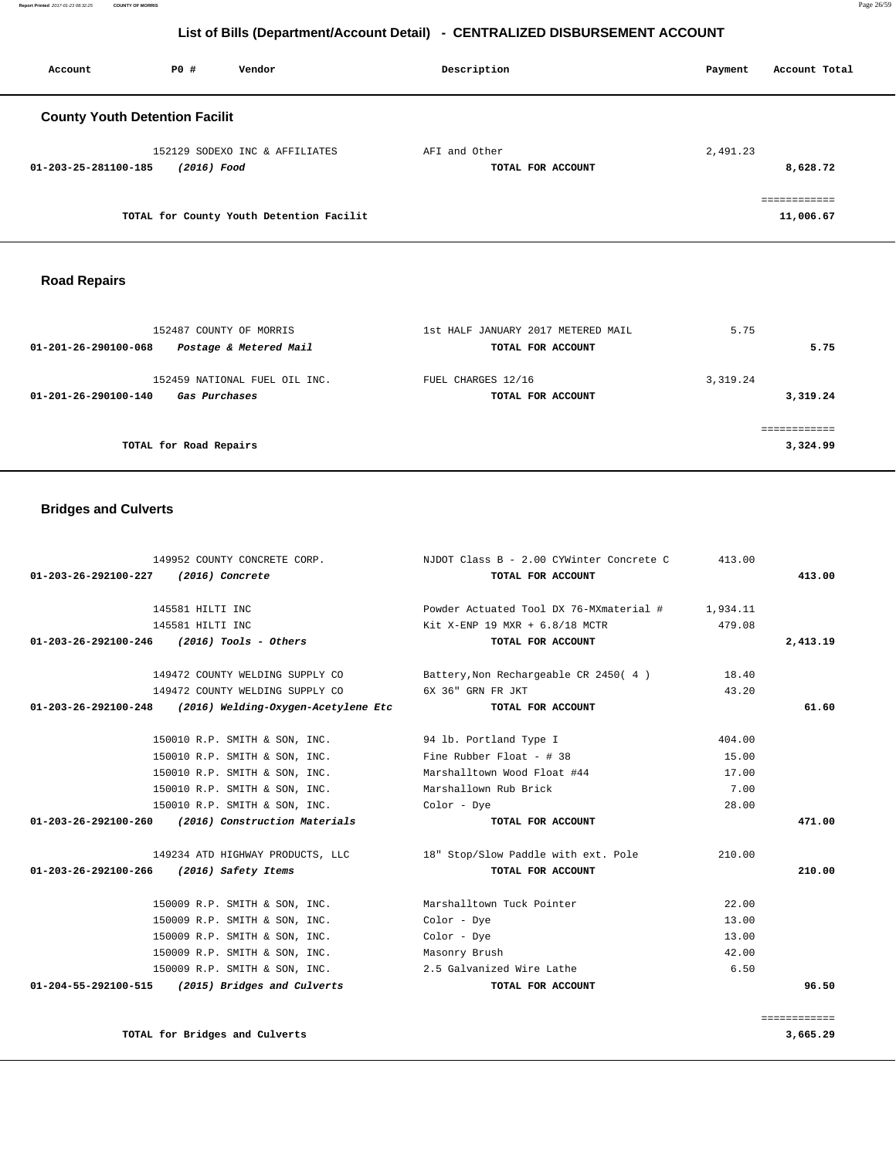**Report Printed** 2017-01-23 08:32:25 **COUNTY OF MORRIS** Page 26/59

# **List of Bills (Department/Account Detail) - CENTRALIZED DISBURSEMENT ACCOUNT**

| Account                               | PO#         | Vendor                                   | Description                        | Account Total<br>Payment  |
|---------------------------------------|-------------|------------------------------------------|------------------------------------|---------------------------|
| <b>County Youth Detention Facilit</b> |             |                                          |                                    |                           |
| 01-203-25-281100-185                  | (2016) Food | 152129 SODEXO INC & AFFILIATES           | AFI and Other<br>TOTAL FOR ACCOUNT | 2,491.23<br>8,628.72      |
|                                       |             | TOTAL for County Youth Detention Facilit |                                    | ============<br>11,006.67 |

# **Road Repairs**

| 152487 COUNTY OF MORRIS<br>Postage & Metered Mail<br>01-201-26-290100-068            | 1st HALF JANUARY 2017 METERED MAIL<br>TOTAL FOR ACCOUNT | 5.75<br>5.75         |
|--------------------------------------------------------------------------------------|---------------------------------------------------------|----------------------|
| 152459 NATIONAL FUEL OIL INC.<br><i><b>Gas Purchases</b></i><br>01-201-26-290100-140 | FUEL CHARGES 12/16<br>TOTAL FOR ACCOUNT                 | 3,319.24<br>3,319.24 |
| TOTAL for Road Repairs                                                               |                                                         | 3,324.99             |

# **Bridges and Culverts**

|                                          | 149952 COUNTY CONCRETE CORP.                               | NJDOT Class B - 2.00 CYWinter Concrete C                             | 413.00 |          |
|------------------------------------------|------------------------------------------------------------|----------------------------------------------------------------------|--------|----------|
| 01-203-26-292100-227 (2016) Concrete     |                                                            | TOTAL FOR ACCOUNT                                                    |        | 413.00   |
|                                          | 145581 HILTI INC                                           | Powder Actuated Tool DX 76-MXmaterial # 1,934.11                     |        |          |
|                                          | 145581 HILTI INC                                           | Kit X-ENP 19 MXR + $6.8/18$ MCTR                                     | 479.08 |          |
|                                          | $01-203-26-292100-246$ (2016) Tools - Others               | TOTAL FOR ACCOUNT                                                    |        | 2,413.19 |
|                                          |                                                            | 149472 COUNTY WELDING SUPPLY CO Battery, Non Rechargeable CR 2450(4) | 18.40  |          |
|                                          | 149472 COUNTY WELDING SUPPLY CO 6X 36" GRN FR JKT          |                                                                      | 43.20  |          |
|                                          | $01-203-26-292100-248$ (2016) Welding-Oxygen-Acetylene Etc | TOTAL FOR ACCOUNT                                                    |        | 61.60    |
|                                          | 150010 R.P. SMITH & SON, INC. 94 lb. Portland Type I       |                                                                      | 404.00 |          |
|                                          | 150010 R.P. SMITH & SON, INC. Fine Rubber Float - # 38     |                                                                      | 15.00  |          |
|                                          | 150010 R.P. SMITH & SON, INC.                              | Marshalltown Wood Float #44                                          | 17.00  |          |
|                                          | 150010 R.P. SMITH & SON, INC. Marshallown Rub Brick        |                                                                      | 7.00   |          |
|                                          | 150010 R.P. SMITH & SON, INC. Color - Dye                  |                                                                      | 28.00  |          |
|                                          | $01-203-26-292100-260$ (2016) Construction Materials       | TOTAL FOR ACCOUNT                                                    |        | 471.00   |
|                                          |                                                            | 149234 ATD HIGHWAY PRODUCTS, LLC 18" Stop/Slow Paddle with ext. Pole | 210.00 |          |
| 01-203-26-292100-266 (2016) Safety Items |                                                            | TOTAL FOR ACCOUNT                                                    |        | 210.00   |
|                                          | 150009 R.P. SMITH & SON, INC. Marshalltown Tuck Pointer    |                                                                      | 22.00  |          |
|                                          | 150009 R.P. SMITH & SON, INC.                              | Color - Dye                                                          | 13.00  |          |
|                                          | 150009 R.P. SMITH & SON, INC.                              | Color - Dye                                                          | 13.00  |          |
|                                          | 150009 R.P. SMITH & SON, INC. Masonry Brush                |                                                                      | 42.00  |          |
|                                          | 150009 R.P. SMITH & SON, INC. 2.5 Galvanized Wire Lathe    |                                                                      | 6.50   |          |
|                                          | $01-204-55-292100-515$ (2015) Bridges and Culverts         | TOTAL FOR ACCOUNT                                                    |        | 96.50    |
|                                          |                                                            |                                                                      |        |          |

============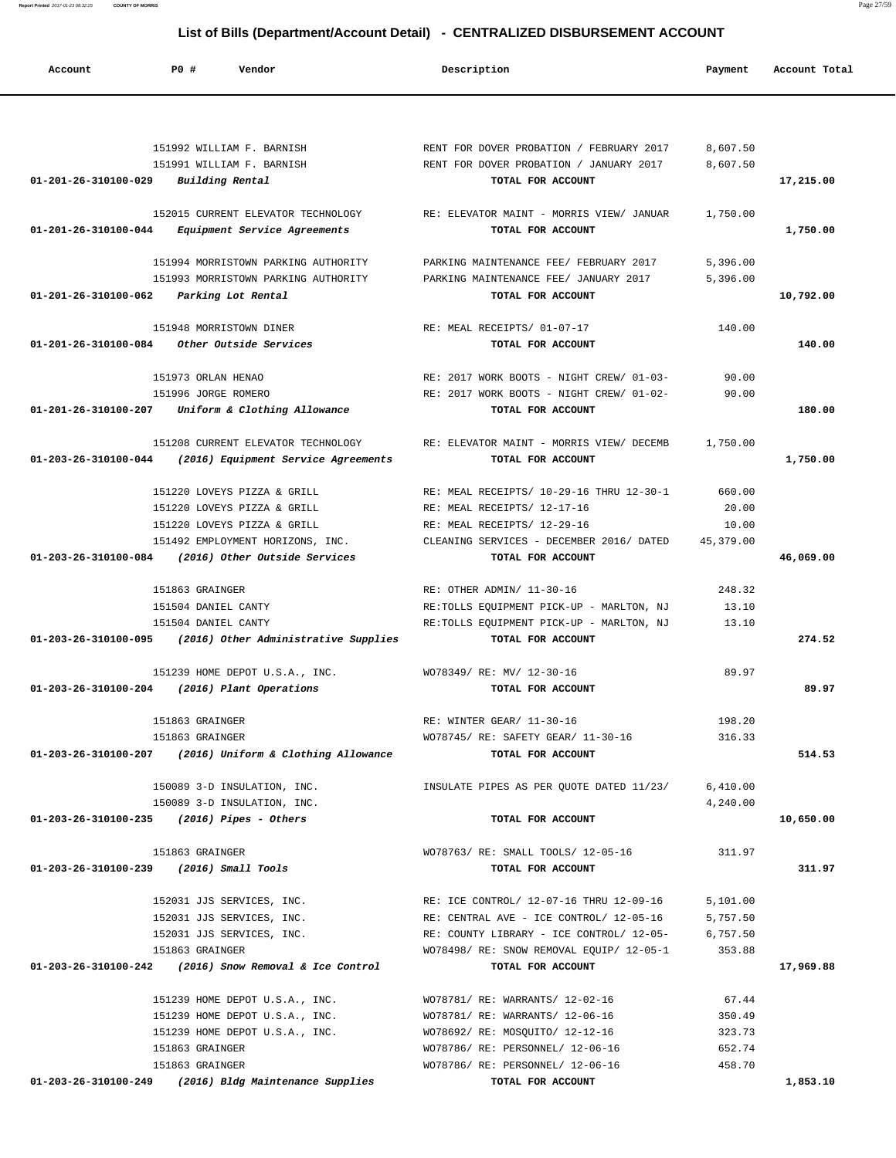**Report Printed** 2017-01-23 08:32:25 **COUNTY OF MORRIS** Page 27/59

# **List of Bills (Department/Account Detail) - CENTRALIZED DISBURSEMENT ACCOUNT**

| Account                        | PO#<br>Vendor                                                    | Description                              | Payment   | Account Total |
|--------------------------------|------------------------------------------------------------------|------------------------------------------|-----------|---------------|
|                                |                                                                  |                                          |           |               |
|                                | 151992 WILLIAM F. BARNISH                                        | RENT FOR DOVER PROBATION / FEBRUARY 2017 | 8,607.50  |               |
|                                | 151991 WILLIAM F. BARNISH                                        | RENT FOR DOVER PROBATION / JANUARY 2017  | 8,607.50  |               |
| 01-201-26-310100-029           | Building Rental                                                  | TOTAL FOR ACCOUNT                        |           | 17,215.00     |
|                                | 152015 CURRENT ELEVATOR TECHNOLOGY                               | RE: ELEVATOR MAINT - MORRIS VIEW/ JANUAR | 1,750.00  |               |
| 01-201-26-310100-044           | Equipment Service Agreements                                     | TOTAL FOR ACCOUNT                        |           | 1,750.00      |
|                                | 151994 MORRISTOWN PARKING AUTHORITY                              | PARKING MAINTENANCE FEE/ FEBRUARY 2017   | 5,396.00  |               |
|                                | 151993 MORRISTOWN PARKING AUTHORITY                              | PARKING MAINTENANCE FEE/ JANUARY 2017    | 5,396.00  |               |
| 01-201-26-310100-062           | Parking Lot Rental                                               | TOTAL FOR ACCOUNT                        |           | 10,792.00     |
|                                | 151948 MORRISTOWN DINER                                          | RE: MEAL RECEIPTS/ 01-07-17              | 140.00    |               |
| $01 - 201 - 26 - 310100 - 084$ | Other Outside Services                                           | TOTAL FOR ACCOUNT                        |           | 140.00        |
|                                |                                                                  |                                          |           |               |
|                                | 151973 ORLAN HENAO                                               | RE: 2017 WORK BOOTS - NIGHT CREW/ 01-03- | 90.00     |               |
|                                | 151996 JORGE ROMERO                                              | RE: 2017 WORK BOOTS - NIGHT CREW/ 01-02- | 90.00     |               |
| 01-201-26-310100-207           | Uniform & Clothing Allowance                                     | TOTAL FOR ACCOUNT                        |           | 180.00        |
|                                | 151208 CURRENT ELEVATOR TECHNOLOGY                               | RE: ELEVATOR MAINT - MORRIS VIEW/ DECEMB | 1,750.00  |               |
| 01-203-26-310100-044           | (2016) Equipment Service Agreements                              | TOTAL FOR ACCOUNT                        |           | 1,750.00      |
|                                | 151220 LOVEYS PIZZA & GRILL                                      | RE: MEAL RECEIPTS/ 10-29-16 THRU 12-30-1 | 660.00    |               |
|                                | 151220 LOVEYS PIZZA & GRILL                                      | RE: MEAL RECEIPTS/ 12-17-16              | 20.00     |               |
|                                | 151220 LOVEYS PIZZA & GRILL                                      | RE: MEAL RECEIPTS/ 12-29-16              | 10.00     |               |
|                                | 151492 EMPLOYMENT HORIZONS, INC.                                 | CLEANING SERVICES - DECEMBER 2016/ DATED | 45,379.00 |               |
| 01-203-26-310100-084           | (2016) Other Outside Services                                    | TOTAL FOR ACCOUNT                        |           | 46,069.00     |
|                                | 151863 GRAINGER                                                  | RE: OTHER ADMIN/ 11-30-16                | 248.32    |               |
|                                | 151504 DANIEL CANTY                                              | RE:TOLLS EQUIPMENT PICK-UP - MARLTON, NJ | 13.10     |               |
|                                | 151504 DANIEL CANTY                                              | RE:TOLLS EQUIPMENT PICK-UP - MARLTON, NJ | 13.10     |               |
| 01-203-26-310100-095           | (2016) Other Administrative Supplies                             | TOTAL FOR ACCOUNT                        |           | 274.52        |
|                                | 151239 HOME DEPOT U.S.A., INC.                                   | WO78349/ RE: MV/ 12-30-16                | 89.97     |               |
| 01-203-26-310100-204           | (2016) Plant Operations                                          | TOTAL FOR ACCOUNT                        |           | 89.97         |
|                                | 151863 GRAINGER                                                  | RE: WINTER GEAR/ 11-30-16                | 198.20    |               |
|                                | 151863 GRAINGER                                                  | WO78745/ RE: SAFETY GEAR/ 11-30-16       | 316.33    |               |
|                                | 01-203-26-310100-207 (2016) Uniform & Clothing Allowance         | TOTAL FOR ACCOUNT                        |           | 514.53        |
|                                | 150089 3-D INSULATION, INC.                                      | INSULATE PIPES AS PER QUOTE DATED 11/23/ | 6,410.00  |               |
|                                | 150089 3-D INSULATION, INC.                                      |                                          | 4,240.00  |               |
|                                | $01-203-26-310100-235$ (2016) Pipes - Others                     | TOTAL FOR ACCOUNT                        |           | 10,650.00     |
|                                | 151863 GRAINGER                                                  | WO78763/ RE: SMALL TOOLS/ 12-05-16       | 311.97    |               |
|                                | 01-203-26-310100-239 (2016) Small Tools                          | TOTAL FOR ACCOUNT                        |           | 311.97        |
|                                | 152031 JJS SERVICES, INC.                                        | RE: ICE CONTROL/ 12-07-16 THRU 12-09-16  | 5,101.00  |               |
|                                | 152031 JJS SERVICES, INC.                                        | RE: CENTRAL AVE - ICE CONTROL/ 12-05-16  | 5,757.50  |               |
|                                | 152031 JJS SERVICES, INC.                                        | RE: COUNTY LIBRARY - ICE CONTROL/ 12-05- | 6,757.50  |               |
|                                | 151863 GRAINGER                                                  | WO78498/ RE: SNOW REMOVAL EQUIP/ 12-05-1 | 353.88    |               |
|                                | $01 - 203 - 26 - 310100 - 242$ (2016) Snow Removal & Ice Control | TOTAL FOR ACCOUNT                        |           | 17,969.88     |
|                                | 151239 HOME DEPOT U.S.A., INC.                                   | WO78781/ RE: WARRANTS/ 12-02-16          | 67.44     |               |
|                                | 151239 HOME DEPOT U.S.A., INC.                                   | WO78781/ RE: WARRANTS/ 12-06-16          | 350.49    |               |
|                                | 151239 HOME DEPOT U.S.A., INC.                                   | WO78692/ RE: MOSQUITO/ 12-12-16          | 323.73    |               |
|                                | 151863 GRAINGER                                                  | WO78786/ RE: PERSONNEL/ 12-06-16         | 652.74    |               |
|                                | 151863 GRAINGER                                                  | WO78786/ RE: PERSONNEL/ 12-06-16         | 458.70    |               |
|                                | 01-203-26-310100-249 (2016) Bldg Maintenance Supplies            | TOTAL FOR ACCOUNT                        |           | 1,853.10      |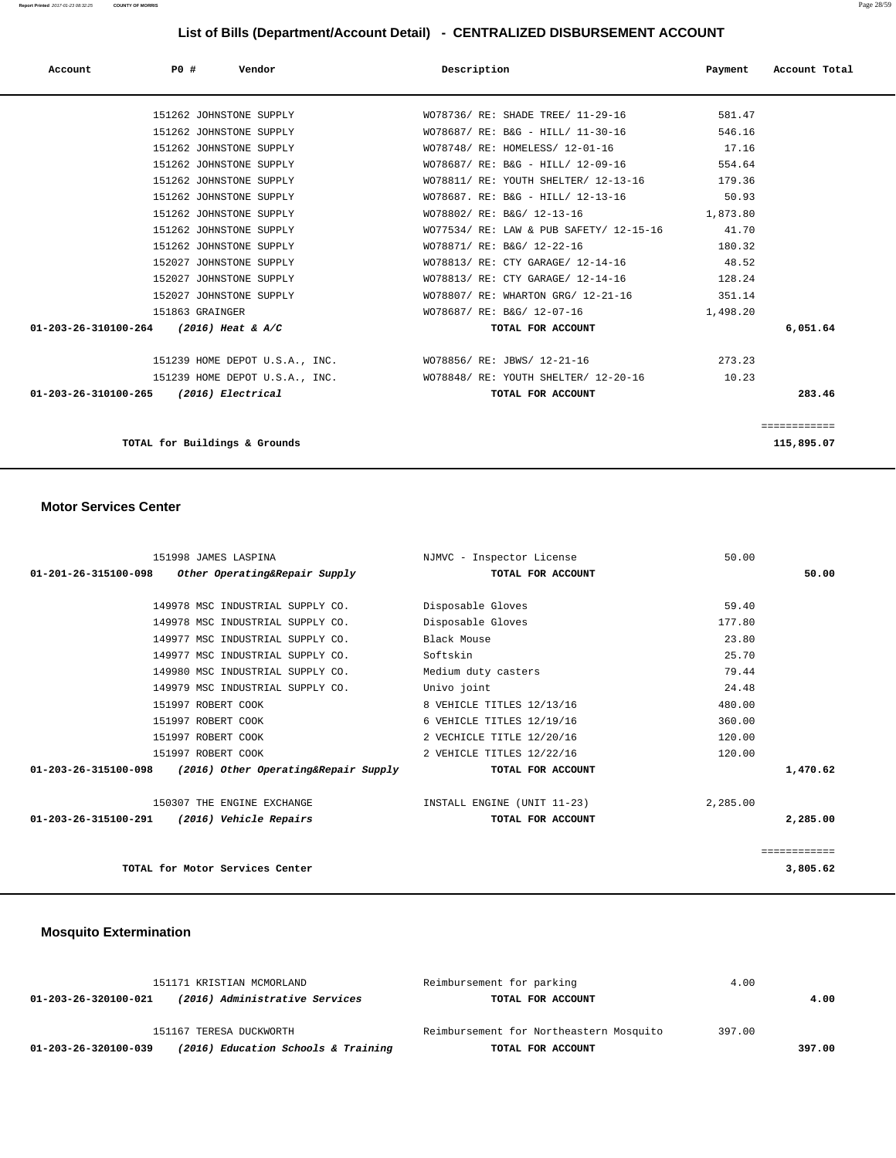| Account                                | P0 # |                               | Vendor                         |                                                          | Description                             | Payment  | Account Total |
|----------------------------------------|------|-------------------------------|--------------------------------|----------------------------------------------------------|-----------------------------------------|----------|---------------|
|                                        |      | 151262 JOHNSTONE SUPPLY       |                                |                                                          | WO78736/ RE: SHADE TREE/ 11-29-16       | 581.47   |               |
|                                        |      | 151262 JOHNSTONE SUPPLY       |                                |                                                          | WO78687/ RE: B&G - HILL/ 11-30-16       | 546.16   |               |
|                                        |      | 151262 JOHNSTONE SUPPLY       |                                |                                                          | WO78748/ RE: HOMELESS/ 12-01-16         | 17.16    |               |
|                                        |      | 151262 JOHNSTONE SUPPLY       |                                |                                                          | WO78687/ RE: B&G - HILL/ 12-09-16       | 554.64   |               |
|                                        |      | 151262 JOHNSTONE SUPPLY       |                                |                                                          | WO78811/ RE: YOUTH SHELTER/ 12-13-16    | 179.36   |               |
|                                        |      | 151262 JOHNSTONE SUPPLY       |                                |                                                          | WO78687. RE: B&G - HILL/ 12-13-16       | 50.93    |               |
|                                        |      | 151262 JOHNSTONE SUPPLY       |                                |                                                          | WO78802/ RE: B&G/ 12-13-16              | 1,873.80 |               |
|                                        |      | 151262 JOHNSTONE SUPPLY       |                                |                                                          | WO77534/ RE: LAW & PUB SAFETY/ 12-15-16 | 41.70    |               |
|                                        |      | 151262 JOHNSTONE SUPPLY       |                                |                                                          | WO78871/ RE: B&G/ 12-22-16              | 180.32   |               |
|                                        |      | 152027 JOHNSTONE SUPPLY       |                                |                                                          | WO78813/ RE: CTY GARAGE/ 12-14-16       | 48.52    |               |
|                                        |      | 152027 JOHNSTONE SUPPLY       |                                |                                                          | WO78813/ RE: CTY GARAGE/ 12-14-16       | 128.24   |               |
|                                        |      | 152027 JOHNSTONE SUPPLY       |                                |                                                          | WO78807/ RE: WHARTON GRG/ 12-21-16      | 351.14   |               |
|                                        |      | 151863 GRAINGER               |                                |                                                          | WO78687/ RE: B&G/ 12-07-16              | 1,498.20 |               |
| 01-203-26-310100-264 (2016) Heat & A/C |      |                               |                                |                                                          | TOTAL FOR ACCOUNT                       |          | 6,051.64      |
|                                        |      |                               |                                | 151239 HOME DEPOT U.S.A., INC. WO78856/RE: JBWS/12-21-16 |                                         | 273.23   |               |
|                                        |      |                               | 151239 HOME DEPOT U.S.A., INC. |                                                          | WO78848/ RE: YOUTH SHELTER/ 12-20-16    | 10.23    |               |
| 01-203-26-310100-265 (2016) Electrical |      |                               |                                |                                                          | TOTAL FOR ACCOUNT                       |          | 283.46        |
|                                        |      |                               |                                |                                                          |                                         |          | ============  |
|                                        |      | TOTAL for Buildings & Grounds |                                |                                                          |                                         |          | 115,895.07    |

### **Motor Services Center**

| 151998 JAMES LASPINA                                         | NJMVC - Inspector License   | 50.00        |
|--------------------------------------------------------------|-----------------------------|--------------|
| Other Operating&Repair Supply<br>01-201-26-315100-098        | TOTAL FOR ACCOUNT           | 50.00        |
|                                                              |                             |              |
| 149978 MSC INDUSTRIAL SUPPLY CO.                             | Disposable Gloves           | 59.40        |
| 149978 MSC INDUSTRIAL SUPPLY CO.                             | Disposable Gloves           | 177.80       |
| 149977 MSC INDUSTRIAL SUPPLY CO.                             | Black Mouse                 | 23.80        |
| 149977 MSC INDUSTRIAL SUPPLY CO.                             | Softskin                    | 25.70        |
| 149980 MSC INDUSTRIAL SUPPLY CO.                             | Medium duty casters         | 79.44        |
| 149979 MSC INDUSTRIAL SUPPLY CO.                             | Univo joint                 | 24.48        |
| 151997 ROBERT COOK                                           | 8 VEHICLE TITLES 12/13/16   | 480.00       |
| 151997 ROBERT COOK                                           | 6 VEHICLE TITLES 12/19/16   | 360.00       |
| 151997 ROBERT COOK                                           | 2 VECHICLE TITLE 12/20/16   | 120.00       |
| 151997 ROBERT COOK                                           | 2 VEHICLE TITLES 12/22/16   | 120.00       |
| 01-203-26-315100-098<br>(2016) Other Operating&Repair Supply | TOTAL FOR ACCOUNT           | 1,470.62     |
| 150307 THE ENGINE EXCHANGE                                   | INSTALL ENGINE (UNIT 11-23) | 2,285.00     |
| 01-203-26-315100-291<br>(2016) Vehicle Repairs               | TOTAL FOR ACCOUNT           | 2,285.00     |
|                                                              |                             | ============ |
| TOTAL for Motor Services Center                              |                             | 3,805.62     |

# **Mosquito Extermination**

| 151171 KRISTIAN MCMORLAND |                                     | Reimbursement for parking               | 4.00   |        |
|---------------------------|-------------------------------------|-----------------------------------------|--------|--------|
| 01-203-26-320100-021      | (2016) Administrative Services      | TOTAL FOR ACCOUNT                       |        | 4.00   |
|                           | 151167 TERESA DUCKWORTH             | Reimbursement for Northeastern Mosquito | 397.00 |        |
| 01-203-26-320100-039      | (2016) Education Schools & Training | TOTAL FOR ACCOUNT                       |        | 397.00 |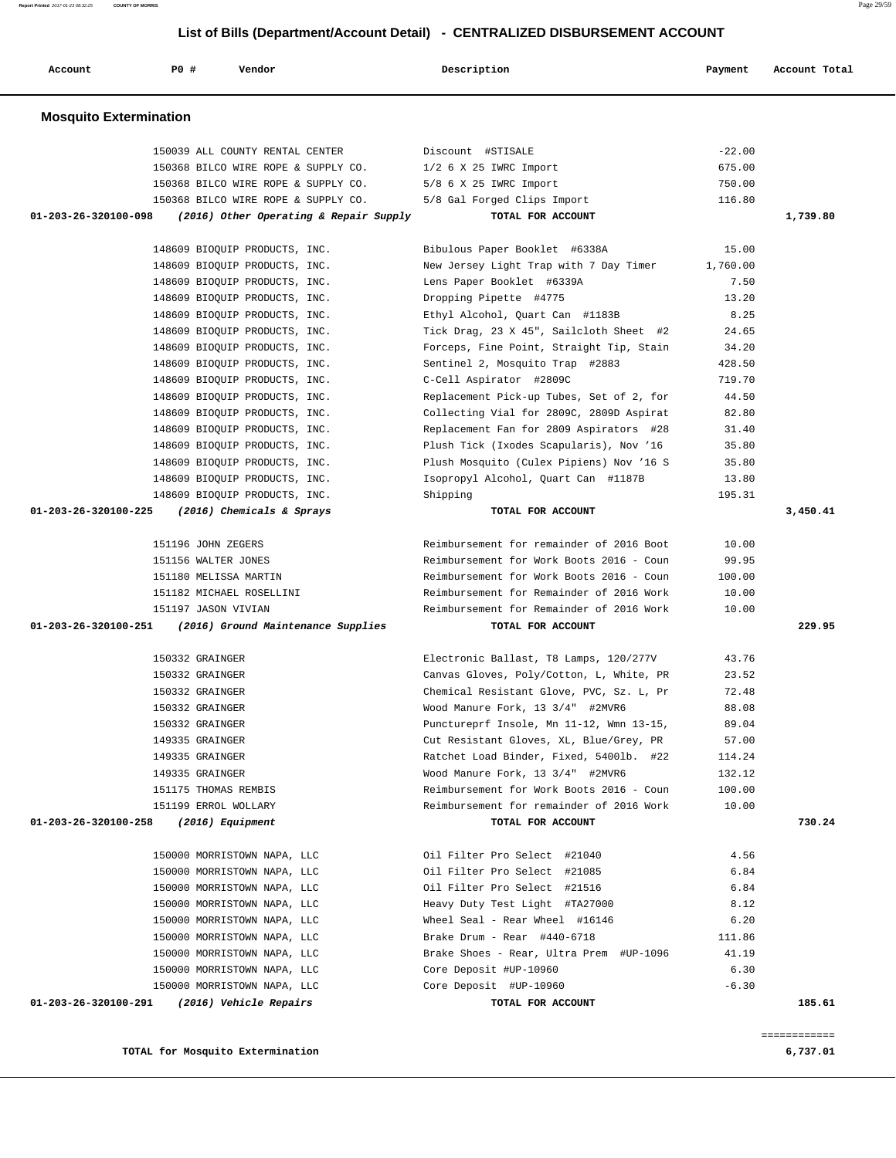**TOTAL for Mosquito Extermination 6,737.01**

| <b>Mosquito Extermination</b>                                  |                                          |          |          |
|----------------------------------------------------------------|------------------------------------------|----------|----------|
| 150039 ALL COUNTY RENTAL CENTER                                | Discount #STISALE                        | $-22.00$ |          |
| 150368 BILCO WIRE ROPE & SUPPLY CO.                            | $1/2$ 6 X 25 IWRC Import                 | 675.00   |          |
| 150368 BILCO WIRE ROPE & SUPPLY CO.                            | 5/8 6 X 25 IWRC Import                   | 750.00   |          |
| 150368 BILCO WIRE ROPE & SUPPLY CO.                            | 5/8 Gal Forged Clips Import              | 116.80   |          |
| (2016) Other Operating & Repair Supply<br>01-203-26-320100-098 | TOTAL FOR ACCOUNT                        |          | 1,739.80 |
| 148609 BIOQUIP PRODUCTS, INC.                                  | Bibulous Paper Booklet #6338A            | 15.00    |          |
| 148609 BIOQUIP PRODUCTS, INC.                                  | New Jersey Light Trap with 7 Day Timer   | 1,760.00 |          |
| 148609 BIOQUIP PRODUCTS, INC.                                  | Lens Paper Booklet #6339A                | 7.50     |          |
| 148609 BIOQUIP PRODUCTS, INC.                                  | Dropping Pipette #4775                   | 13.20    |          |
| 148609 BIOQUIP PRODUCTS, INC.                                  | Ethyl Alcohol, Quart Can #1183B          | 8.25     |          |
| 148609 BIOQUIP PRODUCTS, INC.                                  | Tick Drag, 23 X 45", Sailcloth Sheet #2  | 24.65    |          |
| 148609 BIOQUIP PRODUCTS, INC.                                  | Forceps, Fine Point, Straight Tip, Stain | 34.20    |          |
| 148609 BIOQUIP PRODUCTS, INC.                                  | Sentinel 2, Mosquito Trap #2883          | 428.50   |          |
| 148609 BIOQUIP PRODUCTS, INC.                                  | C-Cell Aspirator #2809C                  | 719.70   |          |
| 148609 BIOQUIP PRODUCTS, INC.                                  | Replacement Pick-up Tubes, Set of 2, for | 44.50    |          |
| 148609 BIOQUIP PRODUCTS, INC.                                  | Collecting Vial for 2809C, 2809D Aspirat | 82.80    |          |
| 148609 BIOQUIP PRODUCTS, INC.                                  | Replacement Fan for 2809 Aspirators #28  | 31.40    |          |
| 148609 BIOQUIP PRODUCTS, INC.                                  | Plush Tick (Ixodes Scapularis), Nov '16  | 35.80    |          |
| 148609 BIOQUIP PRODUCTS, INC.                                  | Plush Mosquito (Culex Pipiens) Nov '16 S | 35.80    |          |
| 148609 BIOQUIP PRODUCTS, INC.                                  | Isopropyl Alcohol, Quart Can #1187B      | 13.80    |          |
| 148609 BIOQUIP PRODUCTS, INC.                                  | Shipping                                 | 195.31   |          |
| 01-203-26-320100-225<br>(2016) Chemicals & Sprays              | TOTAL FOR ACCOUNT                        |          | 3,450.41 |
| 151196 JOHN ZEGERS                                             | Reimbursement for remainder of 2016 Boot | 10.00    |          |
| 151156 WALTER JONES                                            | Reimbursement for Work Boots 2016 - Coun | 99.95    |          |
| 151180 MELISSA MARTIN                                          | Reimbursement for Work Boots 2016 - Coun | 100.00   |          |
| 151182 MICHAEL ROSELLINI                                       | Reimbursement for Remainder of 2016 Work | 10.00    |          |
| 151197 JASON VIVIAN                                            | Reimbursement for Remainder of 2016 Work | 10.00    |          |
| 01-203-26-320100-251<br>(2016) Ground Maintenance Supplies     | TOTAL FOR ACCOUNT                        |          | 229.95   |
| 150332 GRAINGER                                                | Electronic Ballast, T8 Lamps, 120/277V   | 43.76    |          |
| 150332 GRAINGER                                                | Canvas Gloves, Poly/Cotton, L, White, PR | 23.52    |          |
| 150332 GRAINGER                                                | Chemical Resistant Glove, PVC, Sz. L, Pr | 72.48    |          |
| 150332 GRAINGER                                                | Wood Manure Fork, 13 3/4" #2MVR6         | 88.08    |          |
| 150332 GRAINGER                                                | Punctureprf Insole, Mn 11-12, Wmn 13-15, | 89.04    |          |
| 149335 GRAINGER                                                | Cut Resistant Gloves, XL, Blue/Grey, PR  | 57.00    |          |
| 149335 GRAINGER                                                | Ratchet Load Binder, Fixed, 54001b. #22  | 114.24   |          |
| 149335 GRAINGER                                                | Wood Manure Fork, 13 3/4" #2MVR6         | 132.12   |          |
| 151175 THOMAS REMBIS                                           | Reimbursement for Work Boots 2016 - Coun | 100.00   |          |
| 151199 ERROL WOLLARY                                           | Reimbursement for remainder of 2016 Work | 10.00    |          |
| 01-203-26-320100-258<br>(2016) Equipment                       | TOTAL FOR ACCOUNT                        |          | 730.24   |
| 150000 MORRISTOWN NAPA, LLC                                    | Oil Filter Pro Select #21040             | 4.56     |          |
| 150000 MORRISTOWN NAPA, LLC                                    | Oil Filter Pro Select #21085             | 6.84     |          |
| 150000 MORRISTOWN NAPA, LLC                                    | Oil Filter Pro Select #21516             | 6.84     |          |
| 150000 MORRISTOWN NAPA, LLC                                    | Heavy Duty Test Light #TA27000           | 8.12     |          |
| 150000 MORRISTOWN NAPA, LLC                                    | Wheel Seal - Rear Wheel #16146           | 6.20     |          |
| 150000 MORRISTOWN NAPA, LLC                                    | Brake Drum - Rear #440-6718              | 111.86   |          |
| 150000 MORRISTOWN NAPA, LLC                                    | Brake Shoes - Rear, Ultra Prem #UP-1096  | 41.19    |          |
| 150000 MORRISTOWN NAPA, LLC                                    | Core Deposit #UP-10960                   | 6.30     |          |
| 150000 MORRISTOWN NAPA, LLC                                    | Core Deposit #UP-10960                   | $-6.30$  |          |
|                                                                |                                          |          |          |

# **List of Bills (Department/Account Detail) - CENTRALIZED DISBURSEMENT ACCOUNT**

 **Account P0 # Vendor Description Payment Account Total**

**Report Printed** 2017-01-23 08:32:25 **COUNTY OF MORRIS** Page 29/59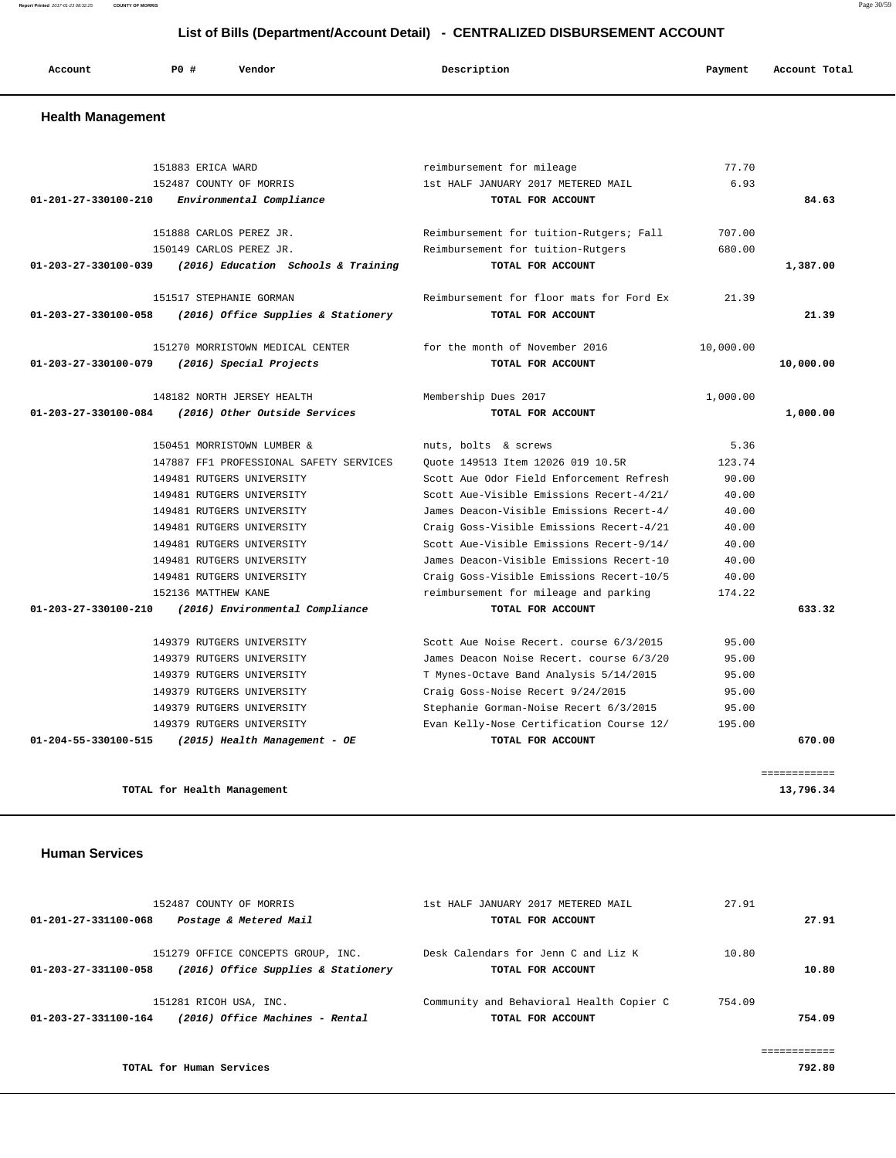| Account<br>. | P <sub>0</sub> | Vendor | Description | Payment | Account Total |
|--------------|----------------|--------|-------------|---------|---------------|
|              |                |        |             |         |               |

### **Health Management**

|                                | 151883 ERICA WARD                       | reimbursement for mileage                | 77.70     |              |
|--------------------------------|-----------------------------------------|------------------------------------------|-----------|--------------|
|                                | 152487 COUNTY OF MORRIS                 | 1st HALF JANUARY 2017 METERED MAIL       | 6.93      |              |
| 01-201-27-330100-210           | Environmental Compliance                | TOTAL FOR ACCOUNT                        |           | 84.63        |
|                                | 151888 CARLOS PEREZ JR.                 | Reimbursement for tuition-Rutgers; Fall  | 707.00    |              |
|                                | 150149 CARLOS PEREZ JR.                 | Reimbursement for tuition-Rutgers        | 680.00    |              |
| 01-203-27-330100-039           | (2016) Education Schools & Training     | TOTAL FOR ACCOUNT                        |           | 1,387.00     |
|                                | 151517 STEPHANIE GORMAN                 | Reimbursement for floor mats for Ford Ex | 21.39     |              |
| 01-203-27-330100-058           | (2016) Office Supplies & Stationery     | TOTAL FOR ACCOUNT                        |           | 21.39        |
|                                | 151270 MORRISTOWN MEDICAL CENTER        | for the month of November 2016           | 10,000.00 |              |
| 01-203-27-330100-079           | (2016) Special Projects                 | TOTAL FOR ACCOUNT                        |           | 10,000.00    |
|                                | 148182 NORTH JERSEY HEALTH              | Membership Dues 2017                     | 1,000.00  |              |
| $01 - 203 - 27 - 330100 - 084$ | (2016) Other Outside Services           | TOTAL FOR ACCOUNT                        |           | 1,000.00     |
|                                | 150451 MORRISTOWN LUMBER &              | nuts, bolts & screws                     | 5.36      |              |
|                                | 147887 FF1 PROFESSIONAL SAFETY SERVICES | Ouote 149513 Item 12026 019 10.5R        | 123.74    |              |
|                                | 149481 RUTGERS UNIVERSITY               | Scott Aue Odor Field Enforcement Refresh | 90.00     |              |
|                                | 149481 RUTGERS UNIVERSITY               | Scott Aue-Visible Emissions Recert-4/21/ | 40.00     |              |
|                                | 149481 RUTGERS UNIVERSITY               | James Deacon-Visible Emissions Recert-4/ | 40.00     |              |
|                                | 149481 RUTGERS UNIVERSITY               | Craig Goss-Visible Emissions Recert-4/21 | 40.00     |              |
|                                | 149481 RUTGERS UNIVERSITY               | Scott Aue-Visible Emissions Recert-9/14/ | 40.00     |              |
|                                | 149481 RUTGERS UNIVERSITY               | James Deacon-Visible Emissions Recert-10 | 40.00     |              |
|                                | 149481 RUTGERS UNIVERSITY               | Craig Goss-Visible Emissions Recert-10/5 | 40.00     |              |
|                                | 152136 MATTHEW KANE                     | reimbursement for mileage and parking    | 174.22    |              |
| $01 - 203 - 27 - 330100 - 210$ | (2016) Environmental Compliance         | TOTAL FOR ACCOUNT                        |           | 633.32       |
|                                | 149379 RUTGERS UNIVERSITY               | Scott Aue Noise Recert, course 6/3/2015  | 95.00     |              |
|                                | 149379 RUTGERS UNIVERSITY               | James Deacon Noise Recert. course 6/3/20 | 95.00     |              |
|                                | 149379 RUTGERS UNIVERSITY               | T Mynes-Octave Band Analysis 5/14/2015   | 95.00     |              |
|                                | 149379 RUTGERS UNIVERSITY               | Craig Goss-Noise Recert 9/24/2015        | 95.00     |              |
|                                | 149379 RUTGERS UNIVERSITY               | Stephanie Gorman-Noise Recert 6/3/2015   | 95.00     |              |
|                                | 149379 RUTGERS UNIVERSITY               | Evan Kelly-Nose Certification Course 12/ | 195.00    |              |
| 01-204-55-330100-515           | (2015) Health Management - OE           | TOTAL FOR ACCOUNT                        |           | 670.00       |
|                                |                                         |                                          |           |              |
|                                |                                         |                                          |           | ============ |

**TOTAL for Health Management 13,796.34**

# **Human Services**

| 152487 COUNTY OF MORRIS                                                                           | 1st HALF JANUARY 2017 METERED MAIL                            | 27.91  |        |
|---------------------------------------------------------------------------------------------------|---------------------------------------------------------------|--------|--------|
| 01-201-27-331100-068<br>Postage & Metered Mail                                                    | TOTAL FOR ACCOUNT                                             |        | 27.91  |
| 151279 OFFICE CONCEPTS GROUP, INC.<br>(2016) Office Supplies & Stationery<br>01-203-27-331100-058 | Desk Calendars for Jenn C and Liz K<br>TOTAL FOR ACCOUNT      | 10.80  | 10.80  |
| 151281 RICOH USA, INC.<br>(2016) Office Machines - Rental<br>01-203-27-331100-164                 | Community and Behavioral Health Copier C<br>TOTAL FOR ACCOUNT | 754.09 | 754.09 |
| TOTAL for Human Services                                                                          |                                                               |        | 792.80 |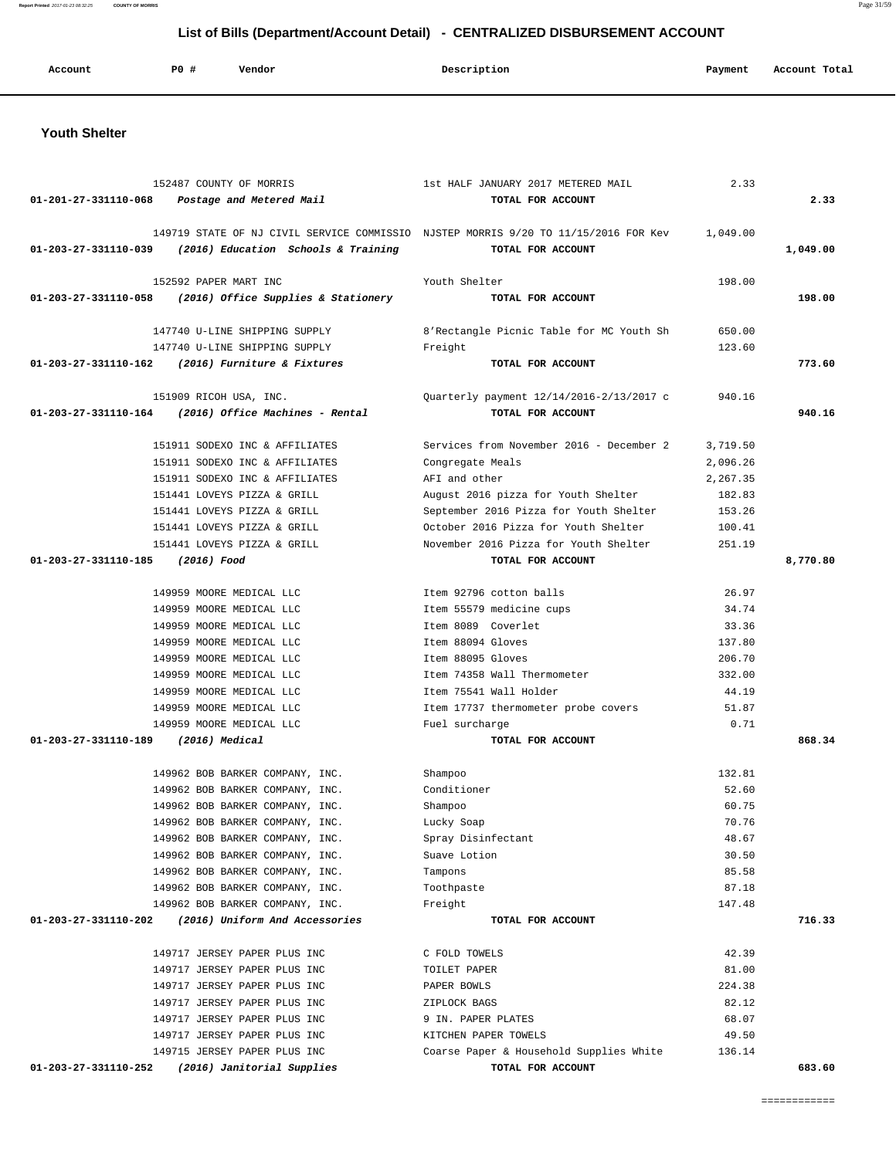| Report Printed 2017-01-23 08:32:25<br><b>COUNTY OF MORRIS</b> |                       |                                     |                                                                                     |          | Page 31/59    |
|---------------------------------------------------------------|-----------------------|-------------------------------------|-------------------------------------------------------------------------------------|----------|---------------|
|                                                               |                       |                                     | List of Bills (Department/Account Detail) - CENTRALIZED DISBURSEMENT ACCOUNT        |          |               |
|                                                               |                       |                                     |                                                                                     |          |               |
| Account                                                       | PO#                   | Vendor                              | Description                                                                         | Payment  | Account Total |
|                                                               |                       |                                     |                                                                                     |          |               |
| <b>Youth Shelter</b>                                          |                       |                                     |                                                                                     |          |               |
|                                                               |                       |                                     |                                                                                     |          |               |
|                                                               |                       | 152487 COUNTY OF MORRIS             | 1st HALF JANUARY 2017 METERED MAIL                                                  | 2.33     |               |
| 01-201-27-331110-068                                          |                       | Postage and Metered Mail            | TOTAL FOR ACCOUNT                                                                   |          | 2.33          |
|                                                               |                       |                                     | 149719 STATE OF NJ CIVIL SERVICE COMMISSIO NJSTEP MORRIS 9/20 TO 11/15/2016 FOR Kev | 1,049.00 |               |
| 01-203-27-331110-039                                          |                       | (2016) Education Schools & Training | TOTAL FOR ACCOUNT                                                                   |          | 1,049.00      |
|                                                               | 152592 PAPER MART INC |                                     | Youth Shelter                                                                       | 198.00   |               |
| 01-203-27-331110-058                                          |                       | (2016) Office Supplies & Stationery | TOTAL FOR ACCOUNT                                                                   |          | 198.00        |
|                                                               |                       | 147740 U-LINE SHIPPING SUPPLY       | 8'Rectangle Picnic Table for MC Youth Sh                                            | 650.00   |               |
|                                                               |                       | 147740 U-LINE SHIPPING SUPPLY       | Freight                                                                             | 123.60   |               |
| 01-203-27-331110-162                                          |                       | (2016) Furniture & Fixtures         | TOTAL FOR ACCOUNT                                                                   |          | 773.60        |
|                                                               |                       | 151909 RICOH USA, INC.              | Quarterly payment 12/14/2016-2/13/2017 c                                            | 940.16   |               |
| 01-203-27-331110-164                                          |                       | (2016) Office Machines - Rental     | TOTAL FOR ACCOUNT                                                                   |          | 940.16        |
|                                                               |                       | 151911 SODEXO INC & AFFILIATES      | Services from November 2016 - December 2                                            | 3,719.50 |               |
|                                                               |                       | 151911 SODEXO INC & AFFILIATES      | Congregate Meals                                                                    | 2,096.26 |               |
|                                                               |                       | 151911 SODEXO INC & AFFILIATES      | AFI and other                                                                       | 2,267.35 |               |
|                                                               |                       | 151441 LOVEYS PIZZA & GRILL         | August 2016 pizza for Youth Shelter                                                 | 182.83   |               |
|                                                               |                       | 151441 LOVEYS PIZZA & GRILL         | September 2016 Pizza for Youth Shelter                                              | 153.26   |               |
|                                                               |                       | 151441 LOVEYS PIZZA & GRILL         | October 2016 Pizza for Youth Shelter                                                | 100.41   |               |
|                                                               |                       | 151441 LOVEYS PIZZA & GRILL         | November 2016 Pizza for Youth Shelter                                               | 251.19   |               |
| 01-203-27-331110-185                                          | (2016) Food           |                                     | TOTAL FOR ACCOUNT                                                                   |          | 8,770.80      |
|                                                               |                       | 149959 MOORE MEDICAL LLC            | Item 92796 cotton balls                                                             | 26.97    |               |
|                                                               |                       | 149959 MOORE MEDICAL LLC            | Item 55579 medicine cups                                                            | 34.74    |               |
|                                                               |                       | 149959 MOORE MEDICAL LLC            | Item 8089 Coverlet                                                                  | 33.36    |               |
|                                                               |                       | 149959 MOORE MEDICAL LLC            | Item 88094 Gloves                                                                   | 137.80   |               |
|                                                               |                       | 149959 MOORE MEDICAL LLC            | Item 88095 Gloves                                                                   | 206.70   |               |
|                                                               |                       | 149959 MOORE MEDICAL LLC            | Item 74358 Wall Thermometer                                                         | 332.00   |               |

 151909 RICOH USA, INC. Quarterly payment 12/14/2016-2/13/2017 c 940.16 151911 SODEXO INC & AFFILIATES Services from November 2016 - December 2 3,719.50 151911 SODEXO INC & AFFILIATES Congregate Meals 2,096.26 151911 SODEXO INC & AFFILIATES **AFI** and other 2,267.35 151441 LOVEYS PIZZA & GRILL August 2016 pizza for Youth Shelter 182.83 151441 LOVEYS PIZZA & GRILL September 2016 Pizza for Youth Shelter 153.26 151441 LOVEYS PIZZA & GRILL October 2016 Pizza for Youth Shelter 100.41 151441 LOVEYS PIZZA & GRILL November 2016 Pizza for Youth Shelter 251.19 149959 MOORE MEDICAL LLC Item 92796 cotton balls 26.97 149959 MOORE MEDICAL LLC Item 55579 medicine cups 34.74 149959 MOORE MEDICAL LLC Item 8089 Coverlet 33.36 149959 MOORE MEDICAL LLC Item 88094 Gloves 137.80 149959 MOORE MEDICAL LLC Item 88095 Gloves 206.70 149959 MOORE MEDICAL LLC Item 74358 Wall Thermometer 332.00 149959 MOORE MEDICAL LLC Item 75541 Wall Holder 44.19 149959 MOORE MEDICAL LLC 17737 thermometer probe covers 51.87 149959 MOORE MEDICAL LLC Fuel surcharge 0.71  **01-203-27-331110-189 (2016) Medical TOTAL FOR ACCOUNT 868.34** 149962 BOB BARKER COMPANY, INC. Shampoo 132.81 149962 BOB BARKER COMPANY, INC. Conditioner 52.60 149962 BOB BARKER COMPANY, INC. Shampoo 60.75 149962 BOB BARKER COMPANY, INC. Lucky Soap 70.76 149962 BOB BARKER COMPANY, INC. Spray Disinfectant 48.67 149962 BOB BARKER COMPANY, INC. Suave Lotion 30.50 149962 BOB BARKER COMPANY, INC. Tampons 85.58 149962 BOB BARKER COMPANY, INC. Toothpaste 87.18 149962 BOB BARKER COMPANY, INC. Freight 147.48  **01-203-27-331110-202 (2016) Uniform And Accessories TOTAL FOR ACCOUNT 716.33** 149717 JERSEY PAPER PLUS INC C FOLD TOWELS 42.39 149717 JERSEY PAPER PLUS INC TOILET PAPER 81.00 149717 JERSEY PAPER PLUS INC PAPER BOWLS 224.38 149717 JERSEY PAPER PLUS INC ZIPLOCK BAGS 82.12

 149717 JERSEY PAPER PLUS INC 9 IN. PAPER PLATES 68.07 149717 JERSEY PAPER PLUS INC KITCHEN PAPER TOWELS 49.50 149715 JERSEY PAPER PLUS INC Coarse Paper & Household Supplies White 136.14  **01-203-27-331110-252 (2016) Janitorial Supplies TOTAL FOR ACCOUNT 683.60**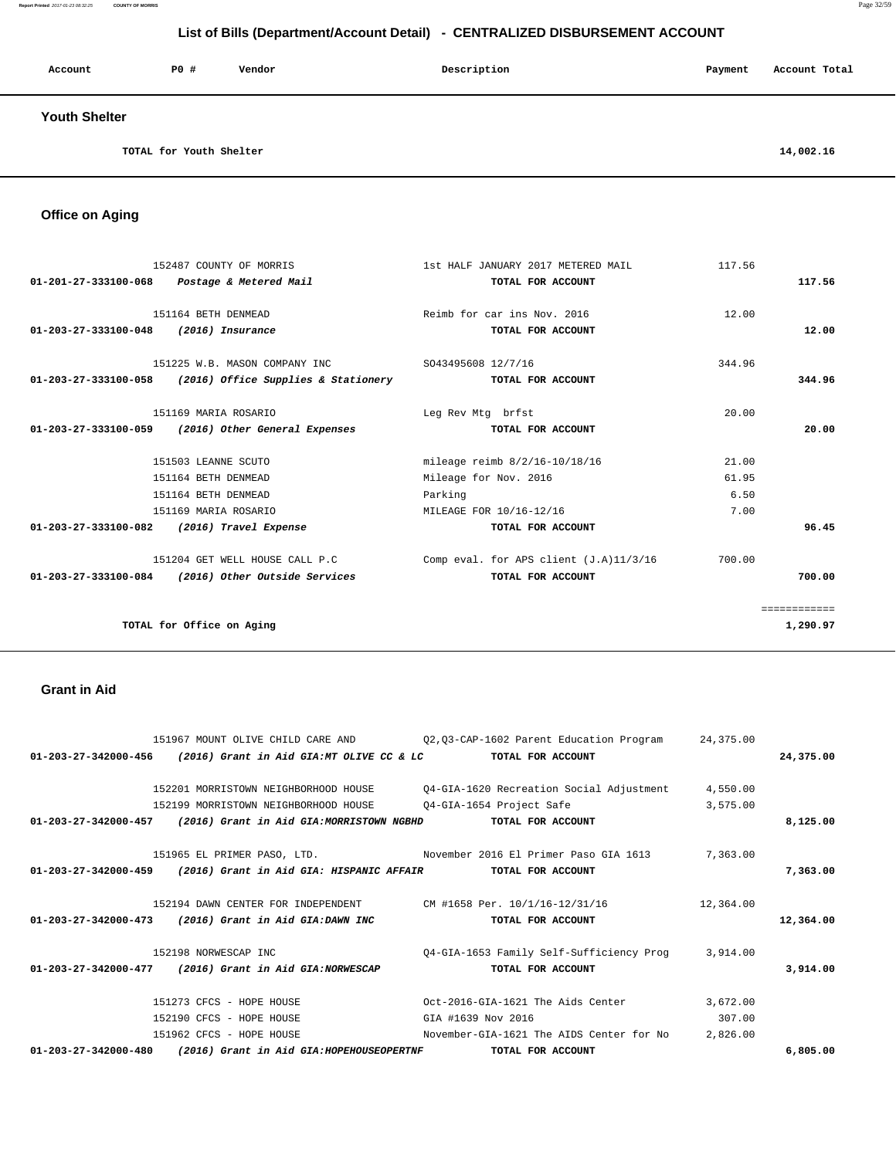#### **Report Printed** 2017-01-23 08:32:25 **COUNTY OF MORRIS** Page 32/59

# **List of Bills (Department/Account Detail) - CENTRALIZED DISBURSEMENT ACCOUNT**

| Account              | P0 # | Vendor | Description | Payment | Account Total |
|----------------------|------|--------|-------------|---------|---------------|
| <b>Youth Shelter</b> |      |        |             |         |               |

**TOTAL for Youth Shelter** 14,002.16

 **Office on Aging** 

| 01-201-27-333100-068 Postage & Metered Mail | 152487 COUNTY OF MORRIS                                                                                        | 1st HALF JANUARY 2017 METERED MAIL<br>TOTAL FOR ACCOUNT       | 117.56         | 117.56                   |
|---------------------------------------------|----------------------------------------------------------------------------------------------------------------|---------------------------------------------------------------|----------------|--------------------------|
| 01-203-27-333100-048 (2016) Insurance       | 151164 BETH DENMEAD                                                                                            | Reimb for car ins Nov. 2016<br>TOTAL FOR ACCOUNT              | 12.00          | 12.00                    |
|                                             | 151225 W.B. MASON COMPANY INC 5043495608 12/7/16<br>$01-203-27-333100-058$ (2016) Office Supplies & Stationery | TOTAL FOR ACCOUNT                                             | 344.96         | 344.96                   |
|                                             | 151169 MARIA ROSARIO<br>01-203-27-333100-059 (2016) Other General Expenses                                     | Leg Rev Mtg brfst<br>TOTAL FOR ACCOUNT                        | 20.00          | 20.00                    |
|                                             | 151503 LEANNE SCUTO<br>151164 BETH DENMEAD                                                                     | mileage reimb 8/2/16-10/18/16<br>Mileage for Nov. 2016        | 21.00<br>61.95 |                          |
|                                             | 151164 BETH DENMEAD<br>151169 MARIA ROSARIO                                                                    | Parking<br>MILEAGE FOR 10/16-12/16                            | 6.50<br>7.00   |                          |
| 01-203-27-333100-082 (2016) Travel Expense  |                                                                                                                | TOTAL FOR ACCOUNT                                             |                | 96.45                    |
|                                             | 151204 GET WELL HOUSE CALL P.C<br>01-203-27-333100-084 (2016) Other Outside Services                           | Comp eval. for APS client $(J.A)11/3/16$<br>TOTAL FOR ACCOUNT | 700.00         | 700.00                   |
|                                             | TOTAL for Office on Aging                                                                                      |                                                               |                | ============<br>1,290.97 |

### **Grant in Aid**

|                      | 151967 MOUNT OLIVE CHILD CARE AND                                 | Q2, Q3-CAP-1602 Parent Education Program 24, 375.00               |           |           |
|----------------------|-------------------------------------------------------------------|-------------------------------------------------------------------|-----------|-----------|
|                      | 01-203-27-342000-456 (2016) Grant in Aid GIA:MT OLIVE CC & LC     | TOTAL FOR ACCOUNT                                                 |           | 24,375.00 |
|                      | 152201 MORRISTOWN NEIGHBORHOOD HOUSE                              | Q4-GIA-1620 Recreation Social Adjustment                          | 4,550.00  |           |
|                      | 152199 MORRISTOWN NEIGHBORHOOD HOUSE                              | Q4-GIA-1654 Project Safe                                          | 3,575.00  |           |
|                      | 01-203-27-342000-457 (2016) Grant in Aid GIA:MORRISTOWN NGBHD     | TOTAL FOR ACCOUNT                                                 |           | 8,125.00  |
|                      |                                                                   | 151965 EL PRIMER PASO, LTD. November 2016 El Primer Paso GIA 1613 | 7,363.00  |           |
| 01-203-27-342000-459 | (2016) Grant in Aid GIA: HISPANIC AFFAIR                          | TOTAL FOR ACCOUNT                                                 |           | 7,363.00  |
|                      | 152194 DAWN CENTER FOR INDEPENDENT CM #1658 Per. 10/1/16-12/31/16 |                                                                   | 12,364.00 |           |
|                      | 01-203-27-342000-473 (2016) Grant in Aid GIA:DAWN INC             | TOTAL FOR ACCOUNT                                                 |           | 12,364.00 |
|                      | 152198 NORWESCAP INC                                              | Q4-GIA-1653 Family Self-Sufficiency Prog 3,914.00                 |           |           |
|                      | 01-203-27-342000-477 (2016) Grant in Aid GIA:NORWESCAP            | TOTAL FOR ACCOUNT                                                 |           | 3,914,00  |
|                      | 151273 CFCS - HOPE HOUSE                                          | Oct-2016-GIA-1621 The Aids Center                                 | 3,672.00  |           |
|                      | 152190 CFCS - HOPE HOUSE                                          | GIA #1639 Nov 2016                                                | 307.00    |           |
|                      | 151962 CFCS - HOPE HOUSE                                          | November-GIA-1621 The AIDS Center for No                          | 2,826.00  |           |
| 01-203-27-342000-480 | (2016) Grant in Aid GIA: HOPEHOUSEOPERTNF                         | TOTAL FOR ACCOUNT                                                 |           | 6,805.00  |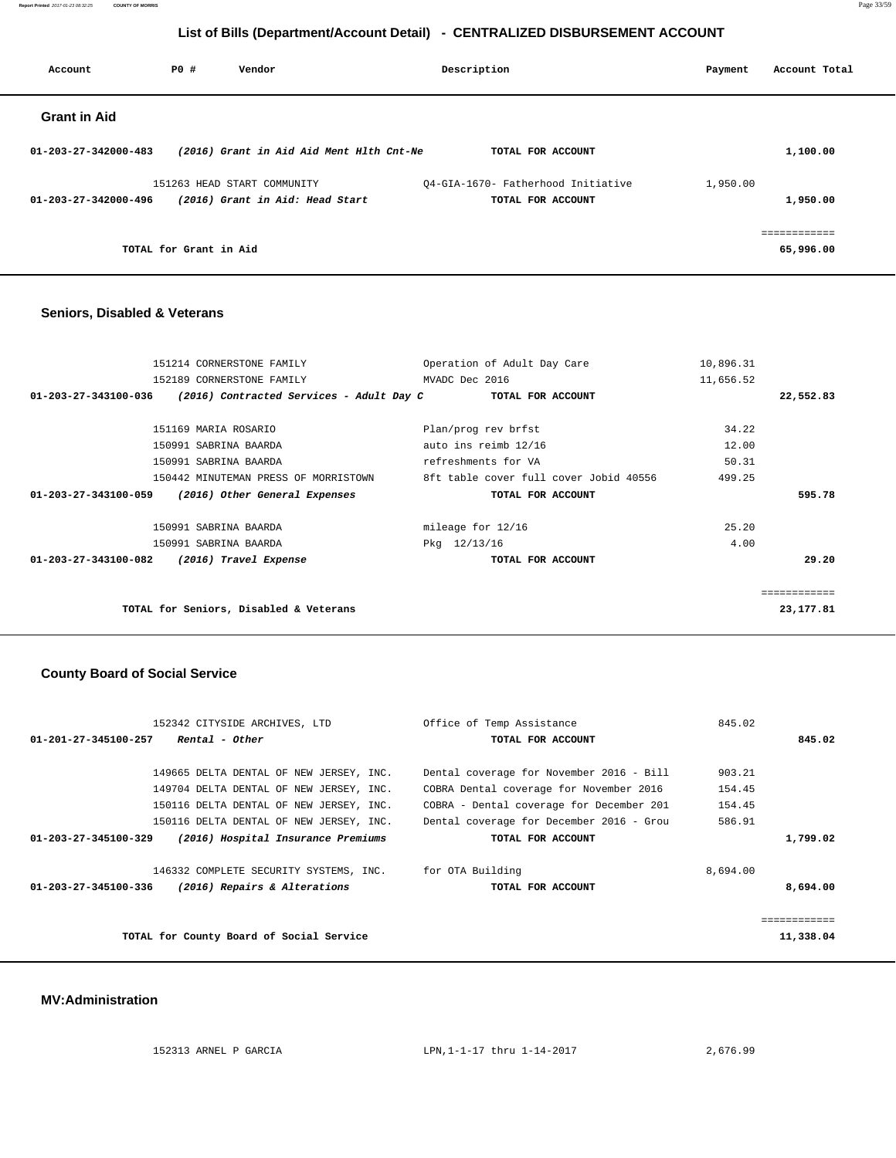**Report Printed** 2017-01-23 08:32:25 **COUNTY OF MORRIS** Page 33/59

# **List of Bills (Department/Account Detail) - CENTRALIZED DISBURSEMENT ACCOUNT**

| Account                        | PO#                    | Vendor                                   | Description                        | Account Total<br>Payment |
|--------------------------------|------------------------|------------------------------------------|------------------------------------|--------------------------|
| <b>Grant in Aid</b>            |                        |                                          |                                    |                          |
| $01 - 203 - 27 - 342000 - 483$ |                        | (2016) Grant in Aid Aid Ment Hlth Cnt-Ne | TOTAL FOR ACCOUNT                  | 1,100.00                 |
|                                |                        | 151263 HEAD START COMMUNITY              | 04-GIA-1670- Fatherhood Initiative | 1,950.00                 |
| 01-203-27-342000-496           |                        | (2016) Grant in Aid: Head Start          | TOTAL FOR ACCOUNT                  | 1,950.00                 |
|                                |                        |                                          |                                    | ============             |
|                                | TOTAL for Grant in Aid |                                          |                                    | 65,996.00                |

### **Seniors, Disabled & Veterans**

| 151214 CORNERSTONE FAMILY                                        | Operation of Adult Day Care            | 10,896.31   |
|------------------------------------------------------------------|----------------------------------------|-------------|
| 152189 CORNERSTONE FAMILY                                        | MVADC Dec 2016                         | 11,656.52   |
| (2016) Contracted Services - Adult Day C<br>01-203-27-343100-036 | TOTAL FOR ACCOUNT                      | 22,552.83   |
| 151169 MARIA ROSARIO                                             | Plan/prog rev brfst                    | 34.22       |
|                                                                  |                                        |             |
| 150991 SABRINA BAARDA                                            | auto ins reimb 12/16                   | 12.00       |
| 150991 SABRINA BAARDA                                            | refreshments for VA                    | 50.31       |
| 150442 MINUTEMAN PRESS OF MORRISTOWN                             | 8ft table cover full cover Jobid 40556 | 499.25      |
| 01-203-27-343100-059<br>(2016) Other General Expenses            | TOTAL FOR ACCOUNT                      | 595.78      |
| 150991 SABRINA BAARDA                                            | mileage for 12/16                      | 25.20       |
| 150991 SABRINA BAARDA                                            | Pkg 12/13/16                           | 4.00        |
| 01-203-27-343100-082<br>(2016) Travel Expense                    | TOTAL FOR ACCOUNT                      | 29.20       |
|                                                                  |                                        | =========== |
| TOTAL for Seniors, Disabled & Veterans                           |                                        | 23,177.81   |

### **County Board of Social Service**

| 152342 CITYSIDE ARCHIVES, LTD                                        | Office of Temp Assistance                | 845.02    |
|----------------------------------------------------------------------|------------------------------------------|-----------|
| Rental - Other<br>01-201-27-345100-257                               | TOTAL FOR ACCOUNT                        | 845.02    |
|                                                                      |                                          |           |
| 149665 DELTA DENTAL OF NEW JERSEY, INC.                              | Dental coverage for November 2016 - Bill | 903.21    |
| 149704 DELTA DENTAL OF NEW JERSEY, INC.                              | COBRA Dental coverage for November 2016  | 154.45    |
| 150116 DELTA DENTAL OF NEW JERSEY, INC.                              | COBRA - Dental coverage for December 201 | 154.45    |
| 150116 DELTA DENTAL OF NEW JERSEY, INC.                              | Dental coverage for December 2016 - Grou | 586.91    |
| $01 - 203 - 27 - 345100 - 329$<br>(2016) Hospital Insurance Premiums | TOTAL FOR ACCOUNT                        | 1,799.02  |
| 146332 COMPLETE SECURITY SYSTEMS, INC.                               | for OTA Building                         | 8,694.00  |
| (2016) Repairs & Alterations<br>01-203-27-345100-336                 | TOTAL FOR ACCOUNT                        | 8,694.00  |
|                                                                      |                                          |           |
|                                                                      |                                          |           |
| TOTAL for County Board of Social Service                             |                                          | 11,338.04 |

#### **MV:Administration**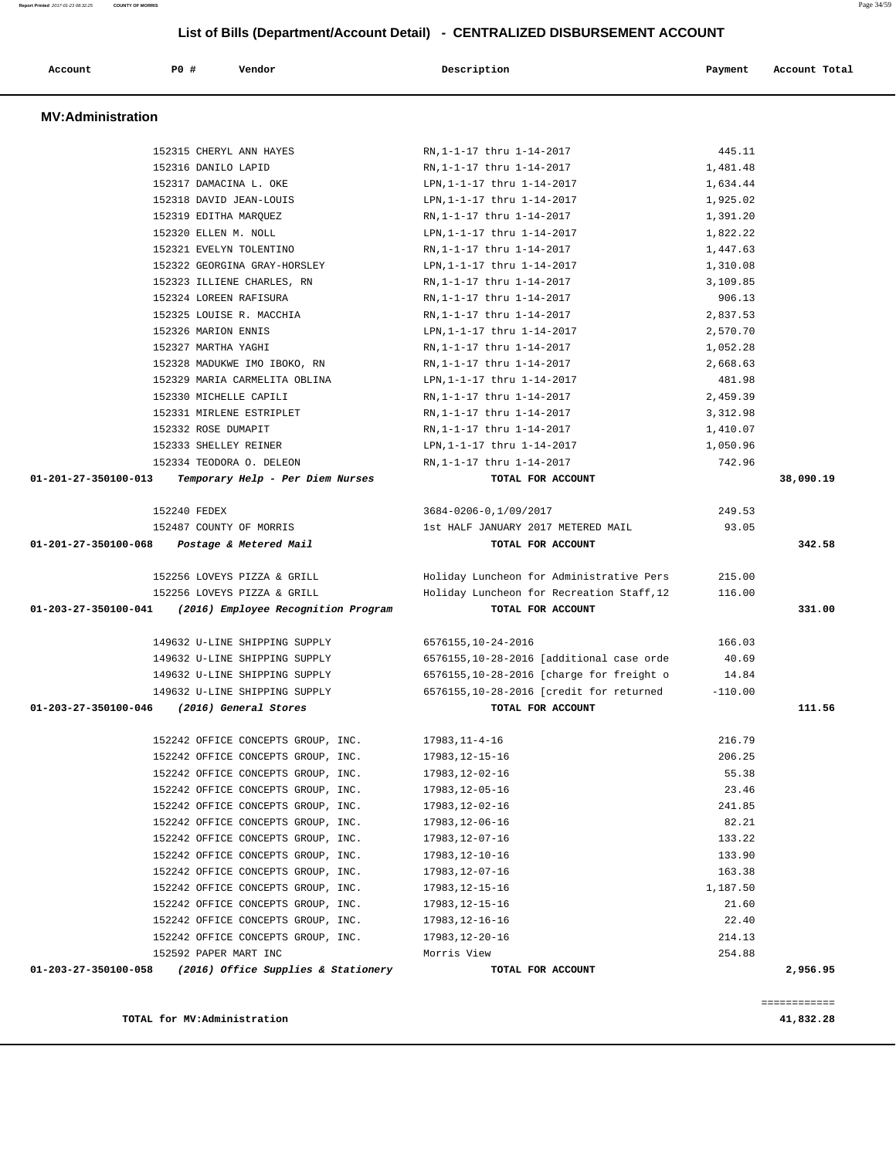|                      | 152315 CHERYL ANN HAYES                                                     | RN,1-1-17 thru 1-14-2017                                     | 445.11               |                  |
|----------------------|-----------------------------------------------------------------------------|--------------------------------------------------------------|----------------------|------------------|
|                      | 152316 DANILO LAPID<br>152317 DAMACINA L. OKE                               | RN,1-1-17 thru 1-14-2017<br>LPN, 1-1-17 thru 1-14-2017       | 1,481.48             |                  |
|                      | 152318 DAVID JEAN-LOUIS                                                     | LPN, 1-1-17 thru 1-14-2017                                   | 1,634.44<br>1,925.02 |                  |
|                      | 152319 EDITHA MARQUEZ                                                       | RN, 1-1-17 thru 1-14-2017                                    | 1,391.20             |                  |
|                      | 152320 ELLEN M. NOLL                                                        | LPN, 1-1-17 thru 1-14-2017                                   | 1,822.22             |                  |
|                      | 152321 EVELYN TOLENTINO                                                     | RN,1-1-17 thru 1-14-2017                                     | 1,447.63             |                  |
|                      | 152322 GEORGINA GRAY-HORSLEY                                                | LPN, 1-1-17 thru 1-14-2017                                   | 1,310.08             |                  |
|                      | 152323 ILLIENE CHARLES, RN                                                  | RN, 1-1-17 thru 1-14-2017                                    | 3,109.85             |                  |
|                      | 152324 LOREEN RAFISURA                                                      | RN, 1-1-17 thru 1-14-2017                                    | 906.13               |                  |
|                      | 152325 LOUISE R. MACCHIA                                                    | RN, 1-1-17 thru 1-14-2017                                    | 2,837.53             |                  |
|                      | 152326 MARION ENNIS                                                         | LPN, 1-1-17 thru 1-14-2017                                   | 2,570.70             |                  |
|                      | 152327 MARTHA YAGHI                                                         | RN, 1-1-17 thru 1-14-2017                                    | 1,052.28             |                  |
|                      | 152328 MADUKWE IMO IBOKO, RN                                                | RN,1-1-17 thru 1-14-2017                                     | 2,668.63             |                  |
|                      | 152329 MARIA CARMELITA OBLINA                                               | LPN, 1-1-17 thru 1-14-2017                                   | 481.98               |                  |
|                      | 152330 MICHELLE CAPILI                                                      | RN, 1-1-17 thru 1-14-2017                                    | 2,459.39             |                  |
|                      | 152331 MIRLENE ESTRIPLET                                                    | RN,1-1-17 thru 1-14-2017                                     | 3,312.98             |                  |
|                      | 152332 ROSE DUMAPIT                                                         | RN, 1-1-17 thru 1-14-2017                                    | 1,410.07             |                  |
|                      | 152333 SHELLEY REINER                                                       | LPN, 1-1-17 thru 1-14-2017                                   | 1,050.96             |                  |
|                      | 152334 TEODORA O. DELEON                                                    | RN, 1-1-17 thru 1-14-2017                                    | 742.96               |                  |
| 01-201-27-350100-013 | Temporary Help - Per Diem Nurses                                            | TOTAL FOR ACCOUNT                                            |                      | 38,090.19        |
|                      | 152240 FEDEX                                                                | 3684-0206-0,1/09/2017                                        | 249.53               |                  |
|                      |                                                                             |                                                              |                      |                  |
|                      |                                                                             |                                                              |                      |                  |
|                      | 152487 COUNTY OF MORRIS<br>01-201-27-350100-068 Postage & Metered Mail      | 1st HALF JANUARY 2017 METERED MAIL<br>TOTAL FOR ACCOUNT      | 93.05                |                  |
|                      |                                                                             |                                                              |                      |                  |
|                      | 152256 LOVEYS PIZZA & GRILL                                                 | Holiday Luncheon for Administrative Pers                     | 215.00               |                  |
|                      | 152256 LOVEYS PIZZA & GRILL                                                 | Holiday Luncheon for Recreation Staff, 12                    | 116.00               |                  |
|                      | 01-203-27-350100-041 (2016) Employee Recognition Program                    | TOTAL FOR ACCOUNT                                            |                      | 342.58<br>331.00 |
|                      |                                                                             |                                                              |                      |                  |
|                      | 149632 U-LINE SHIPPING SUPPLY                                               | 6576155,10-24-2016                                           | 166.03               |                  |
|                      | 149632 U-LINE SHIPPING SUPPLY                                               | 6576155,10-28-2016 [additional case orde                     | 40.69                |                  |
|                      | 149632 U-LINE SHIPPING SUPPLY                                               | 6576155,10-28-2016 [charge for freight o                     | 14.84                |                  |
|                      | 149632 U-LINE SHIPPING SUPPLY<br>01-203-27-350100-046 (2016) General Stores | 6576155,10-28-2016 [credit for returned<br>TOTAL FOR ACCOUNT | $-110.00$            | 111.56           |
|                      |                                                                             |                                                              |                      |                  |
|                      | 152242 OFFICE CONCEPTS GROUP, INC.                                          | 17983,11-4-16                                                | 216.79               |                  |
|                      | 152242 OFFICE CONCEPTS GROUP, INC.                                          | 17983, 12-15-16                                              | 206.25               |                  |
|                      | 152242 OFFICE CONCEPTS GROUP, INC.                                          | 17983, 12-02-16                                              | 55.38                |                  |
|                      | 152242 OFFICE CONCEPTS GROUP, INC.                                          | 17983,12-05-16                                               | 23.46                |                  |
|                      | 152242 OFFICE CONCEPTS GROUP, INC.                                          | 17983,12-02-16                                               | 241.85               |                  |
|                      | 152242 OFFICE CONCEPTS GROUP, INC.                                          | 17983,12-06-16                                               | 82.21                |                  |
|                      | 152242 OFFICE CONCEPTS GROUP, INC.                                          | 17983,12-07-16                                               | 133.22               |                  |
|                      | 152242 OFFICE CONCEPTS GROUP, INC.                                          | 17983, 12-10-16                                              | 133.90               |                  |
|                      | 152242 OFFICE CONCEPTS GROUP, INC.                                          | 17983, 12-07-16                                              | 163.38               |                  |
|                      | 152242 OFFICE CONCEPTS GROUP, INC.                                          | 17983,12-15-16                                               | 1,187.50             |                  |
|                      | 152242 OFFICE CONCEPTS GROUP, INC.                                          | 17983,12-15-16                                               | 21.60                |                  |
|                      | 152242 OFFICE CONCEPTS GROUP, INC.                                          | 17983,12-16-16                                               | 22.40                |                  |
|                      | 152242 OFFICE CONCEPTS GROUP, INC.<br>152592 PAPER MART INC                 | 17983, 12-20-16<br>Morris View                               | 214.13<br>254.88     |                  |

 **Account P0 # Vendor Description Payment Account Total**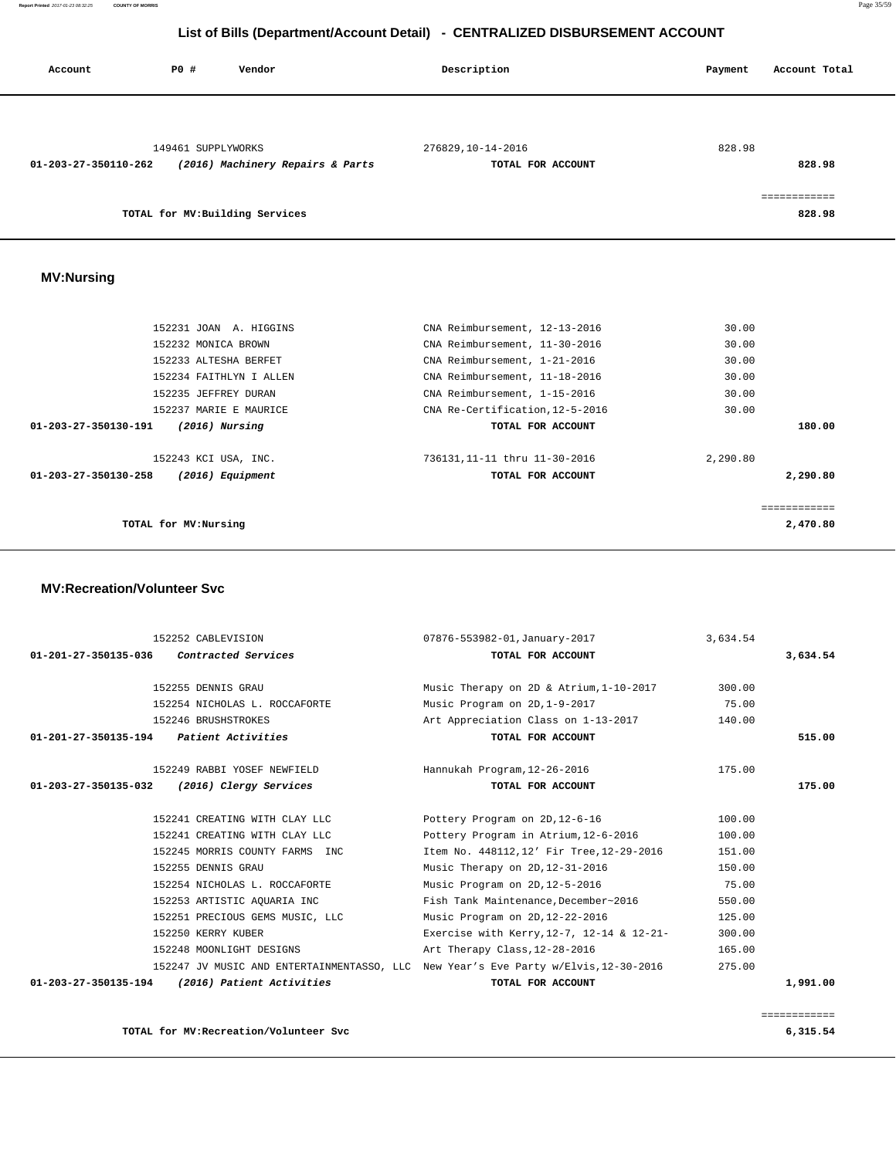**Report Printed** 2017-01-23 08:32:25 **COUNTY OF MORRIS** Page 35/59

# **List of Bills (Department/Account Detail) - CENTRALIZED DISBURSEMENT ACCOUNT**

| Account              | P0 #               | Vendor                           | Description       | Account Total<br>Payment |
|----------------------|--------------------|----------------------------------|-------------------|--------------------------|
|                      |                    |                                  |                   |                          |
|                      | 149461 SUPPLYWORKS |                                  | 276829,10-14-2016 | 828.98                   |
| 01-203-27-350110-262 |                    | (2016) Machinery Repairs & Parts | TOTAL FOR ACCOUNT | 828.98                   |
|                      |                    |                                  |                   | ============             |
|                      |                    | TOTAL for MV: Building Services  |                   | 828.98                   |

### **MV:Nursing**

| 152231 JOAN A. HIGGINS                   | CNA Reimbursement, 12-13-2016   | 30.00        |
|------------------------------------------|---------------------------------|--------------|
| 152232 MONICA BROWN                      | CNA Reimbursement, 11-30-2016   | 30.00        |
| 152233 ALTESHA BERFET                    | CNA Reimbursement, 1-21-2016    | 30.00        |
| 152234 FAITHLYN I ALLEN                  | CNA Reimbursement, 11-18-2016   | 30.00        |
| 152235 JEFFREY DURAN                     | CNA Reimbursement, 1-15-2016    | 30.00        |
| 152237 MARIE E MAURICE                   | CNA Re-Certification, 12-5-2016 | 30.00        |
| 01-203-27-350130-191<br>$(2016)$ Nursing | TOTAL FOR ACCOUNT               | 180.00       |
| 152243 KCI USA, INC.                     | 736131,11-11 thru 11-30-2016    | 2,290.80     |
| 01-203-27-350130-258<br>(2016) Equipment | TOTAL FOR ACCOUNT               | 2,290.80     |
|                                          |                                 | ============ |
| TOTAL for MV: Nursing                    |                                 | 2,470.80     |
|                                          |                                 |              |

#### **MV:Recreation/Volunteer Svc**

|                                         | 152252 CABLEVISION              | 07876-553982-01,January-2017                                                        | 3,634.54 |          |
|-----------------------------------------|---------------------------------|-------------------------------------------------------------------------------------|----------|----------|
| 01-201-27-350135-036                    | Contracted Services             | TOTAL FOR ACCOUNT                                                                   |          | 3,634.54 |
|                                         | 152255 DENNIS GRAU              | Music Therapy on 2D & Atrium, 1-10-2017                                             | 300.00   |          |
|                                         | 152254 NICHOLAS L. ROCCAFORTE   | Music Program on 2D, 1-9-2017                                                       | 75.00    |          |
|                                         | 152246 BRUSHSTROKES             | Art Appreciation Class on 1-13-2017                                                 | 140.00   |          |
| 01-201-27-350135-194 Patient Activities |                                 | TOTAL FOR ACCOUNT                                                                   |          | 515.00   |
|                                         | 152249 RABBI YOSEF NEWFIELD     | Hannukah Program, 12-26-2016                                                        | 175.00   |          |
| 01-203-27-350135-032                    | (2016) Clergy Services          | TOTAL FOR ACCOUNT                                                                   |          | 175.00   |
|                                         | 152241 CREATING WITH CLAY LLC   | Pottery Program on 2D, 12-6-16                                                      | 100.00   |          |
|                                         | 152241 CREATING WITH CLAY LLC   | Pottery Program in Atrium, 12-6-2016                                                | 100.00   |          |
|                                         | 152245 MORRIS COUNTY FARMS INC  | Item No. 448112,12' Fir Tree, 12-29-2016                                            | 151.00   |          |
|                                         | 152255 DENNIS GRAU              | Music Therapy on 2D, 12-31-2016                                                     | 150.00   |          |
|                                         | 152254 NICHOLAS L. ROCCAFORTE   | Music Program on 2D, 12-5-2016                                                      | 75.00    |          |
|                                         | 152253 ARTISTIC AQUARIA INC     | Fish Tank Maintenance, December~2016                                                | 550.00   |          |
|                                         | 152251 PRECIOUS GEMS MUSIC, LLC | Music Program on 2D, 12-22-2016                                                     | 125.00   |          |
|                                         | 152250 KERRY KUBER              | Exercise with Kerry, 12-7, 12-14 & 12-21-                                           | 300.00   |          |
|                                         | 152248 MOONLIGHT DESIGNS        | Art Therapy Class, 12-28-2016                                                       | 165.00   |          |
|                                         |                                 | 152247 JV MUSIC AND ENTERTAINMENTASSO, LLC New Year's Eve Party w/Elvis, 12-30-2016 | 275.00   |          |
| 01-203-27-350135-194                    | (2016) Patient Activities       | TOTAL FOR ACCOUNT                                                                   |          | 1,991.00 |

**TOTAL for MV:Recreation/Volunteer Svc 6,315.54**

============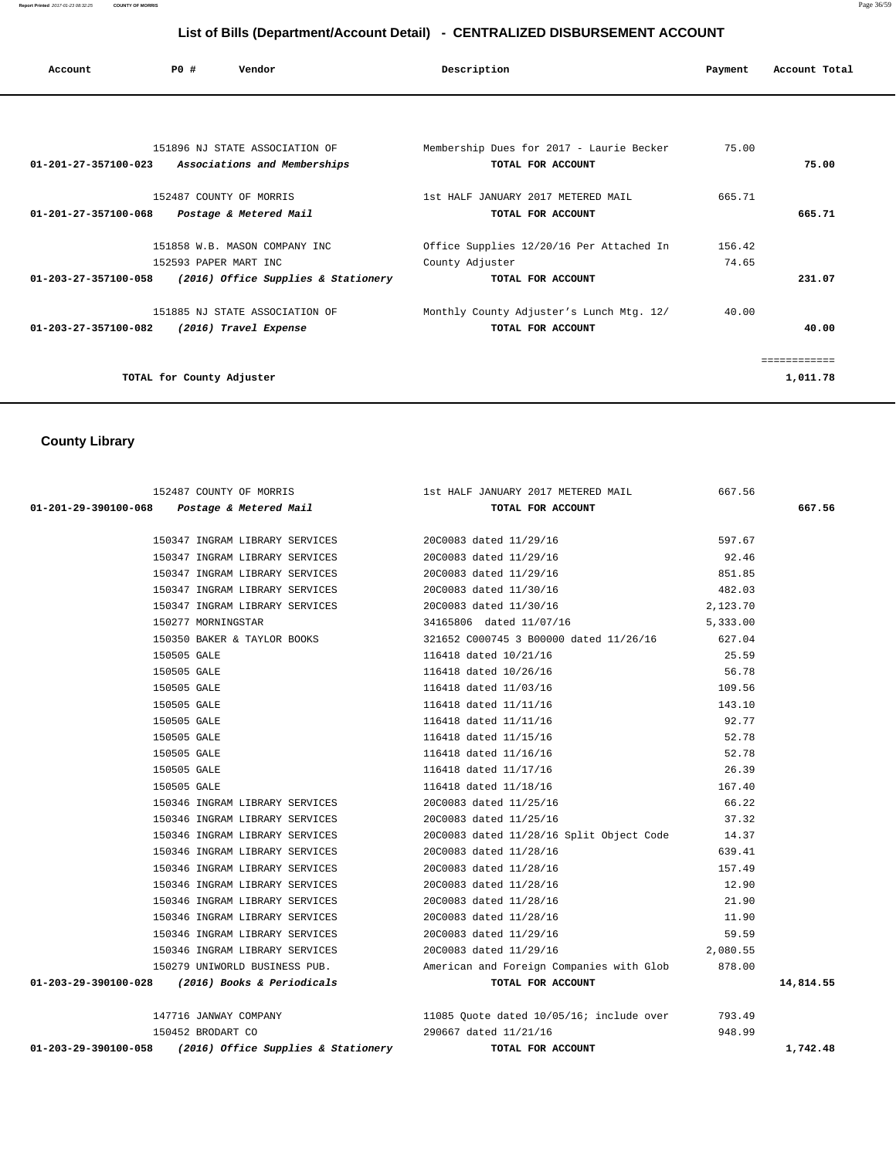| Account                                     | PO#<br>Vendor             |                                     | Description                              |        | Account Total |
|---------------------------------------------|---------------------------|-------------------------------------|------------------------------------------|--------|---------------|
|                                             |                           |                                     |                                          |        |               |
| 01-201-27-357100-023                        |                           | 151896 NJ STATE ASSOCIATION OF      | Membership Dues for 2017 - Laurie Becker | 75.00  | 75.00         |
|                                             |                           | Associations and Memberships        | TOTAL FOR ACCOUNT                        |        |               |
|                                             |                           | 152487 COUNTY OF MORRIS             | 1st HALF JANUARY 2017 METERED MAIL       | 665.71 |               |
| 01-201-27-357100-068 Postage & Metered Mail |                           |                                     | TOTAL FOR ACCOUNT                        |        | 665.71        |
|                                             |                           | 151858 W.B. MASON COMPANY INC       | Office Supplies 12/20/16 Per Attached In | 156.42 |               |
|                                             | 152593 PAPER MART INC     |                                     | County Adjuster                          | 74.65  |               |
| 01-203-27-357100-058                        |                           | (2016) Office Supplies & Stationery | TOTAL FOR ACCOUNT                        |        | 231.07        |
|                                             |                           | 151885 NJ STATE ASSOCIATION OF      | Monthly County Adjuster's Lunch Mtg. 12/ | 40.00  |               |
| 01-203-27-357100-082                        |                           | (2016) Travel Expense               | TOTAL FOR ACCOUNT                        |        | 40.00         |
|                                             |                           |                                     |                                          |        |               |
|                                             | TOTAL for County Adjuster |                                     |                                          |        | 1,011.78      |
|                                             |                           |                                     |                                          |        |               |

# **County Library**

| 152487 COUNTY OF MORRIS                                     | 1st HALF JANUARY 2017 METERED MAIL                                            | 667.56   |           |
|-------------------------------------------------------------|-------------------------------------------------------------------------------|----------|-----------|
| 01-201-29-390100-068  Postage & Metered Mail                | TOTAL FOR ACCOUNT                                                             |          | 667.56    |
|                                                             |                                                                               |          |           |
| 150347 INGRAM LIBRARY SERVICES                              | 20C0083 dated 11/29/16                                                        | 597.67   |           |
| 150347 INGRAM LIBRARY SERVICES                              | 20C0083 dated 11/29/16                                                        | 92.46    |           |
| 150347 INGRAM LIBRARY SERVICES                              | 20C0083 dated 11/29/16                                                        | 851.85   |           |
| 150347 INGRAM LIBRARY SERVICES 20C0083 dated 11/30/16       |                                                                               | 482.03   |           |
| 150347 INGRAM LIBRARY SERVICES 20C0083 dated 11/30/16       |                                                                               | 2,123.70 |           |
| 150277 MORNINGSTAR                                          | 34165806 dated 11/07/16 5,333.00                                              |          |           |
|                                                             | 150350 BAKER & TAYLOR BOOKS 321652 C000745 3 B00000 dated 11/26/16            | 627.04   |           |
| 150505 GALE                                                 | 116418 dated 10/21/16                                                         | 25.59    |           |
| 150505 GALE                                                 | 116418 dated 10/26/16                                                         | 56.78    |           |
| 150505 GALE                                                 | 116418 dated 11/03/16                                                         | 109.56   |           |
| 150505 GALE                                                 | 116418 dated 11/11/16                                                         | 143.10   |           |
| 150505 GALE                                                 | 116418 dated 11/11/16                                                         | 92.77    |           |
| 150505 GALE                                                 | 116418 dated 11/15/16                                                         | 52.78    |           |
| 150505 GALE                                                 | 116418 dated 11/16/16                                                         | 52.78    |           |
| 150505 GALE                                                 | 116418 dated 11/17/16                                                         | 26.39    |           |
| 150505 GALE                                                 | 116418 dated 11/18/16                                                         | 167.40   |           |
| 150346 INGRAM LIBRARY SERVICES                              | 20C0083 dated 11/25/16                                                        | 66.22    |           |
| 150346 INGRAM LIBRARY SERVICES 20C0083 dated 11/25/16       |                                                                               | 37.32    |           |
|                                                             | 150346 INGRAM LIBRARY SERVICES 20C0083 dated 11/28/16 Split Object Code 14.37 |          |           |
| 150346 INGRAM LIBRARY SERVICES                              | 20C0083 dated 11/28/16                                                        | 639.41   |           |
| 150346 INGRAM LIBRARY SERVICES                              | 20C0083 dated 11/28/16                                                        | 157.49   |           |
| 150346 INGRAM LIBRARY SERVICES                              | 20C0083 dated 11/28/16                                                        | 12.90    |           |
| 150346 INGRAM LIBRARY SERVICES                              | 20C0083 dated 11/28/16                                                        | 21.90    |           |
| 150346 INGRAM LIBRARY SERVICES                              | 20C0083 dated 11/28/16                                                        | 11.90    |           |
| 150346 INGRAM LIBRARY SERVICES                              | 20C0083 dated 11/29/16                                                        | 59.59    |           |
| 150346 INGRAM LIBRARY SERVICES 20C0083 dated 11/29/16       |                                                                               | 2,080.55 |           |
|                                                             | 150279 UNIWORLD BUSINESS PUB. American and Foreign Companies with Glob        | 878.00   |           |
| 01-203-29-390100-028 (2016) Books & Periodicals             | TOTAL FOR ACCOUNT                                                             |          | 14,814.55 |
|                                                             |                                                                               |          |           |
| 147716 JANWAY COMPANY                                       | 11085 Quote dated 10/05/16; include over                                      | 793.49   |           |
| 150452 BRODART CO                                           | 290667 dated 11/21/16                                                         | 948.99   |           |
| 01-203-29-390100-058<br>(2016) Office Supplies & Stationery | TOTAL FOR ACCOUNT                                                             |          | 1,742.48  |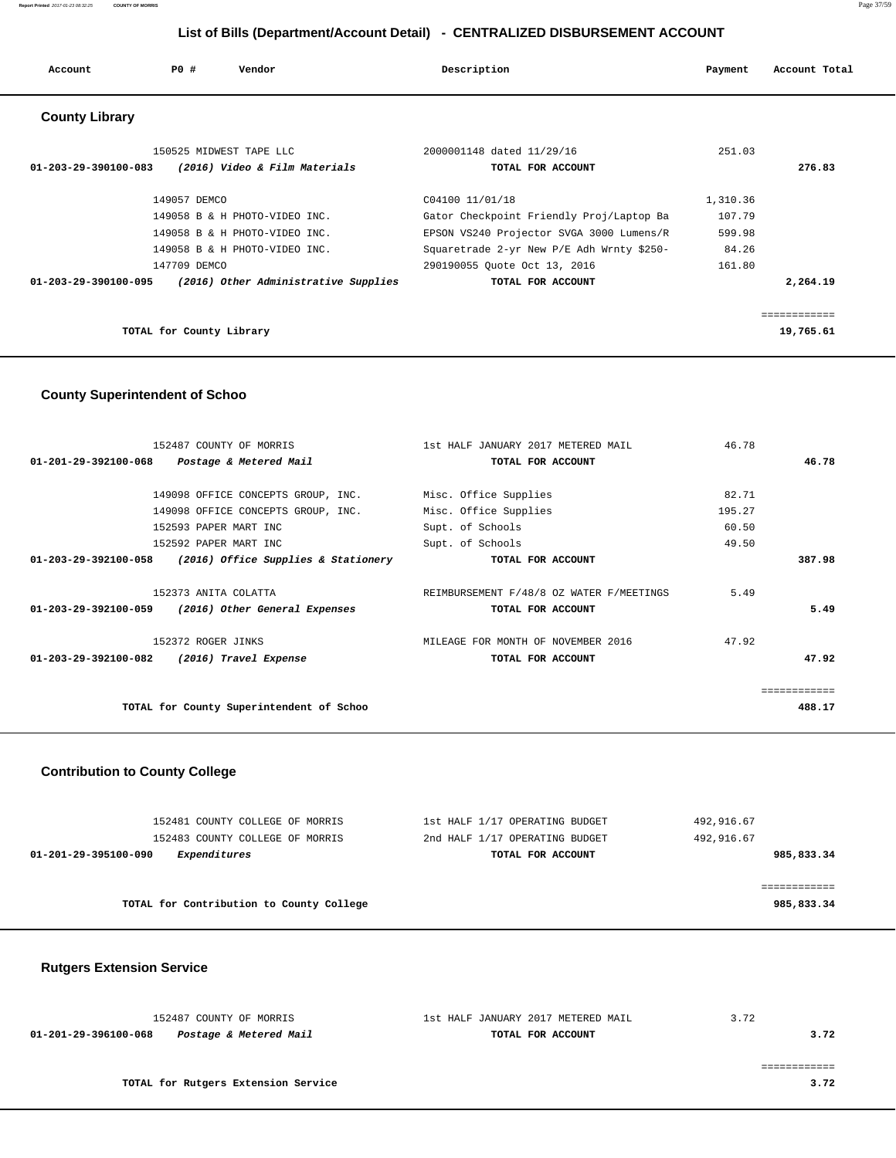| Account                        | P0#                      | Vendor                                                         | Description                                                                                             | Payment                      | Account Total                         |
|--------------------------------|--------------------------|----------------------------------------------------------------|---------------------------------------------------------------------------------------------------------|------------------------------|---------------------------------------|
| <b>County Library</b>          |                          |                                                                |                                                                                                         |                              |                                       |
| $01 - 203 - 29 - 390100 - 083$ |                          | 150525 MIDWEST TAPE LLC<br>(2016) Video & Film Materials       | 2000001148 dated 11/29/16<br>TOTAL FOR ACCOUNT                                                          | 251.03                       | 276.83                                |
|                                | 149057 DEMCO             | 149058 B & H PHOTO-VIDEO INC.<br>149058 B & H PHOTO-VIDEO INC. | C04100 11/01/18<br>Gator Checkpoint Friendly Proj/Laptop Ba<br>EPSON VS240 Projector SVGA 3000 Lumens/R | 1,310.36<br>107.79<br>599.98 |                                       |
| 01-203-29-390100-095           | 147709 DEMCO             | 149058 B & H PHOTO-VIDEO INC.                                  | Squaretrade 2-yr New P/E Adh Wrnty \$250-<br>290190055 Quote Oct 13, 2016                               | 84.26<br>161.80              |                                       |
|                                | TOTAL for County Library | (2016) Other Administrative Supplies                           | TOTAL FOR ACCOUNT                                                                                       |                              | 2,264.19<br>============<br>19,765.61 |

### **County Superintendent of Schoo**

| 152487 COUNTY OF MORRIS                                    | 1st HALF JANUARY 2017 METERED MAIL       | 46.78  |        |
|------------------------------------------------------------|------------------------------------------|--------|--------|
| 01-201-29-392100-068 Postage & Metered Mail                | TOTAL FOR ACCOUNT                        |        | 46.78  |
|                                                            |                                          |        |        |
| 149098 OFFICE CONCEPTS GROUP, INC. Misc. Office Supplies   |                                          | 82.71  |        |
| 149098 OFFICE CONCEPTS GROUP, INC.                         | Misc. Office Supplies                    | 195.27 |        |
| 152593 PAPER MART INC                                      | Supt. of Schools                         | 60.50  |        |
| 152592 PAPER MART INC                                      | Supt. of Schools                         | 49.50  |        |
| $01-203-29-392100-058$ (2016) Office Supplies & Stationery | TOTAL FOR ACCOUNT                        |        | 387.98 |
|                                                            |                                          |        |        |
| 152373 ANITA COLATTA                                       | REIMBURSEMENT F/48/8 OZ WATER F/MEETINGS | 5.49   |        |
| 01-203-29-392100-059<br>(2016) Other General Expenses      | TOTAL FOR ACCOUNT                        |        | 5.49   |
|                                                            |                                          |        |        |
| 152372 ROGER JINKS                                         | MILEAGE FOR MONTH OF NOVEMBER 2016       | 47.92  |        |
| 01-203-29-392100-082<br>(2016) Travel Expense              | TOTAL FOR ACCOUNT                        |        | 47.92  |
|                                                            |                                          |        |        |
|                                                            |                                          |        |        |
| TOTAL for County Superintendent of Schoo                   |                                          |        | 488.17 |
|                                                            |                                          |        |        |

# **Contribution to County College**

| 152481 COUNTY COLLEGE OF MORRIS          | 1st HALF 1/17 OPERATING BUDGET | 492,916.67 |
|------------------------------------------|--------------------------------|------------|
| 152483 COUNTY COLLEGE OF MORRIS          | 2nd HALF 1/17 OPERATING BUDGET | 492,916.67 |
| Expenditures<br>01-201-29-395100-090     | TOTAL FOR ACCOUNT              | 985,833.34 |
|                                          |                                |            |
|                                          |                                |            |
| TOTAL for Contribution to County College |                                | 985,833.34 |
|                                          |                                |            |

# **Rutgers Extension Service**

| 152487 COUNTY OF MORRIS                        | 1st HALF JANUARY 2017 METERED MAIL | 3.72 |
|------------------------------------------------|------------------------------------|------|
| Postage & Metered Mail<br>01-201-29-396100-068 | TOTAL FOR ACCOUNT                  | 3.72 |
|                                                |                                    |      |
|                                                |                                    |      |
| TOTAL for Rutgers Extension Service            |                                    | 3.72 |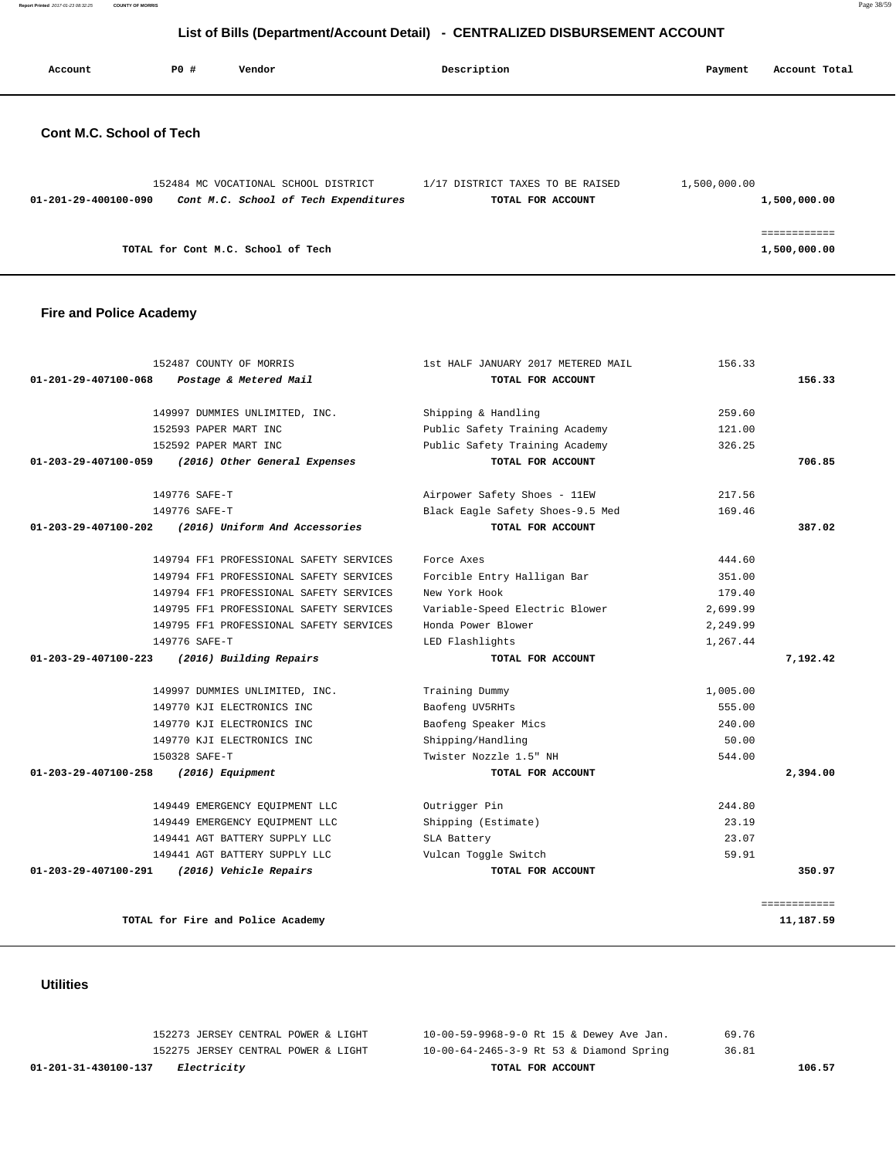**Report Printed** 2017-01-23 08:32:25 **COUNTY OF MORRIS** Page 38/59

# **List of Bills (Department/Account Detail) - CENTRALIZED DISBURSEMENT ACCOUNT**

| Account                  | PO# | Vendor                                | Description                      | Payment      | Account Total |
|--------------------------|-----|---------------------------------------|----------------------------------|--------------|---------------|
| Cont M.C. School of Tech |     |                                       |                                  |              |               |
|                          |     | 152484 MC VOCATIONAL SCHOOL DISTRICT  | 1/17 DISTRICT TAXES TO BE RAISED | 1,500,000.00 |               |
| 01-201-29-400100-090     |     | Cont M.C. School of Tech Expenditures | TOTAL FOR ACCOUNT                |              | 1,500,000.00  |

============

**TOTAL for Cont M.C. School of Tech 1,500,000.00**

### **Fire and Police Academy**

| 152487 COUNTY OF MORRIS                                   | 1st HALF JANUARY 2017 METERED MAIL                   | 156.33   |              |
|-----------------------------------------------------------|------------------------------------------------------|----------|--------------|
| 01-201-29-407100-068<br>Postage & Metered Mail            | TOTAL FOR ACCOUNT                                    |          | 156.33       |
|                                                           |                                                      |          |              |
| 149997 DUMMIES UNLIMITED, INC.                            | Shipping & Handling                                  | 259.60   |              |
| 152593 PAPER MART INC                                     | Public Safety Training Academy                       | 121.00   |              |
| 152592 PAPER MART INC                                     | Public Safety Training Academy                       | 326.25   |              |
| 01-203-29-407100-059<br>(2016) Other General Expenses     | TOTAL FOR ACCOUNT                                    |          | 706.85       |
| 149776 SAFE-T                                             | Airpower Safety Shoes - 11EW                         | 217.56   |              |
| 149776 SAFE-T                                             | Black Eagle Safety Shoes-9.5 Med                     | 169.46   |              |
| (2016) Uniform And Accessories<br>01-203-29-407100-202    | TOTAL FOR ACCOUNT                                    |          | 387.02       |
| 149794 FF1 PROFESSIONAL SAFETY SERVICES                   | Force Axes                                           | 444.60   |              |
| 149794 FF1 PROFESSIONAL SAFETY SERVICES                   |                                                      | 351.00   |              |
| 149794 FF1 PROFESSIONAL SAFETY SERVICES                   | Forcible Entry Halligan Bar<br>New York Hook         | 179.40   |              |
| 149795 FF1 PROFESSIONAL SAFETY SERVICES                   |                                                      |          |              |
| 149795 FF1 PROFESSIONAL SAFETY SERVICES                   | Variable-Speed Electric Blower<br>Honda Power Blower | 2,699.99 |              |
|                                                           |                                                      | 2,249.99 |              |
| 149776 SAFE-T                                             | LED Flashlights                                      | 1,267.44 |              |
| $01 - 203 - 29 - 407100 - 223$<br>(2016) Building Repairs | TOTAL FOR ACCOUNT                                    |          | 7,192.42     |
| 149997 DUMMIES UNLIMITED, INC.                            | Training Dummy                                       | 1,005.00 |              |
| 149770 KJI ELECTRONICS INC                                | Baofeng UV5RHTs                                      | 555.00   |              |
| 149770 KJI ELECTRONICS INC                                | Baofeng Speaker Mics                                 | 240.00   |              |
| 149770 KJI ELECTRONICS INC                                | Shipping/Handling                                    | 50.00    |              |
| 150328 SAFE-T                                             | Twister Nozzle 1.5" NH                               | 544.00   |              |
| $01 - 203 - 29 - 407100 - 258$<br>(2016) Equipment        | TOTAL FOR ACCOUNT                                    |          | 2,394.00     |
| 149449 EMERGENCY EQUIPMENT LLC                            | Outrigger Pin                                        | 244.80   |              |
| 149449 EMERGENCY EQUIPMENT LLC                            | Shipping (Estimate)                                  | 23.19    |              |
| 149441 AGT BATTERY SUPPLY LLC                             | SLA Battery                                          | 23.07    |              |
| 149441 AGT BATTERY SUPPLY LLC                             | Vulcan Toggle Switch                                 | 59.91    |              |
| 01-203-29-407100-291<br>(2016) Vehicle Repairs            | TOTAL FOR ACCOUNT                                    |          | 350.97       |
|                                                           |                                                      |          |              |
|                                                           |                                                      |          | ============ |
| TOTAL for Fire and Police Academy                         |                                                      |          | 11,187.59    |

 **Utilities** 

| 01-201-31-430100-137<br><i>Electricity</i> | TOTAL FOR ACCOUNT                        | 106.57 |
|--------------------------------------------|------------------------------------------|--------|
| 152275 JERSEY CENTRAL POWER & LIGHT        | 10-00-64-2465-3-9 Rt 53 & Diamond Spring | 36.81  |
| 152273 JERSEY CENTRAL POWER & LIGHT        | 10-00-59-9968-9-0 Rt 15 & Dewey Ave Jan. | 69.76  |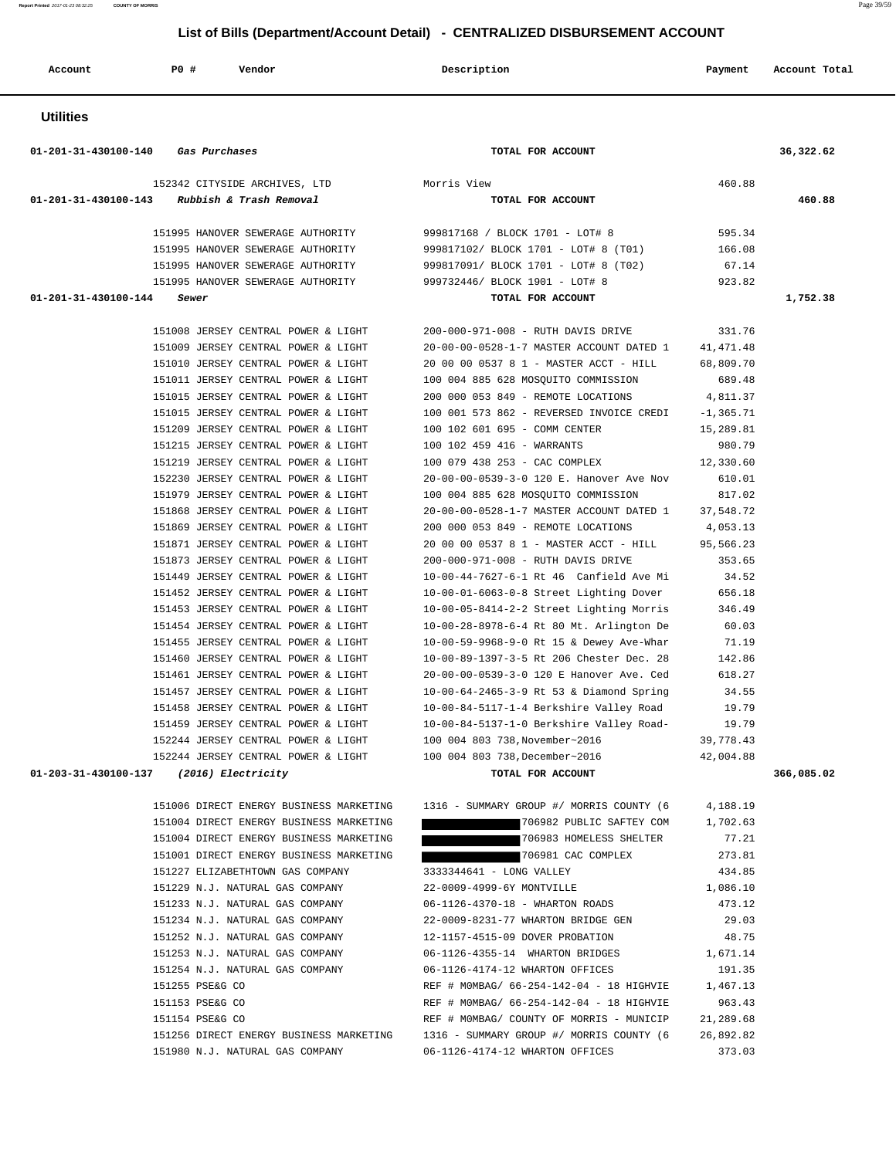**Report Printed** 2017-01-23 08:32:25 **COUNTY OF MORRIS** Page 39/59

 **List of Bills (Department/Account Detail) - CENTRALIZED DISBURSEMENT ACCOUNT**

| Account                                                | P0 #            | Vendor                                                                     | Description                                                                          | Payment             | Account Total |
|--------------------------------------------------------|-----------------|----------------------------------------------------------------------------|--------------------------------------------------------------------------------------|---------------------|---------------|
| <b>Utilities</b>                                       |                 |                                                                            |                                                                                      |                     |               |
| 01-201-31-430100-140 Gas Purchases                     |                 |                                                                            | TOTAL FOR ACCOUNT                                                                    |                     | 36,322.62     |
|                                                        |                 | 152342 CITYSIDE ARCHIVES, LTD                                              | Morris View                                                                          | 460.88              |               |
| $01 - 201 - 31 - 430100 - 143$ Rubbish & Trash Removal |                 |                                                                            | TOTAL FOR ACCOUNT                                                                    |                     | 460.88        |
|                                                        |                 |                                                                            |                                                                                      |                     |               |
|                                                        |                 | 151995 HANOVER SEWERAGE AUTHORITY                                          | 999817168 / BLOCK 1701 - LOT# 8                                                      | 595.34              |               |
|                                                        |                 | 151995 HANOVER SEWERAGE AUTHORITY                                          | 999817102/ BLOCK 1701 - LOT# 8 (T01)                                                 | 166.08              |               |
|                                                        |                 | 151995 HANOVER SEWERAGE AUTHORITY<br>151995 HANOVER SEWERAGE AUTHORITY     | 999817091/ BLOCK 1701 - LOT# 8 (T02)<br>999732446/ BLOCK 1901 - LOT# 8               | 67.14<br>923.82     |               |
| 01-201-31-430100-144                                   | Sewer           |                                                                            | TOTAL FOR ACCOUNT                                                                    |                     | 1,752.38      |
|                                                        |                 |                                                                            |                                                                                      |                     |               |
|                                                        |                 | 151008 JERSEY CENTRAL POWER & LIGHT                                        | 200-000-971-008 - RUTH DAVIS DRIVE                                                   | 331.76              |               |
|                                                        |                 | 151009 JERSEY CENTRAL POWER & LIGHT                                        | 20-00-00-0528-1-7 MASTER ACCOUNT DATED 1                                             | 41, 471.48          |               |
|                                                        |                 | 151010 JERSEY CENTRAL POWER & LIGHT                                        | 20 00 00 0537 8 1 - MASTER ACCT - HILL                                               | 68,809.70           |               |
|                                                        |                 | 151011 JERSEY CENTRAL POWER & LIGHT                                        | 100 004 885 628 MOSQUITO COMMISSION                                                  | 689.48              |               |
|                                                        |                 | 151015 JERSEY CENTRAL POWER & LIGHT                                        | 200 000 053 849 - REMOTE LOCATIONS                                                   | 4,811.37            |               |
|                                                        |                 | 151015 JERSEY CENTRAL POWER & LIGHT                                        | 100 001 573 862 - REVERSED INVOICE CREDI                                             | $-1, 365.71$        |               |
|                                                        |                 | 151209 JERSEY CENTRAL POWER & LIGHT<br>151215 JERSEY CENTRAL POWER & LIGHT | 100 102 601 695 - COMM CENTER<br>100 102 459 416 - WARRANTS                          | 15,289.81<br>980.79 |               |
|                                                        |                 | 151219 JERSEY CENTRAL POWER & LIGHT                                        | 100 079 438 253 - CAC COMPLEX                                                        | 12,330.60           |               |
|                                                        |                 | 152230 JERSEY CENTRAL POWER & LIGHT                                        | 20-00-00-0539-3-0 120 E. Hanover Ave Nov                                             | 610.01              |               |
|                                                        |                 | 151979 JERSEY CENTRAL POWER & LIGHT                                        | 100 004 885 628 MOSQUITO COMMISSION                                                  | 817.02              |               |
|                                                        |                 | 151868 JERSEY CENTRAL POWER & LIGHT                                        | 20-00-00-0528-1-7 MASTER ACCOUNT DATED 1                                             | 37,548.72           |               |
|                                                        |                 | 151869 JERSEY CENTRAL POWER & LIGHT                                        | 200 000 053 849 - REMOTE LOCATIONS                                                   | 4,053.13            |               |
|                                                        |                 | 151871 JERSEY CENTRAL POWER & LIGHT                                        | 20 00 00 0537 8 1 - MASTER ACCT - HILL                                               | 95,566.23           |               |
|                                                        |                 | 151873 JERSEY CENTRAL POWER & LIGHT                                        | 200-000-971-008 - RUTH DAVIS DRIVE                                                   | 353.65              |               |
|                                                        |                 | 151449 JERSEY CENTRAL POWER & LIGHT                                        | 10-00-44-7627-6-1 Rt 46 Canfield Ave Mi                                              | 34.52               |               |
|                                                        |                 | 151452 JERSEY CENTRAL POWER & LIGHT                                        | 10-00-01-6063-0-8 Street Lighting Dover                                              | 656.18              |               |
|                                                        |                 | 151453 JERSEY CENTRAL POWER & LIGHT                                        | 10-00-05-8414-2-2 Street Lighting Morris                                             | 346.49              |               |
|                                                        |                 | 151454 JERSEY CENTRAL POWER & LIGHT<br>151455 JERSEY CENTRAL POWER & LIGHT | 10-00-28-8978-6-4 Rt 80 Mt. Arlington De<br>10-00-59-9968-9-0 Rt 15 & Dewey Ave-Whar | 60.03<br>71.19      |               |
|                                                        |                 | 151460 JERSEY CENTRAL POWER & LIGHT                                        | 10-00-89-1397-3-5 Rt 206 Chester Dec. 28                                             | 142.86              |               |
|                                                        |                 | 151461 JERSEY CENTRAL POWER & LIGHT                                        | 20-00-00-0539-3-0 120 E Hanover Ave. Ced                                             | 618.27              |               |
|                                                        |                 | 151457 JERSEY CENTRAL POWER & LIGHT                                        | 10-00-64-2465-3-9 Rt 53 & Diamond Spring                                             | 34.55               |               |
|                                                        |                 | 151458 JERSEY CENTRAL POWER & LIGHT                                        | 10-00-84-5117-1-4 Berkshire Valley Road                                              | 19.79               |               |
|                                                        |                 | 151459 JERSEY CENTRAL POWER & LIGHT                                        | 10-00-84-5137-1-0 Berkshire Valley Road- 19.79                                       |                     |               |
|                                                        |                 |                                                                            | 152244 JERSEY CENTRAL POWER & LIGHT 100 004 803 738, November~2016 39, 778.43        |                     |               |
|                                                        |                 |                                                                            | 152244 JERSEY CENTRAL POWER & LIGHT 100 004 803 738, December~2016                   | 42,004.88           |               |
| 01-203-31-430100-137 (2016) Electricity                |                 |                                                                            | TOTAL FOR ACCOUNT                                                                    |                     | 366,085.02    |
|                                                        |                 | 151006 DIRECT ENERGY BUSINESS MARKETING                                    | 1316 - SUMMARY GROUP #/ MORRIS COUNTY (6                                             | 4,188.19            |               |
|                                                        |                 | 151004 DIRECT ENERGY BUSINESS MARKETING                                    | 706982 PUBLIC SAFTEY COM 1,702.63                                                    |                     |               |
|                                                        |                 | 151004 DIRECT ENERGY BUSINESS MARKETING                                    | 706983 HOMELESS SHELTER 77.21                                                        |                     |               |
|                                                        |                 | 151001 DIRECT ENERGY BUSINESS MARKETING                                    | 706981 CAC COMPLEX                                                                   | 273.81              |               |
|                                                        |                 | 151227 ELIZABETHTOWN GAS COMPANY                                           | 3333344641 - LONG VALLEY                                                             | 434.85              |               |
|                                                        |                 | 151229 N.J. NATURAL GAS COMPANY                                            | 22-0009-4999-6Y MONTVILLE                                                            | 1,086.10            |               |
|                                                        |                 | 151233 N.J. NATURAL GAS COMPANY                                            | 06-1126-4370-18 - WHARTON ROADS                                                      | 473.12              |               |
|                                                        |                 | 151234 N.J. NATURAL GAS COMPANY<br>151252 N.J. NATURAL GAS COMPANY         | 22-0009-8231-77 WHARTON BRIDGE GEN                                                   | 29.03               |               |
|                                                        |                 | 151253 N.J. NATURAL GAS COMPANY                                            | 12-1157-4515-09 DOVER PROBATION<br>06-1126-4355-14 WHARTON BRIDGES 1,671.14          | 48.75               |               |
|                                                        |                 | 151254 N.J. NATURAL GAS COMPANY                                            | 06-1126-4174-12 WHARTON OFFICES                                                      | 191.35              |               |
|                                                        | 151255 PSE&G CO |                                                                            | REF # MOMBAG/ 66-254-142-04 - 18 HIGHVIE 1,467.13                                    |                     |               |
|                                                        | 151153 PSE&G CO |                                                                            | REF # MOMBAG/ 66-254-142-04 - 18 HIGHVIE                                             | 963.43              |               |
|                                                        | 151154 PSE&G CO |                                                                            | REF # MOMBAG/ COUNTY OF MORRIS - MUNICIP 21,289.68                                   |                     |               |
|                                                        |                 |                                                                            | 151256 DIRECT ENERGY BUSINESS MARKETING 1316 - SUMMARY GROUP #/ MORRIS COUNTY (6     | 26,892.82           |               |
|                                                        |                 | 151980 N.J. NATURAL GAS COMPANY                                            | 06-1126-4174-12 WHARTON OFFICES                                                      | 373.03              |               |
|                                                        |                 |                                                                            |                                                                                      |                     |               |
|                                                        |                 |                                                                            |                                                                                      |                     |               |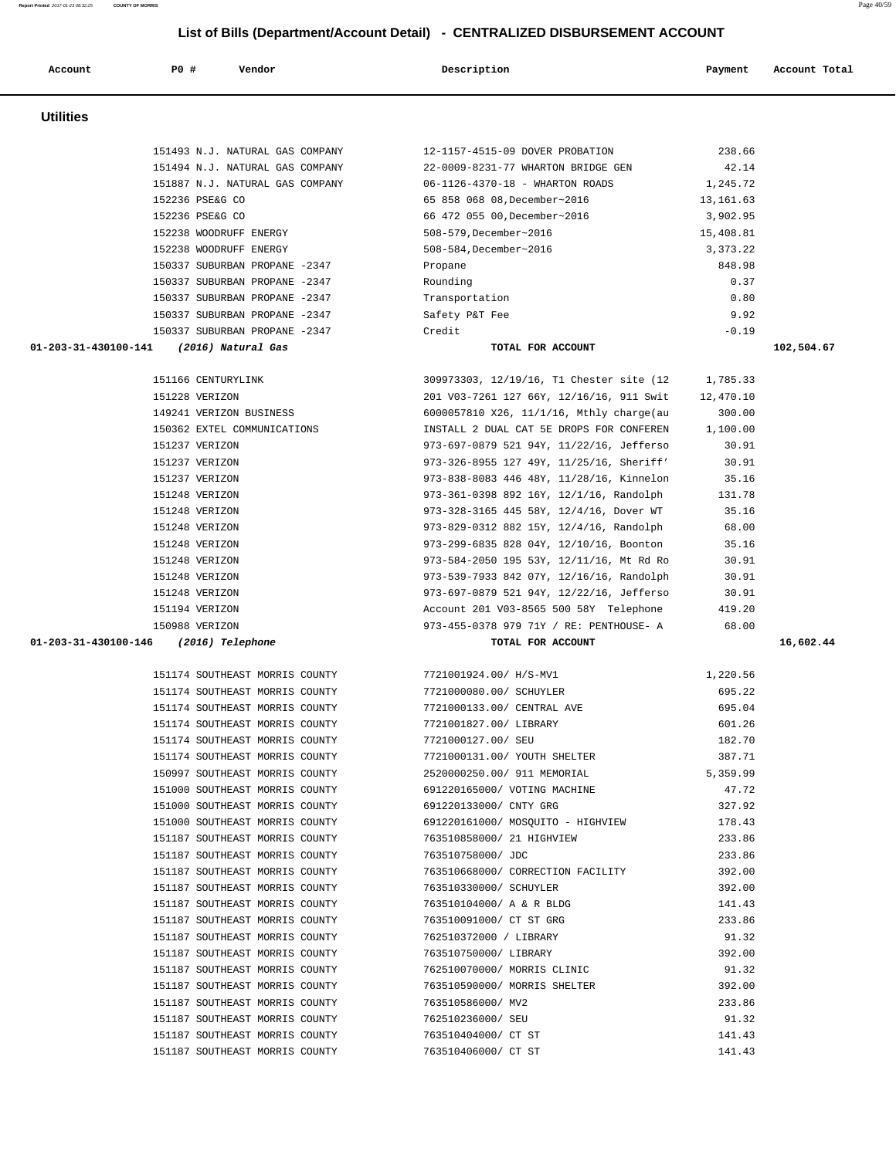| Account              | PO#<br>Vendor                                                    | Description                              | Payment         | Account Total |
|----------------------|------------------------------------------------------------------|------------------------------------------|-----------------|---------------|
| <b>Utilities</b>     |                                                                  |                                          |                 |               |
|                      | 151493 N.J. NATURAL GAS COMPANY                                  | 12-1157-4515-09 DOVER PROBATION          | 238.66          |               |
|                      | 151494 N.J. NATURAL GAS COMPANY                                  | 22-0009-8231-77 WHARTON BRIDGE GEN       | 42.14           |               |
|                      | 151887 N.J. NATURAL GAS COMPANY                                  | 06-1126-4370-18 - WHARTON ROADS          | 1,245.72        |               |
|                      | 152236 PSE&G CO                                                  | 65 858 068 08, December~2016             | 13, 161.63      |               |
|                      | 152236 PSE&G CO                                                  | 66 472 055 00, December~2016             | 3,902.95        |               |
|                      | 152238 WOODRUFF ENERGY                                           | 508-579, December~2016                   | 15,408.81       |               |
|                      | 152238 WOODRUFF ENERGY                                           | 508-584, December~2016                   | 3,373.22        |               |
|                      | 150337 SUBURBAN PROPANE -2347                                    | Propane                                  | 848.98          |               |
|                      | 150337 SUBURBAN PROPANE -2347                                    | Rounding                                 | 0.37            |               |
|                      | 150337 SUBURBAN PROPANE -2347                                    | Transportation                           | 0.80            |               |
|                      | 150337 SUBURBAN PROPANE -2347                                    | Safety P&T Fee                           | 9.92            |               |
|                      | 150337 SUBURBAN PROPANE -2347                                    | Credit                                   | $-0.19$         |               |
| 01-203-31-430100-141 | (2016) Natural Gas                                               | TOTAL FOR ACCOUNT                        |                 | 102,504.67    |
|                      | 151166 CENTURYLINK                                               | 309973303, 12/19/16, T1 Chester site (12 | 1,785.33        |               |
|                      | 151228 VERIZON                                                   | 201 V03-7261 127 66Y, 12/16/16, 911 Swit | 12,470.10       |               |
|                      | 149241 VERIZON BUSINESS                                          | 6000057810 X26, 11/1/16, Mthly charge(au | 300.00          |               |
|                      | 150362 EXTEL COMMUNICATIONS                                      | INSTALL 2 DUAL CAT 5E DROPS FOR CONFEREN | 1,100.00        |               |
|                      | 151237 VERIZON                                                   | 973-697-0879 521 94Y, 11/22/16, Jefferso | 30.91           |               |
|                      | 151237 VERIZON                                                   | 973-326-8955 127 49Y, 11/25/16, Sheriff' | 30.91           |               |
|                      | 151237 VERIZON                                                   | 973-838-8083 446 48Y, 11/28/16, Kinnelon | 35.16           |               |
|                      | 151248 VERIZON                                                   | 973-361-0398 892 16Y, 12/1/16, Randolph  | 131.78          |               |
|                      | 151248 VERIZON                                                   | 973-328-3165 445 58Y, 12/4/16, Dover WT  | 35.16           |               |
|                      | 151248 VERIZON                                                   | 973-829-0312 882 15Y, 12/4/16, Randolph  | 68.00           |               |
|                      | 151248 VERIZON                                                   | 973-299-6835 828 04Y, 12/10/16, Boonton  | 35.16           |               |
|                      | 151248 VERIZON                                                   | 973-584-2050 195 53Y, 12/11/16, Mt Rd Ro | 30.91           |               |
|                      | 151248 VERIZON                                                   | 973-539-7933 842 07Y, 12/16/16, Randolph | 30.91           |               |
|                      | 151248 VERIZON                                                   | 973-697-0879 521 94Y, 12/22/16, Jefferso | 30.91           |               |
|                      | 151194 VERIZON                                                   | Account 201 V03-8565 500 58Y Telephone   | 419.20          |               |
|                      | 150988 VERIZON                                                   | 973-455-0378 979 71Y / RE: PENTHOUSE- A  | 68.00           |               |
| 01-203-31-430100-146 | (2016) Telephone                                                 | TOTAL FOR ACCOUNT                        |                 | 16,602.44     |
|                      | 151174 SOUTHEAST MORRIS COUNTY                                   | 7721001924.00/ H/S-MV1                   | 1,220.56        |               |
|                      | 151174 SOUTHEAST MORRIS COUNTY                                   | 7721000080.00/ SCHUYLER                  | 695.22          |               |
|                      | 151174 SOUTHEAST MORRIS COUNTY                                   | 7721000133.00/ CENTRAL AVE               | 695.04          |               |
|                      | 151174 SOUTHEAST MORRIS COUNTY                                   | 7721001827.00/ LIBRARY                   | 601.26          |               |
|                      | 151174 SOUTHEAST MORRIS COUNTY                                   | 7721000127.00/ SEU                       | 182.70          |               |
|                      | 151174 SOUTHEAST MORRIS COUNTY                                   | 7721000131.00/ YOUTH SHELTER             | 387.71          |               |
|                      | 150997 SOUTHEAST MORRIS COUNTY                                   | 2520000250.00/ 911 MEMORIAL              | 5,359.99        |               |
|                      | 151000 SOUTHEAST MORRIS COUNTY                                   | 691220165000/ VOTING MACHINE             | 47.72           |               |
|                      | 151000 SOUTHEAST MORRIS COUNTY                                   | 691220133000/ CNTY GRG                   | 327.92          |               |
|                      | 151000 SOUTHEAST MORRIS COUNTY                                   | 691220161000/ MOSQUITO - HIGHVIEW        | 178.43          |               |
|                      | 151187 SOUTHEAST MORRIS COUNTY                                   | 763510858000/ 21 HIGHVIEW                | 233.86          |               |
|                      | 151187 SOUTHEAST MORRIS COUNTY                                   | 763510758000/ JDC                        | 233.86          |               |
|                      | 151187 SOUTHEAST MORRIS COUNTY                                   | 763510668000/ CORRECTION FACILITY        | 392.00          |               |
|                      | 151187 SOUTHEAST MORRIS COUNTY                                   | 763510330000/ SCHUYLER                   | 392.00          |               |
|                      | 151187 SOUTHEAST MORRIS COUNTY                                   | 763510104000/ A & R BLDG                 | 141.43          |               |
|                      | 151187 SOUTHEAST MORRIS COUNTY                                   | 763510091000/ CT ST GRG                  | 233.86          |               |
|                      | 151187 SOUTHEAST MORRIS COUNTY                                   | 762510372000 / LIBRARY                   | 91.32           |               |
|                      | 151187 SOUTHEAST MORRIS COUNTY                                   | 763510750000/ LIBRARY                    | 392.00          |               |
|                      | 151187 SOUTHEAST MORRIS COUNTY                                   | 762510070000/ MORRIS CLINIC              | 91.32           |               |
|                      | 151187 SOUTHEAST MORRIS COUNTY                                   | 763510590000/ MORRIS SHELTER             | 392.00          |               |
|                      | 151187 SOUTHEAST MORRIS COUNTY                                   | 763510586000/ MV2                        | 233.86          |               |
|                      | 151187 SOUTHEAST MORRIS COUNTY<br>151187 SOUTHEAST MORRIS COUNTY | 762510236000/SEU<br>763510404000/ CT ST  | 91.32<br>141.43 |               |
|                      |                                                                  |                                          |                 |               |

151187 SOUTHEAST MORRIS COUNTY 763510406000/ CT ST 141.43

**Report Printed** 2017-01-23 08:32:25 **COUNTY OF MORRIS** Page 40/59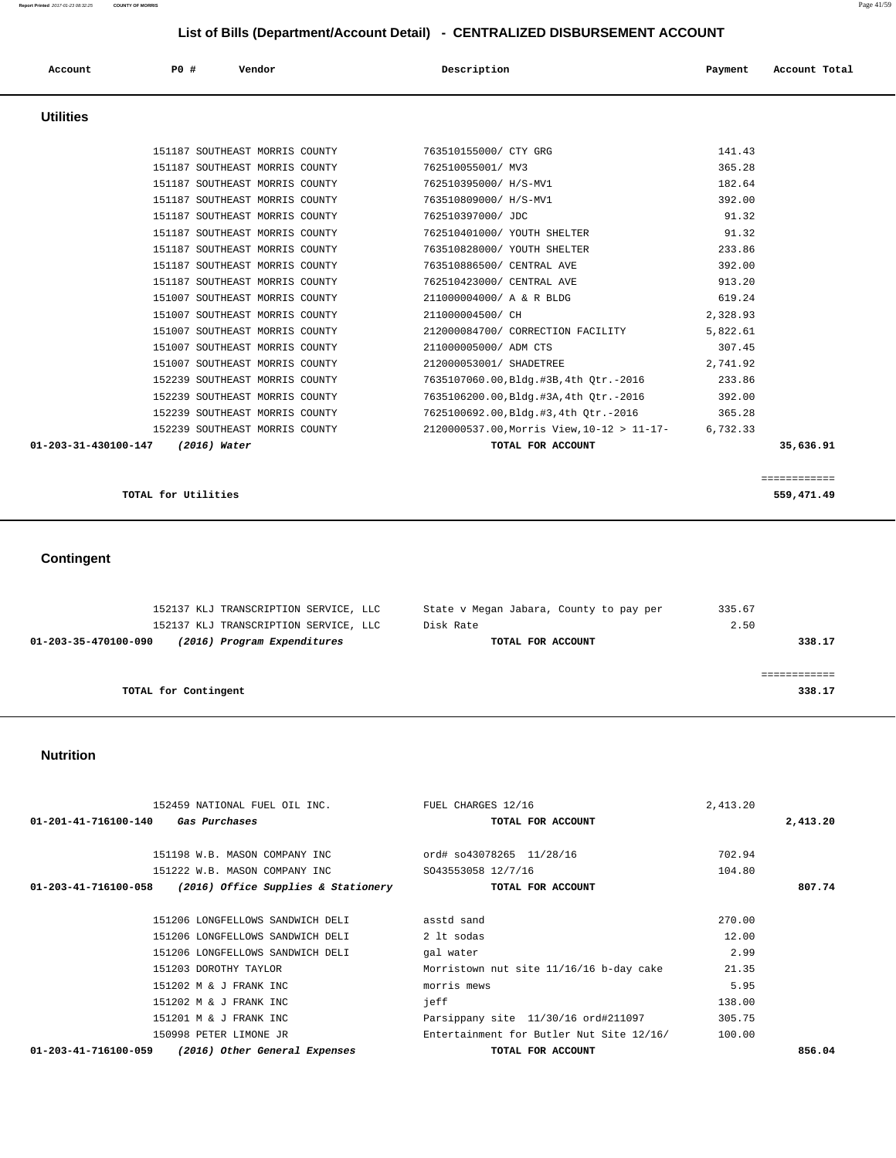| Account              | PO#            | Vendor                         | Description                                | Payment  | Account Total |
|----------------------|----------------|--------------------------------|--------------------------------------------|----------|---------------|
| <b>Utilities</b>     |                |                                |                                            |          |               |
|                      |                | 151187 SOUTHEAST MORRIS COUNTY | 763510155000/ CTY GRG                      | 141.43   |               |
|                      |                | 151187 SOUTHEAST MORRIS COUNTY | 762510055001/ MV3                          | 365.28   |               |
|                      |                | 151187 SOUTHEAST MORRIS COUNTY | 762510395000/ H/S-MV1                      | 182.64   |               |
|                      |                | 151187 SOUTHEAST MORRIS COUNTY | 763510809000/ H/S-MV1                      | 392.00   |               |
|                      |                | 151187 SOUTHEAST MORRIS COUNTY | 762510397000/ JDC                          | 91.32    |               |
|                      |                | 151187 SOUTHEAST MORRIS COUNTY | 762510401000/ YOUTH SHELTER                | 91.32    |               |
|                      |                | 151187 SOUTHEAST MORRIS COUNTY | 763510828000/ YOUTH SHELTER                | 233.86   |               |
|                      |                | 151187 SOUTHEAST MORRIS COUNTY | 763510886500/ CENTRAL AVE                  | 392.00   |               |
|                      |                | 151187 SOUTHEAST MORRIS COUNTY | 762510423000/ CENTRAL AVE                  | 913.20   |               |
|                      |                | 151007 SOUTHEAST MORRIS COUNTY | 211000004000/ A & R BLDG                   | 619.24   |               |
|                      |                | 151007 SOUTHEAST MORRIS COUNTY | 211000004500/ CH                           | 2,328.93 |               |
|                      |                | 151007 SOUTHEAST MORRIS COUNTY | 212000084700/ CORRECTION FACILITY          | 5,822.61 |               |
|                      |                | 151007 SOUTHEAST MORRIS COUNTY | 211000005000/ ADM CTS                      | 307.45   |               |
|                      |                | 151007 SOUTHEAST MORRIS COUNTY | 212000053001/ SHADETREE                    | 2,741.92 |               |
|                      |                | 152239 SOUTHEAST MORRIS COUNTY | 7635107060.00, Bldg.#3B, 4th Otr.-2016     | 233.86   |               |
|                      |                | 152239 SOUTHEAST MORRIS COUNTY | 7635106200.00, Bldg.#3A, 4th Otr.-2016     | 392.00   |               |
|                      |                | 152239 SOUTHEAST MORRIS COUNTY | 7625100692.00,Bldg.#3,4th Otr.-2016        | 365.28   |               |
|                      |                | 152239 SOUTHEAST MORRIS COUNTY | 2120000537.00, Morris View, 10-12 > 11-17- | 6,732.33 |               |
| 01-203-31-430100-147 | $(2016)$ Water |                                | TOTAL FOR ACCOUNT                          |          | 35,636.91     |
|                      |                |                                |                                            |          |               |

```
TOTAL for Utilities 559,471.49
```
# **Contingent**

|                      | 152137 KLJ TRANSCRIPTION SERVICE, LLC |           |                   | State v Megan Jabara, County to pay per | 335.67 |        |
|----------------------|---------------------------------------|-----------|-------------------|-----------------------------------------|--------|--------|
|                      | 152137 KLJ TRANSCRIPTION SERVICE, LLC | Disk Rate |                   |                                         | 2.50   |        |
| 01-203-35-470100-090 | (2016) Program Expenditures           |           | TOTAL FOR ACCOUNT |                                         |        | 338.17 |
|                      |                                       |           |                   |                                         |        |        |
|                      |                                       |           |                   |                                         |        |        |
| TOTAL for Contingent |                                       |           |                   |                                         |        | 338.17 |
|                      |                                       |           |                   |                                         |        |        |

### **Nutrition**

| 152459 NATIONAL FUEL OIL INC.                               | FUEL CHARGES 12/16                       | 2,413.20 |          |
|-------------------------------------------------------------|------------------------------------------|----------|----------|
| 01-201-41-716100-140<br>Gas Purchases                       | TOTAL FOR ACCOUNT                        |          | 2,413.20 |
|                                                             |                                          |          |          |
| 151198 W.B. MASON COMPANY INC                               | ord# so43078265 11/28/16                 | 702.94   |          |
| 151222 W.B. MASON COMPANY INC                               | SO43553058 12/7/16                       | 104.80   |          |
| 01-203-41-716100-058<br>(2016) Office Supplies & Stationery | TOTAL FOR ACCOUNT                        |          | 807.74   |
|                                                             |                                          |          |          |
| 151206 LONGFELLOWS SANDWICH DELI                            | asstd sand                               | 270.00   |          |
| 151206 LONGFELLOWS SANDWICH DELI                            | 2 lt sodas                               | 12.00    |          |
| 151206 LONGFELLOWS SANDWICH DELI                            | gal water                                | 2.99     |          |
| 151203 DOROTHY TAYLOR                                       | Morristown nut site 11/16/16 b-day cake  | 21.35    |          |
| 151202 M & J FRANK INC                                      | morris mews                              | 5.95     |          |
| 151202 M & J FRANK INC                                      | ieff                                     | 138.00   |          |
| 151201 M & J FRANK INC                                      | Parsippany site 11/30/16 ord#211097      | 305.75   |          |
| 150998 PETER LIMONE JR                                      | Entertainment for Butler Nut Site 12/16/ | 100.00   |          |
| (2016) Other General Expenses<br>01-203-41-716100-059       | TOTAL FOR ACCOUNT                        |          | 856.04   |

```
 ============
```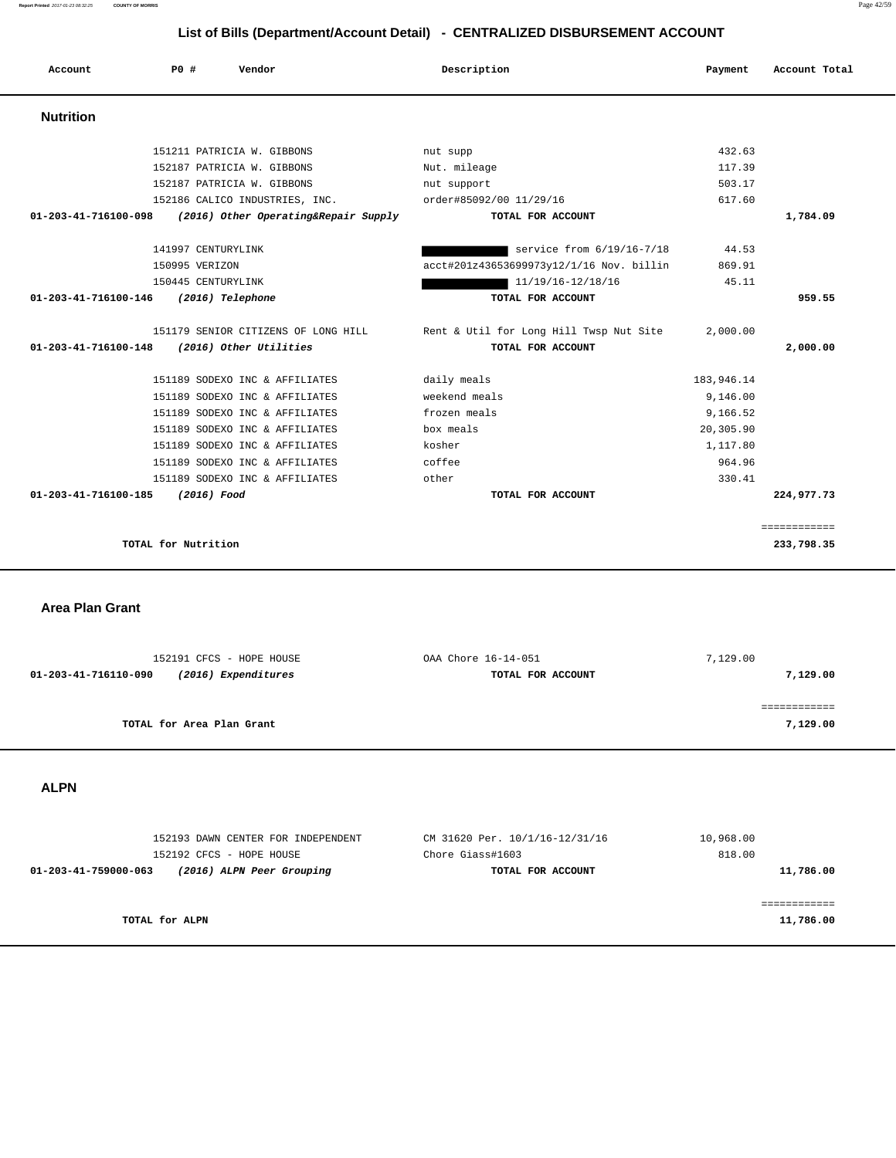| Account                        | PO#                 | Vendor                               | Description                              | Payment    | Account Total |
|--------------------------------|---------------------|--------------------------------------|------------------------------------------|------------|---------------|
| <b>Nutrition</b>               |                     |                                      |                                          |            |               |
|                                |                     | 151211 PATRICIA W. GIBBONS           | nut supp                                 | 432.63     |               |
|                                |                     | 152187 PATRICIA W. GIBBONS           | Nut. mileage                             | 117.39     |               |
|                                |                     | 152187 PATRICIA W. GIBBONS           | nut support                              | 503.17     |               |
|                                |                     | 152186 CALICO INDUSTRIES, INC.       | order#85092/00 11/29/16                  | 617.60     |               |
| 01-203-41-716100-098           |                     | (2016) Other Operating&Repair Supply | TOTAL FOR ACCOUNT                        |            | 1,784.09      |
|                                | 141997 CENTURYLINK  |                                      | service from 6/19/16-7/18                | 44.53      |               |
|                                | 150995 VERIZON      |                                      | acct#201z43653699973y12/1/16 Nov. billin | 869.91     |               |
|                                | 150445 CENTURYLINK  |                                      | 11/19/16-12/18/16                        | 45.11      |               |
| 01-203-41-716100-146           |                     | (2016) Telephone                     | TOTAL FOR ACCOUNT                        |            | 959.55        |
|                                |                     | 151179 SENIOR CITIZENS OF LONG HILL  | Rent & Util for Long Hill Twsp Nut Site  | 2.000.00   |               |
| $01 - 203 - 41 - 716100 - 148$ |                     | (2016) Other Utilities               | TOTAL FOR ACCOUNT                        |            | 2,000.00      |
|                                |                     | 151189 SODEXO INC & AFFILIATES       | daily meals                              | 183,946.14 |               |
|                                |                     | 151189 SODEXO INC & AFFILIATES       | weekend meals                            | 9,146.00   |               |
|                                |                     | 151189 SODEXO INC & AFFILIATES       | frozen meals                             | 9,166.52   |               |
|                                |                     | 151189 SODEXO INC & AFFILIATES       | box meals                                | 20,305.90  |               |
|                                |                     | 151189 SODEXO INC & AFFILIATES       | kosher                                   | 1,117.80   |               |
|                                |                     | 151189 SODEXO INC & AFFILIATES       | coffee                                   | 964.96     |               |
|                                |                     | 151189 SODEXO INC & AFFILIATES       | other                                    | 330.41     |               |
| 01-203-41-716100-185           | (2016) Food         |                                      | TOTAL FOR ACCOUNT                        |            | 224,977.73    |
|                                |                     |                                      |                                          |            | ============  |
|                                | TOTAL for Nutrition |                                      |                                          |            | 233,798.35    |

 **Area Plan Grant** 

| 152191 CFCS - HOPE HOUSE                    | OAA Chore 16-14-051 | 7,129.00 |
|---------------------------------------------|---------------------|----------|
| (2016) Expenditures<br>01-203-41-716110-090 | TOTAL FOR ACCOUNT   | 7,129.00 |
|                                             |                     |          |
|                                             |                     |          |
| TOTAL for Area Plan Grant                   |                     | 7,129.00 |
|                                             |                     |          |

 **ALPN** 

| 152193 DAWN CENTER FOR INDEPENDENT                | CM 31620 Per. 10/1/16-12/31/16 | 10,968.00 |
|---------------------------------------------------|--------------------------------|-----------|
| 152192 CFCS - HOPE HOUSE                          | Chore Giass#1603               | 818.00    |
| 01-203-41-759000-063<br>(2016) ALPN Peer Grouping | TOTAL FOR ACCOUNT              | 11,786.00 |
|                                                   |                                |           |
|                                                   |                                |           |
| TOTAL for ALPN                                    |                                | 11,786.00 |
|                                                   |                                |           |

**Report Printed** 2017-01-23 08:32:25 **COUNTY OF MORRIS** Page 42/59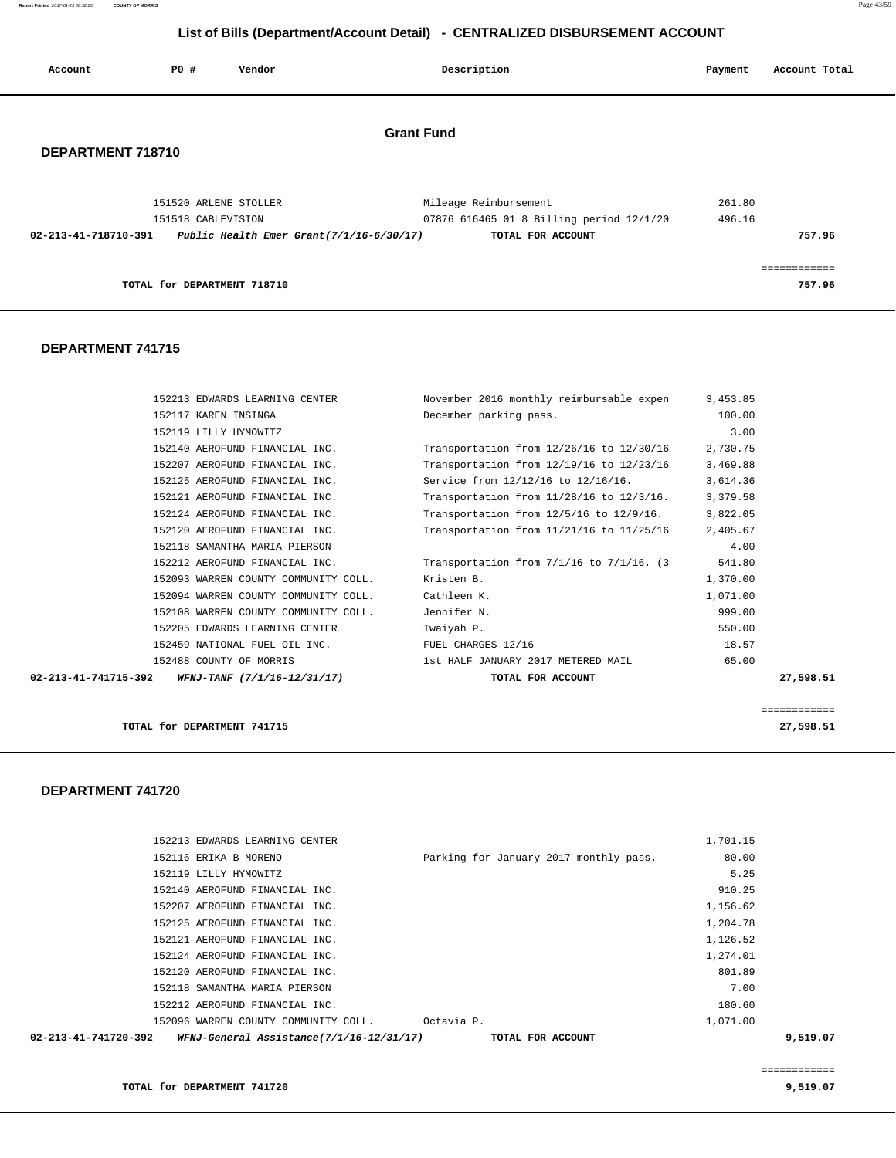**Report Printed** 2017-01-23 08:32:25 **COUNTY OF MORRIS** Page 43/59

# **List of Bills (Department/Account Detail) - CENTRALIZED DISBURSEMENT ACCOUNT**

| Account                                | PO#                   | Vendor                                      |  | Description                                                   | Payment | Account Total          |  |
|----------------------------------------|-----------------------|---------------------------------------------|--|---------------------------------------------------------------|---------|------------------------|--|
| <b>Grant Fund</b><br>DEPARTMENT 718710 |                       |                                             |  |                                                               |         |                        |  |
|                                        | 151520 ARLENE STOLLER |                                             |  | Mileage Reimbursement                                         | 261.80  |                        |  |
| 02-213-41-718710-391                   | 151518 CABLEVISION    | Public Health Emer Grant $(7/1/16-6/30/17)$ |  | 07876 616465 01 8 Billing period 12/1/20<br>TOTAL FOR ACCOUNT | 496.16  | 757.96                 |  |
|                                        |                       | TOTAL for DEPARTMENT 718710                 |  |                                                               |         | ------------<br>757.96 |  |

### **DEPARTMENT 741715**

| 02-213-41-741715-392 | WFNJ-TANF (7/1/16-12/31/17)          | TOTAL FOR ACCOUNT                              |          | 27,598.51 |
|----------------------|--------------------------------------|------------------------------------------------|----------|-----------|
|                      | 152488 COUNTY OF MORRIS              | 1st HALF JANUARY 2017 METERED MAIL             | 65.00    |           |
|                      | 152459 NATIONAL FUEL OIL INC.        | FUEL CHARGES 12/16                             | 18.57    |           |
|                      | 152205 EDWARDS LEARNING CENTER       | Twaiyah P.                                     | 550.00   |           |
|                      | 152108 WARREN COUNTY COMMUNITY COLL. | Jennifer N.                                    | 999.00   |           |
|                      | 152094 WARREN COUNTY COMMUNITY COLL. | Cathleen K.                                    | 1,071.00 |           |
|                      | 152093 WARREN COUNTY COMMUNITY COLL. | Kristen B.                                     | 1,370.00 |           |
|                      | 152212 AEROFUND FINANCIAL INC.       | Transportation from $7/1/16$ to $7/1/16$ . (3) | 541.80   |           |
|                      | 152118 SAMANTHA MARIA PIERSON        |                                                | 4.00     |           |
|                      | 152120 AEROFUND FINANCIAL INC.       | Transportation from 11/21/16 to 11/25/16       | 2,405.67 |           |
|                      | 152124 AEROFUND FINANCIAL INC.       | Transportation from $12/5/16$ to $12/9/16$ .   | 3,822.05 |           |
|                      | 152121 AEROFUND FINANCIAL INC.       | Transportation from $11/28/16$ to $12/3/16$ .  | 3,379.58 |           |
|                      | 152125 AEROFUND FINANCIAL INC.       | Service from 12/12/16 to 12/16/16.             | 3,614.36 |           |
|                      | 152207 AEROFUND FINANCIAL INC.       | Transportation from 12/19/16 to 12/23/16       | 3,469.88 |           |
|                      | 152140 AEROFUND FINANCIAL INC.       | Transportation from 12/26/16 to 12/30/16       | 2,730.75 |           |
|                      | 152119 LILLY HYMOWITZ                |                                                | 3.00     |           |
|                      | 152117 KAREN INSINGA                 | December parking pass.                         | 100.00   |           |
|                      | 152213 EDWARDS LEARNING CENTER       | November 2016 monthly reimbursable expen       | 3,453.85 |           |

============

**TOTAL for DEPARTMENT 741715 27,598.51**

 **DEPARTMENT 741720** 

| WFNJ-General Assistance(7/1/16-12/31/17)<br>02-213-41-741720-392 | TOTAL FOR ACCOUNT                      |          | 9,519.07 |
|------------------------------------------------------------------|----------------------------------------|----------|----------|
| 152096 WARREN COUNTY COMMUNITY COLL.                             | Octavia P.                             | 1,071.00 |          |
| 152212 AEROFUND FINANCIAL INC.                                   |                                        | 180.60   |          |
| 152118 SAMANTHA MARIA PIERSON                                    |                                        | 7.00     |          |
| 152120 AEROFUND FINANCIAL INC.                                   |                                        | 801.89   |          |
| 152124 AEROFUND FINANCIAL INC.                                   |                                        | 1,274.01 |          |
| 152121 AEROFUND FINANCIAL INC.                                   |                                        | 1,126.52 |          |
| 152125 AEROFUND FINANCIAL INC.                                   |                                        | 1,204.78 |          |
| 152207 AEROFUND FINANCIAL INC.                                   |                                        | 1,156.62 |          |
| 152140 AEROFUND FINANCIAL INC.                                   |                                        | 910.25   |          |
| 152119 LILLY HYMOWITZ                                            |                                        | 5.25     |          |
| 152116 ERIKA B MORENO                                            | Parking for January 2017 monthly pass. | 80.00    |          |
| 152213 EDWARDS LEARNING CENTER                                   |                                        | 1,701.15 |          |

============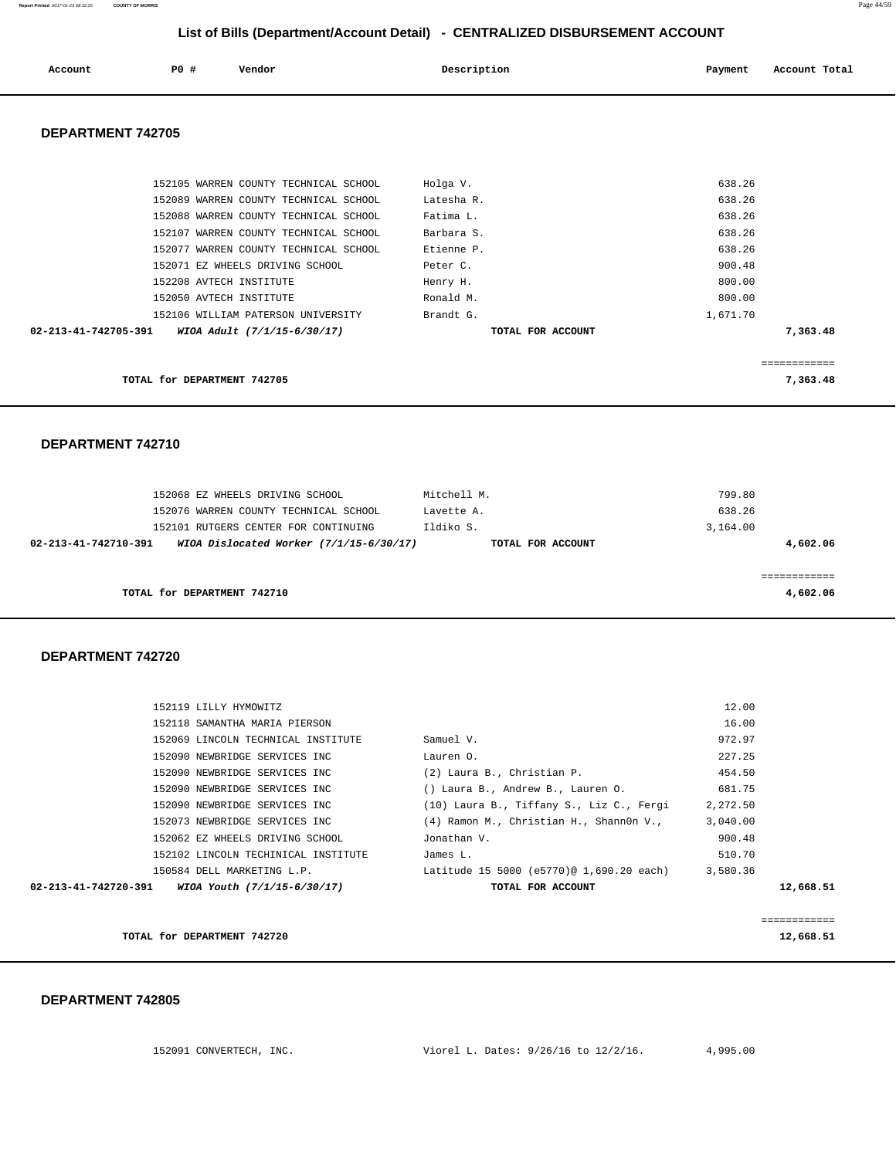| Account | P0 # | Vendor | Description | Payment | Account Total |
|---------|------|--------|-------------|---------|---------------|
|         |      |        |             |         |               |

### **DEPARTMENT 742705**

| 152106 WILLIAM PATERSON UNIVERSITY<br>02-213-41-742705-391<br>WIOA Adult (7/1/15-6/30/17) | Brandt G.<br>TOTAL FOR ACCOUNT | 1,671.70<br>7,363.48 |
|-------------------------------------------------------------------------------------------|--------------------------------|----------------------|
| 152050 AVTECH INSTITUTE                                                                   | Ronald M.                      | 800.00               |
| 152071 EZ WHEELS DRIVING SCHOOL<br>152208 AVTECH INSTITUTE                                | Peter C.<br>Henry H.           | 900.48<br>800.00     |
| 152077 WARREN COUNTY TECHNICAL SCHOOL                                                     | Etienne P.                     | 638.26               |
| 152107 WARREN COUNTY TECHNICAL SCHOOL                                                     | Barbara S.                     | 638.26               |
| 152089 WARREN COUNTY TECHNICAL SCHOOL<br>152088 WARREN COUNTY TECHNICAL SCHOOL            | Latesha R.<br>Fatima L.        | 638.26<br>638.26     |
| 152105 WARREN COUNTY TECHNICAL SCHOOL                                                     | Holga V.                       | 638.26               |
|                                                                                           |                                |                      |

#### **DEPARTMENT 742710**

|                      | 152068 EZ WHEELS DRIVING SCHOOL<br>152076 WARREN COUNTY TECHNICAL SCHOOL | Mitchell M.<br>Lavette A. |                   | 799.80<br>638.26 |
|----------------------|--------------------------------------------------------------------------|---------------------------|-------------------|------------------|
|                      | 152101 RUTGERS CENTER FOR CONTINUING                                     | Ildiko S.                 |                   | 3,164.00         |
| 02-213-41-742710-391 | WIOA Dislocated Worker $(7/1/15-6/30/17)$                                |                           | TOTAL FOR ACCOUNT | 4,602.06         |
|                      | TOTAL for DEPARTMENT 742710                                              |                           |                   | 4,602.06         |
|                      |                                                                          |                           |                   |                  |

### **DEPARTMENT 742720**

|                      | TOTAL for DEPARTMENT 742720         |                                          |          | 12,668.51    |
|----------------------|-------------------------------------|------------------------------------------|----------|--------------|
|                      |                                     |                                          |          | ============ |
| 02-213-41-742720-391 | WIOA Youth (7/1/15-6/30/17)         | TOTAL FOR ACCOUNT                        |          | 12,668.51    |
|                      | 150584 DELL MARKETING L.P.          | Latitude 15 5000 (e5770)@ 1,690.20 each) | 3,580.36 |              |
|                      | 152102 LINCOLN TECHINICAL INSTITUTE | James L.                                 | 510.70   |              |
|                      | 152062 EZ WHEELS DRIVING SCHOOL     | Jonathan V.                              | 900.48   |              |
|                      | 152073 NEWBRIDGE SERVICES INC       | (4) Ramon M., Christian H., Shann0n V.,  | 3,040.00 |              |
|                      | 152090 NEWBRIDGE SERVICES INC       | (10) Laura B., Tiffany S., Liz C., Fergi | 2,272.50 |              |
|                      | 152090 NEWBRIDGE SERVICES INC       | () Laura B., Andrew B., Lauren O.        | 681.75   |              |
|                      | 152090 NEWBRIDGE SERVICES INC       | (2) Laura B., Christian P.               | 454.50   |              |
|                      | 152090 NEWBRIDGE SERVICES INC       | Lauren O.                                | 227.25   |              |
|                      | 152069 LINCOLN TECHNICAL INSTITUTE  | Samuel V.                                | 972.97   |              |
|                      | 152118 SAMANTHA MARIA PIERSON       |                                          | 16.00    |              |
|                      | 152119 LILLY HYMOWITZ               |                                          | 12.00    |              |
|                      |                                     |                                          |          |              |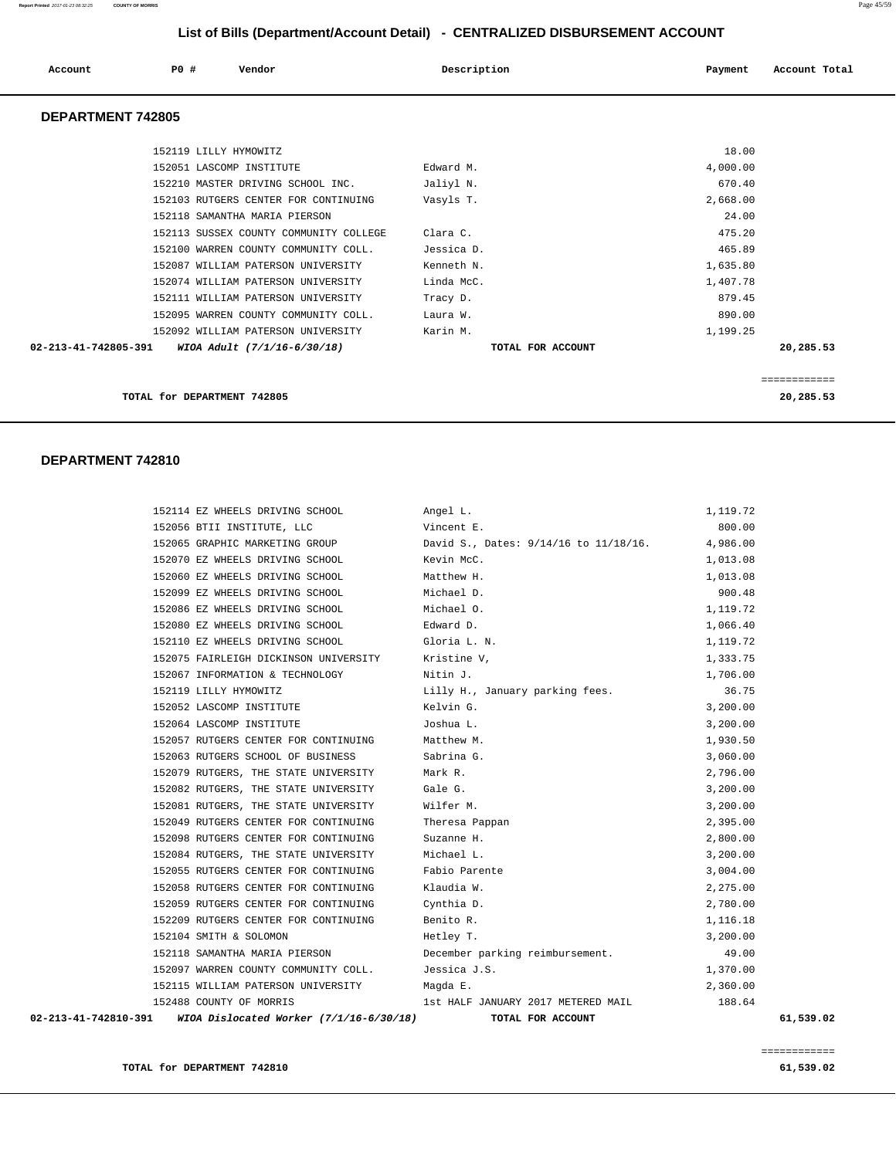| Account                        | PO# | Vendor                                 | Description       | Payment  | Account Total |
|--------------------------------|-----|----------------------------------------|-------------------|----------|---------------|
| <b>DEPARTMENT 742805</b>       |     |                                        |                   |          |               |
|                                |     | 152119 LILLY HYMOWITZ                  |                   | 18.00    |               |
|                                |     | 152051 LASCOMP INSTITUTE               | Edward M.         | 4,000.00 |               |
|                                |     | 152210 MASTER DRIVING SCHOOL INC.      | Jaliyl N.         | 670.40   |               |
|                                |     | 152103 RUTGERS CENTER FOR CONTINUING   | Vasyls T.         | 2,668.00 |               |
|                                |     | 152118 SAMANTHA MARIA PIERSON          |                   | 24.00    |               |
|                                |     | 152113 SUSSEX COUNTY COMMUNITY COLLEGE | Clara C.          | 475.20   |               |
|                                |     | 152100 WARREN COUNTY COMMUNITY COLL.   | Jessica D.        | 465.89   |               |
|                                |     | 152087 WILLIAM PATERSON UNIVERSITY     | Kenneth N.        | 1,635.80 |               |
|                                |     | 152074 WILLIAM PATERSON UNIVERSITY     | Linda McC.        | 1,407.78 |               |
|                                |     | 152111 WILLIAM PATERSON UNIVERSITY     | Tracy D.          | 879.45   |               |
|                                |     | 152095 WARREN COUNTY COMMUNITY COLL.   | Laura W.          | 890.00   |               |
|                                |     | 152092 WILLIAM PATERSON UNIVERSITY     | Karin M.          | 1,199.25 |               |
| $02 - 213 - 41 - 742805 - 391$ |     | WIOA Adult (7/1/16-6/30/18)            | TOTAL FOR ACCOUNT |          | 20,285.53     |
|                                |     |                                        |                   |          | ===========   |
|                                |     | TOTAL for DEPARTMENT 742805            |                   |          | 20,285.53     |

#### **DEPARTMENT 742810**

| 02-213-41-742810-391<br>WIOA Dislocated Worker (7/1/16-6/30/18) | TOTAL FOR ACCOUNT                     | 61,539.02 |
|-----------------------------------------------------------------|---------------------------------------|-----------|
| 152488 COUNTY OF MORRIS                                         | 1st HALF JANUARY 2017 METERED MAIL    | 188.64    |
| 152115 WILLIAM PATERSON UNIVERSITY                              | Maqda E.                              | 2,360.00  |
| 152097 WARREN COUNTY COMMUNITY COLL.                            | Jessica J.S.                          | 1,370.00  |
| 152118 SAMANTHA MARIA PIERSON                                   | December parking reimbursement.       | 49.00     |
| 152104 SMITH & SOLOMON                                          | Hetley T.                             | 3,200.00  |
| 152209 RUTGERS CENTER FOR CONTINUING                            | Benito R.                             | 1,116.18  |
| 152059 RUTGERS CENTER FOR CONTINUING                            | Cynthia D.                            | 2,780.00  |
| 152058 RUTGERS CENTER FOR CONTINUING                            | Klaudia W.                            | 2,275.00  |
| 152055 RUTGERS CENTER FOR CONTINUING                            | Fabio Parente                         | 3,004.00  |
| 152084 RUTGERS, THE STATE UNIVERSITY                            | Michael L.                            | 3,200.00  |
| 152098 RUTGERS CENTER FOR CONTINUING                            | Suzanne H.                            | 2,800.00  |
| 152049 RUTGERS CENTER FOR CONTINUING                            | Theresa Pappan                        | 2,395.00  |
| 152081 RUTGERS, THE STATE UNIVERSITY                            | Wilfer M.                             | 3,200.00  |
| 152082 RUTGERS, THE STATE UNIVERSITY                            | Gale G.                               | 3,200.00  |
| 152079 RUTGERS, THE STATE UNIVERSITY                            | Mark R.                               | 2,796.00  |
| 152063 RUTGERS SCHOOL OF BUSINESS                               | Sabrina G.                            | 3,060.00  |
| 152057 RUTGERS CENTER FOR CONTINUING                            | Matthew M.                            | 1,930.50  |
| 152064 LASCOMP INSTITUTE                                        | Joshua L.                             | 3,200.00  |
| 152052 LASCOMP INSTITUTE                                        | Kelvin G.                             | 3,200.00  |
| 152119 LILLY HYMOWITZ                                           | Lilly H., January parking fees.       | 36.75     |
| 152067 INFORMATION & TECHNOLOGY                                 | Nitin J.                              | 1,706.00  |
| 152075 FAIRLEIGH DICKINSON UNIVERSITY                           | Kristine V,                           | 1,333.75  |
| 152110 EZ WHEELS DRIVING SCHOOL                                 | Gloria L. N.                          | 1,119.72  |
| 152080 EZ WHEELS DRIVING SCHOOL                                 | Edward D.                             | 1,066.40  |
| 152086 EZ WHEELS DRIVING SCHOOL                                 | Michael O.                            | 1,119.72  |
| 152099 EZ WHEELS DRIVING SCHOOL                                 | Michael D.                            | 900.48    |
| 152060 EZ WHEELS DRIVING SCHOOL                                 | Matthew H.                            | 1,013.08  |
| 152070 EZ WHEELS DRIVING SCHOOL                                 | Kevin McC.                            | 1,013.08  |
| 152065 GRAPHIC MARKETING GROUP                                  | David S., Dates: 9/14/16 to 11/18/16. | 4,986.00  |
| 152056 BTII INSTITUTE, LLC                                      | Vincent E.                            | 800.00    |
| 152114 EZ WHEELS DRIVING SCHOOL                                 | Angel L.                              | 1,119.72  |

============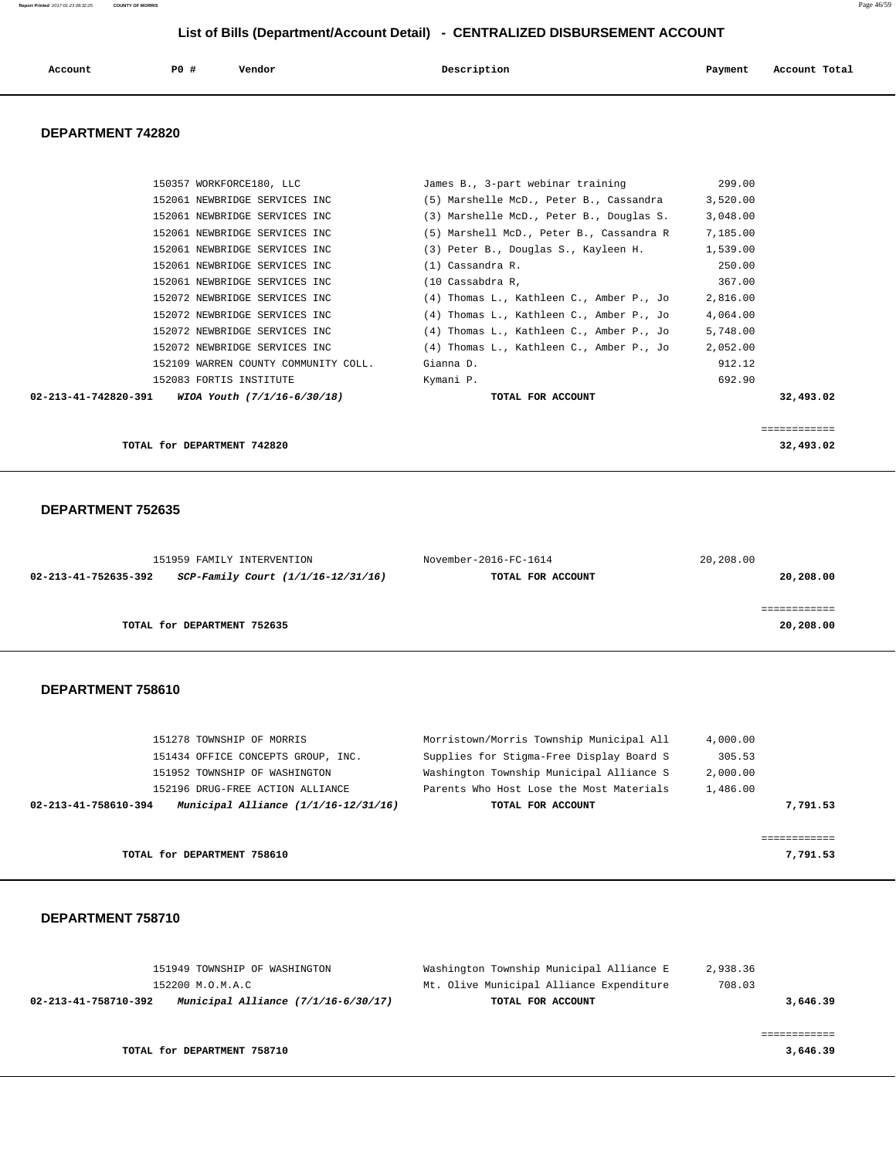| Account | P0 | Vendor<br>. | Description | Payment | Account Total<br>.<br>. |
|---------|----|-------------|-------------|---------|-------------------------|
|         |    |             |             |         |                         |

#### **DEPARTMENT 742820**

|                      | 152061 NEWBRIDGE SERVICES INC        | (5) Marshell McD., Peter B., Cassandra R | 7,185.00  |
|----------------------|--------------------------------------|------------------------------------------|-----------|
|                      | 152061 NEWBRIDGE SERVICES INC        | (3) Peter B., Douglas S., Kayleen H.     | 1,539.00  |
|                      | 152061 NEWBRIDGE SERVICES INC        | $(1)$ Cassandra R.                       | 250.00    |
|                      | 152061 NEWBRIDGE SERVICES INC        | (10 Cassabdra R,                         | 367.00    |
|                      | 152072 NEWBRIDGE SERVICES INC        | (4) Thomas L., Kathleen C., Amber P., Jo | 2,816.00  |
|                      | 152072 NEWBRIDGE SERVICES INC        | (4) Thomas L., Kathleen C., Amber P., Jo | 4,064.00  |
|                      | 152072 NEWBRIDGE SERVICES INC        | (4) Thomas L., Kathleen C., Amber P., Jo | 5,748.00  |
|                      | 152072 NEWBRIDGE SERVICES INC        | (4) Thomas L., Kathleen C., Amber P., Jo | 2,052.00  |
|                      | 152109 WARREN COUNTY COMMUNITY COLL. | Gianna D.                                | 912.12    |
|                      | 152083 FORTIS INSTITUTE              | Kymani P.                                | 692.90    |
| 02-213-41-742820-391 | WIOA Youth (7/1/16-6/30/18)          | TOTAL FOR ACCOUNT                        | 32,493.02 |

**TOTAL for DEPARTMENT 742820** 32,493.02

#### **DEPARTMENT 752635**

|                      | 151959 FAMILY INTERVENTION         | November-2016-FC-1614 | 20,208.00 |
|----------------------|------------------------------------|-----------------------|-----------|
| 02-213-41-752635-392 | SCP-Family Court (1/1/16-12/31/16) | TOTAL FOR ACCOUNT     | 20,208.00 |
|                      |                                    |                       |           |
|                      |                                    |                       |           |
|                      | TOTAL for DEPARTMENT 752635        |                       | 20,208.00 |
|                      |                                    |                       |           |

#### **DEPARTMENT 758610**

| 151278 TOWNSHIP OF MORRIS                                        | Morristown/Morris Township Municipal All | 4,000.00 |
|------------------------------------------------------------------|------------------------------------------|----------|
| 151434 OFFICE CONCEPTS GROUP, INC.                               | Supplies for Stigma-Free Display Board S | 305.53   |
| 151952 TOWNSHIP OF WASHINGTON                                    | Washington Township Municipal Alliance S | 2,000.00 |
| 152196 DRUG-FREE ACTION ALLIANCE                                 | Parents Who Host Lose the Most Materials | 1,486.00 |
| Municipal Alliance $(1/1/16 - 12/31/16)$<br>02-213-41-758610-394 | TOTAL FOR ACCOUNT                        | 7,791.53 |
|                                                                  |                                          |          |
|                                                                  |                                          |          |
| TOTAL for DEPARTMENT 758610                                      |                                          | 7,791.53 |

| 151949 TOWNSHIP OF WASHINGTON                                 | Washington Township Municipal Alliance E | 2,938.36 |
|---------------------------------------------------------------|------------------------------------------|----------|
| 152200 M.O.M.A.C                                              | Mt. Olive Municipal Alliance Expenditure | 708.03   |
| Municipal Alliance $(7/1/16-6/30/17)$<br>02-213-41-758710-392 | TOTAL FOR ACCOUNT                        | 3,646.39 |
|                                                               |                                          |          |
|                                                               |                                          |          |
| TOTAL for DEPARTMENT 758710                                   |                                          | 3,646.39 |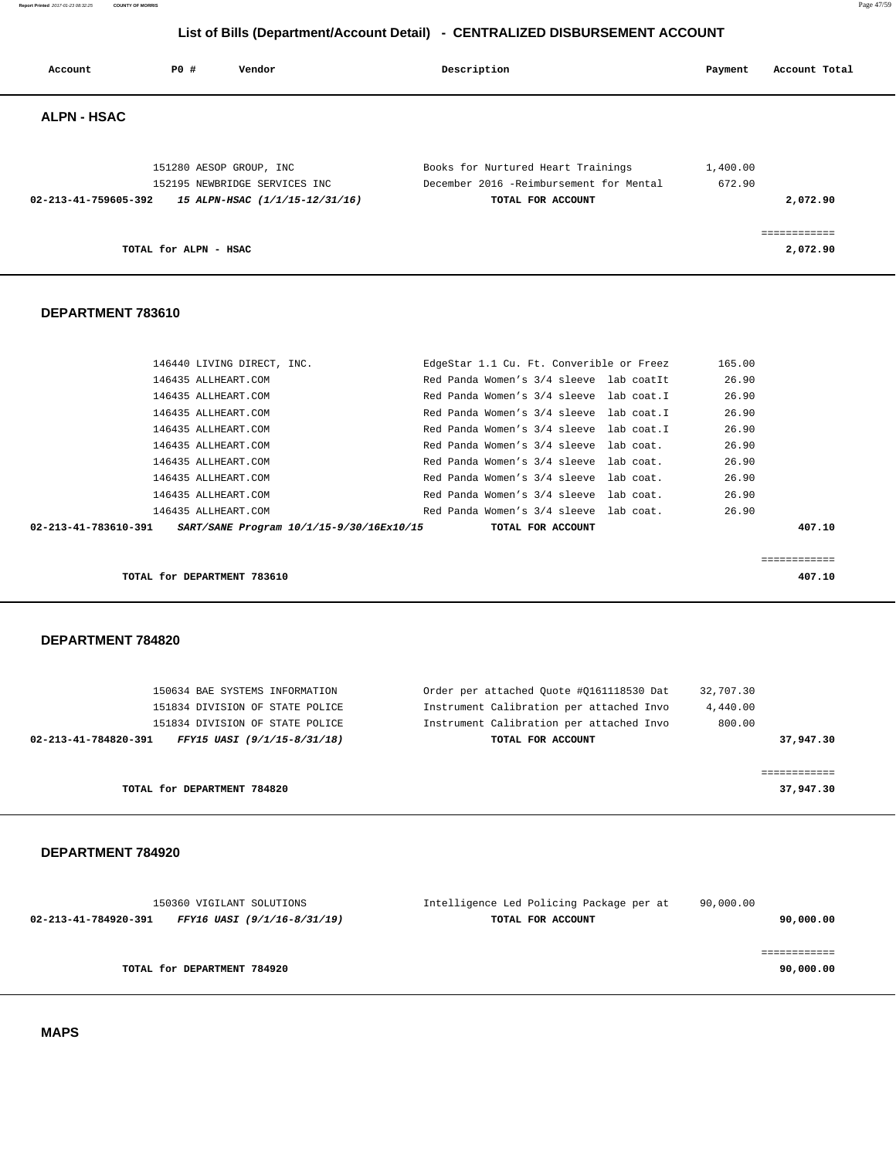**Report Printed** 2017-01-23 08:32:25 **COUNTY OF MORRIS** Page 47/59

# **List of Bills (Department/Account Detail) - CENTRALIZED DISBURSEMENT ACCOUNT**

| Account              | PO#<br>Vendor                              | Description                                                                        | Payment         | Account Total            |
|----------------------|--------------------------------------------|------------------------------------------------------------------------------------|-----------------|--------------------------|
| <b>ALPN - HSAC</b>   |                                            |                                                                                    |                 |                          |
|                      | 151280 AESOP GROUP, INC                    | Books for Nurtured Heart Trainings                                                 | 1,400.00        |                          |
|                      | 152195 NEWBRIDGE SERVICES INC              | December 2016 -Reimbursement for Mental                                            | 672.90          |                          |
| 02-213-41-759605-392 | 15 ALPN-HSAC (1/1/15-12/31/16)             | TOTAL FOR ACCOUNT                                                                  |                 | 2,072.90                 |
|                      | TOTAL for ALPN - HSAC                      |                                                                                    |                 | ============<br>2,072.90 |
| DEPARTMENT 783610    |                                            |                                                                                    |                 |                          |
|                      |                                            |                                                                                    |                 |                          |
|                      | 146440 LIVING DIRECT, INC.                 | EdgeStar 1.1 Cu. Ft. Converible or Freez                                           | 165.00<br>26.90 |                          |
|                      | 146435 ALLHEART.COM<br>146435 ALLHEART.COM | Red Panda Women's 3/4 sleeve lab coatIt<br>Red Panda Women's 3/4 sleeve lab coat.I | 26.90           |                          |
|                      | 146435 ALLHEART.COM                        | Red Panda Women's 3/4 sleeve lab coat.I                                            | 26.90           |                          |
|                      | 146435 ALLHEART.COM                        | Red Panda Women's 3/4 sleeve lab coat.I                                            | 26.90           |                          |
|                      | 146435 ALLHEART.COM                        | Red Panda Women's 3/4 sleeve lab coat.                                             | 26.90           |                          |
|                      | 146435 ALLHEART.COM                        | Red Panda Women's 3/4 sleeve<br>lab coat.                                          | 26.90           |                          |
|                      | 146435 ALLHEART.COM                        | Red Panda Women's 3/4 sleeve lab coat.                                             | 26.90           |                          |
|                      | 146435 ALLHEART.COM                        | Red Panda Women's 3/4 sleeve lab coat.                                             | 26.90           |                          |
|                      | 146435 ALLHEART.COM                        | Red Panda Women's 3/4 sleeve<br>lab coat.                                          | 26.90           |                          |
| 02-213-41-783610-391 | SART/SANE Program 10/1/15-9/30/16Ex10/15   | TOTAL FOR ACCOUNT                                                                  |                 | 407.10                   |
|                      |                                            |                                                                                    |                 | ============             |
|                      | TOTAL for DEPARTMENT 783610                |                                                                                    |                 | 407.10                   |
| DEPARTMENT 784820    |                                            |                                                                                    |                 |                          |
|                      |                                            |                                                                                    |                 |                          |
|                      | 150634 BAE SYSTEMS INFORMATION             | Order per attached Quote #Q161118530 Dat                                           | 32,707.30       |                          |
|                      | 151834 DIVISION OF STATE POLICE            | Instrument Calibration per attached Invo                                           | 4,440.00        |                          |
|                      | 151834 DIVISION OF STATE POLICE            | Instrument Calibration per attached Invo                                           | 800.00          |                          |
| 02-213-41-784820-391 | FFY15 UASI (9/1/15-8/31/18)                | TOTAL FOR ACCOUNT                                                                  |                 | 37,947.30                |

**TOTAL for DEPARTMENT 784820 37,947.30**

### **DEPARTMENT 784920**

| 150360 VIGILANT SOLUTIONS                           | Intelligence Led Policing Package per at | 90,000.00 |
|-----------------------------------------------------|------------------------------------------|-----------|
| 02-213-41-784920-391<br>FFY16 UASI (9/1/16-8/31/19) | TOTAL FOR ACCOUNT                        | 90,000.00 |
|                                                     |                                          |           |
|                                                     |                                          |           |
| TOTAL for DEPARTMENT 784920                         |                                          | 90,000.00 |
|                                                     |                                          |           |

============

 **MAPS**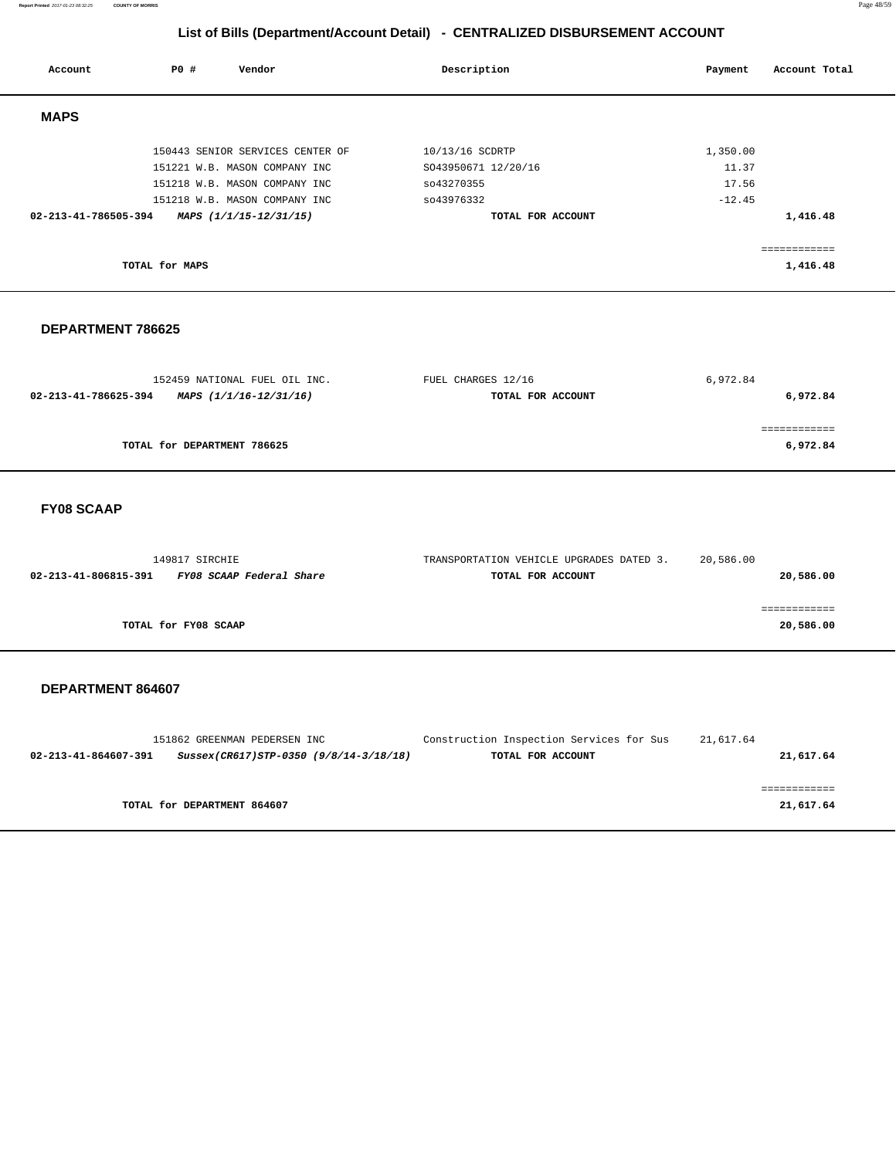| Account              | PO#            | Vendor                           | Description         | Payment  | Account Total |
|----------------------|----------------|----------------------------------|---------------------|----------|---------------|
| <b>MAPS</b>          |                |                                  |                     |          |               |
|                      |                | 150443 SENIOR SERVICES CENTER OF | 10/13/16 SCDRTP     | 1,350.00 |               |
|                      |                | 151221 W.B. MASON COMPANY INC    | SO43950671 12/20/16 | 11.37    |               |
|                      |                | 151218 W.B. MASON COMPANY INC    | so43270355          | 17.56    |               |
|                      |                | 151218 W.B. MASON COMPANY INC    | so43976332          | $-12.45$ |               |
| 02-213-41-786505-394 |                | MAPS (1/1/15-12/31/15)           | TOTAL FOR ACCOUNT   |          | 1,416.48      |
|                      |                |                                  |                     |          | ============  |
|                      | TOTAL for MAPS |                                  |                     |          | 1,416.48      |

### **DEPARTMENT 786625**

| 152459 NATIONAL FUEL OIL INC.                  | FUEL CHARGES 12/16 | 6,972.84 |
|------------------------------------------------|--------------------|----------|
| 02-213-41-786625-394<br>MAPS (1/1/16-12/31/16) | TOTAL FOR ACCOUNT  | 6,972.84 |
|                                                |                    |          |
|                                                |                    |          |
| TOTAL for DEPARTMENT 786625                    |                    | 6,972.84 |

### **FY08 SCAAP**

| 149817 SIRCHIE                                   | TRANSPORTATION VEHICLE UPGRADES DATED 3. | 20,586.00   |
|--------------------------------------------------|------------------------------------------|-------------|
| 02-213-41-806815-391<br>FY08 SCAAP Federal Share | TOTAL FOR ACCOUNT                        | 20,586.00   |
|                                                  |                                          |             |
|                                                  |                                          | ----------- |
| TOTAL for FY08 SCAAP                             |                                          | 20,586.00   |

|                      | 151862 GREENMAN PEDERSEN INC           | Construction Inspection Services for Sus | 21,617.64 |
|----------------------|----------------------------------------|------------------------------------------|-----------|
| 02-213-41-864607-391 | Sussex(CR617)STP-0350 (9/8/14-3/18/18) | TOTAL FOR ACCOUNT                        | 21,617.64 |
|                      |                                        |                                          |           |
|                      |                                        |                                          |           |
|                      | TOTAL for DEPARTMENT 864607            |                                          | 21,617.64 |
|                      |                                        |                                          |           |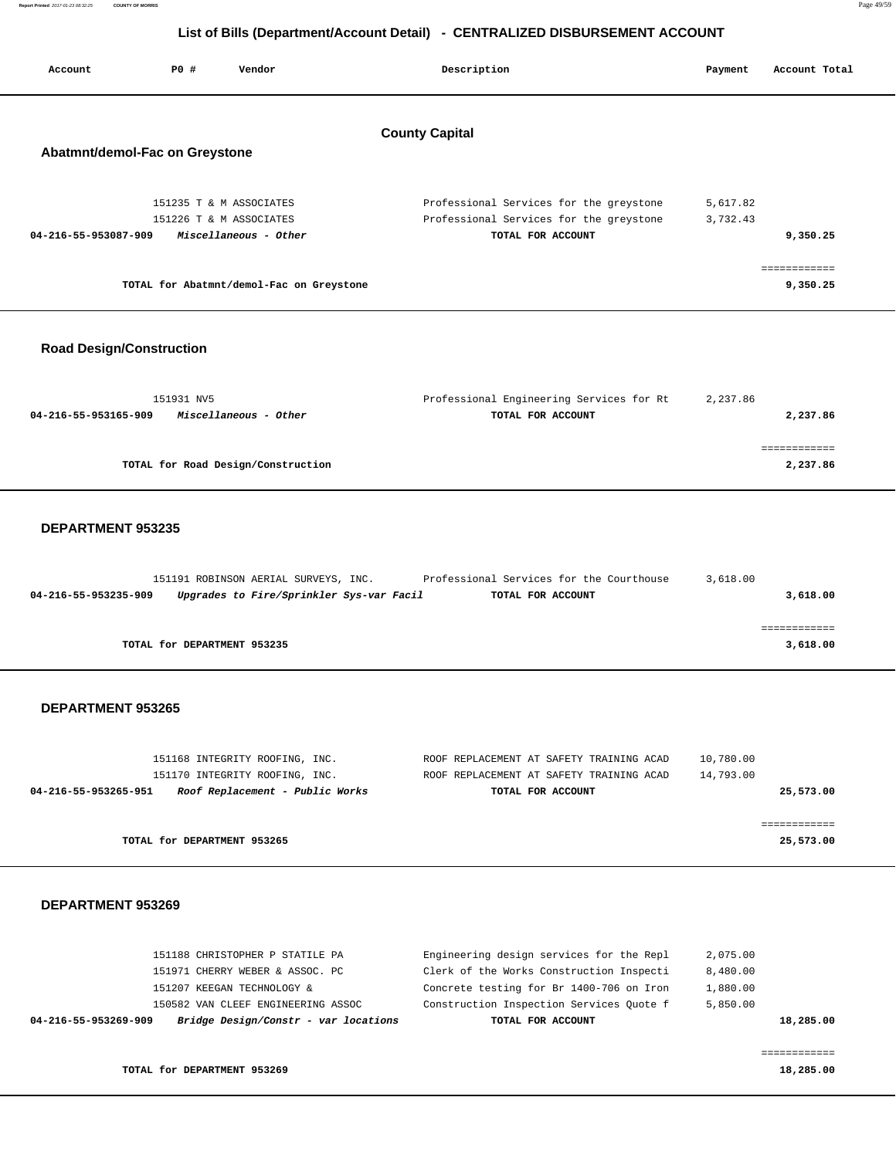| Report Printed 2017-01-23 08:32:25 | <b>COUNTY OF MORRIS</b> | Page 49/59 |
|------------------------------------|-------------------------|------------|
|                                    |                         |            |

| Account                        | PO# | Vendor                  | Description<br>Payment                   |          | Account Total |
|--------------------------------|-----|-------------------------|------------------------------------------|----------|---------------|
| Abatmnt/demol-Fac on Greystone |     |                         | <b>County Capital</b>                    |          |               |
|                                |     | 151235 T & M ASSOCIATES | Professional Services for the greystone  | 5,617.82 |               |
|                                |     | 151226 T & M ASSOCIATES | Professional Services for the greystone  | 3,732.43 |               |
| 04-216-55-953087-909           |     | Miscellaneous - Other   | TOTAL FOR ACCOUNT                        |          | 9,350.25      |
|                                |     |                         |                                          |          |               |
|                                |     |                         | TOTAL for Abatmnt/demol-Fac on Greystone |          | 9,350.25      |

### **Road Design/Construction**

| 151931 NV5                                    | Professional Engineering Services for Rt | 2,237.86 |
|-----------------------------------------------|------------------------------------------|----------|
| 04-216-55-953165-909<br>Miscellaneous - Other | TOTAL FOR ACCOUNT                        | 2,237.86 |
|                                               |                                          |          |
|                                               |                                          |          |
| TOTAL for Road Design/Construction            |                                          | 2,237.86 |
|                                               |                                          |          |

#### **DEPARTMENT 953235**

|                      | 151191 ROBINSON AERIAL SURVEYS, INC.     | Professional Services for the Courthouse | 3,618.00 |          |
|----------------------|------------------------------------------|------------------------------------------|----------|----------|
| 04-216-55-953235-909 | Upgrades to Fire/Sprinkler Sys-var Facil | TOTAL FOR ACCOUNT                        |          | 3,618.00 |
|                      |                                          |                                          |          |          |
|                      |                                          |                                          |          |          |
|                      | TOTAL for DEPARTMENT 953235              |                                          |          | 3,618.00 |

### **DEPARTMENT 953265**

| 151168 INTEGRITY ROOFING, INC.                          | ROOF REPLACEMENT AT SAFETY TRAINING ACAD | 10,780.00 |
|---------------------------------------------------------|------------------------------------------|-----------|
| 151170 INTEGRITY ROOFING, INC.                          | ROOF REPLACEMENT AT SAFETY TRAINING ACAD | 14,793.00 |
| Roof Replacement - Public Works<br>04-216-55-953265-951 | TOTAL FOR ACCOUNT                        | 25,573.00 |
|                                                         |                                          |           |
|                                                         |                                          |           |
| TOTAL for DEPARTMENT 953265                             |                                          | 25,573.00 |

#### **DEPARTMENT 953269**

| 04-216-55-953269-909 | Bridge Design/Constr - var locations | TOTAL FOR ACCOUNT                        | 18,285.00 |
|----------------------|--------------------------------------|------------------------------------------|-----------|
|                      | 150582 VAN CLEEF ENGINEERING ASSOC   | Construction Inspection Services Ouote f | 5,850.00  |
|                      | 151207 KEEGAN TECHNOLOGY &           | Concrete testing for Br 1400-706 on Iron | 1,880.00  |
|                      | 151971 CHERRY WEBER & ASSOC. PC      | Clerk of the Works Construction Inspecti | 8,480.00  |
|                      | 151188 CHRISTOPHER P STATILE PA      | Engineering design services for the Repl | 2,075.00  |
|                      |                                      |                                          |           |

============

**TOTAL for DEPARTMENT 953269** 18,285.00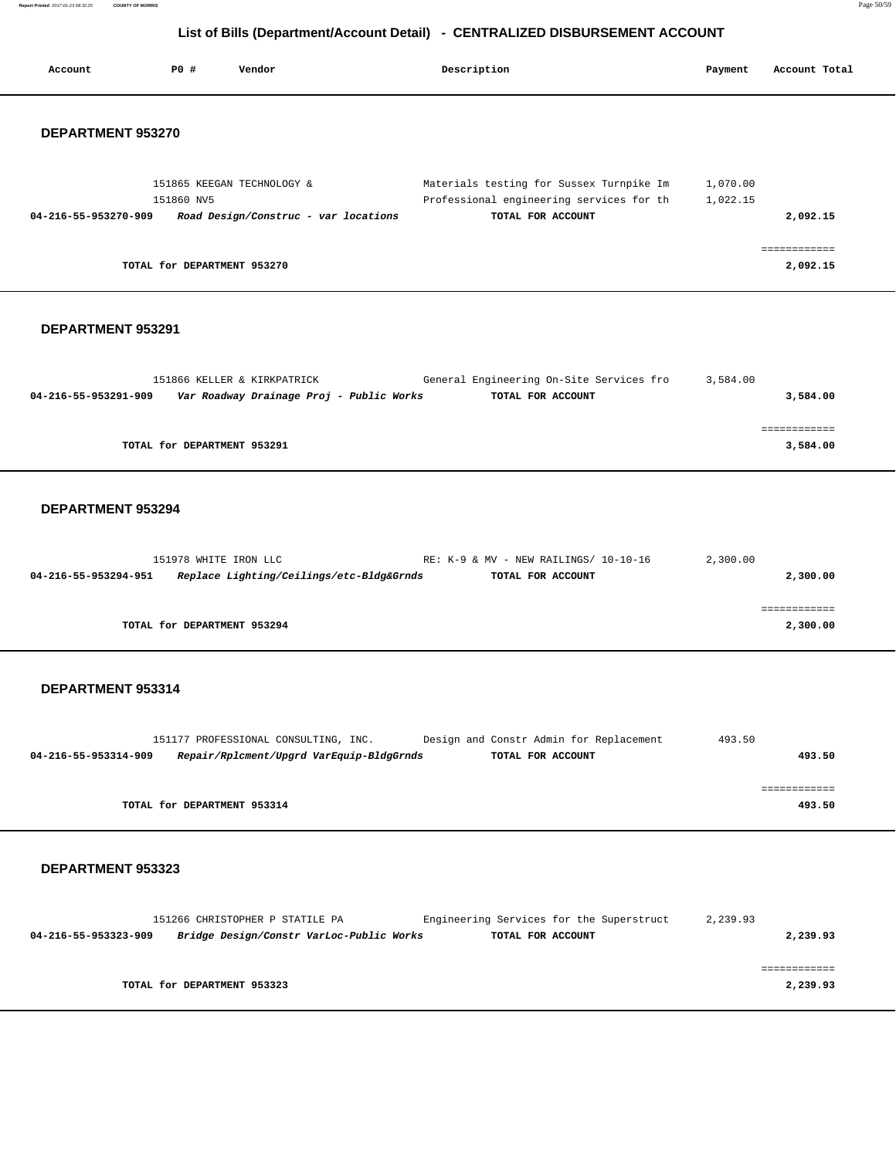**Report Printed** 2017-01-23 08:32:25 **COUNTY OF MORRIS** Page 50/59

# **List of Bills (Department/Account Detail) - CENTRALIZED DISBURSEMENT ACCOUNT**

| Account              | PO#        | Vendor                                                                  | Description                                                                                               | Payment              | Account Total            |
|----------------------|------------|-------------------------------------------------------------------------|-----------------------------------------------------------------------------------------------------------|----------------------|--------------------------|
| DEPARTMENT 953270    |            |                                                                         |                                                                                                           |                      |                          |
| 04-216-55-953270-909 | 151860 NV5 | 151865 KEEGAN TECHNOLOGY &<br>Road Design/Construc - var locations      | Materials testing for Sussex Turnpike Im<br>Professional engineering services for th<br>TOTAL FOR ACCOUNT | 1,070.00<br>1,022.15 | 2,092.15                 |
|                      |            | TOTAL for DEPARTMENT 953270                                             |                                                                                                           |                      | ============<br>2,092.15 |
| DEPARTMENT 953291    |            |                                                                         |                                                                                                           |                      |                          |
| 04-216-55-953291-909 |            | 151866 KELLER & KIRKPATRICK<br>Var Roadway Drainage Proj - Public Works | General Engineering On-Site Services fro<br>TOTAL FOR ACCOUNT                                             | 3,584.00             | 3,584.00                 |
|                      |            | TOTAL for DEPARTMENT 953291                                             |                                                                                                           |                      | ============<br>3,584.00 |

### **DEPARTMENT 953294**

|                      | 151978 WHITE IRON LLC                    | RE: K-9 & MV - NEW RAILINGS/ 10-10-16 | 2,300.00 |
|----------------------|------------------------------------------|---------------------------------------|----------|
| 04-216-55-953294-951 | Replace Lighting/Ceilings/etc-Bldg&Grnds | TOTAL FOR ACCOUNT                     | 2,300.00 |
|                      |                                          |                                       |          |
|                      |                                          |                                       |          |
|                      | TOTAL for DEPARTMENT 953294              |                                       | 2,300.00 |
|                      |                                          |                                       |          |

### **DEPARTMENT 953314**

|                      | 151177 PROFESSIONAL CONSULTING, INC. |                                          | Design and Constr Admin for Replacement |                   | 493.50 |        |
|----------------------|--------------------------------------|------------------------------------------|-----------------------------------------|-------------------|--------|--------|
| 04-216-55-953314-909 |                                      | Repair/Rplcment/Upgrd VarEquip-BldgGrnds |                                         | TOTAL FOR ACCOUNT |        | 493.50 |
|                      |                                      |                                          |                                         |                   |        |        |
|                      |                                      |                                          |                                         |                   |        |        |
|                      | TOTAL for DEPARTMENT 953314          |                                          |                                         |                   |        | 493.50 |
|                      |                                      |                                          |                                         |                   |        |        |

|                      | 151266 CHRISTOPHER P STATILE PA          | Engineering Services for the Superstruct | 2,239.93 |
|----------------------|------------------------------------------|------------------------------------------|----------|
| 04-216-55-953323-909 | Bridge Design/Constr VarLoc-Public Works | TOTAL FOR ACCOUNT                        | 2,239.93 |
|                      |                                          |                                          |          |
|                      |                                          |                                          |          |
|                      |                                          |                                          |          |
|                      | TOTAL for DEPARTMENT 953323              |                                          | 2,239.93 |
|                      |                                          |                                          |          |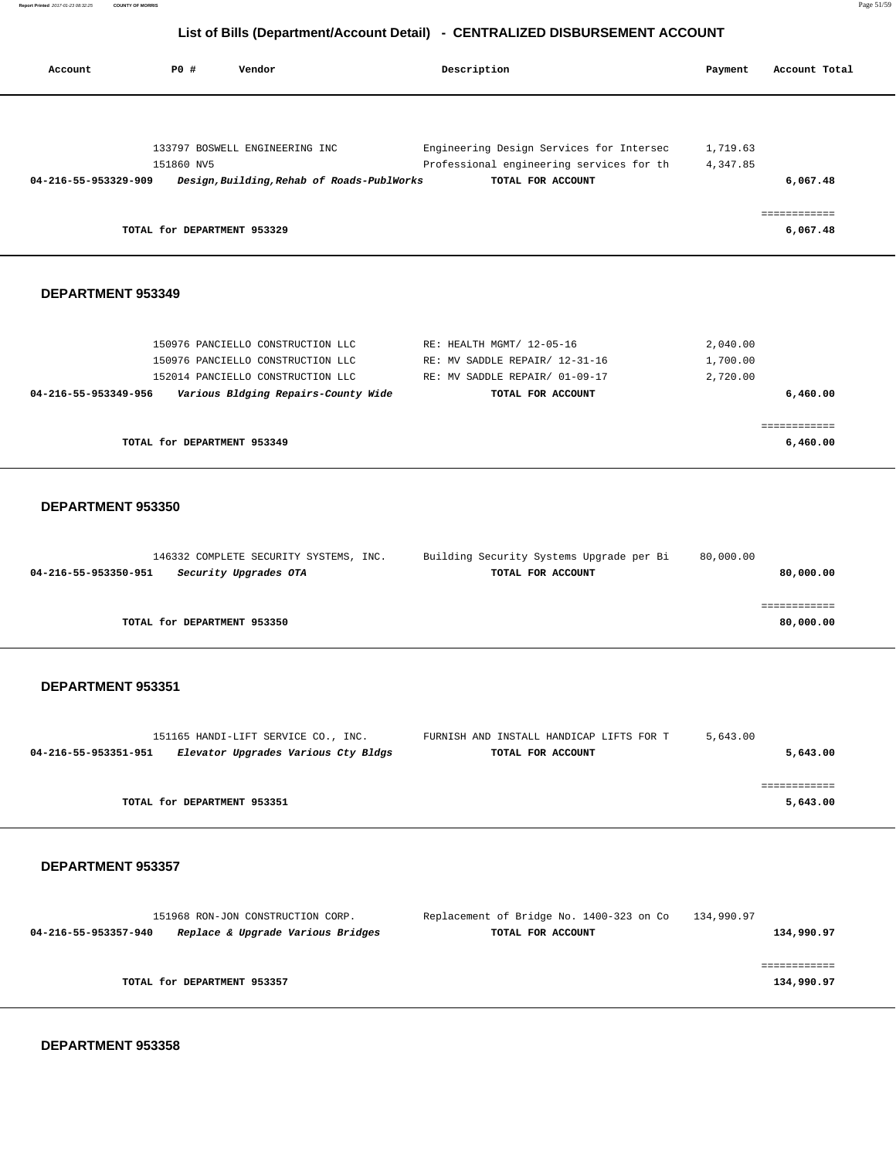| Account                                   | P0 #                                      | Vendor                                                                                                                                             | Description                                                                                                        | Payment                          | Account Total                        |
|-------------------------------------------|-------------------------------------------|----------------------------------------------------------------------------------------------------------------------------------------------------|--------------------------------------------------------------------------------------------------------------------|----------------------------------|--------------------------------------|
| 04-216-55-953329-909                      | 151860 NV5<br>TOTAL for DEPARTMENT 953329 | 133797 BOSWELL ENGINEERING INC<br>Design, Building, Rehab of Roads-PublWorks                                                                       | Engineering Design Services for Intersec<br>Professional engineering services for th<br>TOTAL FOR ACCOUNT          | 1,719.63<br>4,347.85             | 6,067.48<br>============<br>6,067.48 |
| <b>DEPARTMENT 953349</b>                  |                                           |                                                                                                                                                    |                                                                                                                    |                                  |                                      |
| 04-216-55-953349-956                      |                                           | 150976 PANCIELLO CONSTRUCTION LLC<br>150976 PANCIELLO CONSTRUCTION LLC<br>152014 PANCIELLO CONSTRUCTION LLC<br>Various Bldging Repairs-County Wide | RE: HEALTH MGMT/ 12-05-16<br>RE: MV SADDLE REPAIR/ 12-31-16<br>RE: MV SADDLE REPAIR/ 01-09-17<br>TOTAL FOR ACCOUNT | 2,040.00<br>1,700.00<br>2,720.00 | 6,460.00<br>============             |
|                                           | TOTAL for DEPARTMENT 953349               |                                                                                                                                                    |                                                                                                                    |                                  | 6,460.00                             |
| DEPARTMENT 953350<br>04-216-55-953350-951 |                                           | 146332 COMPLETE SECURITY SYSTEMS, INC.<br>Security Upgrades OTA                                                                                    | Building Security Systems Upgrade per Bi<br>TOTAL FOR ACCOUNT                                                      | 80,000.00                        | 80,000.00                            |
|                                           | TOTAL for DEPARTMENT 953350               |                                                                                                                                                    |                                                                                                                    |                                  | ============<br>80,000.00            |
| DEPARTMENT 953351                         |                                           |                                                                                                                                                    |                                                                                                                    |                                  |                                      |
| 04-216-55-953351-951                      |                                           | 151165 HANDI-LIFT SERVICE CO., INC.<br>Elevator Upgrades Various Cty Bldgs                                                                         | FURNISH AND INSTALL HANDICAP LIFTS FOR T<br>TOTAL FOR ACCOUNT                                                      | 5,643.00                         | 5,643.00<br>============             |
|                                           | TOTAL for DEPARTMENT 953351               |                                                                                                                                                    |                                                                                                                    |                                  | 5,643.00                             |
| DEPARTMENT 953357                         |                                           |                                                                                                                                                    |                                                                                                                    |                                  |                                      |
| 04-216-55-953357-940                      |                                           | 151968 RON-JON CONSTRUCTION CORP.<br>Replace & Upgrade Various Bridges                                                                             | Replacement of Bridge No. 1400-323 on Co<br>TOTAL FOR ACCOUNT                                                      | 134,990.97                       | 134,990.97                           |

|                             | ____________ |
|-----------------------------|--------------|
| TOTAL for DEPARTMENT 953357 | 134,990.97   |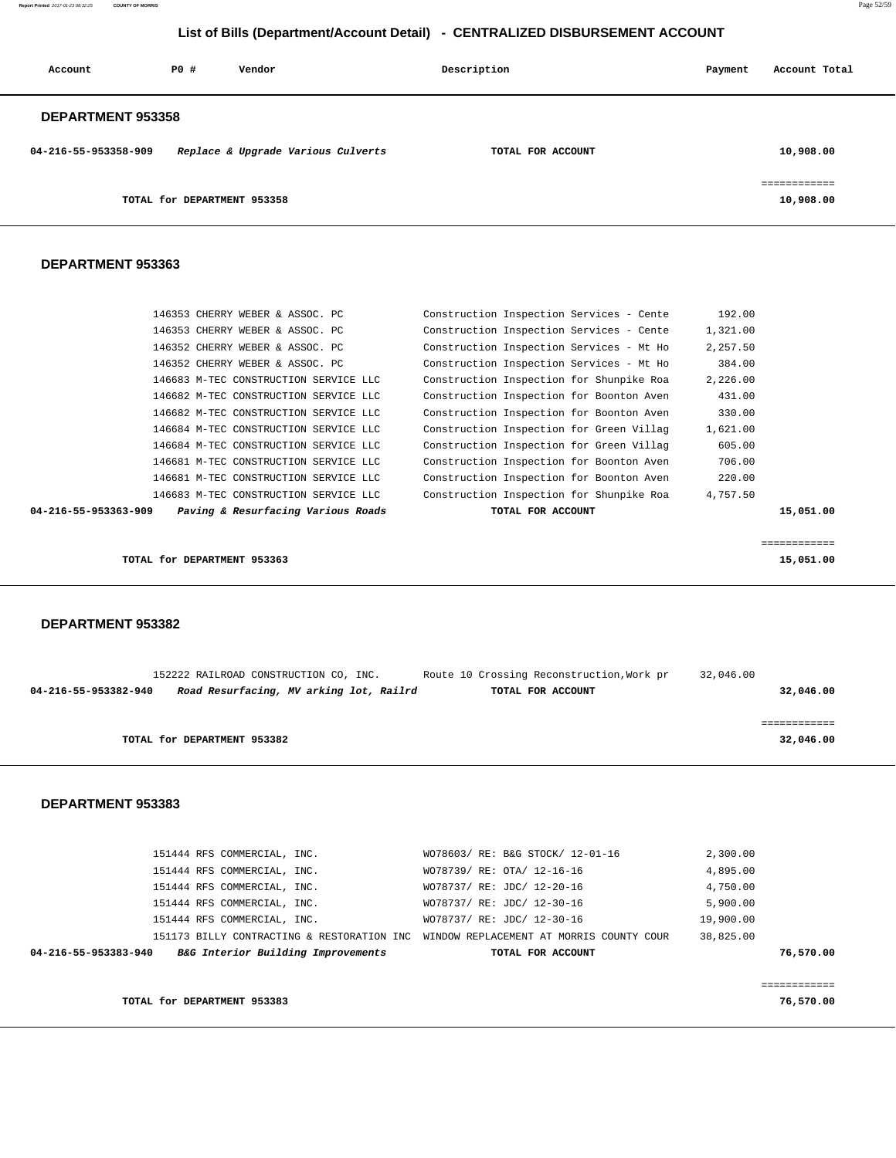| Account                  | PO#                         | Vendor                             | Description       | Payment | Account Total            |
|--------------------------|-----------------------------|------------------------------------|-------------------|---------|--------------------------|
| <b>DEPARTMENT 953358</b> |                             |                                    |                   |         |                          |
| 04-216-55-953358-909     |                             | Replace & Upgrade Various Culverts | TOTAL FOR ACCOUNT |         | 10,908.00                |
|                          | TOTAL for DEPARTMENT 953358 |                                    |                   |         | ___________<br>10,908.00 |

#### **DEPARTMENT 953363**

| 146353 CHERRY WEBER & ASSOC. PC                            | Construction Inspection Services - Cente | 192.00   |           |
|------------------------------------------------------------|------------------------------------------|----------|-----------|
| 146353 CHERRY WEBER & ASSOC. PC                            | Construction Inspection Services - Cente | 1,321.00 |           |
| 146352 CHERRY WEBER & ASSOC. PC                            | Construction Inspection Services - Mt Ho | 2,257.50 |           |
| 146352 CHERRY WEBER & ASSOC. PC                            | Construction Inspection Services - Mt Ho | 384.00   |           |
| 146683 M-TEC CONSTRUCTION SERVICE LLC                      | Construction Inspection for Shunpike Roa | 2,226.00 |           |
| 146682 M-TEC CONSTRUCTION SERVICE LLC                      | Construction Inspection for Boonton Aven | 431.00   |           |
| 146682 M-TEC CONSTRUCTION SERVICE LLC                      | Construction Inspection for Boonton Aven | 330.00   |           |
| 146684 M-TEC CONSTRUCTION SERVICE LLC                      | Construction Inspection for Green Villag | 1,621.00 |           |
| 146684 M-TEC CONSTRUCTION SERVICE LLC                      | Construction Inspection for Green Villag | 605.00   |           |
| 146681 M-TEC CONSTRUCTION SERVICE LLC                      | Construction Inspection for Boonton Aven | 706.00   |           |
| 146681 M-TEC CONSTRUCTION SERVICE LLC                      | Construction Inspection for Boonton Aven | 220.00   |           |
| 146683 M-TEC CONSTRUCTION SERVICE LLC                      | Construction Inspection for Shunpike Roa | 4,757.50 |           |
| Paving & Resurfacing Various Roads<br>04-216-55-953363-909 | TOTAL FOR ACCOUNT                        |          | 15,051.00 |
|                                                            |                                          |          |           |
|                                                            |                                          |          |           |

|                             | ------------ |
|-----------------------------|--------------|
| TOTAL for DEPARTMENT 953363 | 15,051.00    |
|                             |              |

### **DEPARTMENT 953382**

|                      | 152222 RAILROAD CONSTRUCTION CO, INC.   | Route 10 Crossing Reconstruction, Work pr | 32,046.00 |
|----------------------|-----------------------------------------|-------------------------------------------|-----------|
| 04-216-55-953382-940 | Road Resurfacing, MV arking lot, Railrd | TOTAL FOR ACCOUNT                         | 32,046.00 |
|                      |                                         |                                           |           |
|                      |                                         |                                           |           |
|                      | TOTAL for DEPARTMENT 953382             |                                           | 32,046.00 |

#### **DEPARTMENT 953383**

| 04-216-55-953383-940 | B&G Interior Building Improvements                                                  | TOTAL FOR ACCOUNT                | 76,570.00 |
|----------------------|-------------------------------------------------------------------------------------|----------------------------------|-----------|
|                      | 151173 BILLY CONTRACTING & RESTORATION INC WINDOW REPLACEMENT AT MORRIS COUNTY COUR |                                  | 38,825,00 |
|                      | 151444 RFS COMMERCIAL, INC.                                                         | WO78737/ RE: JDC/ 12-30-16       | 19,900.00 |
|                      | 151444 RFS COMMERCIAL, INC.                                                         | WO78737/ RE: JDC/ 12-30-16       | 5,900.00  |
|                      | 151444 RFS COMMERCIAL, INC.                                                         | WO78737/ RE: JDC/ 12-20-16       | 4,750.00  |
|                      | 151444 RFS COMMERCIAL, INC.                                                         | WO78739/ RE: OTA/ 12-16-16       | 4,895.00  |
|                      | 151444 RFS COMMERCIAL, INC.                                                         | WO78603/ RE: B&G STOCK/ 12-01-16 | 2,300.00  |

============

**TOTAL for DEPARTMENT 953383** 76,570.00

**Report Printed** 2017-01-23 08:32:25 **COUNTY OF MORRIS** Page 52/59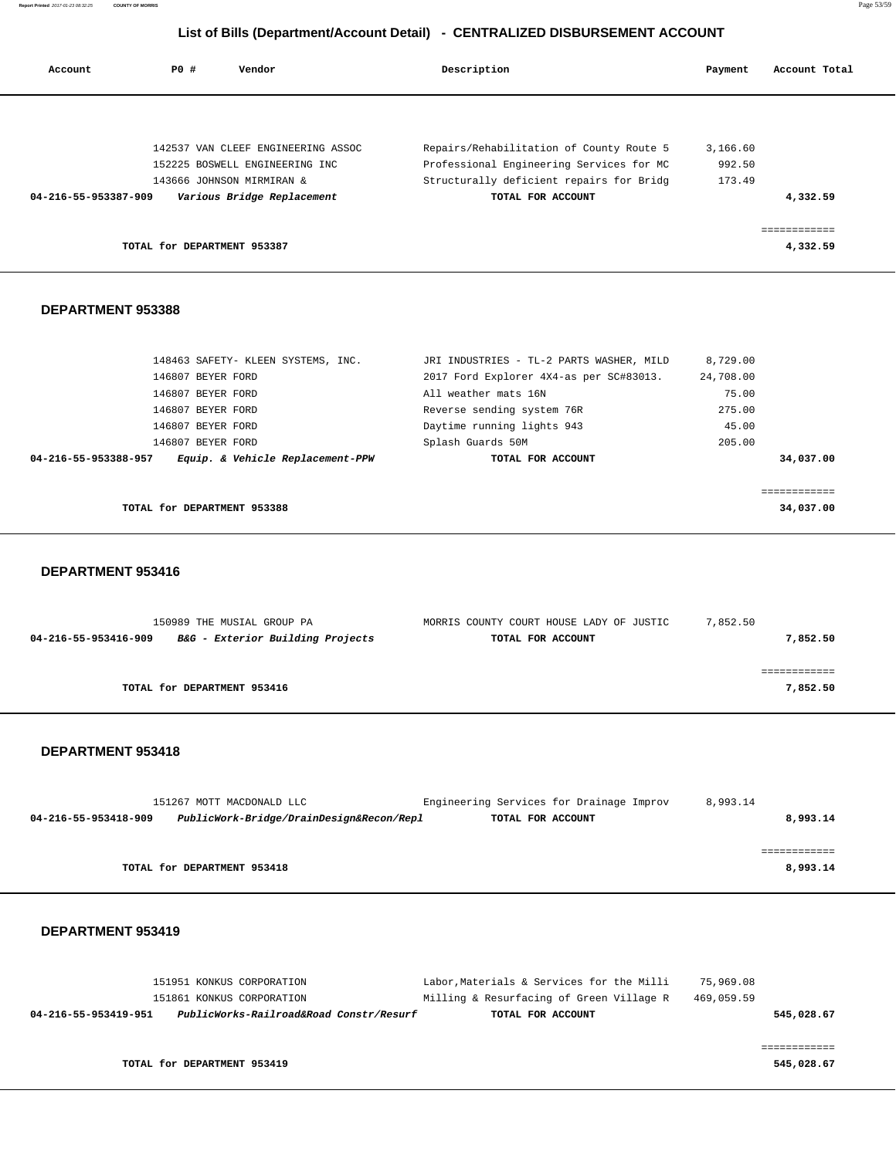| Account              | PO#                         | Vendor                             | Description                              | Payment  | Account Total |
|----------------------|-----------------------------|------------------------------------|------------------------------------------|----------|---------------|
|                      |                             |                                    |                                          |          |               |
|                      |                             | 142537 VAN CLEEF ENGINEERING ASSOC | Repairs/Rehabilitation of County Route 5 | 3,166.60 |               |
|                      |                             | 152225 BOSWELL ENGINEERING INC     | Professional Engineering Services for MC | 992.50   |               |
|                      |                             | 143666 JOHNSON MIRMIRAN &          | Structurally deficient repairs for Bridg | 173.49   |               |
| 04-216-55-953387-909 |                             | Various Bridge Replacement         | TOTAL FOR ACCOUNT                        |          | 4,332.59      |
|                      |                             |                                    |                                          |          |               |
|                      | TOTAL for DEPARTMENT 953387 |                                    |                                          |          | 4,332.59      |
|                      |                             |                                    |                                          |          |               |

### **DEPARTMENT 953388**

| TOTAL for DEPARTMENT 953388                              |                                          | 34,037,00 |
|----------------------------------------------------------|------------------------------------------|-----------|
|                                                          |                                          |           |
| Equip. & Vehicle Replacement-PPW<br>04-216-55-953388-957 | TOTAL FOR ACCOUNT                        | 34,037.00 |
| 146807 BEYER FORD                                        | Splash Guards 50M                        | 205.00    |
| 146807 BEYER FORD                                        | Daytime running lights 943               | 45.00     |
| 146807 BEYER FORD                                        | Reverse sending system 76R               | 275.00    |
| 146807 BEYER FORD                                        | All weather mats 16N                     | 75.00     |
| 146807 BEYER FORD                                        | 2017 Ford Explorer 4X4-as per SC#83013.  | 24,708.00 |
| 148463 SAFETY- KLEEN SYSTEMS, INC.                       | JRI INDUSTRIES - TL-2 PARTS WASHER, MILD | 8,729.00  |

### **DEPARTMENT 953416**

| 150989 THE MUSIAL GROUP PA                               | MORRIS COUNTY COURT HOUSE LADY OF JUSTIC | 7,852.50 |
|----------------------------------------------------------|------------------------------------------|----------|
| B&G - Exterior Building Projects<br>04-216-55-953416-909 | TOTAL FOR ACCOUNT                        | 7,852.50 |
|                                                          |                                          |          |
|                                                          |                                          |          |
| TOTAL for DEPARTMENT 953416                              |                                          | 7,852.50 |
|                                                          |                                          |          |

#### **DEPARTMENT 953418**

|                             | 151267 MOTT MACDONALD LLC                | Engineering Services for Drainage Improv |  | 8,993.14 |          |
|-----------------------------|------------------------------------------|------------------------------------------|--|----------|----------|
| 04-216-55-953418-909        | PublicWork-Bridge/DrainDesign&Recon/Repl | TOTAL FOR ACCOUNT                        |  |          | 8,993.14 |
|                             |                                          |                                          |  |          |          |
|                             |                                          |                                          |  |          |          |
| TOTAL for DEPARTMENT 953418 |                                          |                                          |  |          | 8,993.14 |

| 151951 KONKUS CORPORATION |                                                     | 75,969.08                               |                                                                                                                                        |
|---------------------------|-----------------------------------------------------|-----------------------------------------|----------------------------------------------------------------------------------------------------------------------------------------|
| 151861 KONKUS CORPORATION |                                                     | 469,059.59                              |                                                                                                                                        |
|                           |                                                     |                                         |                                                                                                                                        |
|                           |                                                     |                                         |                                                                                                                                        |
|                           |                                                     |                                         |                                                                                                                                        |
|                           |                                                     |                                         |                                                                                                                                        |
|                           | 04-216-55-953419-951<br>TOTAL for DEPARTMENT 953419 | PublicWorks-Railroad&Road Constr/Resurf | Labor, Materials & Services for the Milli<br>Milling & Resurfacing of Green Village R<br>545,028.67<br>TOTAL FOR ACCOUNT<br>545,028.67 |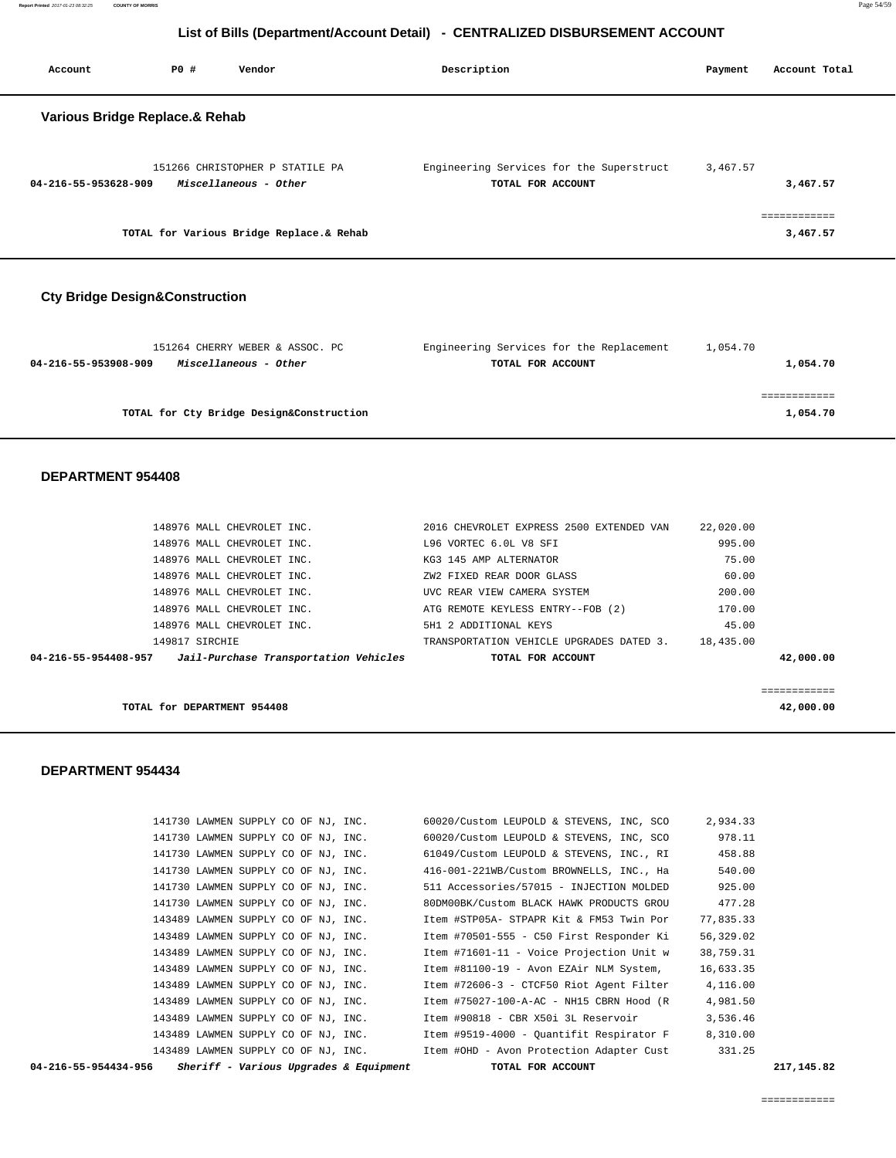**Report Printed** 2017-01-23 08:32:25 **COUNTY OF MORRIS** Page 54/59

# **List of Bills (Department/Account Detail) - CENTRALIZED DISBURSEMENT ACCOUNT**

| Account                        | PO# | Vendor                                                   | Description                                                   | Payment  | Account Total            |
|--------------------------------|-----|----------------------------------------------------------|---------------------------------------------------------------|----------|--------------------------|
| Various Bridge Replace.& Rehab |     |                                                          |                                                               |          |                          |
| 04-216-55-953628-909           |     | 151266 CHRISTOPHER P STATILE PA<br>Miscellaneous - Other | Engineering Services for the Superstruct<br>TOTAL FOR ACCOUNT | 3,467.57 | 3,467.57                 |
|                                |     | TOTAL for Various Bridge Replace.& Rehab                 |                                                               |          | ============<br>3,467.57 |

# **Cty Bridge Design&Construction**

| 151264 CHERRY WEBER & ASSOC. PC               | Engineering Services for the Replacement | 1,054.70 |
|-----------------------------------------------|------------------------------------------|----------|
| Miscellaneous - Other<br>04-216-55-953908-909 | TOTAL FOR ACCOUNT                        | 1,054.70 |
|                                               |                                          |          |
|                                               |                                          |          |
| TOTAL for Cty Bridge Design&Construction      |                                          | 1,054.70 |
|                                               |                                          |          |

### **DEPARTMENT 954408**

| 148976 MALL CHEVROLET INC.                                 | 2016 CHEVROLET EXPRESS 2500 EXTENDED VAN | 22,020.00 |              |
|------------------------------------------------------------|------------------------------------------|-----------|--------------|
| 148976 MALL CHEVROLET INC.                                 | L96 VORTEC 6.0L V8 SFI                   | 995.00    |              |
| 148976 MALL CHEVROLET INC.                                 | KG3 145 AMP ALTERNATOR                   | 75.00     |              |
| 148976 MALL CHEVROLET INC.                                 | ZW2 FIXED REAR DOOR GLASS                | 60.00     |              |
| 148976 MALL CHEVROLET INC.                                 | UVC REAR VIEW CAMERA SYSTEM              | 200.00    |              |
| 148976 MALL CHEVROLET INC.                                 | ATG REMOTE KEYLESS ENTRY--FOB (2)        | 170.00    |              |
| 148976 MALL CHEVROLET INC.                                 | 5H1 2 ADDITIONAL KEYS                    | 45.00     |              |
| 149817 SIRCHIE                                             | TRANSPORTATION VEHICLE UPGRADES DATED 3. | 18,435.00 |              |
| 04-216-55-954408-957 Jail-Purchase Transportation Vehicles | TOTAL FOR ACCOUNT                        |           | 42,000.00    |
|                                                            |                                          |           |              |
|                                                            |                                          |           | ------------ |
| TOTAL for DEPARTMENT 954408                                |                                          |           | 42,000,00    |

| 04-216-55-954434-956 |                                     | Sheriff - Various Upgrades & Equipment | TOTAL FOR ACCOUNT                        |           | 217, 145.82 |
|----------------------|-------------------------------------|----------------------------------------|------------------------------------------|-----------|-------------|
|                      |                                     | 143489 LAWMEN SUPPLY CO OF NJ, INC.    | Item #OHD - Avon Protection Adapter Cust | 331.25    |             |
|                      | 143489 LAWMEN SUPPLY CO OF NJ, INC. |                                        | Item #9519-4000 - Quantifit Respirator F | 8,310.00  |             |
|                      | 143489 LAWMEN SUPPLY CO OF NJ, INC. |                                        | Item #90818 - CBR X50i 3L Reservoir      | 3,536.46  |             |
|                      | 143489 LAWMEN SUPPLY CO OF NJ, INC. |                                        | Item #75027-100-A-AC - NH15 CBRN Hood (R | 4,981.50  |             |
|                      | 143489 LAWMEN SUPPLY CO OF NJ, INC. |                                        | Item #72606-3 - CTCF50 Riot Agent Filter | 4,116.00  |             |
|                      | 143489 LAWMEN SUPPLY CO OF NJ, INC. |                                        | Item #81100-19 - Avon EZAir NLM System,  | 16,633.35 |             |
|                      | 143489 LAWMEN SUPPLY CO OF NJ, INC. |                                        | Item #71601-11 - Voice Projection Unit w | 38,759.31 |             |
|                      | 143489 LAWMEN SUPPLY CO OF NJ, INC. |                                        | Item #70501-555 - C50 First Responder Ki | 56,329.02 |             |
|                      | 143489 LAWMEN SUPPLY CO OF NJ, INC. |                                        | Item #STP05A- STPAPR Kit & FM53 Twin Por | 77,835.33 |             |
|                      | 141730 LAWMEN SUPPLY CO OF NJ, INC. |                                        | 80DM00BK/Custom BLACK HAWK PRODUCTS GROU | 477.28    |             |
|                      | 141730 LAWMEN SUPPLY CO OF NJ, INC. |                                        | 511 Accessories/57015 - INJECTION MOLDED | 925.00    |             |
|                      |                                     | 141730 LAWMEN SUPPLY CO OF NJ, INC.    | 416-001-221WB/Custom BROWNELLS, INC., Ha | 540.00    |             |
|                      | 141730 LAWMEN SUPPLY CO OF NJ, INC. |                                        | 61049/Custom LEUPOLD & STEVENS, INC., RI | 458.88    |             |
|                      | 141730 LAWMEN SUPPLY CO OF NJ, INC. |                                        | 60020/Custom LEUPOLD & STEVENS, INC, SCO | 978.11    |             |
|                      | 141730 LAWMEN SUPPLY CO OF NJ, INC. |                                        | 60020/Custom LEUPOLD & STEVENS, INC, SCO | 2,934.33  |             |
|                      |                                     |                                        |                                          |           |             |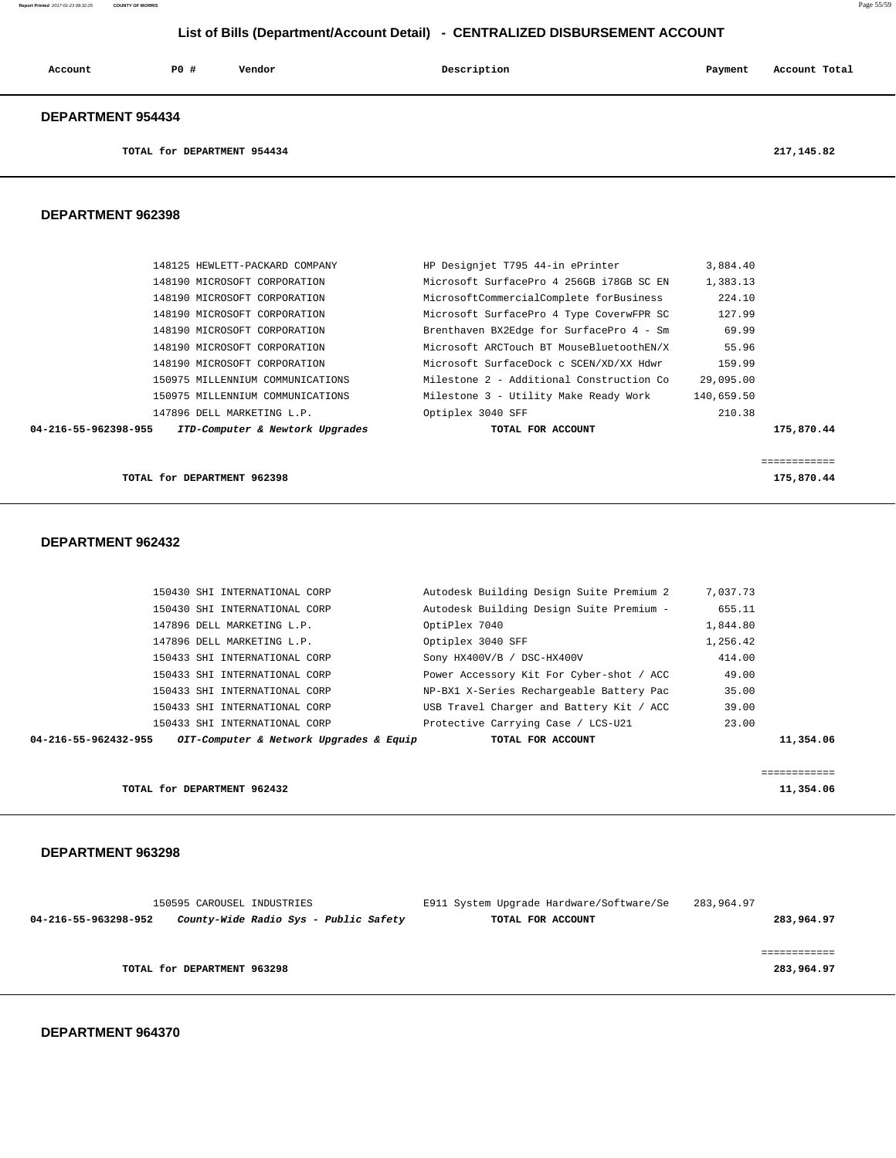#### **Report Printed** 2017-01-23 08:32:25 **COUNTY OF MORRIS** Page 55/59

# **List of Bills (Department/Account Detail) - CENTRALIZED DISBURSEMENT ACCOUNT**

| Account                  | PO# | Vendor | Description | Payment | Account Total |
|--------------------------|-----|--------|-------------|---------|---------------|
| <b>DEPARTMENT 954434</b> |     |        |             |         |               |

**TOTAL for DEPARTMENT 954434 217,145.82**

### **DEPARTMENT 962398**

|                      | 148125 HEWLETT-PACKARD COMPANY   | HP Designjet T795 44-in ePrinter         | 3,884.40   |            |
|----------------------|----------------------------------|------------------------------------------|------------|------------|
|                      | 148190 MICROSOFT CORPORATION     | Microsoft SurfacePro 4 256GB i78GB SC EN | 1,383.13   |            |
|                      | 148190 MICROSOFT CORPORATION     | MicrosoftCommercialComplete forBusiness  | 224.10     |            |
|                      | 148190 MICROSOFT CORPORATION     | Microsoft SurfacePro 4 Type CoverwFPR SC | 127.99     |            |
|                      | 148190 MICROSOFT CORPORATION     | Brenthaven BX2Edge for SurfacePro 4 - Sm | 69.99      |            |
|                      | 148190 MICROSOFT CORPORATION     | Microsoft ARCTouch BT MouseBluetoothEN/X | 55.96      |            |
|                      | 148190 MICROSOFT CORPORATION     | Microsoft SurfaceDock c SCEN/XD/XX Hdwr  | 159.99     |            |
|                      | 150975 MILLENNIUM COMMUNICATIONS | Milestone 2 - Additional Construction Co | 29,095.00  |            |
|                      | 150975 MILLENNIUM COMMUNICATIONS | Milestone 3 - Utility Make Ready Work    | 140,659.50 |            |
|                      | 147896 DELL MARKETING L.P.       | Optiplex 3040 SFF                        | 210.38     |            |
| 04-216-55-962398-955 | ITD-Computer & Newtork Upgrades  | TOTAL FOR ACCOUNT                        |            | 175,870.44 |
|                      |                                  |                                          |            |            |

**TOTAL for DEPARTMENT 962398 175,870.44**

============

```
 DEPARTMENT 962432
```

| 150430 SHI INTERNATIONAL CORP |                                         | Autodesk Building Design Suite Premium 2 | 7,037.73 |           |
|-------------------------------|-----------------------------------------|------------------------------------------|----------|-----------|
| 150430 SHI INTERNATIONAL CORP |                                         | Autodesk Building Design Suite Premium - | 655.11   |           |
| 147896 DELL MARKETING L.P.    | OptiPlex 7040                           |                                          | 1,844.80 |           |
| 147896 DELL MARKETING L.P.    | Optiplex 3040 SFF                       |                                          | 1,256.42 |           |
| 150433 SHI INTERNATIONAL CORP |                                         | Sony HX400V/B / DSC-HX400V               | 414.00   |           |
| 150433 SHI INTERNATIONAL CORP |                                         | Power Accessory Kit For Cyber-shot / ACC | 49.00    |           |
| 150433 SHI INTERNATIONAL CORP |                                         | NP-BX1 X-Series Rechargeable Battery Pac | 35.00    |           |
| 150433 SHI INTERNATIONAL CORP |                                         | USB Travel Charger and Battery Kit / ACC | 39.00    |           |
| 150433 SHI INTERNATIONAL CORP |                                         | Protective Carrying Case / LCS-U21       | 23.00    |           |
| 04-216-55-962432-955          | OIT-Computer & Network Upgrades & Equip | TOTAL FOR ACCOUNT                        |          | 11,354.06 |
|                               |                                         |                                          |          |           |
|                               |                                         |                                          |          |           |

 ============ **TOTAL for DEPARTMENT 962432** 11,354.06

#### **DEPARTMENT 963298**

|                             | 150595 CAROUSEL INDUSTRIES            | E911 System Upgrade Hardware/Software/Se | 283,964.97 |
|-----------------------------|---------------------------------------|------------------------------------------|------------|
| 04-216-55-963298-952        | County-Wide Radio Sys - Public Safety | TOTAL FOR ACCOUNT                        | 283,964.97 |
|                             |                                       |                                          |            |
|                             |                                       |                                          |            |
| TOTAL for DEPARTMENT 963298 |                                       |                                          | 283,964.97 |
|                             |                                       |                                          |            |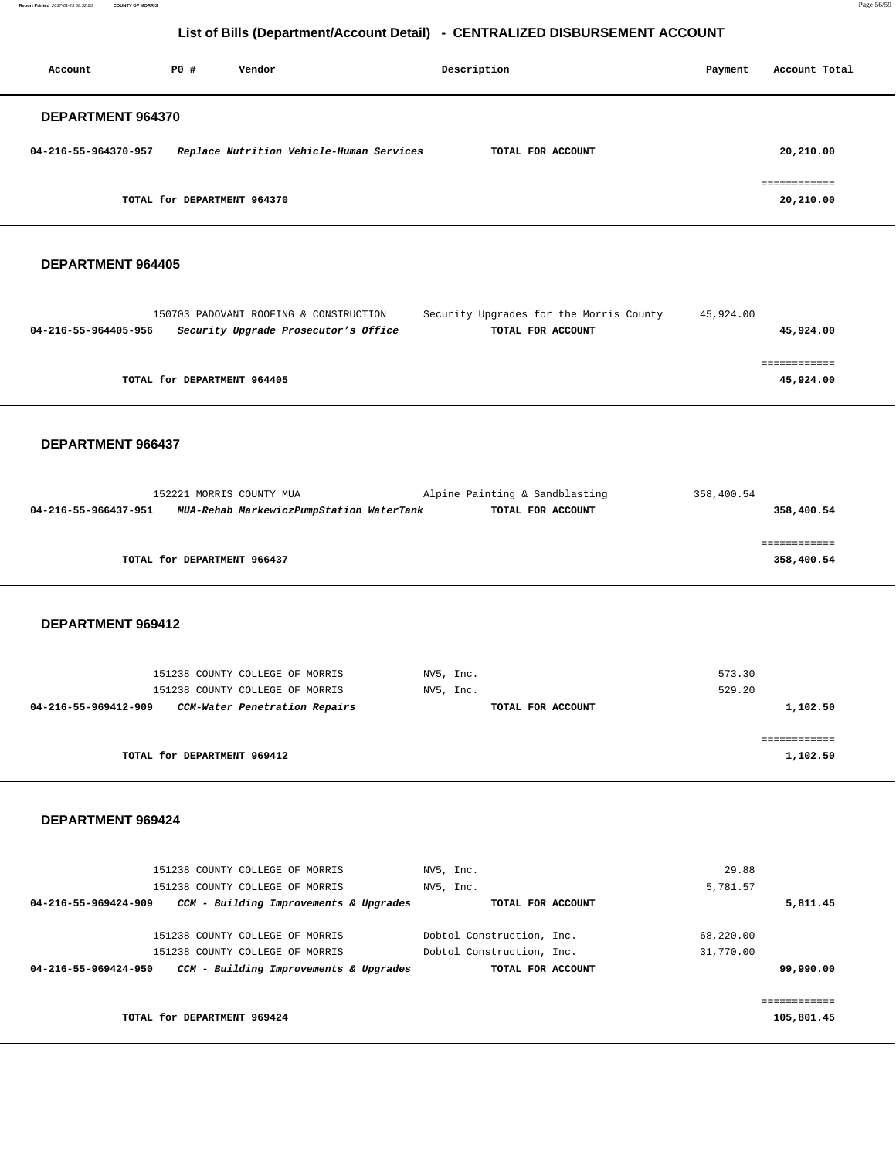**Report Printed** 2017-01-23 08:32:25 **COUNTY OF MORRIS** Page 56/59

# **List of Bills (Department/Account Detail) - CENTRALIZED DISBURSEMENT ACCOUNT**

| Account                  | PO#                         | Vendor                                   | Description       | Payment | Account Total                          |
|--------------------------|-----------------------------|------------------------------------------|-------------------|---------|----------------------------------------|
| <b>DEPARTMENT 964370</b> |                             |                                          |                   |         |                                        |
| 04-216-55-964370-957     |                             | Replace Nutrition Vehicle-Human Services | TOTAL FOR ACCOUNT |         | 20,210.00                              |
|                          | TOTAL for DEPARTMENT 964370 |                                          |                   |         | _________<br>------------<br>20,210.00 |

### **DEPARTMENT 964405**

|                      | 150703 PADOVANI ROOFING & CONSTRUCTION | Security Upgrades for the Morris County | 45,924.00 |
|----------------------|----------------------------------------|-----------------------------------------|-----------|
| 04-216-55-964405-956 | Security Upgrade Prosecutor's Office   | TOTAL FOR ACCOUNT                       | 45,924.00 |
|                      |                                        |                                         |           |
|                      |                                        |                                         |           |
|                      | TOTAL for DEPARTMENT 964405            |                                         | 45,924.00 |
|                      |                                        |                                         |           |

#### **DEPARTMENT 966437**

|                      | 152221 MORRIS COUNTY MUA                 | Alpine Painting & Sandblasting | 358,400.54  |
|----------------------|------------------------------------------|--------------------------------|-------------|
| 04-216-55-966437-951 | MUA-Rehab MarkewiczPumpStation WaterTank | TOTAL FOR ACCOUNT              | 358,400.54  |
|                      |                                          |                                |             |
|                      |                                          |                                | ----------- |
|                      | TOTAL for DEPARTMENT 966437              |                                | 358,400.54  |
|                      |                                          |                                |             |

### **DEPARTMENT 969412**

| 151238 COUNTY COLLEGE OF MORRIS<br>151238 COUNTY COLLEGE OF MORRIS | NV5, Inc.<br>NV5, Inc. | 573.30<br>529.20 |
|--------------------------------------------------------------------|------------------------|------------------|
| CCM-Water Penetration Repairs<br>04-216-55-969412-909              | TOTAL FOR ACCOUNT      | 1,102.50         |
|                                                                    |                        |                  |
| TOTAL for DEPARTMENT 969412                                        |                        | 1,102.50         |

|                      | 151238 COUNTY COLLEGE OF MORRIS        | NV5, Inc. |                           | 29.88     |            |
|----------------------|----------------------------------------|-----------|---------------------------|-----------|------------|
|                      | 151238 COUNTY COLLEGE OF MORRIS        | NV5, Inc. |                           | 5,781.57  |            |
| 04-216-55-969424-909 | CCM - Building Improvements & Upgrades |           | TOTAL FOR ACCOUNT         |           | 5,811.45   |
|                      |                                        |           |                           |           |            |
|                      | 151238 COUNTY COLLEGE OF MORRIS        |           | Dobtol Construction, Inc. | 68,220,00 |            |
|                      | 151238 COUNTY COLLEGE OF MORRIS        |           | Dobtol Construction, Inc. | 31,770.00 |            |
| 04-216-55-969424-950 | CCM - Building Improvements & Upgrades |           | TOTAL FOR ACCOUNT         |           | 99,990,00  |
|                      |                                        |           |                           |           |            |
|                      |                                        |           |                           |           |            |
|                      | TOTAL for DEPARTMENT 969424            |           |                           |           | 105,801.45 |
|                      |                                        |           |                           |           |            |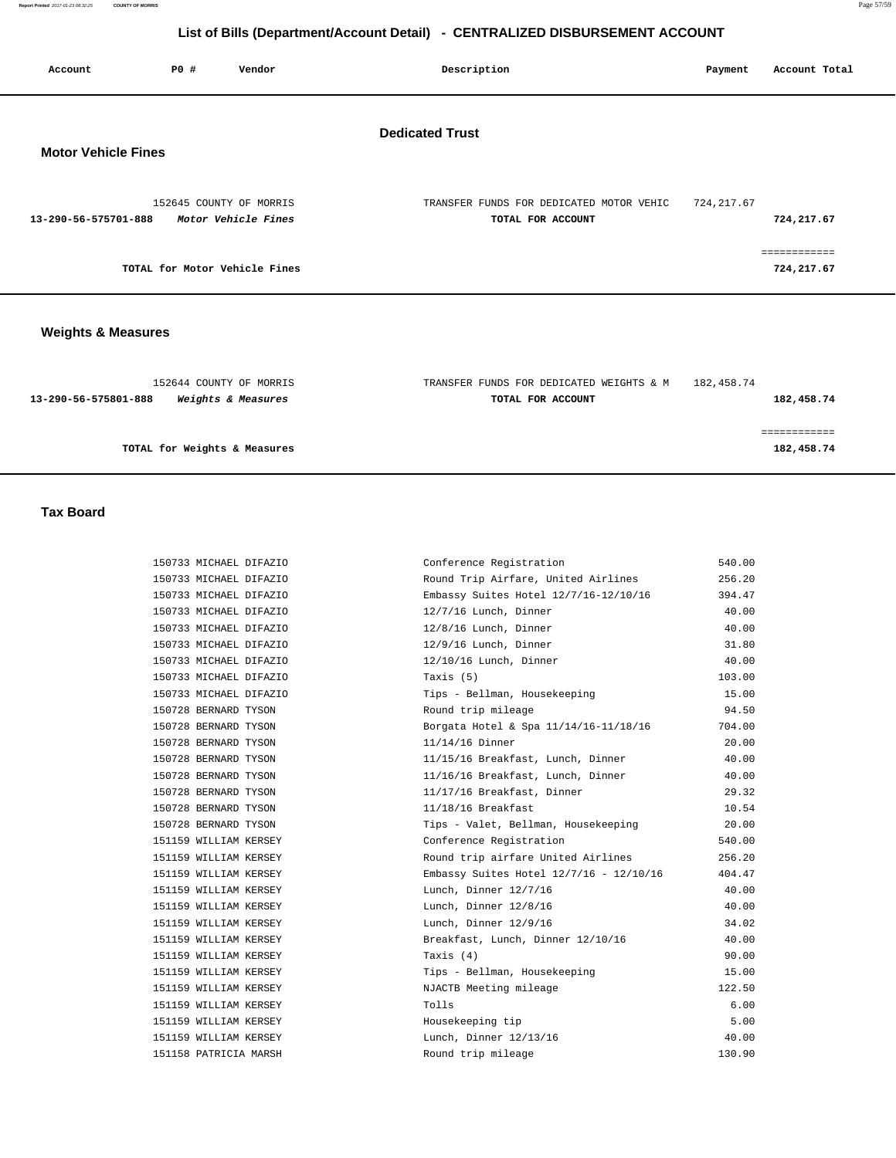| Account                    | PO# | Vendor                                         | Description                                                   | Payment     | Account Total              |
|----------------------------|-----|------------------------------------------------|---------------------------------------------------------------|-------------|----------------------------|
| <b>Motor Vehicle Fines</b> |     |                                                | <b>Dedicated Trust</b>                                        |             |                            |
| 13-290-56-575701-888       |     | 152645 COUNTY OF MORRIS<br>Motor Vehicle Fines | TRANSFER FUNDS FOR DEDICATED MOTOR VEHIC<br>TOTAL FOR ACCOUNT | 724, 217.67 | 724,217.67                 |
|                            |     | TOTAL for Motor Vehicle Fines                  |                                                               |             | ============<br>724,217.67 |
|                            |     |                                                |                                                               |             |                            |

### **Weights & Measures**

| 152644 COUNTY OF MORRIS                                      | TRANSFER FUNDS FOR DEDICATED WEIGHTS & M | 182,458.74 |
|--------------------------------------------------------------|------------------------------------------|------------|
| <i><b>Weights &amp; Measures</b></i><br>13-290-56-575801-888 | TOTAL FOR ACCOUNT                        | 182,458.74 |
|                                                              |                                          |            |
|                                                              |                                          |            |
| TOTAL for Weights & Measures                                 |                                          | 182,458.74 |

 **Tax Board** 

| 150733 MICHAEL DIFAZIO<br>Conference Registration                | 540.00 |
|------------------------------------------------------------------|--------|
| 150733 MICHAEL DIFAZIO<br>Round Trip Airfare, United Airlines    | 256.20 |
| 150733 MICHAEL DIFAZIO<br>Embassy Suites Hotel 12/7/16-12/10/16  | 394.47 |
| 12/7/16 Lunch, Dinner<br>150733 MICHAEL DIFAZIO                  | 40.00  |
| 150733 MICHAEL DIFAZIO<br>12/8/16 Lunch, Dinner                  | 40.00  |
| 150733 MICHAEL DIFAZIO<br>12/9/16 Lunch, Dinner                  | 31.80  |
| 150733 MICHAEL DIFAZIO<br>12/10/16 Lunch, Dinner                 | 40.00  |
| 150733 MICHAEL DIFAZIO<br>Taxis (5)                              | 103.00 |
| 150733 MICHAEL DIFAZIO<br>Tips - Bellman, Housekeeping           | 15.00  |
| Round trip mileage<br>150728 BERNARD TYSON                       | 94.50  |
| 150728 BERNARD TYSON<br>Borgata Hotel & Spa 11/14/16-11/18/16    | 704.00 |
| 150728 BERNARD TYSON<br>$11/14/16$ Dinner                        | 20.00  |
| 150728 BERNARD TYSON<br>11/15/16 Breakfast, Lunch, Dinner        | 40.00  |
| 150728 BERNARD TYSON<br>11/16/16 Breakfast, Lunch, Dinner        | 40.00  |
| 11/17/16 Breakfast, Dinner<br>150728 BERNARD TYSON               | 29.32  |
| 150728 BERNARD TYSON<br>11/18/16 Breakfast                       | 10.54  |
| 150728 BERNARD TYSON<br>Tips - Valet, Bellman, Housekeeping      | 20.00  |
| 151159 WILLIAM KERSEY<br>Conference Registration                 | 540.00 |
| Round trip airfare United Airlines<br>151159 WILLIAM KERSEY      | 256.20 |
| 151159 WILLIAM KERSEY<br>Embassy Suites Hotel 12/7/16 - 12/10/16 | 404.47 |
| 151159 WILLIAM KERSEY<br>Lunch, Dinner 12/7/16                   | 40.00  |
| 151159 WILLIAM KERSEY<br>Lunch, Dinner 12/8/16                   | 40.00  |
| 151159 WILLIAM KERSEY<br>Lunch, Dinner 12/9/16                   | 34.02  |
| 151159 WILLIAM KERSEY<br>Breakfast, Lunch, Dinner 12/10/16       | 40.00  |
| 151159 WILLIAM KERSEY<br>Taxis (4)                               | 90.00  |
| 151159 WILLIAM KERSEY<br>Tips - Bellman, Housekeeping            | 15.00  |
| 151159 WILLIAM KERSEY<br>NJACTB Meeting mileage                  | 122.50 |
| Tolls<br>151159 WILLIAM KERSEY                                   | 6.00   |
| Housekeeping tip<br>151159 WILLIAM KERSEY                        | 5.00   |
| Lunch, Dinner 12/13/16<br>151159 WILLIAM KERSEY                  | 40.00  |
| Round trip mileage<br>151158 PATRICIA MARSH                      | 130.90 |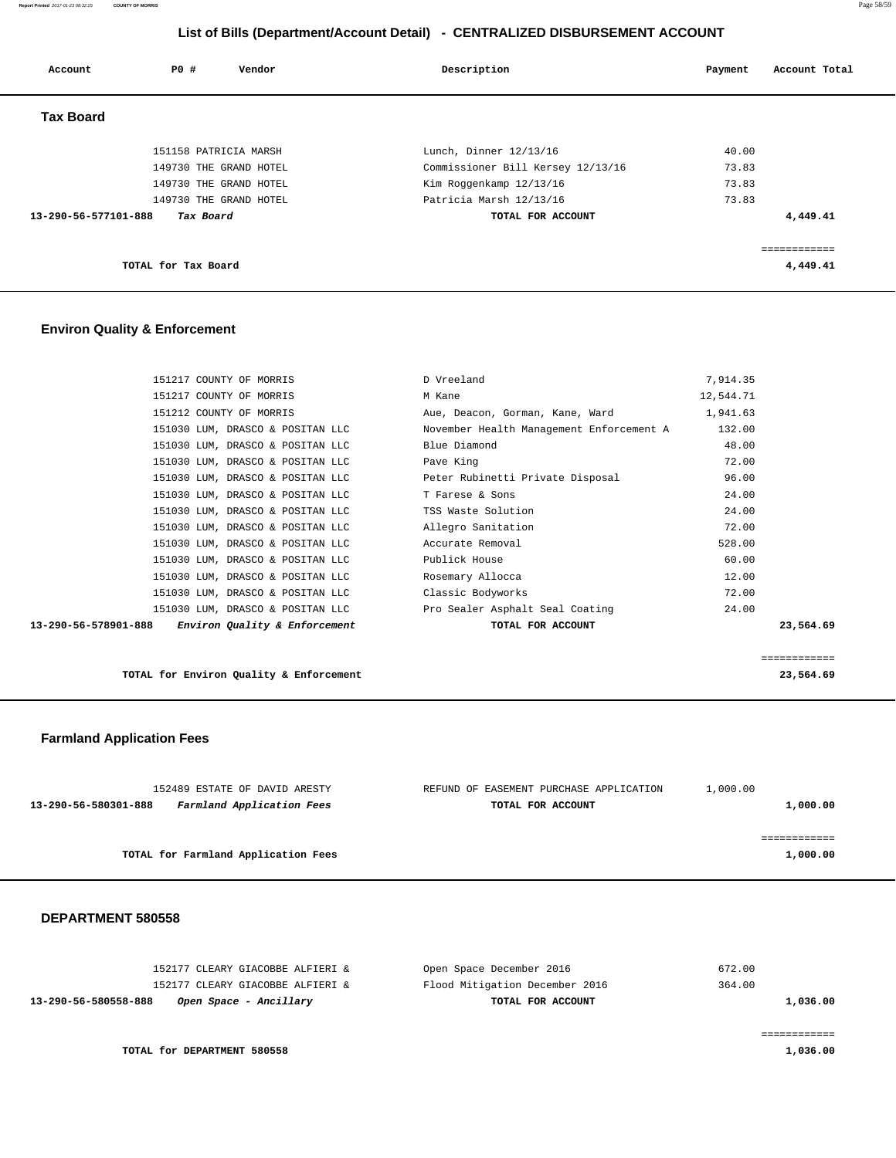**Report Printed** 2017-01-23 08:32:25 **COUNTY OF MORRIS** Page 58/59

# **List of Bills (Department/Account Detail) - CENTRALIZED DISBURSEMENT ACCOUNT**

| Account              | PO#<br>Vendor          | Description                       | Account Total<br>Payment |
|----------------------|------------------------|-----------------------------------|--------------------------|
| <b>Tax Board</b>     |                        |                                   |                          |
|                      | 151158 PATRICIA MARSH  | Lunch, Dinner 12/13/16            | 40.00                    |
|                      | 149730 THE GRAND HOTEL | Commissioner Bill Kersey 12/13/16 | 73.83                    |
|                      | 149730 THE GRAND HOTEL | Kim Roggenkamp 12/13/16           | 73.83                    |
|                      | 149730 THE GRAND HOTEL | Patricia Marsh 12/13/16           | 73.83                    |
| 13-290-56-577101-888 | Tax Board              | TOTAL FOR ACCOUNT                 | 4,449.41                 |
|                      |                        |                                   | ============             |
|                      | TOTAL for Tax Board    |                                   | 4,449.41                 |

### **Environ Quality & Enforcement**

|                      | 151217 COUNTY OF MORRIS          | D Vreeland                               | 7,914.35  |              |
|----------------------|----------------------------------|------------------------------------------|-----------|--------------|
|                      | 151217 COUNTY OF MORRIS          | M Kane                                   | 12,544.71 |              |
|                      | 151212 COUNTY OF MORRIS          | Aue, Deacon, Gorman, Kane, Ward          | 1,941.63  |              |
|                      | 151030 LUM, DRASCO & POSITAN LLC | November Health Management Enforcement A | 132.00    |              |
|                      | 151030 LUM, DRASCO & POSITAN LLC | Blue Diamond                             | 48.00     |              |
|                      | 151030 LUM, DRASCO & POSITAN LLC | Pave King                                | 72.00     |              |
|                      | 151030 LUM, DRASCO & POSITAN LLC | Peter Rubinetti Private Disposal         | 96.00     |              |
|                      | 151030 LUM, DRASCO & POSITAN LLC | T Farese & Sons                          | 24.00     |              |
|                      | 151030 LUM, DRASCO & POSITAN LLC | TSS Waste Solution                       | 24.00     |              |
|                      | 151030 LUM, DRASCO & POSITAN LLC | Allegro Sanitation                       | 72.00     |              |
|                      | 151030 LUM, DRASCO & POSITAN LLC | Accurate Removal                         | 528.00    |              |
|                      | 151030 LUM, DRASCO & POSITAN LLC | Publick House                            | 60.00     |              |
|                      | 151030 LUM, DRASCO & POSITAN LLC | Rosemary Allocca                         | 12.00     |              |
|                      | 151030 LUM, DRASCO & POSITAN LLC | Classic Bodyworks                        | 72.00     |              |
|                      | 151030 LUM, DRASCO & POSITAN LLC | Pro Sealer Asphalt Seal Coating          | 24.00     |              |
| 13-290-56-578901-888 | Environ Quality & Enforcement    | TOTAL FOR ACCOUNT                        |           | 23,564.69    |
|                      |                                  |                                          |           |              |
|                      |                                  |                                          |           | ============ |

**TOTAL for Environ Quality & Enforcement 23,564.69**

### **Farmland Application Fees**

| 152489 ESTATE OF DAVID ARESTY                     | REFUND OF EASEMENT PURCHASE APPLICATION | 1,000.00 |
|---------------------------------------------------|-----------------------------------------|----------|
| Farmland Application Fees<br>13-290-56-580301-888 | TOTAL FOR ACCOUNT                       | 1,000.00 |
|                                                   |                                         |          |
|                                                   |                                         |          |
| TOTAL for Farmland Application Fees               |                                         | 1,000.00 |
|                                                   |                                         |          |

| 152177 CLEARY GIACOBBE ALFIERI &               | Flood Mitigation December 2016 | 364.00   |
|------------------------------------------------|--------------------------------|----------|
| Open Space - Ancillary<br>13-290-56-580558-888 | TOTAL FOR ACCOUNT              | 1,036.00 |